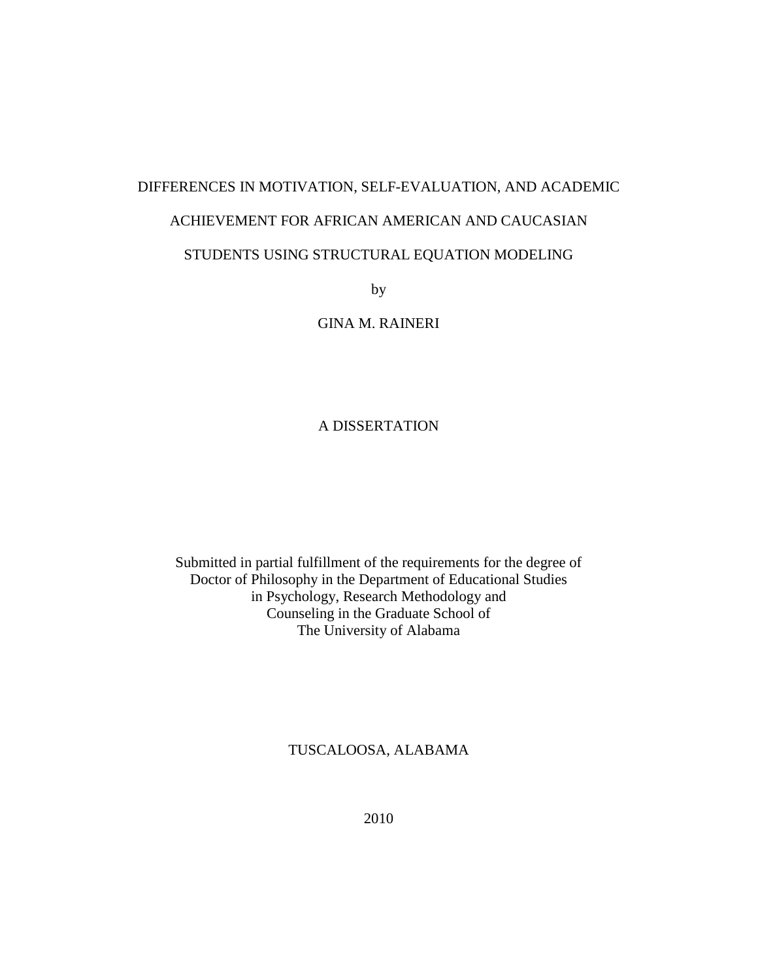# DIFFERENCES IN MOTIVATION, SELF-EVALUATION, AND ACADEMIC ACHIEVEMENT FOR AFRICAN AMERICAN AND CAUCASIAN STUDENTS USING STRUCTURAL EQUATION MODELING

by

GINA M. RAINERI

#### A DISSERTATION

Submitted in partial fulfillment of the requirements for the degree of Doctor of Philosophy in the Department of Educational Studies in Psychology, Research Methodology and Counseling in the Graduate School of The University of Alabama

#### TUSCALOOSA, ALABAMA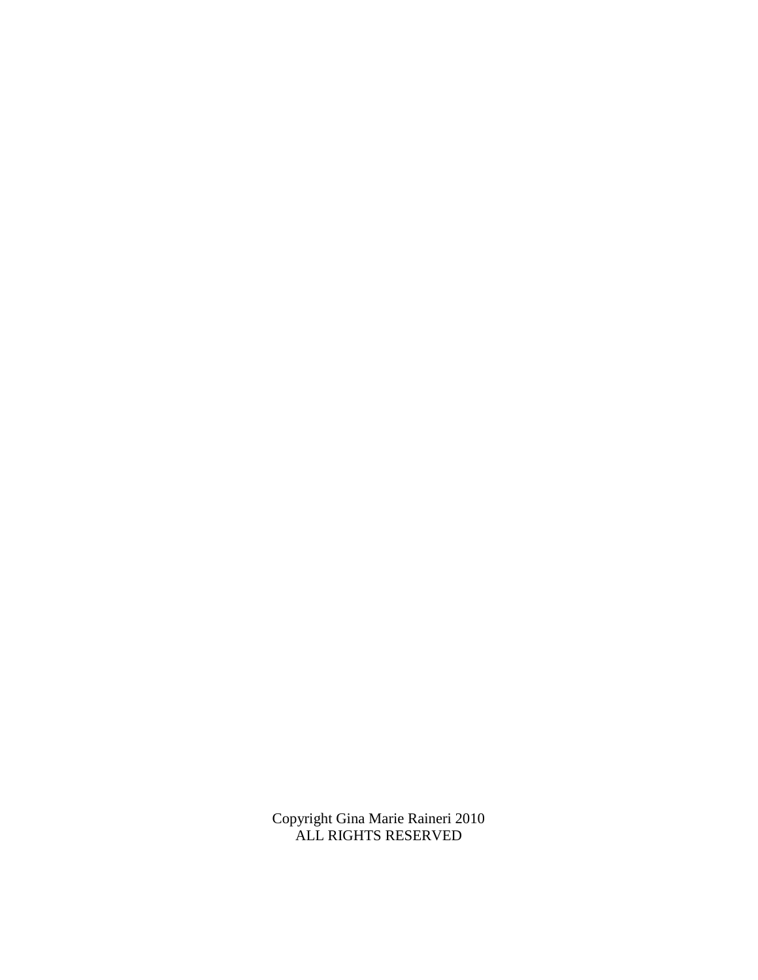Copyright Gina Marie Raineri 2010 ALL RIGHTS RESERVED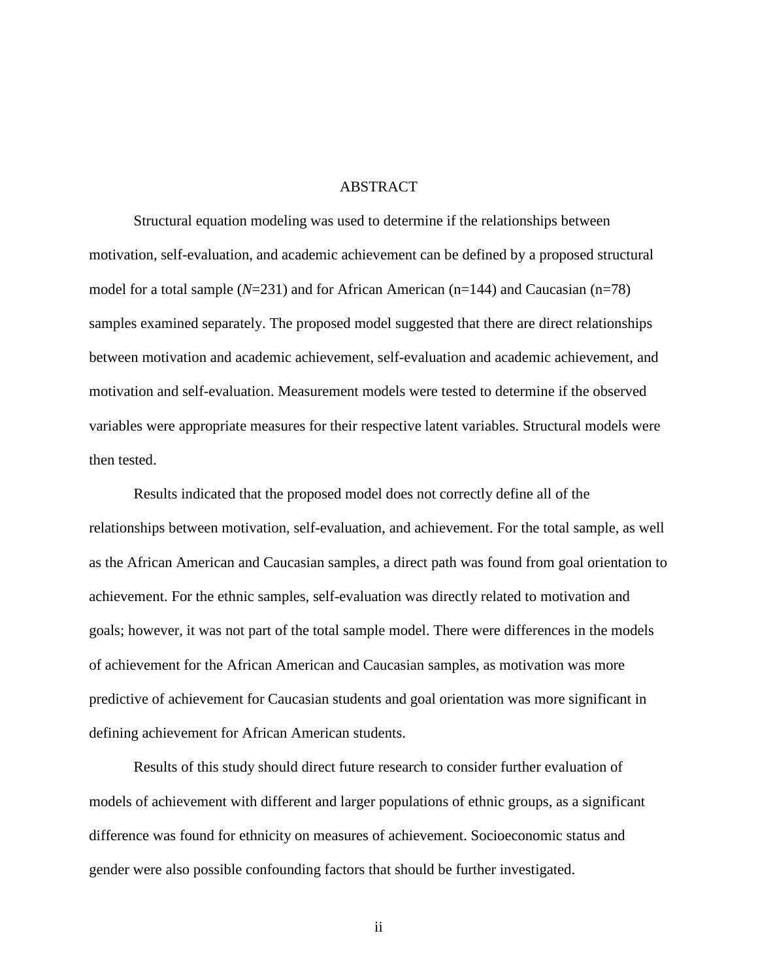#### **ABSTRACT**

Structural equation modeling was used to determine if the relationships between motivation, self-evaluation, and academic achievement can be defined by a proposed structural model for a total sample (*N*=231) and for African American (n=144) and Caucasian (n=78) samples examined separately. The proposed model suggested that there are direct relationships between motivation and academic achievement, self-evaluation and academic achievement, and motivation and self-evaluation. Measurement models were tested to determine if the observed variables were appropriate measures for their respective latent variables. Structural models were then tested.

Results indicated that the proposed model does not correctly define all of the relationships between motivation, self-evaluation, and achievement. For the total sample, as well as the African American and Caucasian samples, a direct path was found from goal orientation to achievement. For the ethnic samples, self-evaluation was directly related to motivation and goals; however, it was not part of the total sample model. There were differences in the models of achievement for the African American and Caucasian samples, as motivation was more predictive of achievement for Caucasian students and goal orientation was more significant in defining achievement for African American students.

Results of this study should direct future research to consider further evaluation of models of achievement with different and larger populations of ethnic groups, as a significant difference was found for ethnicity on measures of achievement. Socioeconomic status and gender were also possible confounding factors that should be further investigated.

ii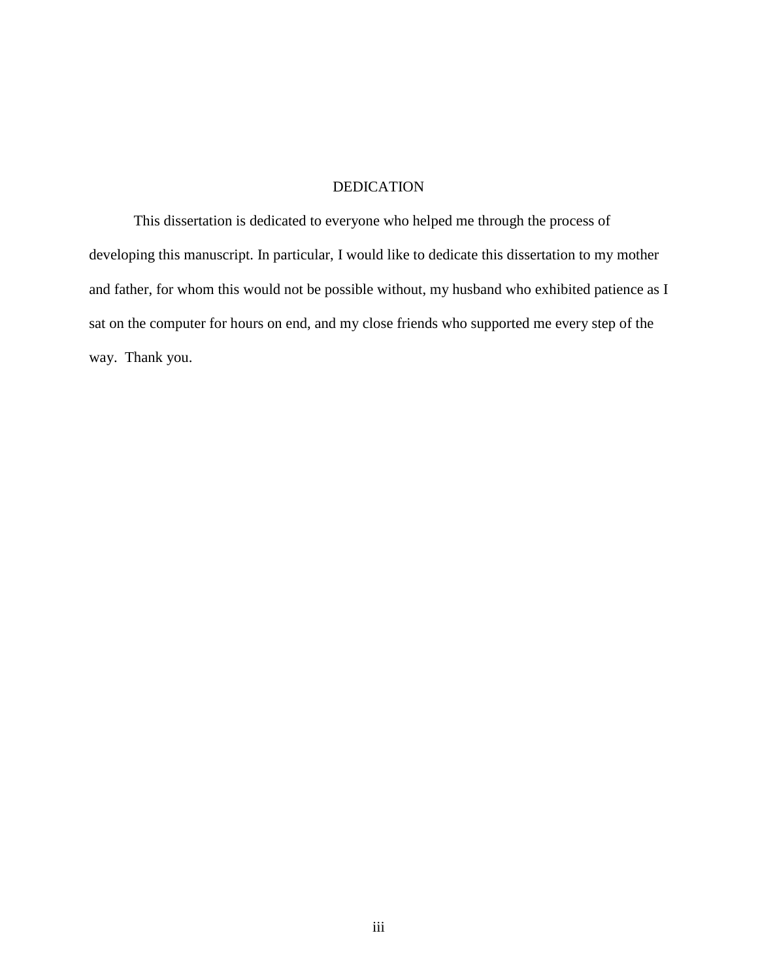#### DEDICATION

This dissertation is dedicated to everyone who helped me through the process of developing this manuscript. In particular, I would like to dedicate this dissertation to my mother and father, for whom this would not be possible without, my husband who exhibited patience as I sat on the computer for hours on end, and my close friends who supported me every step of the way. Thank you.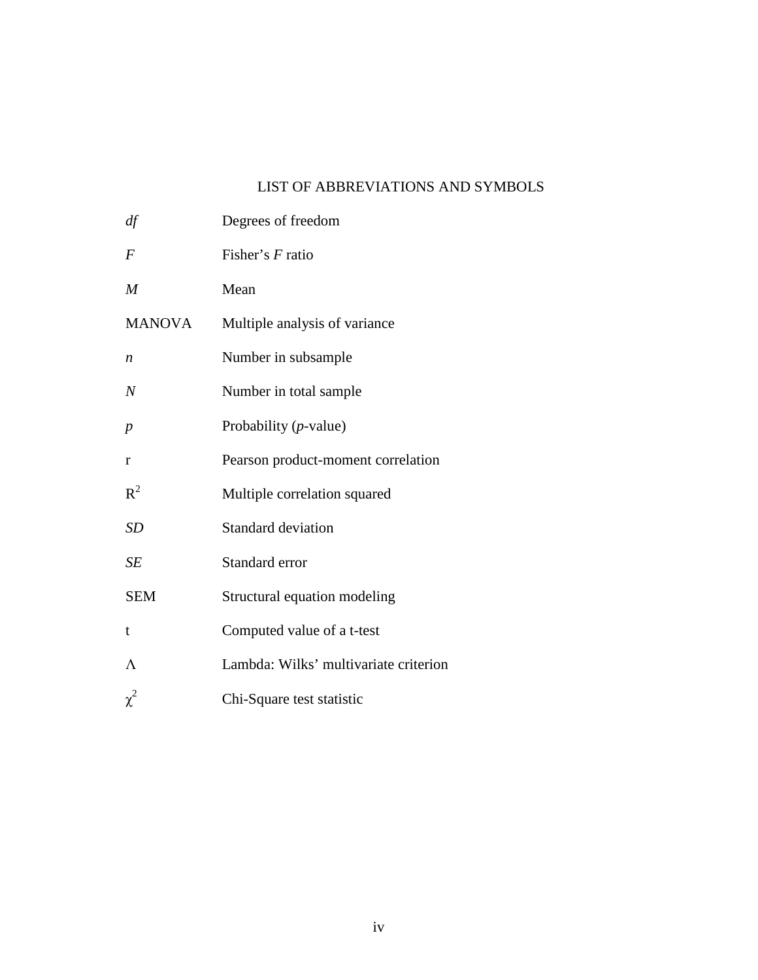## LIST OF ABBREVIATIONS AND SYMBOLS

| df               | Degrees of freedom                    |
|------------------|---------------------------------------|
| $\overline{F}$   | Fisher's F ratio                      |
| M                | Mean                                  |
| <b>MANOVA</b>    | Multiple analysis of variance         |
| $\boldsymbol{n}$ | Number in subsample                   |
| $\overline{N}$   | Number in total sample                |
| $\boldsymbol{p}$ | Probability $(p$ -value)              |
| r                | Pearson product-moment correlation    |
| $R^2$            | Multiple correlation squared          |
| <b>SD</b>        | <b>Standard deviation</b>             |
| SE               | Standard error                        |
| <b>SEM</b>       | Structural equation modeling          |
| t                | Computed value of a t-test            |
| Λ                | Lambda: Wilks' multivariate criterion |
| $\chi^2$         | Chi-Square test statistic             |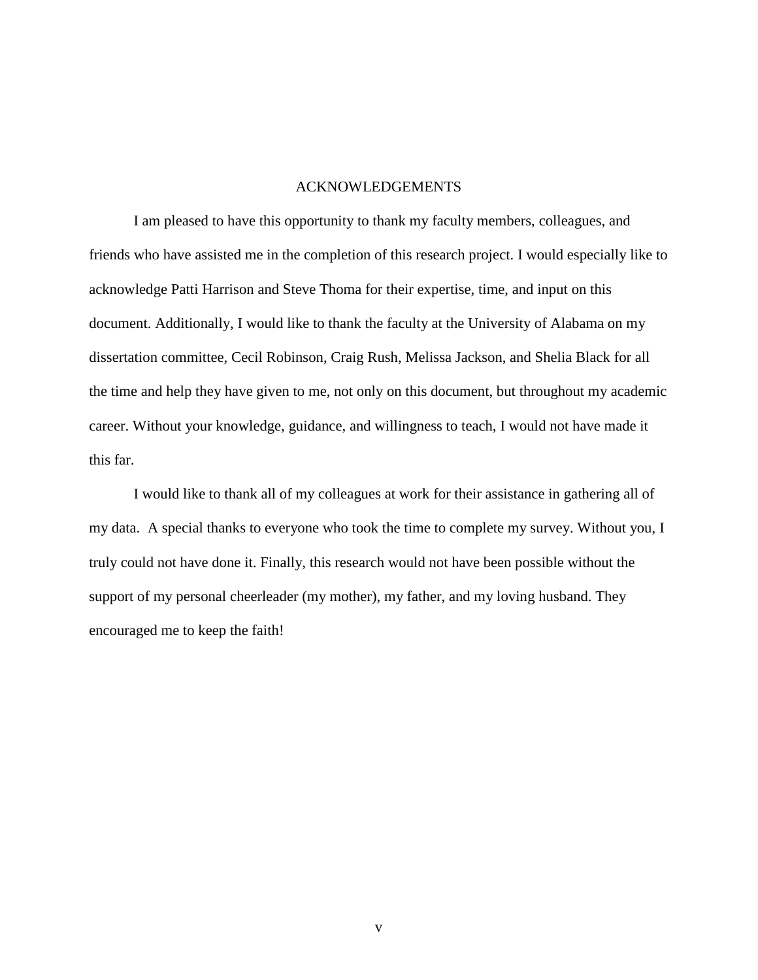#### ACKNOWLEDGEMENTS

I am pleased to have this opportunity to thank my faculty members, colleagues, and friends who have assisted me in the completion of this research project. I would especially like to acknowledge Patti Harrison and Steve Thoma for their expertise, time, and input on this document. Additionally, I would like to thank the faculty at the University of Alabama on my dissertation committee, Cecil Robinson, Craig Rush, Melissa Jackson, and Shelia Black for all the time and help they have given to me, not only on this document, but throughout my academic career. Without your knowledge, guidance, and willingness to teach, I would not have made it this far.

I would like to thank all of my colleagues at work for their assistance in gathering all of my data. A special thanks to everyone who took the time to complete my survey. Without you, I truly could not have done it. Finally, this research would not have been possible without the support of my personal cheerleader (my mother), my father, and my loving husband. They encouraged me to keep the faith!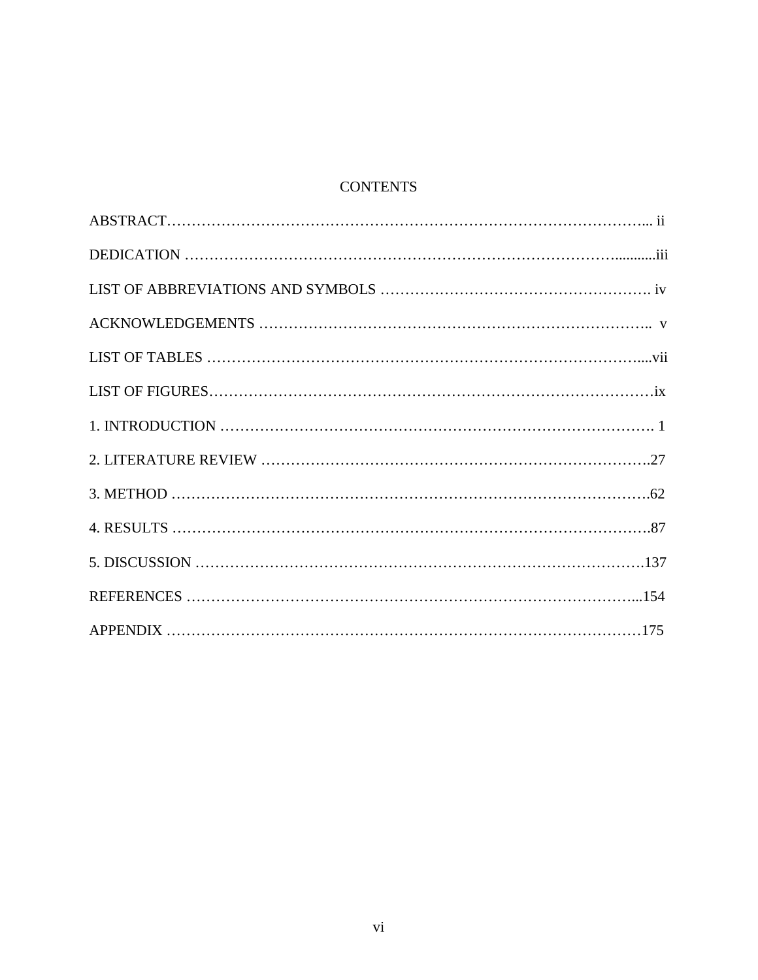## **CONTENTS**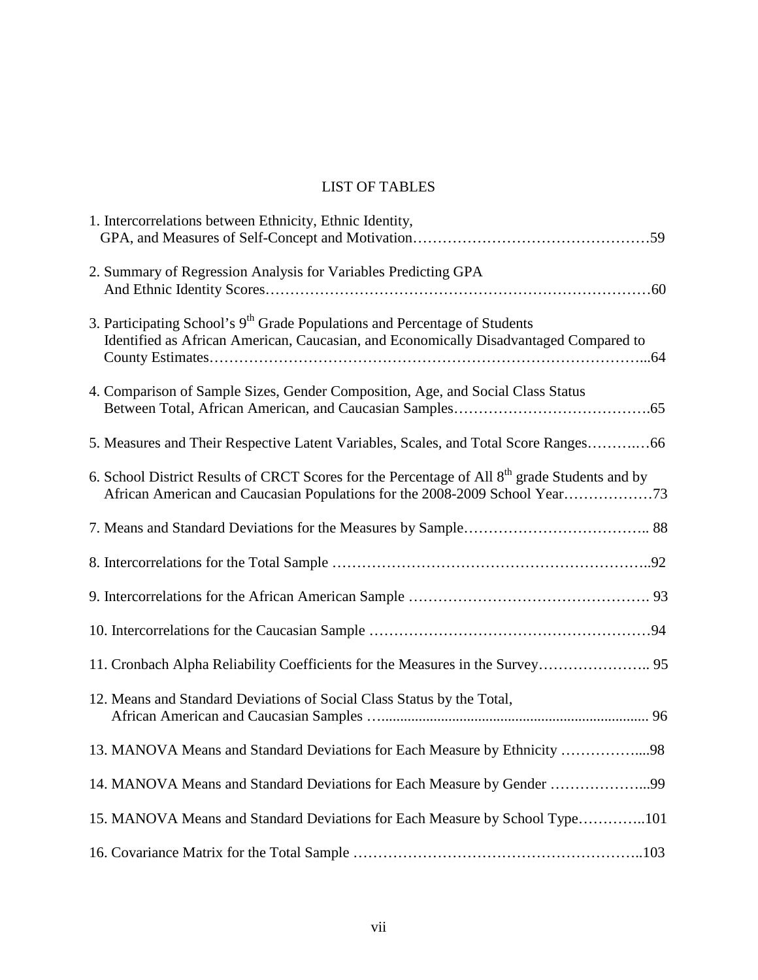# LIST OF TABLES

| 1. Intercorrelations between Ethnicity, Ethnic Identity,                                                                                                                        |
|---------------------------------------------------------------------------------------------------------------------------------------------------------------------------------|
| 2. Summary of Regression Analysis for Variables Predicting GPA                                                                                                                  |
| 3. Participating School's 9 <sup>th</sup> Grade Populations and Percentage of Students<br>Identified as African American, Caucasian, and Economically Disadvantaged Compared to |
| 4. Comparison of Sample Sizes, Gender Composition, Age, and Social Class Status                                                                                                 |
| 5. Measures and Their Respective Latent Variables, Scales, and Total Score Ranges66                                                                                             |
| 6. School District Results of CRCT Scores for the Percentage of All 8 <sup>th</sup> grade Students and by                                                                       |
|                                                                                                                                                                                 |
|                                                                                                                                                                                 |
|                                                                                                                                                                                 |
|                                                                                                                                                                                 |
|                                                                                                                                                                                 |
| 12. Means and Standard Deviations of Social Class Status by the Total,                                                                                                          |
| 13. MANOVA Means and Standard Deviations for Each Measure by Ethnicity 98                                                                                                       |
| 14. MANOVA Means and Standard Deviations for Each Measure by Gender 99                                                                                                          |
| 15. MANOVA Means and Standard Deviations for Each Measure by School Type101                                                                                                     |
|                                                                                                                                                                                 |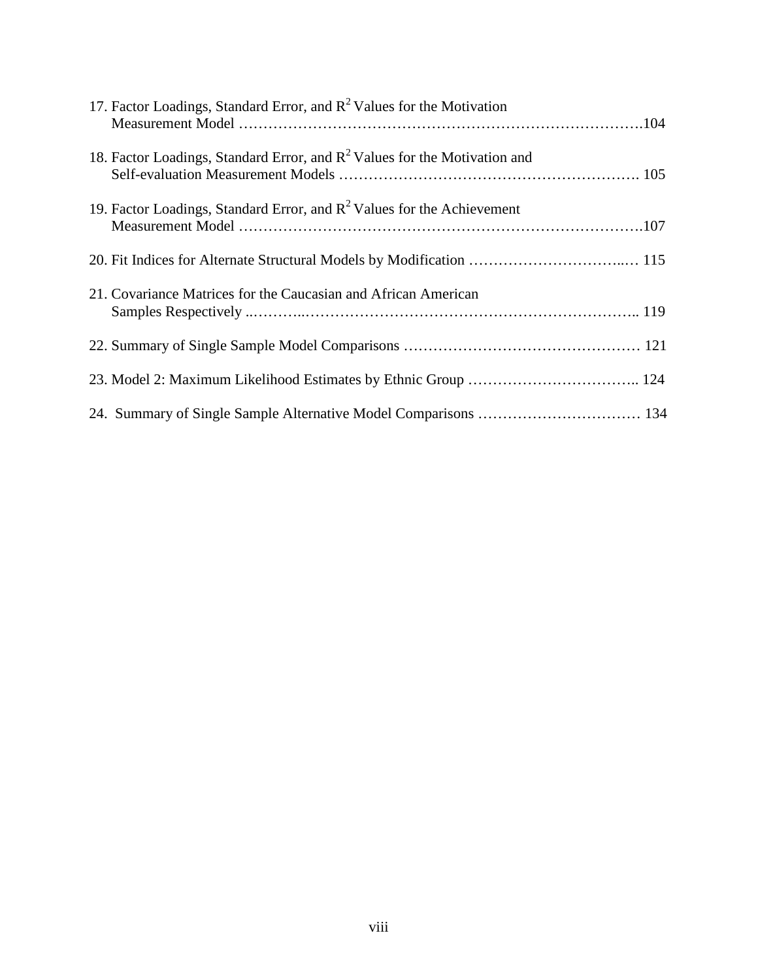| 17. Factor Loadings, Standard Error, and $R^2$ Values for the Motivation     |  |
|------------------------------------------------------------------------------|--|
| 18. Factor Loadings, Standard Error, and $R^2$ Values for the Motivation and |  |
| 19. Factor Loadings, Standard Error, and $R^2$ Values for the Achievement    |  |
|                                                                              |  |
| 21. Covariance Matrices for the Caucasian and African American               |  |
|                                                                              |  |
|                                                                              |  |
|                                                                              |  |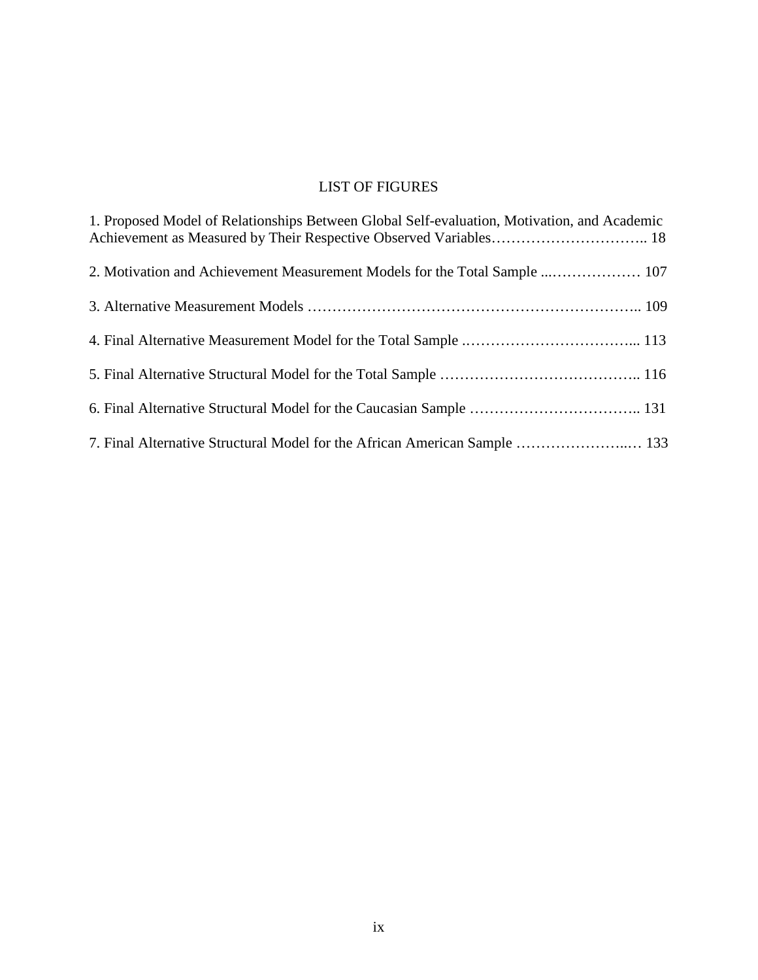# LIST OF FIGURES

| 1. Proposed Model of Relationships Between Global Self-evaluation, Motivation, and Academic |
|---------------------------------------------------------------------------------------------|
|                                                                                             |
|                                                                                             |
|                                                                                             |
|                                                                                             |
|                                                                                             |
| 7. Final Alternative Structural Model for the African American Sample  133                  |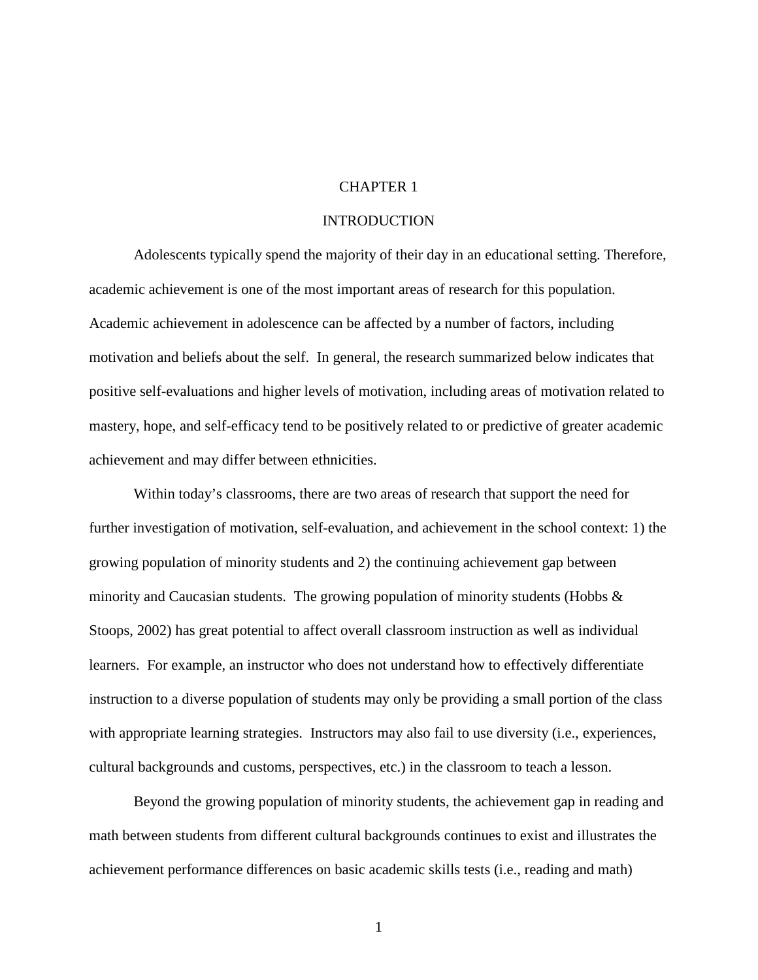#### CHAPTER 1

#### **INTRODUCTION**

Adolescents typically spend the majority of their day in an educational setting. Therefore, academic achievement is one of the most important areas of research for this population. Academic achievement in adolescence can be affected by a number of factors, including motivation and beliefs about the self. In general, the research summarized below indicates that positive self-evaluations and higher levels of motivation, including areas of motivation related to mastery, hope, and self-efficacy tend to be positively related to or predictive of greater academic achievement and may differ between ethnicities.

Within today's classrooms, there are two areas of research that support the need for further investigation of motivation, self-evaluation, and achievement in the school context: 1) the growing population of minority students and 2) the continuing achievement gap between minority and Caucasian students. The growing population of minority students (Hobbs  $\&$ Stoops, 2002) has great potential to affect overall classroom instruction as well as individual learners. For example, an instructor who does not understand how to effectively differentiate instruction to a diverse population of students may only be providing a small portion of the class with appropriate learning strategies. Instructors may also fail to use diversity (i.e., experiences, cultural backgrounds and customs, perspectives, etc.) in the classroom to teach a lesson.

Beyond the growing population of minority students, the achievement gap in reading and math between students from different cultural backgrounds continues to exist and illustrates the achievement performance differences on basic academic skills tests (i.e., reading and math)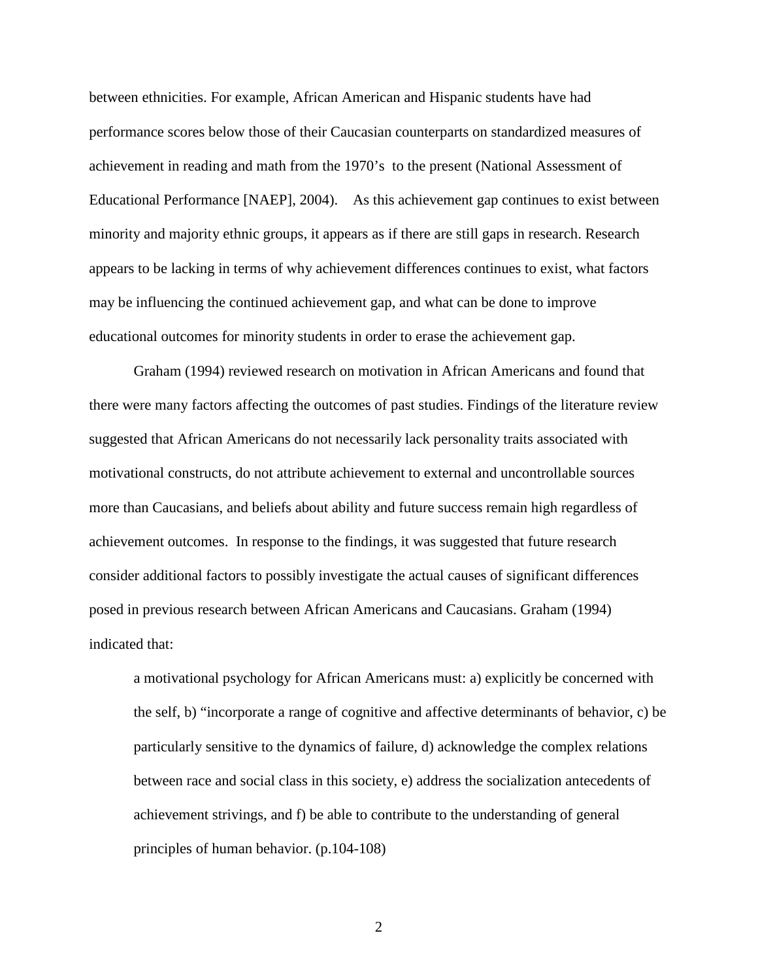between ethnicities. For example, African American and Hispanic students have had performance scores below those of their Caucasian counterparts on standardized measures of achievement in reading and math from the 1970's to the present (National Assessment of Educational Performance [NAEP], 2004). As this achievement gap continues to exist between minority and majority ethnic groups, it appears as if there are still gaps in research. Research appears to be lacking in terms of why achievement differences continues to exist, what factors may be influencing the continued achievement gap, and what can be done to improve educational outcomes for minority students in order to erase the achievement gap.

 Graham (1994) reviewed research on motivation in African Americans and found that there were many factors affecting the outcomes of past studies. Findings of the literature review suggested that African Americans do not necessarily lack personality traits associated with motivational constructs, do not attribute achievement to external and uncontrollable sources more than Caucasians, and beliefs about ability and future success remain high regardless of achievement outcomes. In response to the findings, it was suggested that future research consider additional factors to possibly investigate the actual causes of significant differences posed in previous research between African Americans and Caucasians. Graham (1994) indicated that:

a motivational psychology for African Americans must: a) explicitly be concerned with the self, b) "incorporate a range of cognitive and affective determinants of behavior, c) be particularly sensitive to the dynamics of failure, d) acknowledge the complex relations between race and social class in this society, e) address the socialization antecedents of achievement strivings, and f) be able to contribute to the understanding of general principles of human behavior. (p.104-108)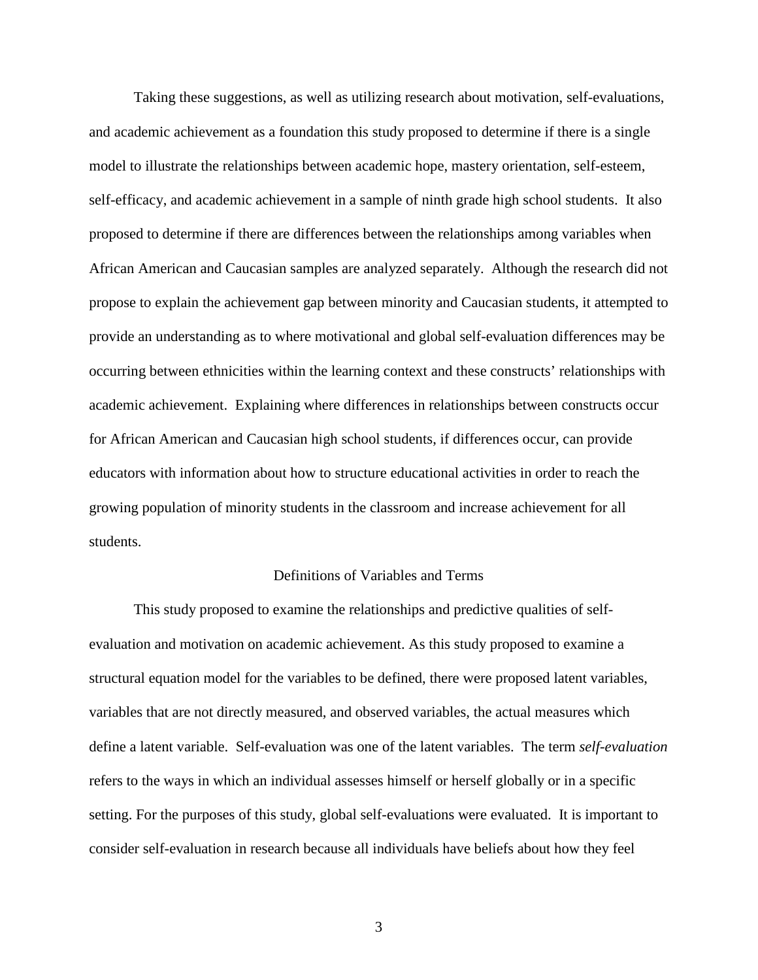Taking these suggestions, as well as utilizing research about motivation, self-evaluations, and academic achievement as a foundation this study proposed to determine if there is a single model to illustrate the relationships between academic hope, mastery orientation, self-esteem, self-efficacy, and academic achievement in a sample of ninth grade high school students. It also proposed to determine if there are differences between the relationships among variables when African American and Caucasian samples are analyzed separately. Although the research did not propose to explain the achievement gap between minority and Caucasian students, it attempted to provide an understanding as to where motivational and global self-evaluation differences may be occurring between ethnicities within the learning context and these constructs' relationships with academic achievement. Explaining where differences in relationships between constructs occur for African American and Caucasian high school students, if differences occur, can provide educators with information about how to structure educational activities in order to reach the growing population of minority students in the classroom and increase achievement for all students.

#### Definitions of Variables and Terms

 This study proposed to examine the relationships and predictive qualities of selfevaluation and motivation on academic achievement. As this study proposed to examine a structural equation model for the variables to be defined, there were proposed latent variables, variables that are not directly measured, and observed variables, the actual measures which define a latent variable. Self-evaluation was one of the latent variables. The term *self-evaluation* refers to the ways in which an individual assesses himself or herself globally or in a specific setting. For the purposes of this study, global self-evaluations were evaluated. It is important to consider self-evaluation in research because all individuals have beliefs about how they feel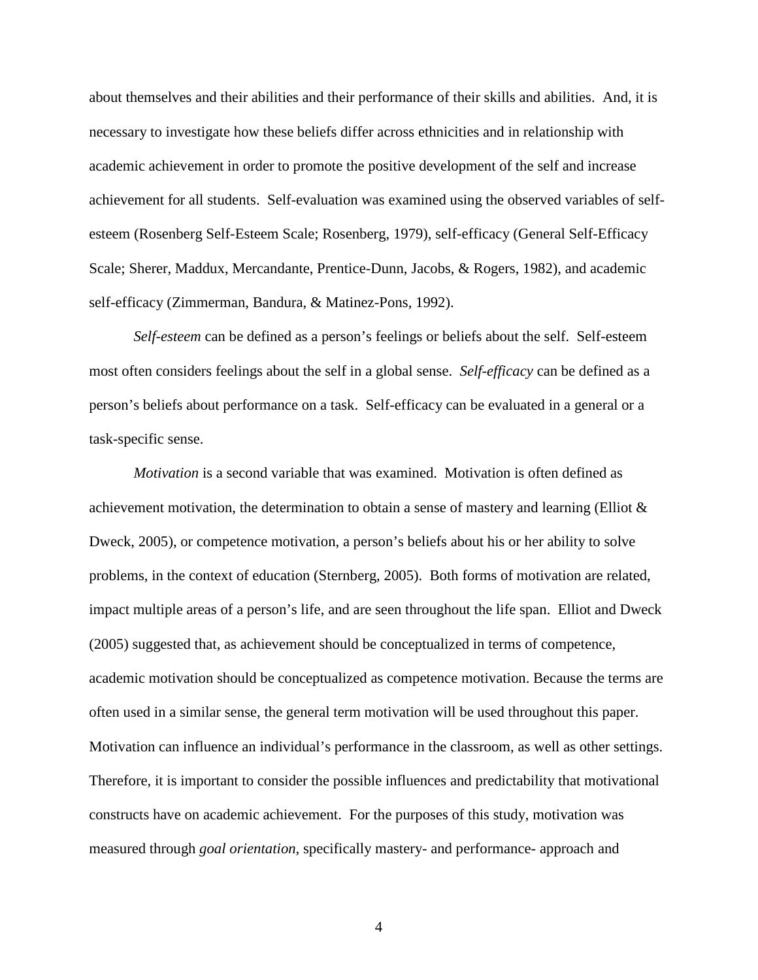about themselves and their abilities and their performance of their skills and abilities. And, it is necessary to investigate how these beliefs differ across ethnicities and in relationship with academic achievement in order to promote the positive development of the self and increase achievement for all students. Self-evaluation was examined using the observed variables of selfesteem (Rosenberg Self-Esteem Scale; Rosenberg, 1979), self-efficacy (General Self-Efficacy Scale; Sherer, Maddux, Mercandante, Prentice-Dunn, Jacobs, & Rogers, 1982), and academic self-efficacy (Zimmerman, Bandura, & Matinez-Pons, 1992).

 *Self-esteem* can be defined as a person's feelings or beliefs about the self. Self-esteem most often considers feelings about the self in a global sense. *Self-efficacy* can be defined as a person's beliefs about performance on a task. Self-efficacy can be evaluated in a general or a task-specific sense.

*Motivation* is a second variable that was examined. Motivation is often defined as achievement motivation, the determination to obtain a sense of mastery and learning (Elliot & Dweck, 2005), or competence motivation, a person's beliefs about his or her ability to solve problems, in the context of education (Sternberg, 2005). Both forms of motivation are related, impact multiple areas of a person's life, and are seen throughout the life span. Elliot and Dweck (2005) suggested that, as achievement should be conceptualized in terms of competence, academic motivation should be conceptualized as competence motivation. Because the terms are often used in a similar sense, the general term motivation will be used throughout this paper. Motivation can influence an individual's performance in the classroom, as well as other settings. Therefore, it is important to consider the possible influences and predictability that motivational constructs have on academic achievement. For the purposes of this study, motivation was measured through *goal orientation*, specifically mastery- and performance- approach and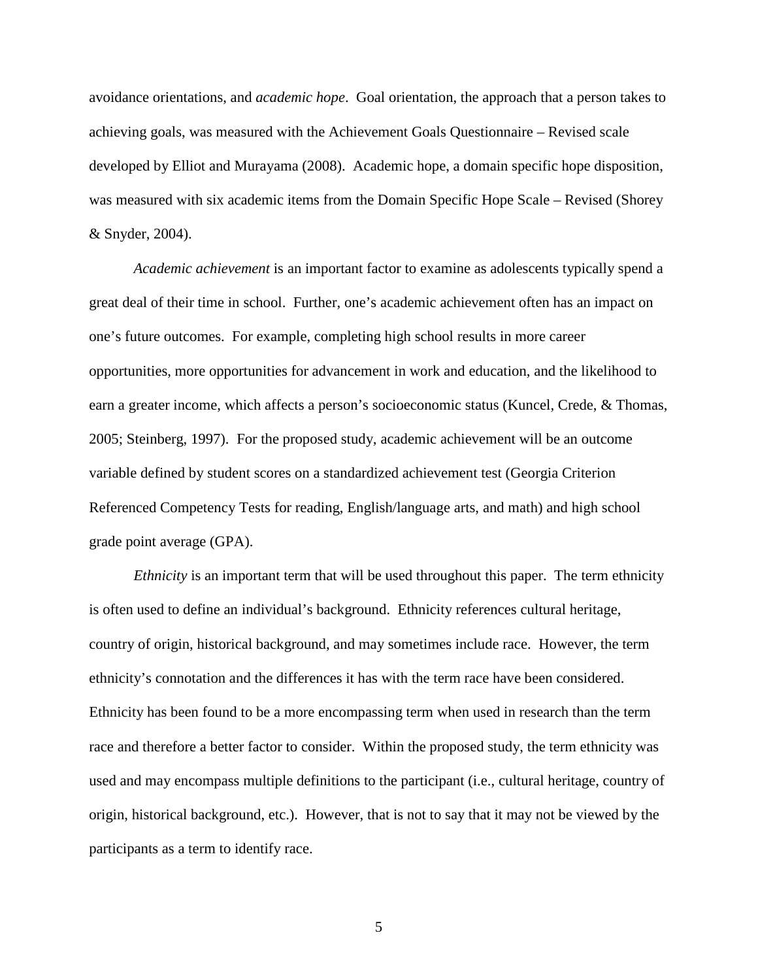avoidance orientations, and *academic hope*. Goal orientation, the approach that a person takes to achieving goals, was measured with the Achievement Goals Questionnaire – Revised scale developed by Elliot and Murayama (2008). Academic hope, a domain specific hope disposition, was measured with six academic items from the Domain Specific Hope Scale – Revised (Shorey & Snyder, 2004).

*Academic achievement* is an important factor to examine as adolescents typically spend a great deal of their time in school. Further, one's academic achievement often has an impact on one's future outcomes. For example, completing high school results in more career opportunities, more opportunities for advancement in work and education, and the likelihood to earn a greater income, which affects a person's socioeconomic status (Kuncel, Crede, & Thomas, 2005; Steinberg, 1997). For the proposed study, academic achievement will be an outcome variable defined by student scores on a standardized achievement test (Georgia Criterion Referenced Competency Tests for reading, English/language arts, and math) and high school grade point average (GPA).

*Ethnicity* is an important term that will be used throughout this paper. The term ethnicity is often used to define an individual's background. Ethnicity references cultural heritage, country of origin, historical background, and may sometimes include race. However, the term ethnicity's connotation and the differences it has with the term race have been considered. Ethnicity has been found to be a more encompassing term when used in research than the term race and therefore a better factor to consider. Within the proposed study, the term ethnicity was used and may encompass multiple definitions to the participant (i.e., cultural heritage, country of origin, historical background, etc.). However, that is not to say that it may not be viewed by the participants as a term to identify race.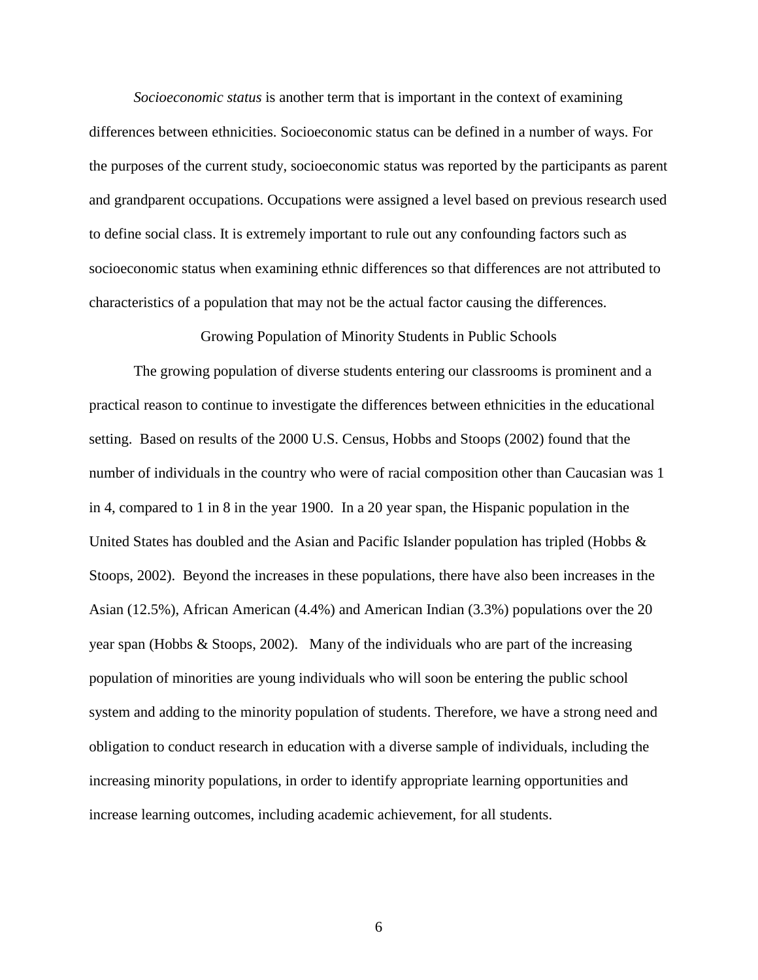*Socioeconomic status* is another term that is important in the context of examining differences between ethnicities. Socioeconomic status can be defined in a number of ways. For the purposes of the current study, socioeconomic status was reported by the participants as parent and grandparent occupations. Occupations were assigned a level based on previous research used to define social class. It is extremely important to rule out any confounding factors such as socioeconomic status when examining ethnic differences so that differences are not attributed to characteristics of a population that may not be the actual factor causing the differences.

Growing Population of Minority Students in Public Schools

The growing population of diverse students entering our classrooms is prominent and a practical reason to continue to investigate the differences between ethnicities in the educational setting. Based on results of the 2000 U.S. Census, Hobbs and Stoops (2002) found that the number of individuals in the country who were of racial composition other than Caucasian was 1 in 4, compared to 1 in 8 in the year 1900. In a 20 year span, the Hispanic population in the United States has doubled and the Asian and Pacific Islander population has tripled (Hobbs & Stoops, 2002). Beyond the increases in these populations, there have also been increases in the Asian (12.5%), African American (4.4%) and American Indian (3.3%) populations over the 20 year span (Hobbs & Stoops, 2002). Many of the individuals who are part of the increasing population of minorities are young individuals who will soon be entering the public school system and adding to the minority population of students. Therefore, we have a strong need and obligation to conduct research in education with a diverse sample of individuals, including the increasing minority populations, in order to identify appropriate learning opportunities and increase learning outcomes, including academic achievement, for all students.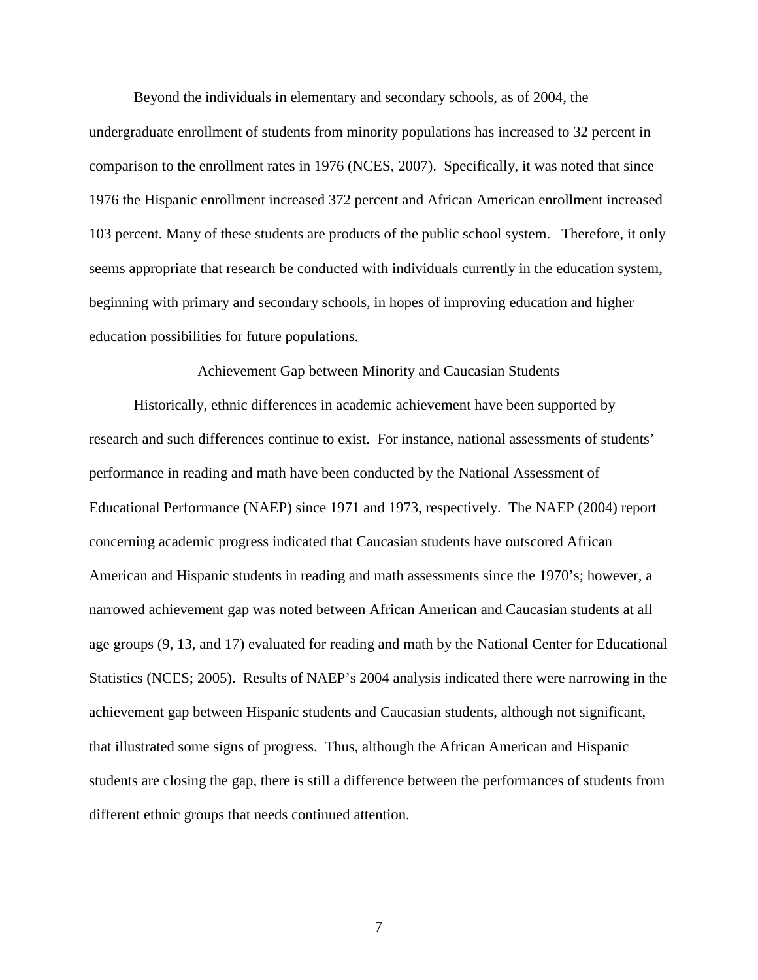Beyond the individuals in elementary and secondary schools, as of 2004, the

undergraduate enrollment of students from minority populations has increased to 32 percent in comparison to the enrollment rates in 1976 (NCES, 2007). Specifically, it was noted that since 1976 the Hispanic enrollment increased 372 percent and African American enrollment increased 103 percent. Many of these students are products of the public school system. Therefore, it only seems appropriate that research be conducted with individuals currently in the education system, beginning with primary and secondary schools, in hopes of improving education and higher education possibilities for future populations.

Achievement Gap between Minority and Caucasian Students

Historically, ethnic differences in academic achievement have been supported by research and such differences continue to exist. For instance, national assessments of students' performance in reading and math have been conducted by the National Assessment of Educational Performance (NAEP) since 1971 and 1973, respectively. The NAEP (2004) report concerning academic progress indicated that Caucasian students have outscored African American and Hispanic students in reading and math assessments since the 1970's; however, a narrowed achievement gap was noted between African American and Caucasian students at all age groups (9, 13, and 17) evaluated for reading and math by the National Center for Educational Statistics (NCES; 2005). Results of NAEP's 2004 analysis indicated there were narrowing in the achievement gap between Hispanic students and Caucasian students, although not significant, that illustrated some signs of progress. Thus, although the African American and Hispanic students are closing the gap, there is still a difference between the performances of students from different ethnic groups that needs continued attention.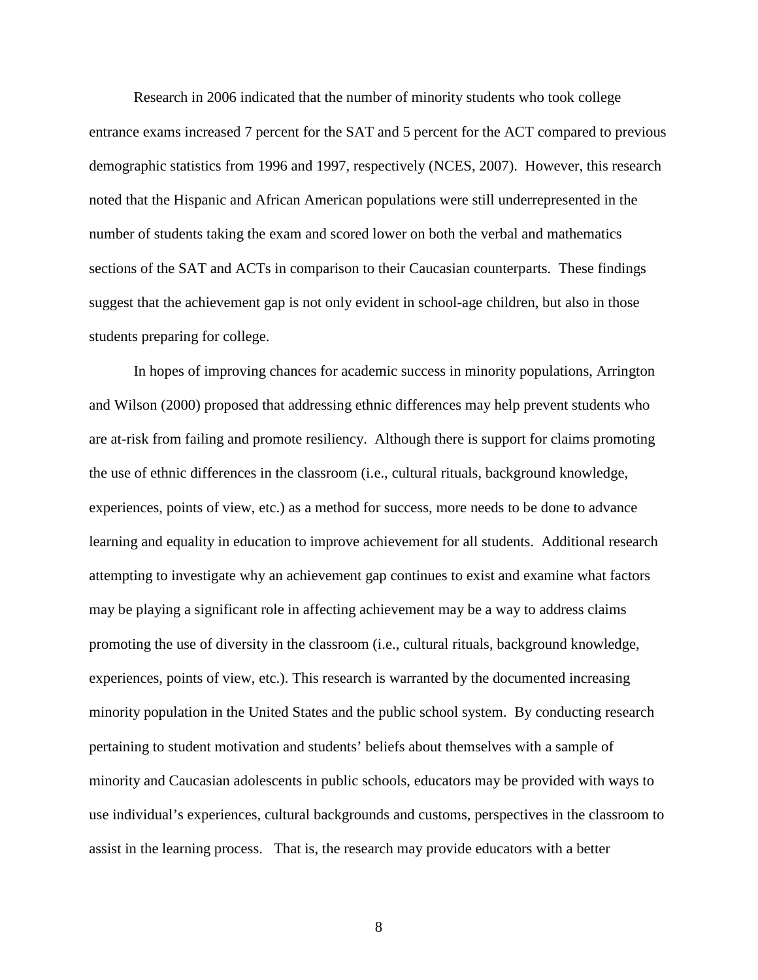Research in 2006 indicated that the number of minority students who took college entrance exams increased 7 percent for the SAT and 5 percent for the ACT compared to previous demographic statistics from 1996 and 1997, respectively (NCES, 2007). However, this research noted that the Hispanic and African American populations were still underrepresented in the number of students taking the exam and scored lower on both the verbal and mathematics sections of the SAT and ACTs in comparison to their Caucasian counterparts. These findings suggest that the achievement gap is not only evident in school-age children, but also in those students preparing for college.

In hopes of improving chances for academic success in minority populations, Arrington and Wilson (2000) proposed that addressing ethnic differences may help prevent students who are at-risk from failing and promote resiliency. Although there is support for claims promoting the use of ethnic differences in the classroom (i.e., cultural rituals, background knowledge, experiences, points of view, etc.) as a method for success, more needs to be done to advance learning and equality in education to improve achievement for all students. Additional research attempting to investigate why an achievement gap continues to exist and examine what factors may be playing a significant role in affecting achievement may be a way to address claims promoting the use of diversity in the classroom (i.e., cultural rituals, background knowledge, experiences, points of view, etc.). This research is warranted by the documented increasing minority population in the United States and the public school system. By conducting research pertaining to student motivation and students' beliefs about themselves with a sample of minority and Caucasian adolescents in public schools, educators may be provided with ways to use individual's experiences, cultural backgrounds and customs, perspectives in the classroom to assist in the learning process. That is, the research may provide educators with a better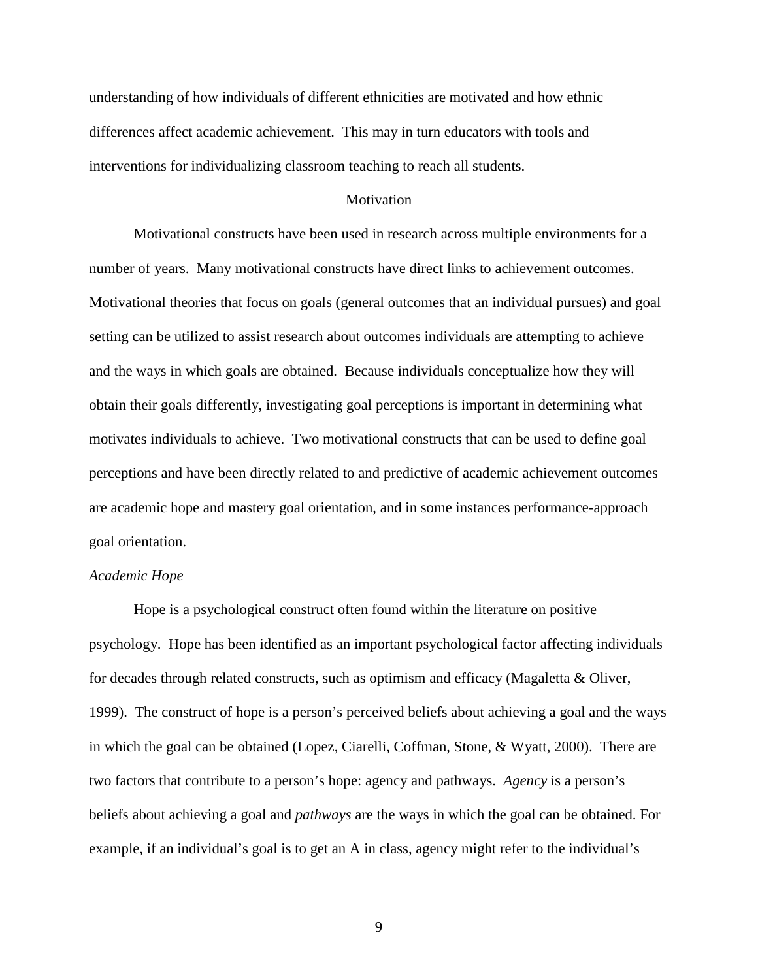understanding of how individuals of different ethnicities are motivated and how ethnic differences affect academic achievement. This may in turn educators with tools and interventions for individualizing classroom teaching to reach all students.

#### **Motivation**

 Motivational constructs have been used in research across multiple environments for a number of years. Many motivational constructs have direct links to achievement outcomes. Motivational theories that focus on goals (general outcomes that an individual pursues) and goal setting can be utilized to assist research about outcomes individuals are attempting to achieve and the ways in which goals are obtained. Because individuals conceptualize how they will obtain their goals differently, investigating goal perceptions is important in determining what motivates individuals to achieve. Two motivational constructs that can be used to define goal perceptions and have been directly related to and predictive of academic achievement outcomes are academic hope and mastery goal orientation, and in some instances performance-approach goal orientation.

#### *Academic Hope*

 Hope is a psychological construct often found within the literature on positive psychology. Hope has been identified as an important psychological factor affecting individuals for decades through related constructs, such as optimism and efficacy (Magaletta & Oliver, 1999). The construct of hope is a person's perceived beliefs about achieving a goal and the ways in which the goal can be obtained (Lopez, Ciarelli, Coffman, Stone, & Wyatt, 2000). There are two factors that contribute to a person's hope: agency and pathways. *Agency* is a person's beliefs about achieving a goal and *pathways* are the ways in which the goal can be obtained. For example, if an individual's goal is to get an A in class, agency might refer to the individual's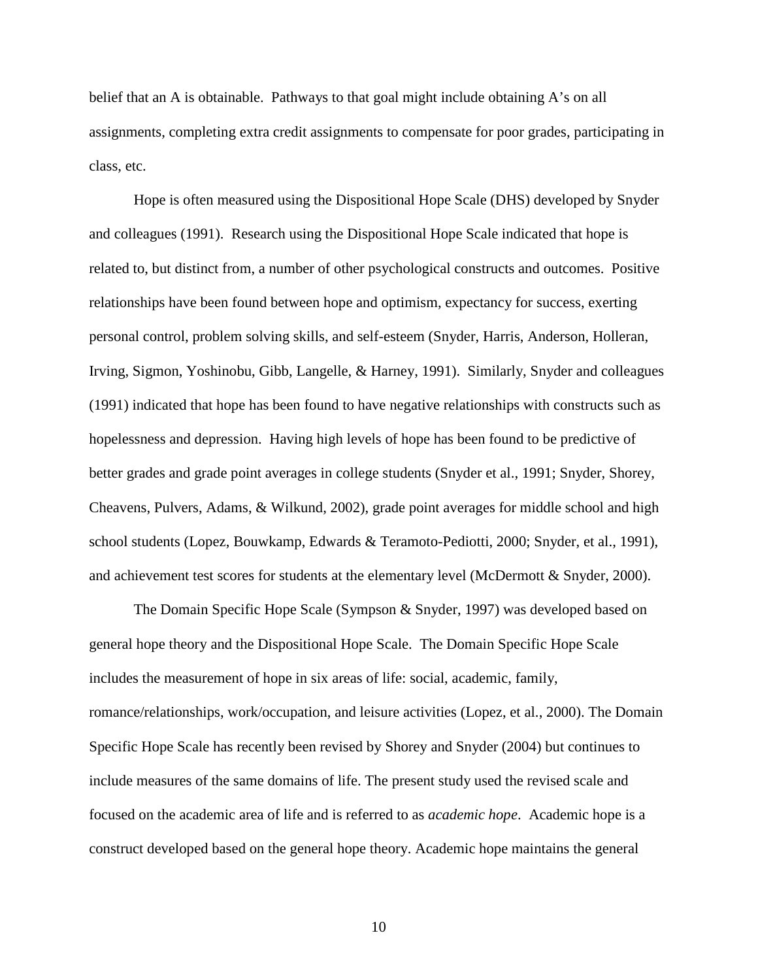belief that an A is obtainable. Pathways to that goal might include obtaining A's on all assignments, completing extra credit assignments to compensate for poor grades, participating in class, etc.

 Hope is often measured using the Dispositional Hope Scale (DHS) developed by Snyder and colleagues (1991). Research using the Dispositional Hope Scale indicated that hope is related to, but distinct from, a number of other psychological constructs and outcomes. Positive relationships have been found between hope and optimism, expectancy for success, exerting personal control, problem solving skills, and self-esteem (Snyder, Harris, Anderson, Holleran, Irving, Sigmon, Yoshinobu, Gibb, Langelle, & Harney, 1991). Similarly, Snyder and colleagues (1991) indicated that hope has been found to have negative relationships with constructs such as hopelessness and depression. Having high levels of hope has been found to be predictive of better grades and grade point averages in college students (Snyder et al., 1991; Snyder, Shorey, Cheavens, Pulvers, Adams, & Wilkund, 2002), grade point averages for middle school and high school students (Lopez, Bouwkamp, Edwards & Teramoto-Pediotti, 2000; Snyder, et al., 1991), and achievement test scores for students at the elementary level (McDermott & Snyder, 2000).

The Domain Specific Hope Scale (Sympson & Snyder, 1997) was developed based on general hope theory and the Dispositional Hope Scale. The Domain Specific Hope Scale includes the measurement of hope in six areas of life: social, academic, family, romance/relationships, work/occupation, and leisure activities (Lopez, et al., 2000). The Domain Specific Hope Scale has recently been revised by Shorey and Snyder (2004) but continues to include measures of the same domains of life. The present study used the revised scale and focused on the academic area of life and is referred to as *academic hope*. Academic hope is a construct developed based on the general hope theory. Academic hope maintains the general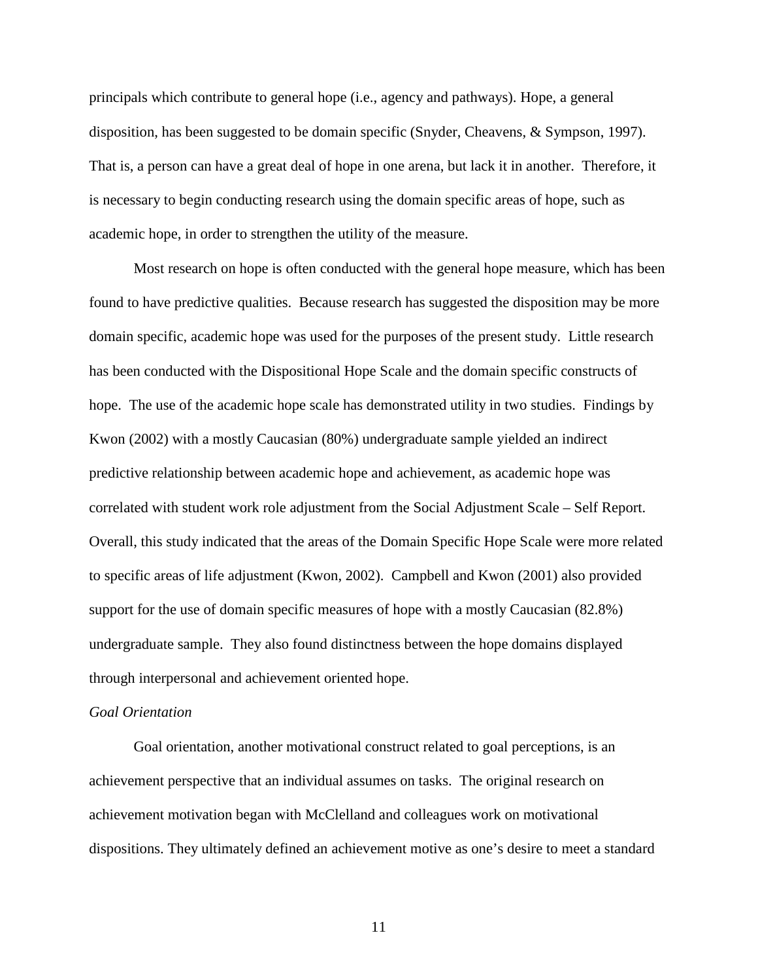principals which contribute to general hope (i.e., agency and pathways). Hope, a general disposition, has been suggested to be domain specific (Snyder, Cheavens, & Sympson, 1997). That is, a person can have a great deal of hope in one arena, but lack it in another. Therefore, it is necessary to begin conducting research using the domain specific areas of hope, such as academic hope, in order to strengthen the utility of the measure.

 Most research on hope is often conducted with the general hope measure, which has been found to have predictive qualities. Because research has suggested the disposition may be more domain specific, academic hope was used for the purposes of the present study. Little research has been conducted with the Dispositional Hope Scale and the domain specific constructs of hope. The use of the academic hope scale has demonstrated utility in two studies. Findings by Kwon (2002) with a mostly Caucasian (80%) undergraduate sample yielded an indirect predictive relationship between academic hope and achievement, as academic hope was correlated with student work role adjustment from the Social Adjustment Scale – Self Report. Overall, this study indicated that the areas of the Domain Specific Hope Scale were more related to specific areas of life adjustment (Kwon, 2002). Campbell and Kwon (2001) also provided support for the use of domain specific measures of hope with a mostly Caucasian (82.8%) undergraduate sample. They also found distinctness between the hope domains displayed through interpersonal and achievement oriented hope.

#### *Goal Orientation*

Goal orientation, another motivational construct related to goal perceptions, is an achievement perspective that an individual assumes on tasks. The original research on achievement motivation began with McClelland and colleagues work on motivational dispositions. They ultimately defined an achievement motive as one's desire to meet a standard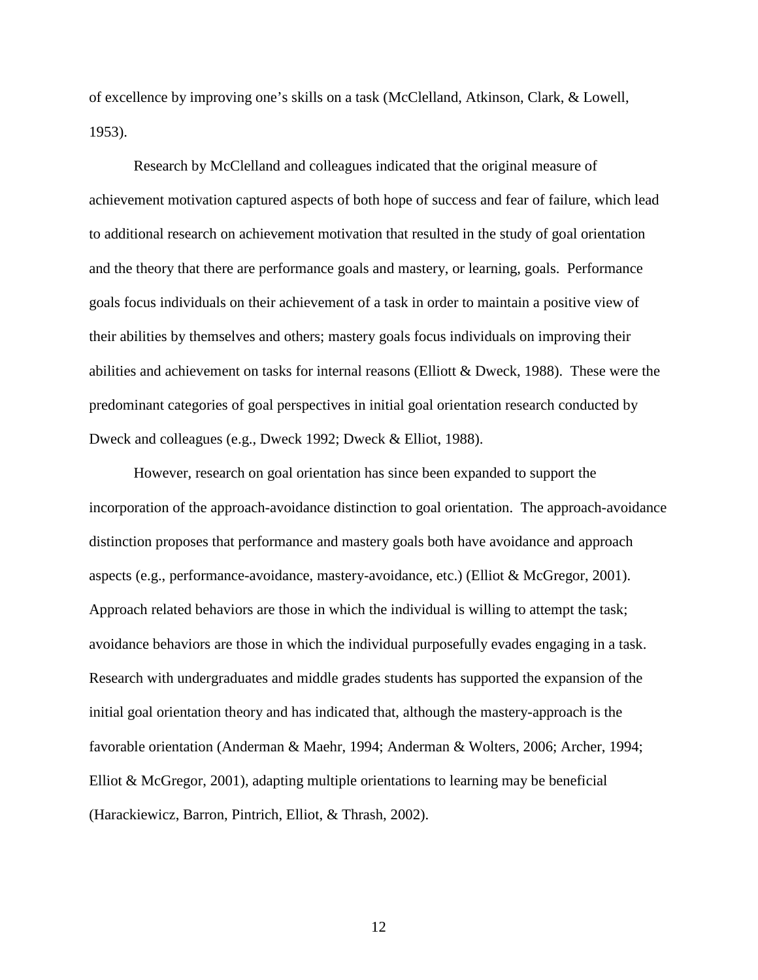of excellence by improving one's skills on a task (McClelland, Atkinson, Clark, & Lowell, 1953).

Research by McClelland and colleagues indicated that the original measure of achievement motivation captured aspects of both hope of success and fear of failure, which lead to additional research on achievement motivation that resulted in the study of goal orientation and the theory that there are performance goals and mastery, or learning, goals. Performance goals focus individuals on their achievement of a task in order to maintain a positive view of their abilities by themselves and others; mastery goals focus individuals on improving their abilities and achievement on tasks for internal reasons (Elliott & Dweck, 1988). These were the predominant categories of goal perspectives in initial goal orientation research conducted by Dweck and colleagues (e.g., Dweck 1992; Dweck & Elliot, 1988).

However, research on goal orientation has since been expanded to support the incorporation of the approach-avoidance distinction to goal orientation. The approach-avoidance distinction proposes that performance and mastery goals both have avoidance and approach aspects (e.g., performance-avoidance, mastery-avoidance, etc.) (Elliot & McGregor, 2001). Approach related behaviors are those in which the individual is willing to attempt the task; avoidance behaviors are those in which the individual purposefully evades engaging in a task. Research with undergraduates and middle grades students has supported the expansion of the initial goal orientation theory and has indicated that, although the mastery-approach is the favorable orientation (Anderman & Maehr, 1994; Anderman & Wolters, 2006; Archer, 1994; Elliot & McGregor, 2001), adapting multiple orientations to learning may be beneficial (Harackiewicz, Barron, Pintrich, Elliot, & Thrash, 2002).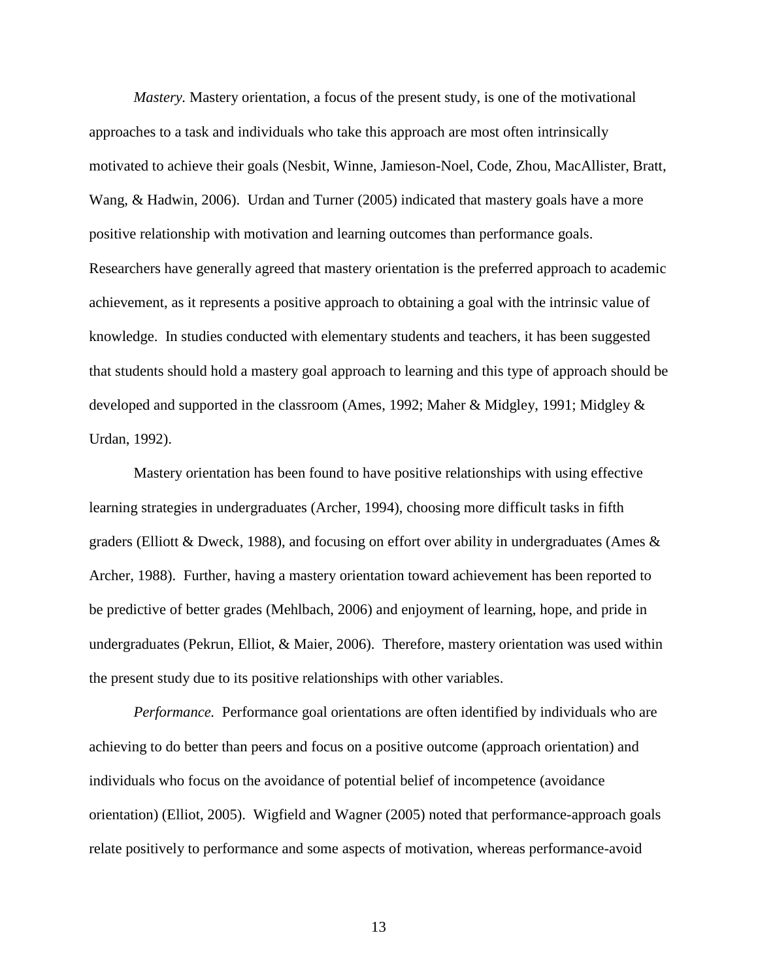*Mastery.* Mastery orientation, a focus of the present study, is one of the motivational approaches to a task and individuals who take this approach are most often intrinsically motivated to achieve their goals (Nesbit, Winne, Jamieson-Noel, Code, Zhou, MacAllister, Bratt, Wang, & Hadwin, 2006). Urdan and Turner (2005) indicated that mastery goals have a more positive relationship with motivation and learning outcomes than performance goals. Researchers have generally agreed that mastery orientation is the preferred approach to academic achievement, as it represents a positive approach to obtaining a goal with the intrinsic value of knowledge. In studies conducted with elementary students and teachers, it has been suggested that students should hold a mastery goal approach to learning and this type of approach should be developed and supported in the classroom (Ames, 1992; Maher & Midgley, 1991; Midgley & Urdan, 1992).

 Mastery orientation has been found to have positive relationships with using effective learning strategies in undergraduates (Archer, 1994), choosing more difficult tasks in fifth graders (Elliott & Dweck, 1988), and focusing on effort over ability in undergraduates (Ames  $\&$ Archer, 1988). Further, having a mastery orientation toward achievement has been reported to be predictive of better grades (Mehlbach, 2006) and enjoyment of learning, hope, and pride in undergraduates (Pekrun, Elliot, & Maier, 2006). Therefore, mastery orientation was used within the present study due to its positive relationships with other variables.

*Performance.* Performance goal orientations are often identified by individuals who are achieving to do better than peers and focus on a positive outcome (approach orientation) and individuals who focus on the avoidance of potential belief of incompetence (avoidance orientation) (Elliot, 2005).Wigfield and Wagner (2005) noted that performance-approach goals relate positively to performance and some aspects of motivation, whereas performance-avoid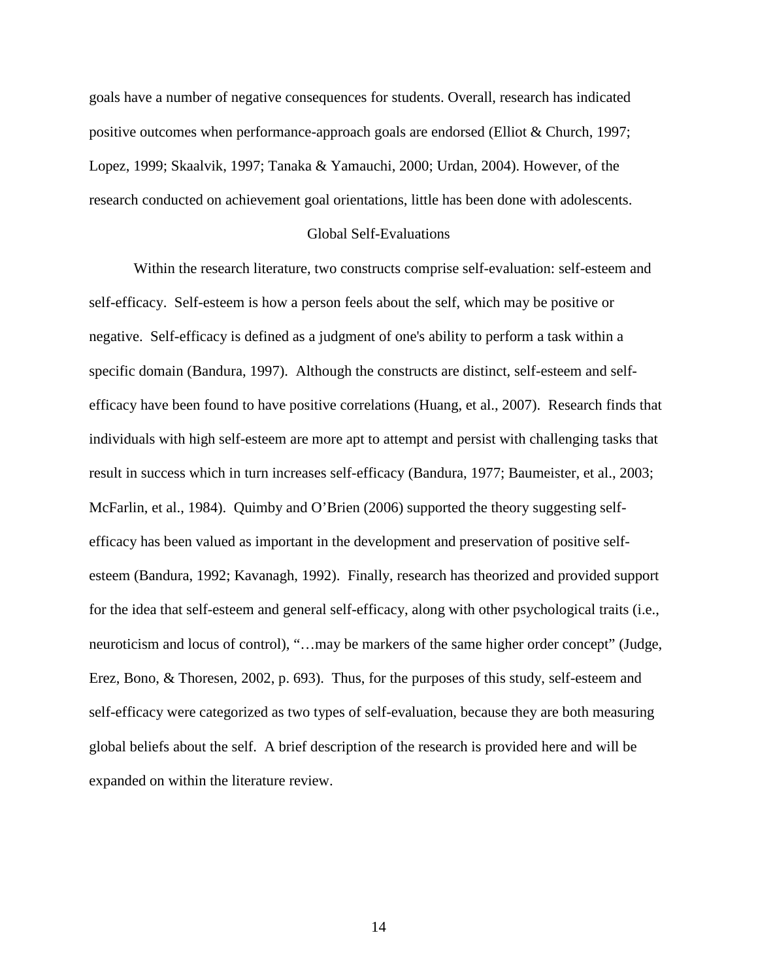goals have a number of negative consequences for students. Overall, research has indicated positive outcomes when performance-approach goals are endorsed (Elliot & Church, 1997; Lopez, 1999; Skaalvik, 1997; Tanaka & Yamauchi, 2000; Urdan, 2004). However, of the research conducted on achievement goal orientations, little has been done with adolescents.

#### Global Self-Evaluations

 Within the research literature, two constructs comprise self-evaluation: self-esteem and self-efficacy. Self-esteem is how a person feels about the self, which may be positive or negative. Self-efficacy is defined as a judgment of one's ability to perform a task within a specific domain (Bandura, 1997). Although the constructs are distinct, self-esteem and selfefficacy have been found to have positive correlations (Huang, et al., 2007). Research finds that individuals with high self-esteem are more apt to attempt and persist with challenging tasks that result in success which in turn increases self-efficacy (Bandura, 1977; Baumeister, et al., 2003; McFarlin, et al., 1984). Quimby and O'Brien (2006) supported the theory suggesting selfefficacy has been valued as important in the development and preservation of positive selfesteem (Bandura, 1992; Kavanagh, 1992). Finally, research has theorized and provided support for the idea that self-esteem and general self-efficacy, along with other psychological traits (i.e., neuroticism and locus of control), "…may be markers of the same higher order concept" (Judge, Erez, Bono, & Thoresen, 2002, p. 693). Thus, for the purposes of this study, self-esteem and self-efficacy were categorized as two types of self-evaluation, because they are both measuring global beliefs about the self. A brief description of the research is provided here and will be expanded on within the literature review.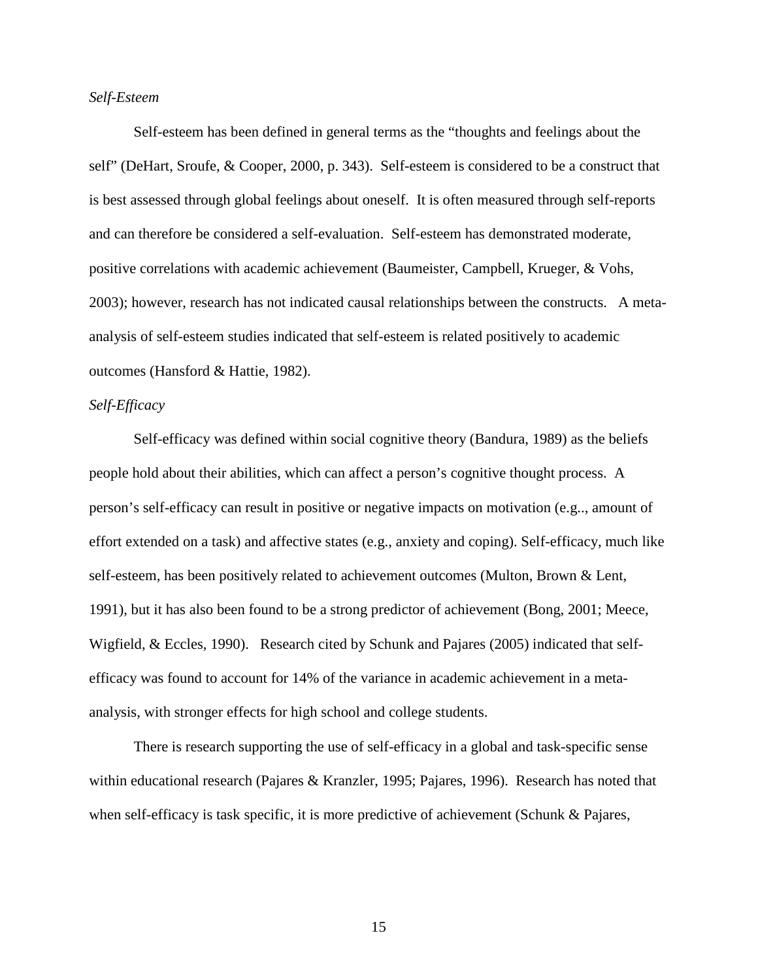#### *Self-Esteem*

Self-esteem has been defined in general terms as the "thoughts and feelings about the self" (DeHart, Sroufe, & Cooper, 2000, p. 343). Self-esteem is considered to be a construct that is best assessed through global feelings about oneself. It is often measured through self-reports and can therefore be considered a self-evaluation. Self-esteem has demonstrated moderate, positive correlations with academic achievement (Baumeister, Campbell, Krueger, & Vohs, 2003); however, research has not indicated causal relationships between the constructs. A metaanalysis of self-esteem studies indicated that self-esteem is related positively to academic outcomes (Hansford & Hattie, 1982).

#### *Self-Efficacy*

Self-efficacy was defined within social cognitive theory (Bandura, 1989) as the beliefs people hold about their abilities, which can affect a person's cognitive thought process. A person's self-efficacy can result in positive or negative impacts on motivation (e.g.., amount of effort extended on a task) and affective states (e.g., anxiety and coping). Self-efficacy, much like self-esteem, has been positively related to achievement outcomes (Multon, Brown & Lent, 1991), but it has also been found to be a strong predictor of achievement (Bong, 2001; Meece, Wigfield, & Eccles, 1990). Research cited by Schunk and Pajares (2005) indicated that selfefficacy was found to account for 14% of the variance in academic achievement in a metaanalysis, with stronger effects for high school and college students.

There is research supporting the use of self-efficacy in a global and task-specific sense within educational research (Pajares & Kranzler, 1995; Pajares, 1996). Research has noted that when self-efficacy is task specific, it is more predictive of achievement (Schunk & Pajares,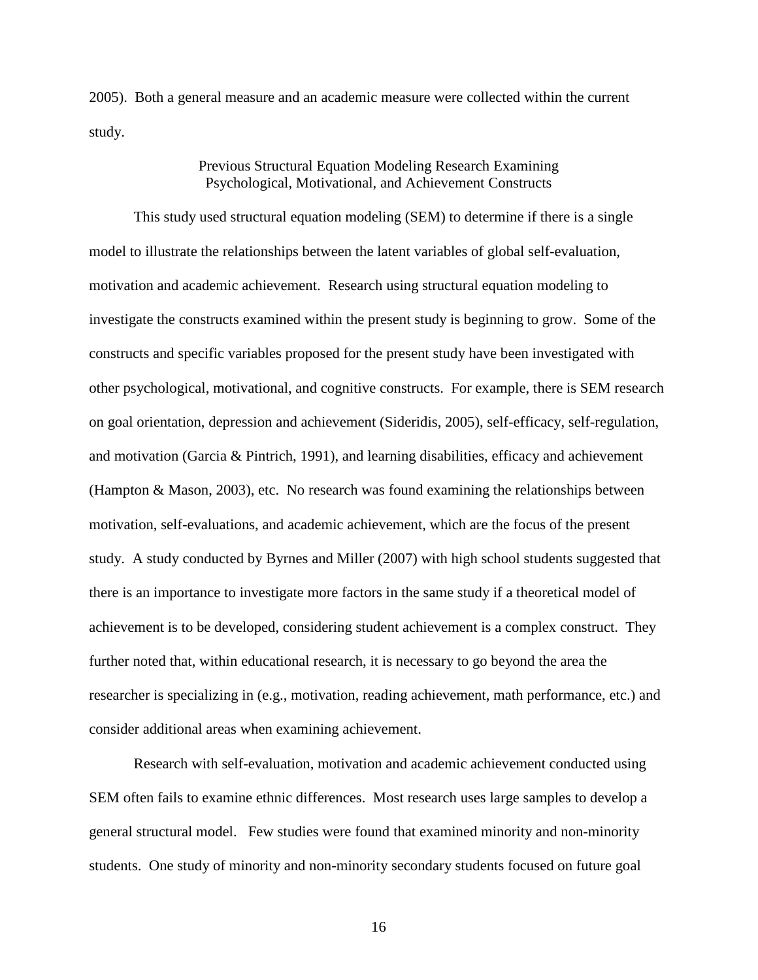2005). Both a general measure and an academic measure were collected within the current study.

#### Previous Structural Equation Modeling Research Examining Psychological, Motivational, and Achievement Constructs

 This study used structural equation modeling (SEM) to determine if there is a single model to illustrate the relationships between the latent variables of global self-evaluation, motivation and academic achievement. Research using structural equation modeling to investigate the constructs examined within the present study is beginning to grow. Some of the constructs and specific variables proposed for the present study have been investigated with other psychological, motivational, and cognitive constructs. For example, there is SEM research on goal orientation, depression and achievement (Sideridis, 2005), self-efficacy, self-regulation, and motivation (Garcia & Pintrich, 1991), and learning disabilities, efficacy and achievement (Hampton & Mason, 2003), etc. No research was found examining the relationships between motivation, self-evaluations, and academic achievement, which are the focus of the present study. A study conducted by Byrnes and Miller (2007) with high school students suggested that there is an importance to investigate more factors in the same study if a theoretical model of achievement is to be developed, considering student achievement is a complex construct. They further noted that, within educational research, it is necessary to go beyond the area the researcher is specializing in (e.g., motivation, reading achievement, math performance, etc.) and consider additional areas when examining achievement.

Research with self-evaluation, motivation and academic achievement conducted using SEM often fails to examine ethnic differences. Most research uses large samples to develop a general structural model. Few studies were found that examined minority and non-minority students. One study of minority and non-minority secondary students focused on future goal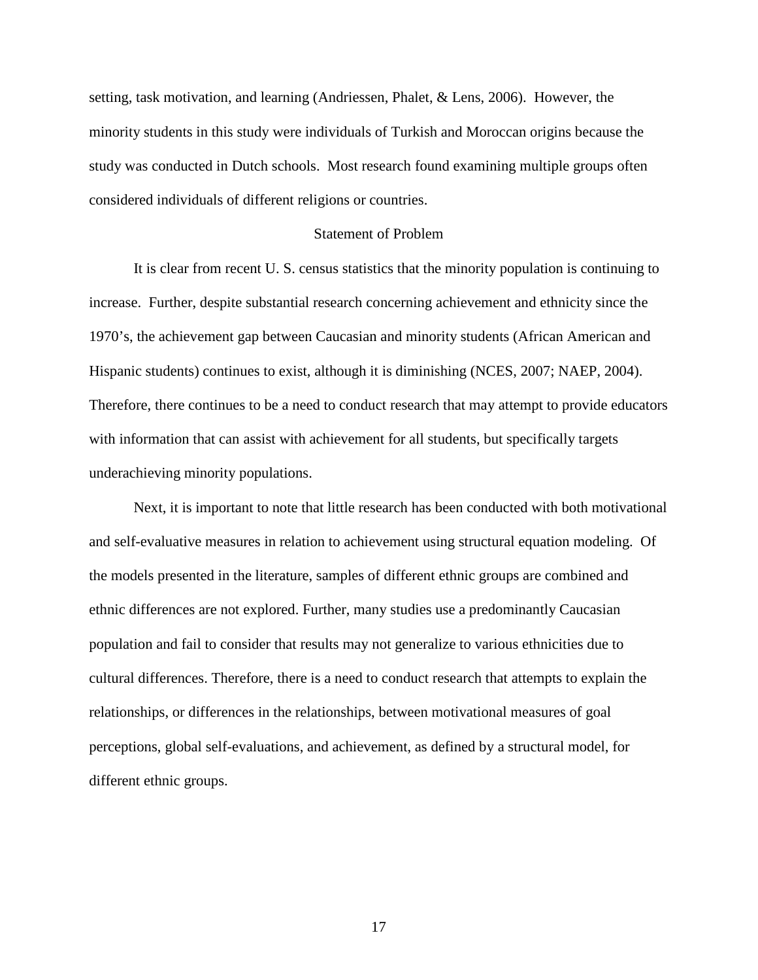setting, task motivation, and learning (Andriessen, Phalet, & Lens, 2006). However, the minority students in this study were individuals of Turkish and Moroccan origins because the study was conducted in Dutch schools. Most research found examining multiple groups often considered individuals of different religions or countries.

#### Statement of Problem

 It is clear from recent U. S. census statistics that the minority population is continuing to increase. Further, despite substantial research concerning achievement and ethnicity since the 1970's, the achievement gap between Caucasian and minority students (African American and Hispanic students) continues to exist, although it is diminishing (NCES, 2007; NAEP, 2004). Therefore, there continues to be a need to conduct research that may attempt to provide educators with information that can assist with achievement for all students, but specifically targets underachieving minority populations.

Next, it is important to note that little research has been conducted with both motivational and self-evaluative measures in relation to achievement using structural equation modeling. Of the models presented in the literature, samples of different ethnic groups are combined and ethnic differences are not explored. Further, many studies use a predominantly Caucasian population and fail to consider that results may not generalize to various ethnicities due to cultural differences. Therefore, there is a need to conduct research that attempts to explain the relationships, or differences in the relationships, between motivational measures of goal perceptions, global self-evaluations, and achievement, as defined by a structural model, for different ethnic groups.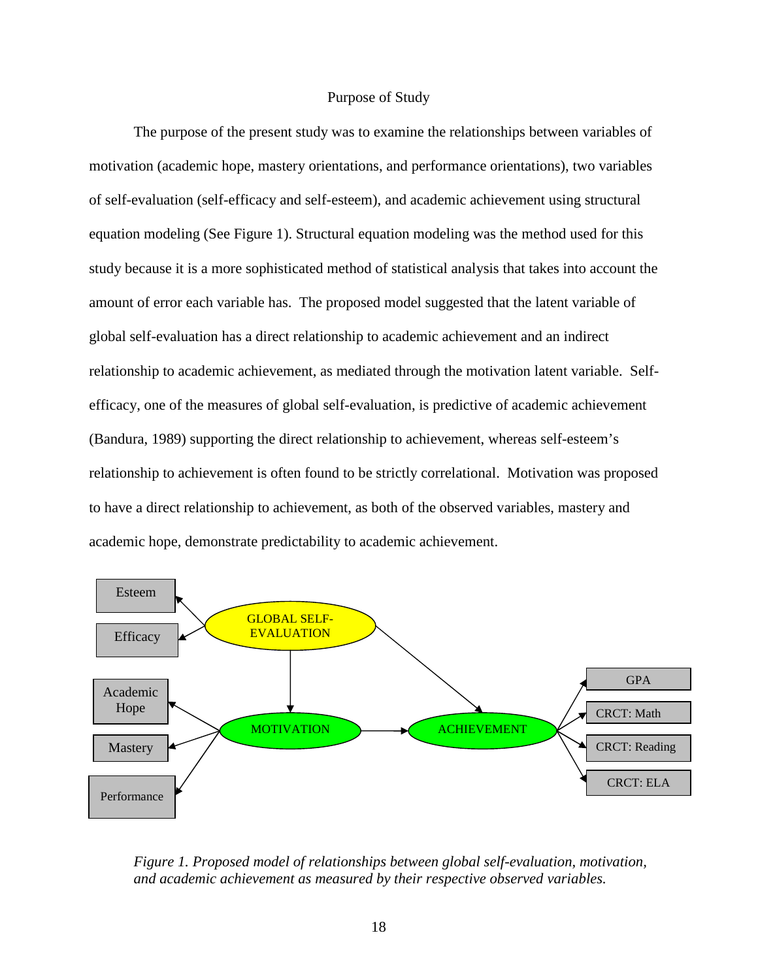#### Purpose of Study

The purpose of the present study was to examine the relationships between variables of motivation (academic hope, mastery orientations, and performance orientations), two variables of self-evaluation (self-efficacy and self-esteem), and academic achievement using structural equation modeling (See Figure 1). Structural equation modeling was the method used for this study because it is a more sophisticated method of statistical analysis that takes into account the amount of error each variable has. The proposed model suggested that the latent variable of global self-evaluation has a direct relationship to academic achievement and an indirect relationship to academic achievement, as mediated through the motivation latent variable. Selfefficacy, one of the measures of global self-evaluation, is predictive of academic achievement (Bandura, 1989) supporting the direct relationship to achievement, whereas self-esteem's relationship to achievement is often found to be strictly correlational. Motivation was proposed to have a direct relationship to achievement, as both of the observed variables, mastery and academic hope, demonstrate predictability to academic achievement.



*Figure 1. Proposed model of relationships between global self-evaluation, motivation, and academic achievement as measured by their respective observed variables.*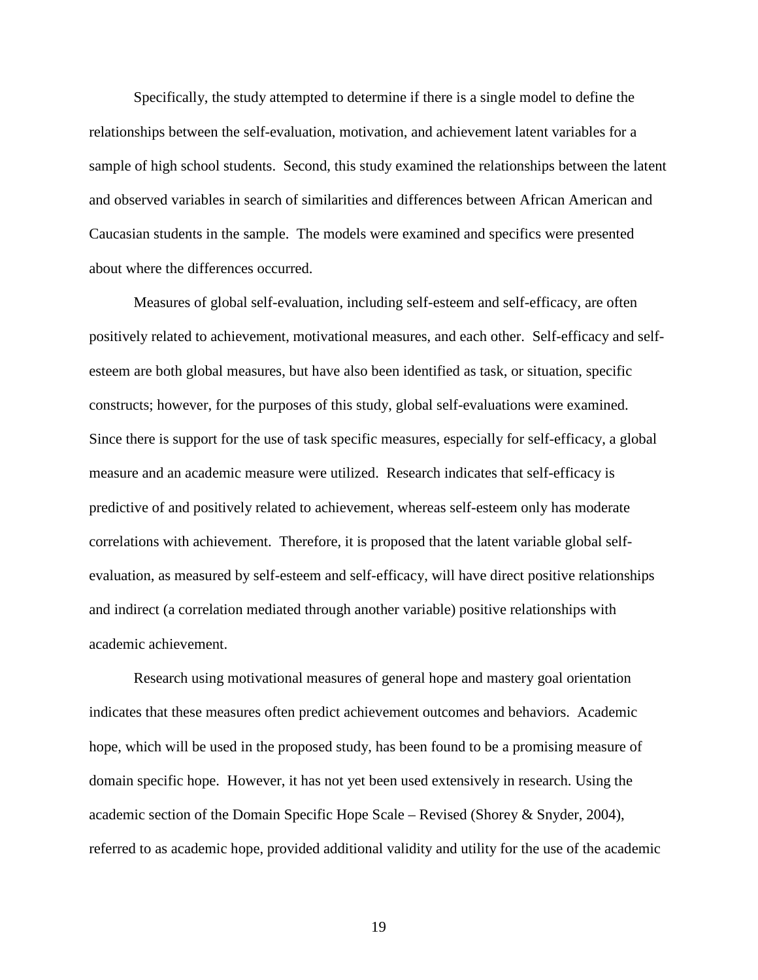Specifically, the study attempted to determine if there is a single model to define the relationships between the self-evaluation, motivation, and achievement latent variables for a sample of high school students. Second, this study examined the relationships between the latent and observed variables in search of similarities and differences between African American and Caucasian students in the sample. The models were examined and specifics were presented about where the differences occurred.

Measures of global self-evaluation, including self-esteem and self-efficacy, are often positively related to achievement, motivational measures, and each other. Self-efficacy and selfesteem are both global measures, but have also been identified as task, or situation, specific constructs; however, for the purposes of this study, global self-evaluations were examined. Since there is support for the use of task specific measures, especially for self-efficacy, a global measure and an academic measure were utilized. Research indicates that self-efficacy is predictive of and positively related to achievement, whereas self-esteem only has moderate correlations with achievement. Therefore, it is proposed that the latent variable global selfevaluation, as measured by self-esteem and self-efficacy, will have direct positive relationships and indirect (a correlation mediated through another variable) positive relationships with academic achievement.

Research using motivational measures of general hope and mastery goal orientation indicates that these measures often predict achievement outcomes and behaviors. Academic hope, which will be used in the proposed study, has been found to be a promising measure of domain specific hope. However, it has not yet been used extensively in research. Using the academic section of the Domain Specific Hope Scale – Revised (Shorey & Snyder, 2004), referred to as academic hope, provided additional validity and utility for the use of the academic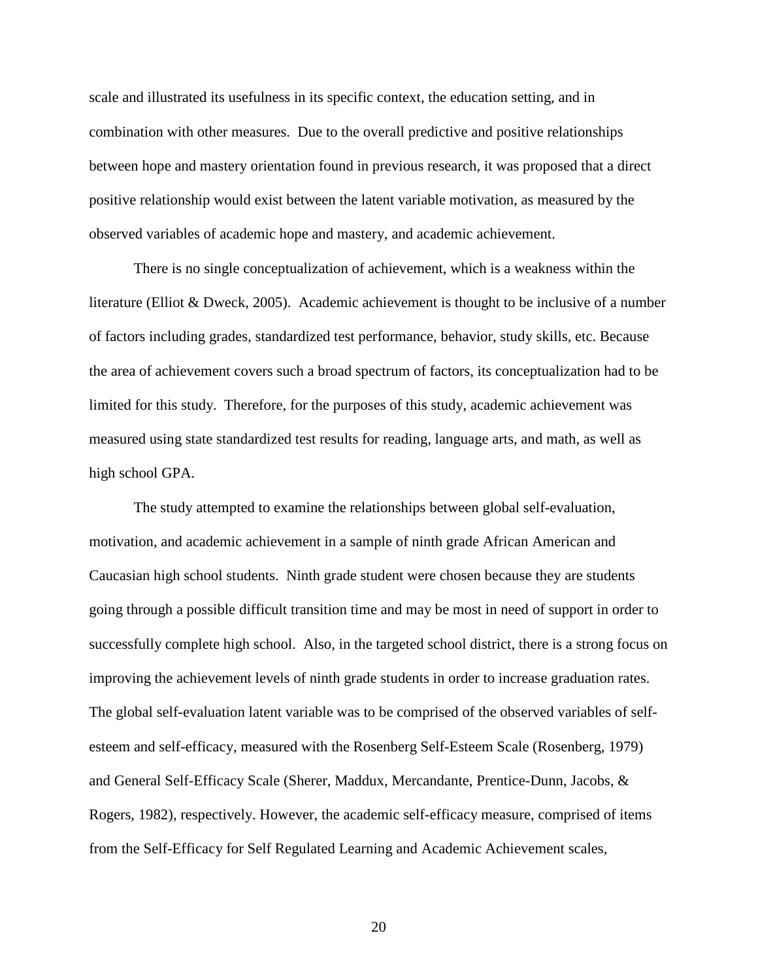scale and illustrated its usefulness in its specific context, the education setting, and in combination with other measures. Due to the overall predictive and positive relationships between hope and mastery orientation found in previous research, it was proposed that a direct positive relationship would exist between the latent variable motivation, as measured by the observed variables of academic hope and mastery, and academic achievement.

There is no single conceptualization of achievement, which is a weakness within the literature (Elliot & Dweck, 2005). Academic achievement is thought to be inclusive of a number of factors including grades, standardized test performance, behavior, study skills, etc. Because the area of achievement covers such a broad spectrum of factors, its conceptualization had to be limited for this study. Therefore, for the purposes of this study, academic achievement was measured using state standardized test results for reading, language arts, and math, as well as high school GPA.

The study attempted to examine the relationships between global self-evaluation, motivation, and academic achievement in a sample of ninth grade African American and Caucasian high school students. Ninth grade student were chosen because they are students going through a possible difficult transition time and may be most in need of support in order to successfully complete high school. Also, in the targeted school district, there is a strong focus on improving the achievement levels of ninth grade students in order to increase graduation rates. The global self-evaluation latent variable was to be comprised of the observed variables of selfesteem and self-efficacy, measured with the Rosenberg Self-Esteem Scale (Rosenberg, 1979) and General Self-Efficacy Scale (Sherer, Maddux, Mercandante, Prentice-Dunn, Jacobs, & Rogers, 1982), respectively. However, the academic self-efficacy measure, comprised of items from the Self-Efficacy for Self Regulated Learning and Academic Achievement scales,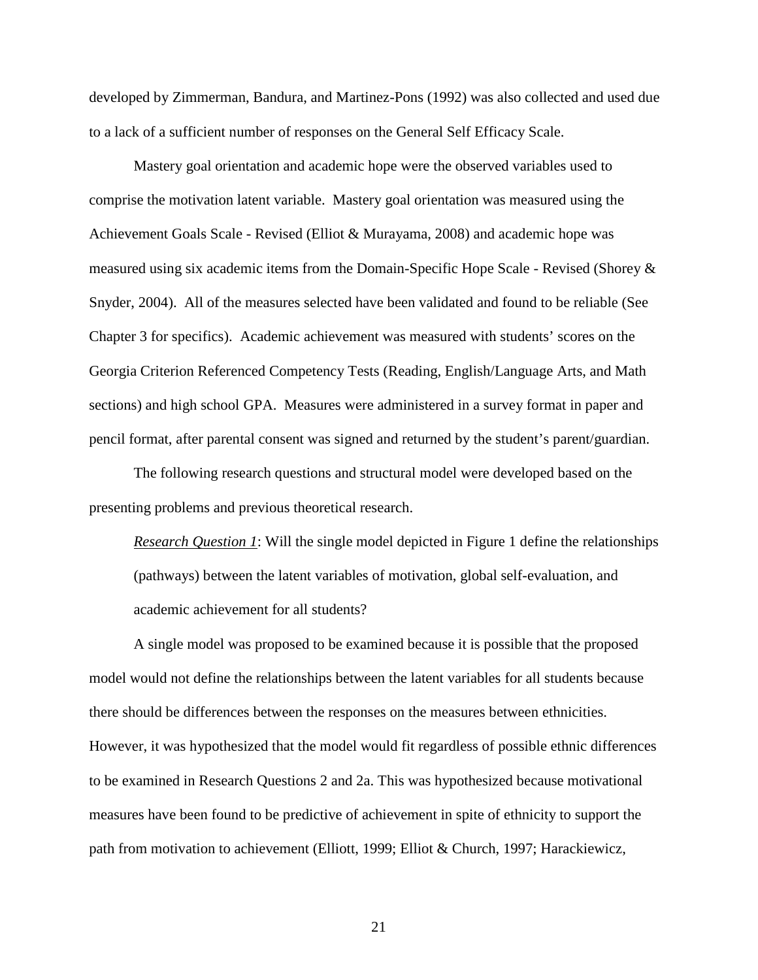developed by Zimmerman, Bandura, and Martinez-Pons (1992) was also collected and used due to a lack of a sufficient number of responses on the General Self Efficacy Scale.

Mastery goal orientation and academic hope were the observed variables used to comprise the motivation latent variable. Mastery goal orientation was measured using the Achievement Goals Scale - Revised (Elliot & Murayama, 2008) and academic hope was measured using six academic items from the Domain-Specific Hope Scale - Revised (Shorey & Snyder, 2004). All of the measures selected have been validated and found to be reliable (See Chapter 3 for specifics). Academic achievement was measured with students' scores on the Georgia Criterion Referenced Competency Tests (Reading, English/Language Arts, and Math sections) and high school GPA. Measures were administered in a survey format in paper and pencil format, after parental consent was signed and returned by the student's parent/guardian.

The following research questions and structural model were developed based on the presenting problems and previous theoretical research.

*Research Question 1*: Will the single model depicted in Figure 1 define the relationships (pathways) between the latent variables of motivation, global self-evaluation, and academic achievement for all students?

 A single model was proposed to be examined because it is possible that the proposed model would not define the relationships between the latent variables for all students because there should be differences between the responses on the measures between ethnicities. However, it was hypothesized that the model would fit regardless of possible ethnic differences to be examined in Research Questions 2 and 2a. This was hypothesized because motivational measures have been found to be predictive of achievement in spite of ethnicity to support the path from motivation to achievement (Elliott, 1999; Elliot & Church, 1997; Harackiewicz,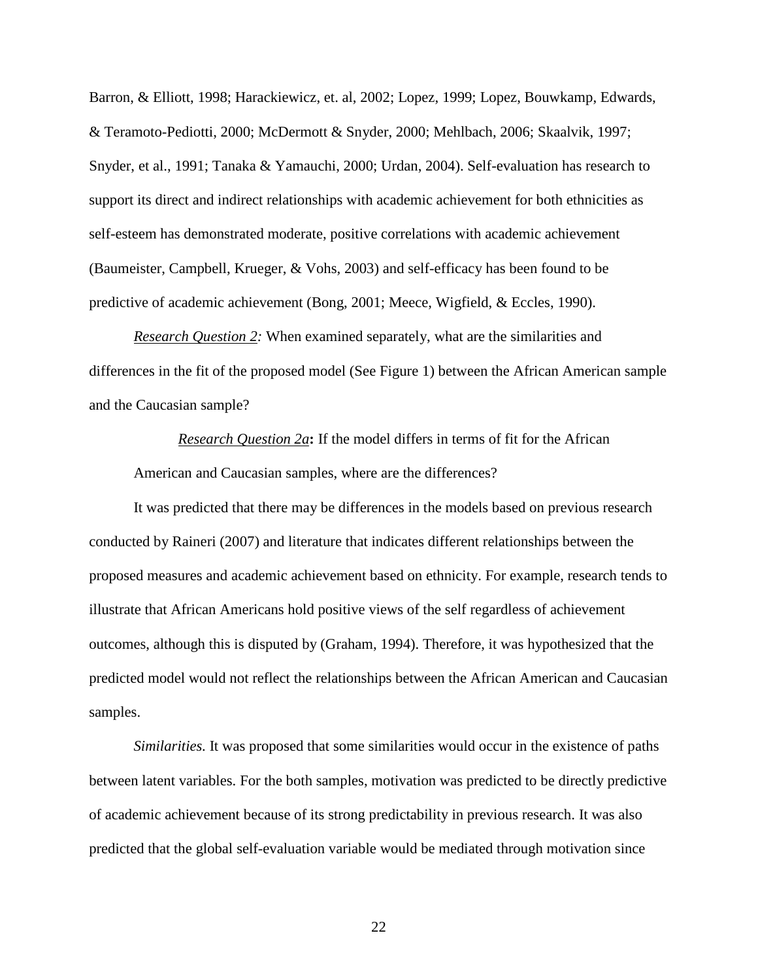Barron, & Elliott, 1998; Harackiewicz, et. al, 2002; Lopez, 1999; Lopez, Bouwkamp, Edwards, & Teramoto-Pediotti, 2000; McDermott & Snyder, 2000; Mehlbach, 2006; Skaalvik, 1997; Snyder, et al., 1991; Tanaka & Yamauchi, 2000; Urdan, 2004). Self-evaluation has research to support its direct and indirect relationships with academic achievement for both ethnicities as self-esteem has demonstrated moderate, positive correlations with academic achievement (Baumeister, Campbell, Krueger, & Vohs, 2003) and self-efficacy has been found to be predictive of academic achievement (Bong, 2001; Meece, Wigfield, & Eccles, 1990).

*Research Question 2:* When examined separately, what are the similarities and differences in the fit of the proposed model (See Figure 1) between the African American sample and the Caucasian sample?

*Research Question 2a***:** If the model differs in terms of fit for the African American and Caucasian samples, where are the differences?

It was predicted that there may be differences in the models based on previous research conducted by Raineri (2007) and literature that indicates different relationships between the proposed measures and academic achievement based on ethnicity. For example, research tends to illustrate that African Americans hold positive views of the self regardless of achievement outcomes, although this is disputed by (Graham, 1994). Therefore, it was hypothesized that the predicted model would not reflect the relationships between the African American and Caucasian samples.

*Similarities.* It was proposed that some similarities would occur in the existence of paths between latent variables. For the both samples, motivation was predicted to be directly predictive of academic achievement because of its strong predictability in previous research. It was also predicted that the global self-evaluation variable would be mediated through motivation since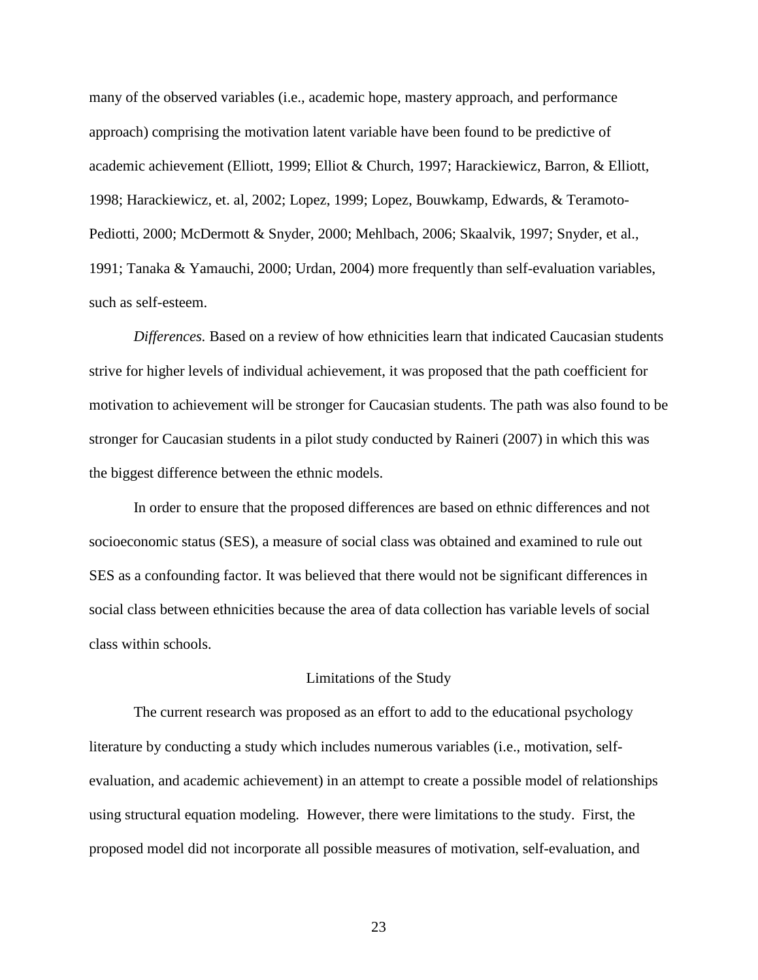many of the observed variables (i.e., academic hope, mastery approach, and performance approach) comprising the motivation latent variable have been found to be predictive of academic achievement (Elliott, 1999; Elliot & Church, 1997; Harackiewicz, Barron, & Elliott, 1998; Harackiewicz, et. al, 2002; Lopez, 1999; Lopez, Bouwkamp, Edwards, & Teramoto-Pediotti, 2000; McDermott & Snyder, 2000; Mehlbach, 2006; Skaalvik, 1997; Snyder, et al., 1991; Tanaka & Yamauchi, 2000; Urdan, 2004) more frequently than self-evaluation variables, such as self-esteem.

*Differences.* Based on a review of how ethnicities learn that indicated Caucasian students strive for higher levels of individual achievement, it was proposed that the path coefficient for motivation to achievement will be stronger for Caucasian students. The path was also found to be stronger for Caucasian students in a pilot study conducted by Raineri (2007) in which this was the biggest difference between the ethnic models.

In order to ensure that the proposed differences are based on ethnic differences and not socioeconomic status (SES), a measure of social class was obtained and examined to rule out SES as a confounding factor. It was believed that there would not be significant differences in social class between ethnicities because the area of data collection has variable levels of social class within schools.

#### Limitations of the Study

The current research was proposed as an effort to add to the educational psychology literature by conducting a study which includes numerous variables (i.e., motivation, selfevaluation, and academic achievement) in an attempt to create a possible model of relationships using structural equation modeling. However, there were limitations to the study. First, the proposed model did not incorporate all possible measures of motivation, self-evaluation, and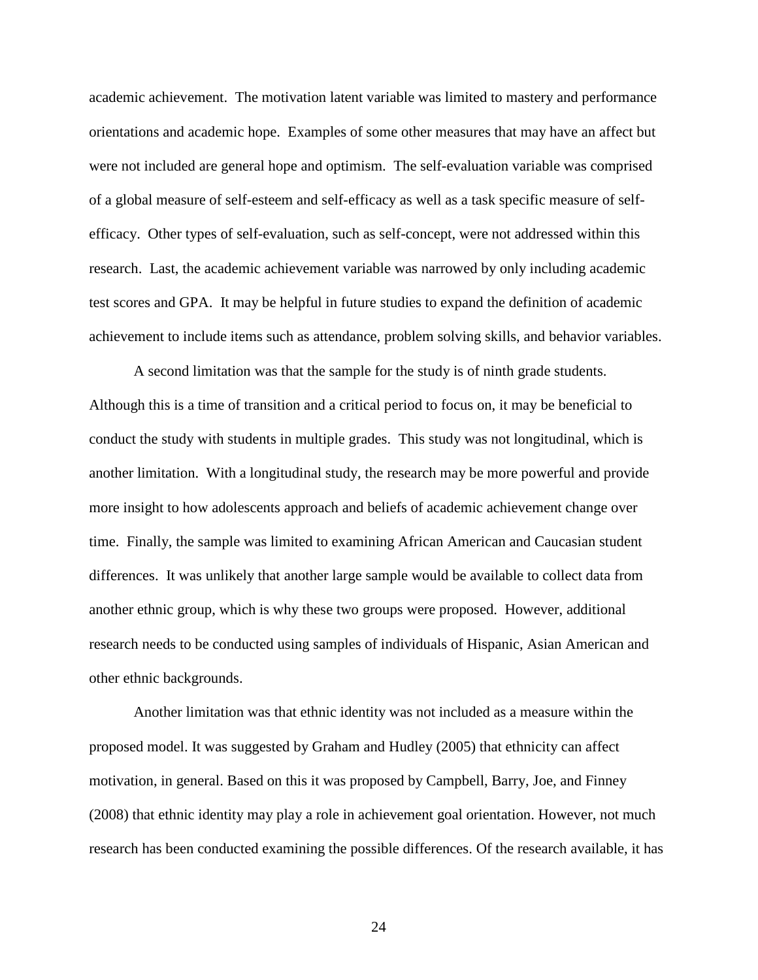academic achievement. The motivation latent variable was limited to mastery and performance orientations and academic hope. Examples of some other measures that may have an affect but were not included are general hope and optimism. The self-evaluation variable was comprised of a global measure of self-esteem and self-efficacy as well as a task specific measure of selfefficacy. Other types of self-evaluation, such as self-concept, were not addressed within this research. Last, the academic achievement variable was narrowed by only including academic test scores and GPA. It may be helpful in future studies to expand the definition of academic achievement to include items such as attendance, problem solving skills, and behavior variables.

 A second limitation was that the sample for the study is of ninth grade students. Although this is a time of transition and a critical period to focus on, it may be beneficial to conduct the study with students in multiple grades. This study was not longitudinal, which is another limitation. With a longitudinal study, the research may be more powerful and provide more insight to how adolescents approach and beliefs of academic achievement change over time. Finally, the sample was limited to examining African American and Caucasian student differences. It was unlikely that another large sample would be available to collect data from another ethnic group, which is why these two groups were proposed. However, additional research needs to be conducted using samples of individuals of Hispanic, Asian American and other ethnic backgrounds.

 Another limitation was that ethnic identity was not included as a measure within the proposed model. It was suggested by Graham and Hudley (2005) that ethnicity can affect motivation, in general. Based on this it was proposed by Campbell, Barry, Joe, and Finney (2008) that ethnic identity may play a role in achievement goal orientation. However, not much research has been conducted examining the possible differences. Of the research available, it has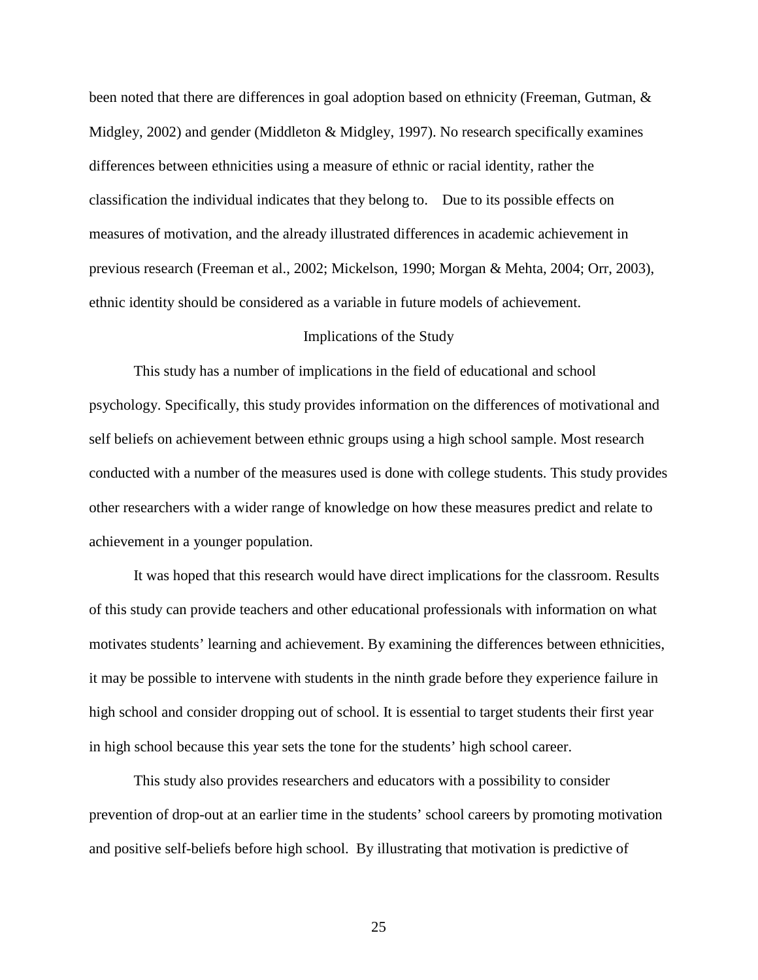been noted that there are differences in goal adoption based on ethnicity (Freeman, Gutman, & Midgley, 2002) and gender (Middleton & Midgley, 1997). No research specifically examines differences between ethnicities using a measure of ethnic or racial identity, rather the classification the individual indicates that they belong to. Due to its possible effects on measures of motivation, and the already illustrated differences in academic achievement in previous research (Freeman et al., 2002; Mickelson, 1990; Morgan & Mehta, 2004; Orr, 2003), ethnic identity should be considered as a variable in future models of achievement.

#### Implications of the Study

This study has a number of implications in the field of educational and school psychology. Specifically, this study provides information on the differences of motivational and self beliefs on achievement between ethnic groups using a high school sample. Most research conducted with a number of the measures used is done with college students. This study provides other researchers with a wider range of knowledge on how these measures predict and relate to achievement in a younger population.

It was hoped that this research would have direct implications for the classroom. Results of this study can provide teachers and other educational professionals with information on what motivates students' learning and achievement. By examining the differences between ethnicities, it may be possible to intervene with students in the ninth grade before they experience failure in high school and consider dropping out of school. It is essential to target students their first year in high school because this year sets the tone for the students' high school career.

This study also provides researchers and educators with a possibility to consider prevention of drop-out at an earlier time in the students' school careers by promoting motivation and positive self-beliefs before high school. By illustrating that motivation is predictive of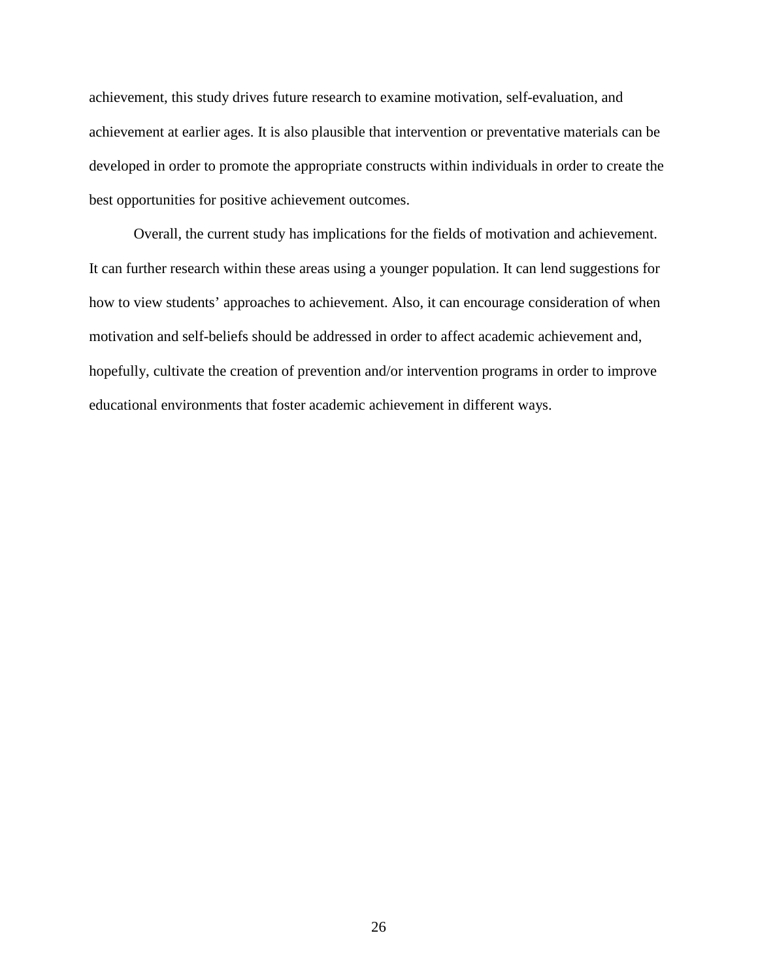achievement, this study drives future research to examine motivation, self-evaluation, and achievement at earlier ages. It is also plausible that intervention or preventative materials can be developed in order to promote the appropriate constructs within individuals in order to create the best opportunities for positive achievement outcomes.

Overall, the current study has implications for the fields of motivation and achievement. It can further research within these areas using a younger population. It can lend suggestions for how to view students' approaches to achievement. Also, it can encourage consideration of when motivation and self-beliefs should be addressed in order to affect academic achievement and, hopefully, cultivate the creation of prevention and/or intervention programs in order to improve educational environments that foster academic achievement in different ways.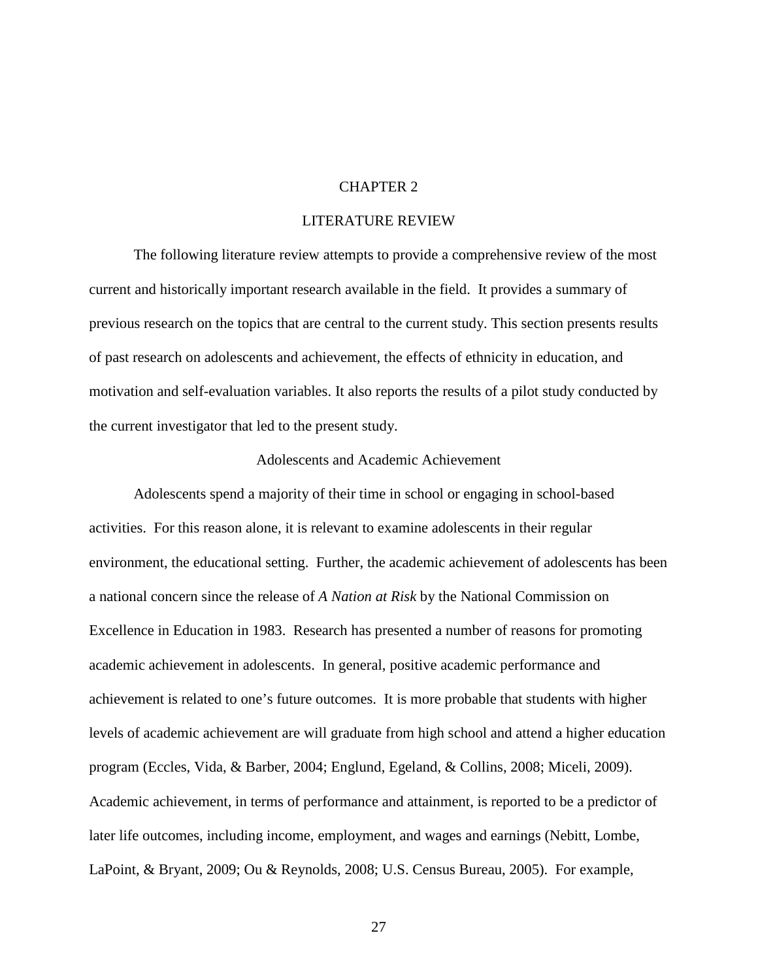# CHAPTER 2

# LITERATURE REVIEW

 The following literature review attempts to provide a comprehensive review of the most current and historically important research available in the field. It provides a summary of previous research on the topics that are central to the current study. This section presents results of past research on adolescents and achievement, the effects of ethnicity in education, and motivation and self-evaluation variables. It also reports the results of a pilot study conducted by the current investigator that led to the present study.

# Adolescents and Academic Achievement

Adolescents spend a majority of their time in school or engaging in school-based activities. For this reason alone, it is relevant to examine adolescents in their regular environment, the educational setting. Further, the academic achievement of adolescents has been a national concern since the release of *A Nation at Risk* by the National Commission on Excellence in Education in 1983. Research has presented a number of reasons for promoting academic achievement in adolescents. In general, positive academic performance and achievement is related to one's future outcomes. It is more probable that students with higher levels of academic achievement are will graduate from high school and attend a higher education program (Eccles, Vida, & Barber, 2004; Englund, Egeland, & Collins, 2008; Miceli, 2009). Academic achievement, in terms of performance and attainment, is reported to be a predictor of later life outcomes, including income, employment, and wages and earnings (Nebitt, Lombe, LaPoint, & Bryant, 2009; Ou & Reynolds, 2008; U.S. Census Bureau, 2005). For example,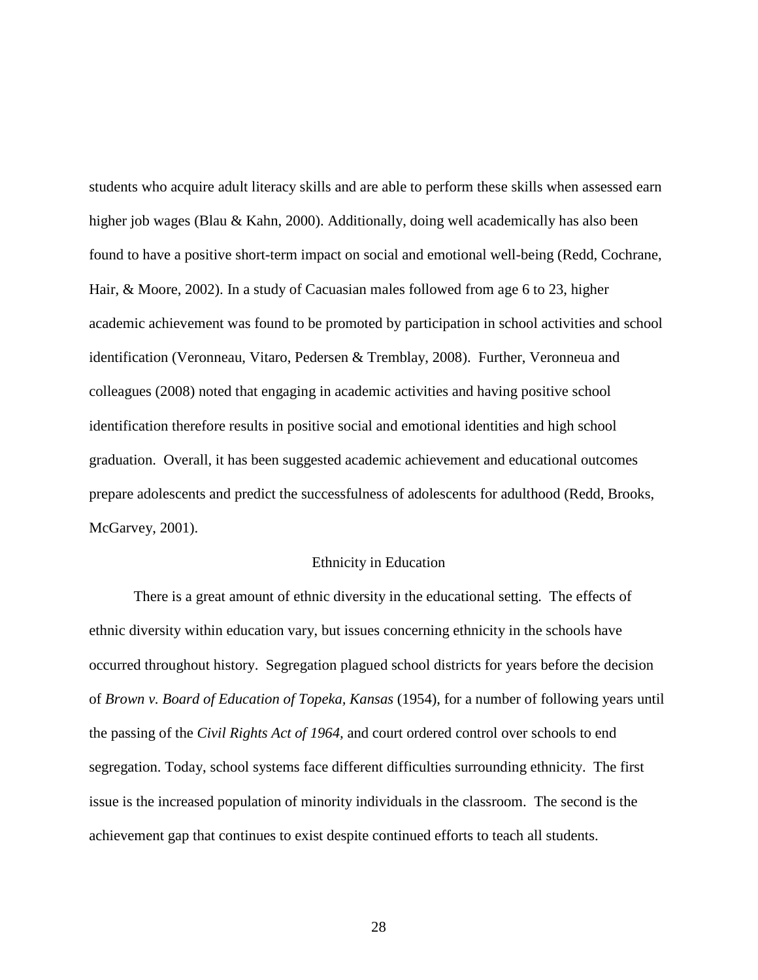students who acquire adult literacy skills and are able to perform these skills when assessed earn higher job wages (Blau & Kahn, 2000). Additionally, doing well academically has also been found to have a positive short-term impact on social and emotional well-being (Redd, Cochrane, Hair, & Moore, 2002). In a study of Cacuasian males followed from age 6 to 23, higher academic achievement was found to be promoted by participation in school activities and school identification (Veronneau, Vitaro, Pedersen & Tremblay, 2008). Further, Veronneua and colleagues (2008) noted that engaging in academic activities and having positive school identification therefore results in positive social and emotional identities and high school graduation. Overall, it has been suggested academic achievement and educational outcomes prepare adolescents and predict the successfulness of adolescents for adulthood (Redd, Brooks, McGarvey, 2001).

#### Ethnicity in Education

There is a great amount of ethnic diversity in the educational setting. The effects of ethnic diversity within education vary, but issues concerning ethnicity in the schools have occurred throughout history. Segregation plagued school districts for years before the decision of *Brown v. Board of Education of Topeka, Kansas* (1954), for a number of following years until the passing of the *Civil Rights Act of 1964,* and court ordered control over schools to end segregation. Today, school systems face different difficulties surrounding ethnicity. The first issue is the increased population of minority individuals in the classroom. The second is the achievement gap that continues to exist despite continued efforts to teach all students.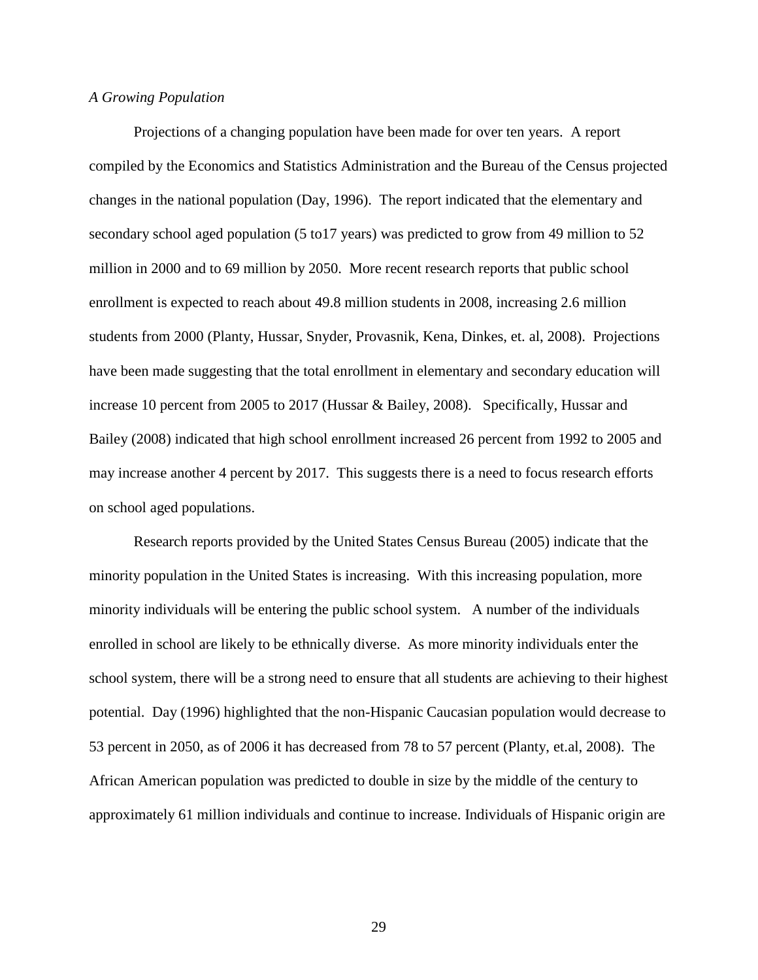# *A Growing Population*

Projections of a changing population have been made for over ten years. A report compiled by the Economics and Statistics Administration and the Bureau of the Census projected changes in the national population (Day, 1996). The report indicated that the elementary and secondary school aged population (5 to17 years) was predicted to grow from 49 million to 52 million in 2000 and to 69 million by 2050. More recent research reports that public school enrollment is expected to reach about 49.8 million students in 2008, increasing 2.6 million students from 2000 (Planty, Hussar, Snyder, Provasnik, Kena, Dinkes, et. al, 2008). Projections have been made suggesting that the total enrollment in elementary and secondary education will increase 10 percent from 2005 to 2017 (Hussar & Bailey, 2008). Specifically, Hussar and Bailey (2008) indicated that high school enrollment increased 26 percent from 1992 to 2005 and may increase another 4 percent by 2017. This suggests there is a need to focus research efforts on school aged populations.

Research reports provided by the United States Census Bureau (2005) indicate that the minority population in the United States is increasing. With this increasing population, more minority individuals will be entering the public school system. A number of the individuals enrolled in school are likely to be ethnically diverse. As more minority individuals enter the school system, there will be a strong need to ensure that all students are achieving to their highest potential. Day (1996) highlighted that the non-Hispanic Caucasian population would decrease to 53 percent in 2050, as of 2006 it has decreased from 78 to 57 percent (Planty, et.al, 2008). The African American population was predicted to double in size by the middle of the century to approximately 61 million individuals and continue to increase. Individuals of Hispanic origin are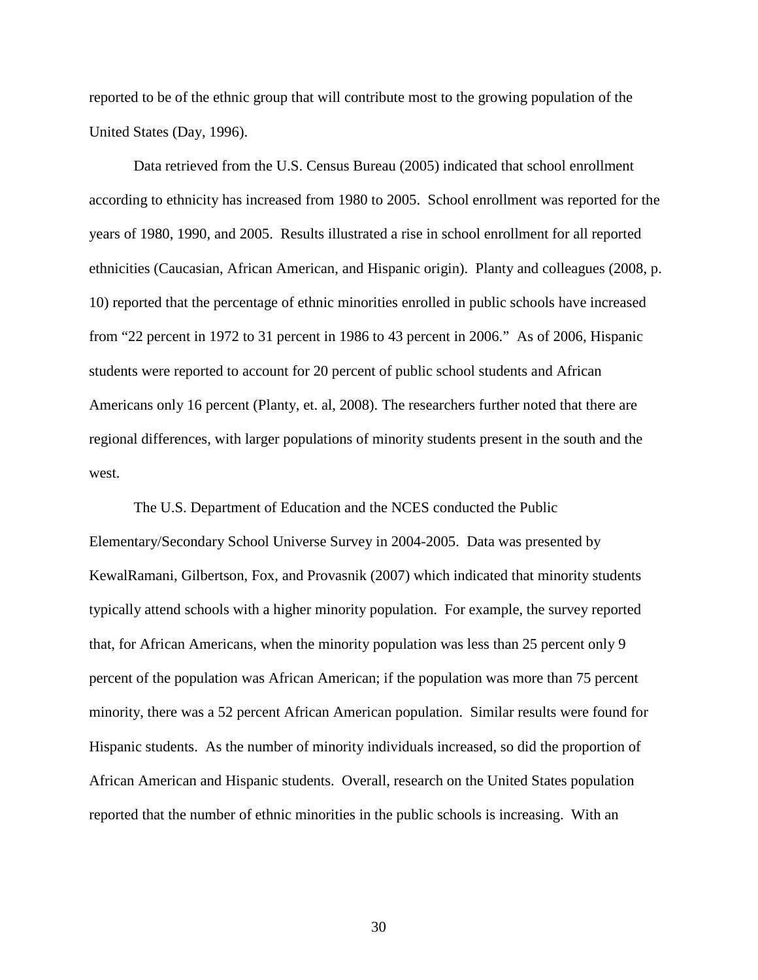reported to be of the ethnic group that will contribute most to the growing population of the United States (Day, 1996).

Data retrieved from the U.S. Census Bureau (2005) indicated that school enrollment according to ethnicity has increased from 1980 to 2005. School enrollment was reported for the years of 1980, 1990, and 2005. Results illustrated a rise in school enrollment for all reported ethnicities (Caucasian, African American, and Hispanic origin). Planty and colleagues (2008, p. 10) reported that the percentage of ethnic minorities enrolled in public schools have increased from "22 percent in 1972 to 31 percent in 1986 to 43 percent in 2006." As of 2006, Hispanic students were reported to account for 20 percent of public school students and African Americans only 16 percent (Planty, et. al, 2008). The researchers further noted that there are regional differences, with larger populations of minority students present in the south and the west.

The U.S. Department of Education and the NCES conducted the Public Elementary/Secondary School Universe Survey in 2004-2005. Data was presented by KewalRamani, Gilbertson, Fox, and Provasnik (2007) which indicated that minority students typically attend schools with a higher minority population. For example, the survey reported that, for African Americans, when the minority population was less than 25 percent only 9 percent of the population was African American; if the population was more than 75 percent minority, there was a 52 percent African American population. Similar results were found for Hispanic students. As the number of minority individuals increased, so did the proportion of African American and Hispanic students. Overall, research on the United States population reported that the number of ethnic minorities in the public schools is increasing. With an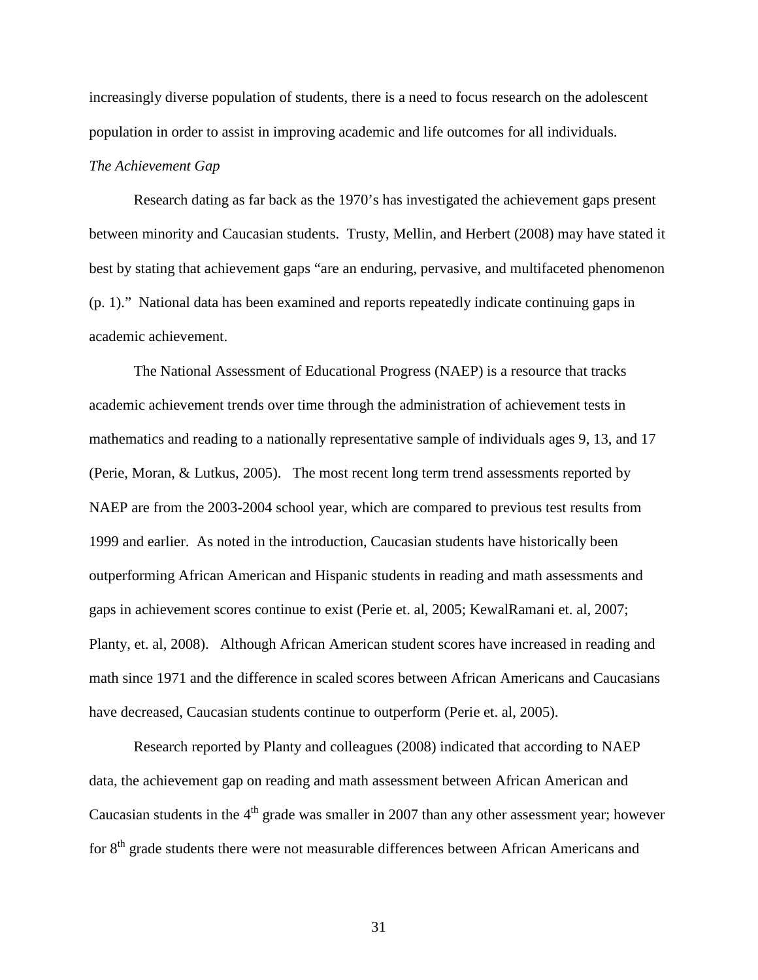increasingly diverse population of students, there is a need to focus research on the adolescent population in order to assist in improving academic and life outcomes for all individuals. *The Achievement Gap* 

Research dating as far back as the 1970's has investigated the achievement gaps present between minority and Caucasian students. Trusty, Mellin, and Herbert (2008) may have stated it best by stating that achievement gaps "are an enduring, pervasive, and multifaceted phenomenon (p. 1)." National data has been examined and reports repeatedly indicate continuing gaps in academic achievement.

The National Assessment of Educational Progress (NAEP) is a resource that tracks academic achievement trends over time through the administration of achievement tests in mathematics and reading to a nationally representative sample of individuals ages 9, 13, and 17 (Perie, Moran, & Lutkus, 2005). The most recent long term trend assessments reported by NAEP are from the 2003-2004 school year, which are compared to previous test results from 1999 and earlier. As noted in the introduction, Caucasian students have historically been outperforming African American and Hispanic students in reading and math assessments and gaps in achievement scores continue to exist (Perie et. al, 2005; KewalRamani et. al, 2007; Planty, et. al, 2008). Although African American student scores have increased in reading and math since 1971 and the difference in scaled scores between African Americans and Caucasians have decreased, Caucasian students continue to outperform (Perie et. al, 2005).

Research reported by Planty and colleagues (2008) indicated that according to NAEP data, the achievement gap on reading and math assessment between African American and Caucasian students in the  $4<sup>th</sup>$  grade was smaller in 2007 than any other assessment year; however for 8<sup>th</sup> grade students there were not measurable differences between African Americans and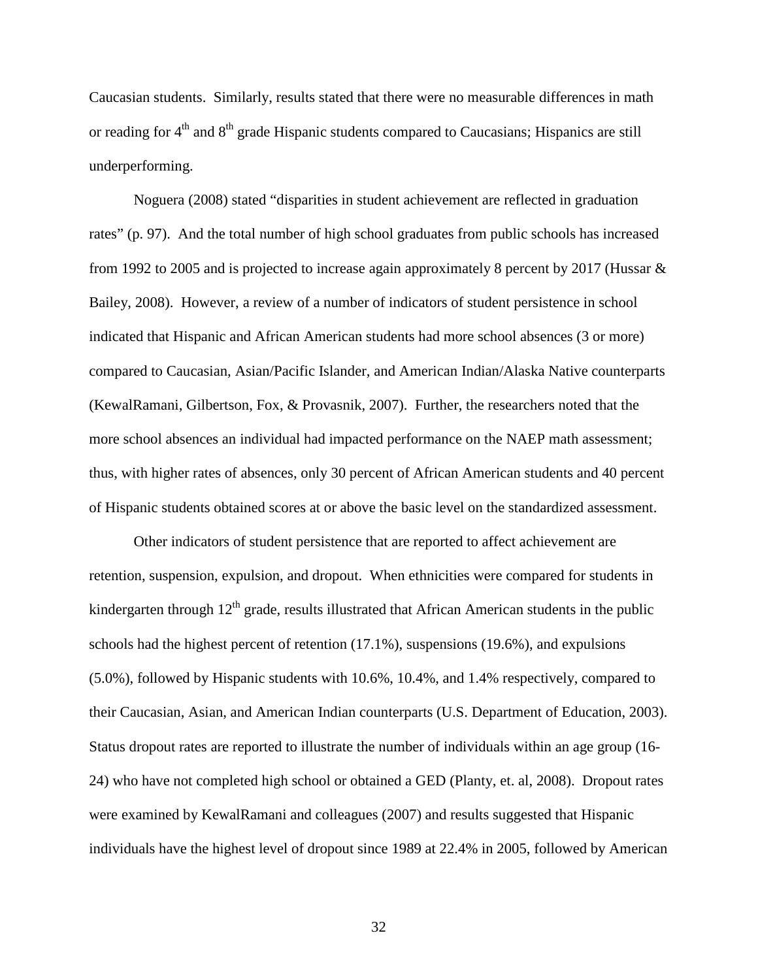Caucasian students. Similarly, results stated that there were no measurable differences in math or reading for  $4<sup>th</sup>$  and  $8<sup>th</sup>$  grade Hispanic students compared to Caucasians; Hispanics are still underperforming.

Noguera (2008) stated "disparities in student achievement are reflected in graduation rates" (p. 97). And the total number of high school graduates from public schools has increased from 1992 to 2005 and is projected to increase again approximately 8 percent by 2017 (Hussar & Bailey, 2008). However, a review of a number of indicators of student persistence in school indicated that Hispanic and African American students had more school absences (3 or more) compared to Caucasian, Asian/Pacific Islander, and American Indian/Alaska Native counterparts (KewalRamani, Gilbertson, Fox, & Provasnik, 2007). Further, the researchers noted that the more school absences an individual had impacted performance on the NAEP math assessment; thus, with higher rates of absences, only 30 percent of African American students and 40 percent of Hispanic students obtained scores at or above the basic level on the standardized assessment.

Other indicators of student persistence that are reported to affect achievement are retention, suspension, expulsion, and dropout. When ethnicities were compared for students in kindergarten through  $12<sup>th</sup>$  grade, results illustrated that African American students in the public schools had the highest percent of retention (17.1%), suspensions (19.6%), and expulsions (5.0%), followed by Hispanic students with 10.6%, 10.4%, and 1.4% respectively, compared to their Caucasian, Asian, and American Indian counterparts (U.S. Department of Education, 2003). Status dropout rates are reported to illustrate the number of individuals within an age group (16- 24) who have not completed high school or obtained a GED (Planty, et. al, 2008). Dropout rates were examined by KewalRamani and colleagues (2007) and results suggested that Hispanic individuals have the highest level of dropout since 1989 at 22.4% in 2005, followed by American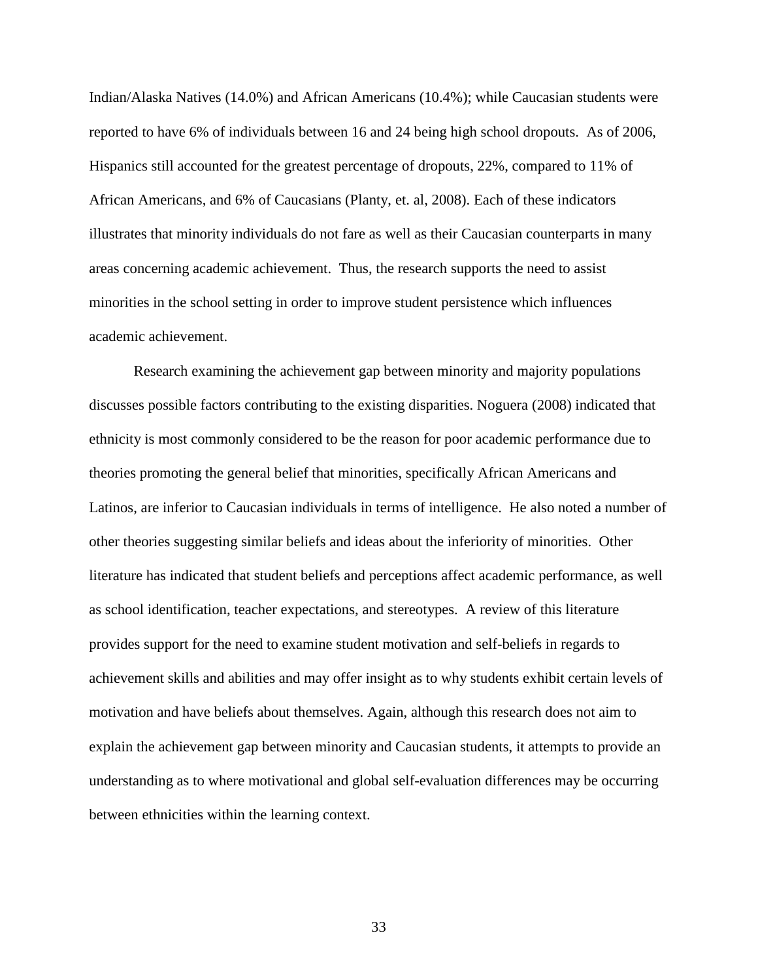Indian/Alaska Natives (14.0%) and African Americans (10.4%); while Caucasian students were reported to have 6% of individuals between 16 and 24 being high school dropouts. As of 2006, Hispanics still accounted for the greatest percentage of dropouts, 22%, compared to 11% of African Americans, and 6% of Caucasians (Planty, et. al, 2008). Each of these indicators illustrates that minority individuals do not fare as well as their Caucasian counterparts in many areas concerning academic achievement. Thus, the research supports the need to assist minorities in the school setting in order to improve student persistence which influences academic achievement.

Research examining the achievement gap between minority and majority populations discusses possible factors contributing to the existing disparities. Noguera (2008) indicated that ethnicity is most commonly considered to be the reason for poor academic performance due to theories promoting the general belief that minorities, specifically African Americans and Latinos, are inferior to Caucasian individuals in terms of intelligence. He also noted a number of other theories suggesting similar beliefs and ideas about the inferiority of minorities. Other literature has indicated that student beliefs and perceptions affect academic performance, as well as school identification, teacher expectations, and stereotypes. A review of this literature provides support for the need to examine student motivation and self-beliefs in regards to achievement skills and abilities and may offer insight as to why students exhibit certain levels of motivation and have beliefs about themselves. Again, although this research does not aim to explain the achievement gap between minority and Caucasian students, it attempts to provide an understanding as to where motivational and global self-evaluation differences may be occurring between ethnicities within the learning context.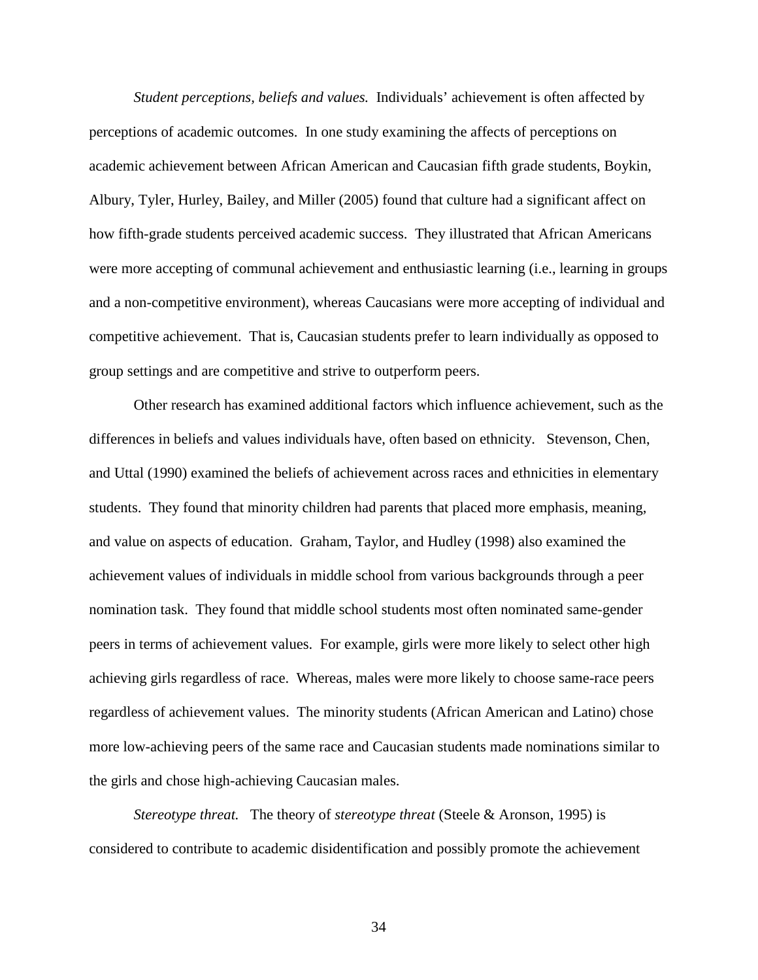*Student perceptions, beliefs and values.* Individuals' achievement is often affected by perceptions of academic outcomes. In one study examining the affects of perceptions on academic achievement between African American and Caucasian fifth grade students, Boykin, Albury, Tyler, Hurley, Bailey, and Miller (2005) found that culture had a significant affect on how fifth-grade students perceived academic success. They illustrated that African Americans were more accepting of communal achievement and enthusiastic learning (i.e., learning in groups and a non-competitive environment), whereas Caucasians were more accepting of individual and competitive achievement. That is, Caucasian students prefer to learn individually as opposed to group settings and are competitive and strive to outperform peers.

Other research has examined additional factors which influence achievement, such as the differences in beliefs and values individuals have, often based on ethnicity. Stevenson, Chen, and Uttal (1990) examined the beliefs of achievement across races and ethnicities in elementary students. They found that minority children had parents that placed more emphasis, meaning, and value on aspects of education. Graham, Taylor, and Hudley (1998) also examined the achievement values of individuals in middle school from various backgrounds through a peer nomination task. They found that middle school students most often nominated same-gender peers in terms of achievement values. For example, girls were more likely to select other high achieving girls regardless of race. Whereas, males were more likely to choose same-race peers regardless of achievement values. The minority students (African American and Latino) chose more low-achieving peers of the same race and Caucasian students made nominations similar to the girls and chose high-achieving Caucasian males.

*Stereotype threat.* The theory of *stereotype threat* (Steele & Aronson, 1995) is considered to contribute to academic disidentification and possibly promote the achievement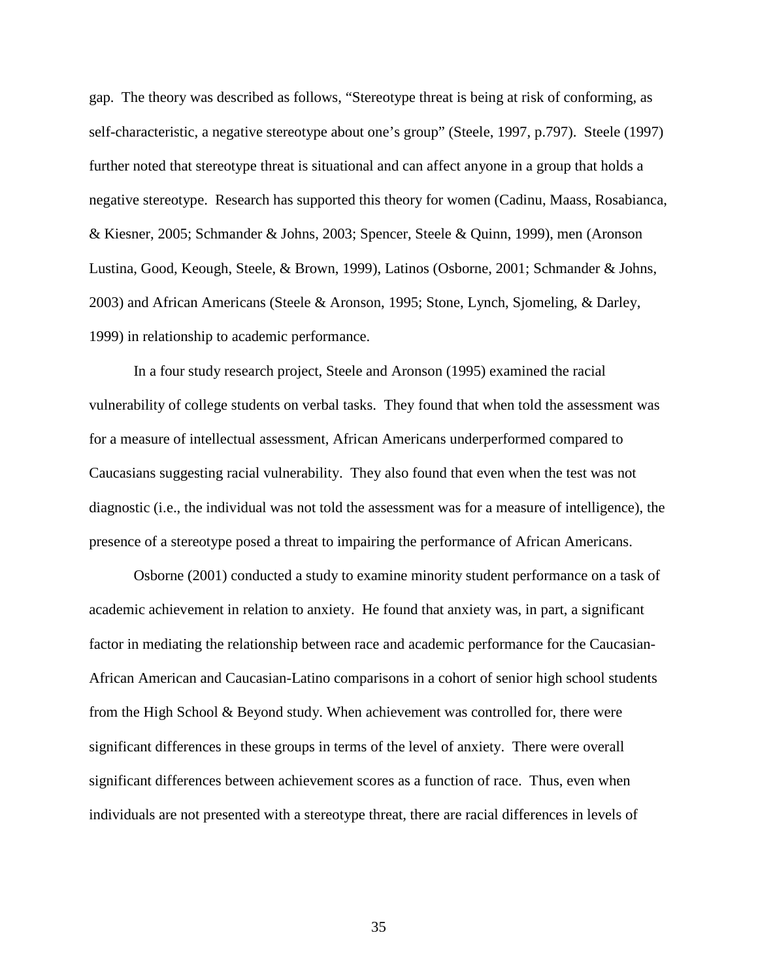gap. The theory was described as follows, "Stereotype threat is being at risk of conforming, as self-characteristic, a negative stereotype about one's group" (Steele, 1997, p.797). Steele (1997) further noted that stereotype threat is situational and can affect anyone in a group that holds a negative stereotype. Research has supported this theory for women (Cadinu, Maass, Rosabianca, & Kiesner, 2005; Schmander & Johns, 2003; Spencer, Steele & Quinn, 1999), men (Aronson Lustina, Good, Keough, Steele, & Brown, 1999), Latinos (Osborne, 2001; Schmander & Johns, 2003) and African Americans (Steele & Aronson, 1995; Stone, Lynch, Sjomeling, & Darley, 1999) in relationship to academic performance.

In a four study research project, Steele and Aronson (1995) examined the racial vulnerability of college students on verbal tasks. They found that when told the assessment was for a measure of intellectual assessment, African Americans underperformed compared to Caucasians suggesting racial vulnerability. They also found that even when the test was not diagnostic (i.e., the individual was not told the assessment was for a measure of intelligence), the presence of a stereotype posed a threat to impairing the performance of African Americans.

Osborne (2001) conducted a study to examine minority student performance on a task of academic achievement in relation to anxiety. He found that anxiety was, in part, a significant factor in mediating the relationship between race and academic performance for the Caucasian-African American and Caucasian-Latino comparisons in a cohort of senior high school students from the High School & Beyond study. When achievement was controlled for, there were significant differences in these groups in terms of the level of anxiety. There were overall significant differences between achievement scores as a function of race. Thus, even when individuals are not presented with a stereotype threat, there are racial differences in levels of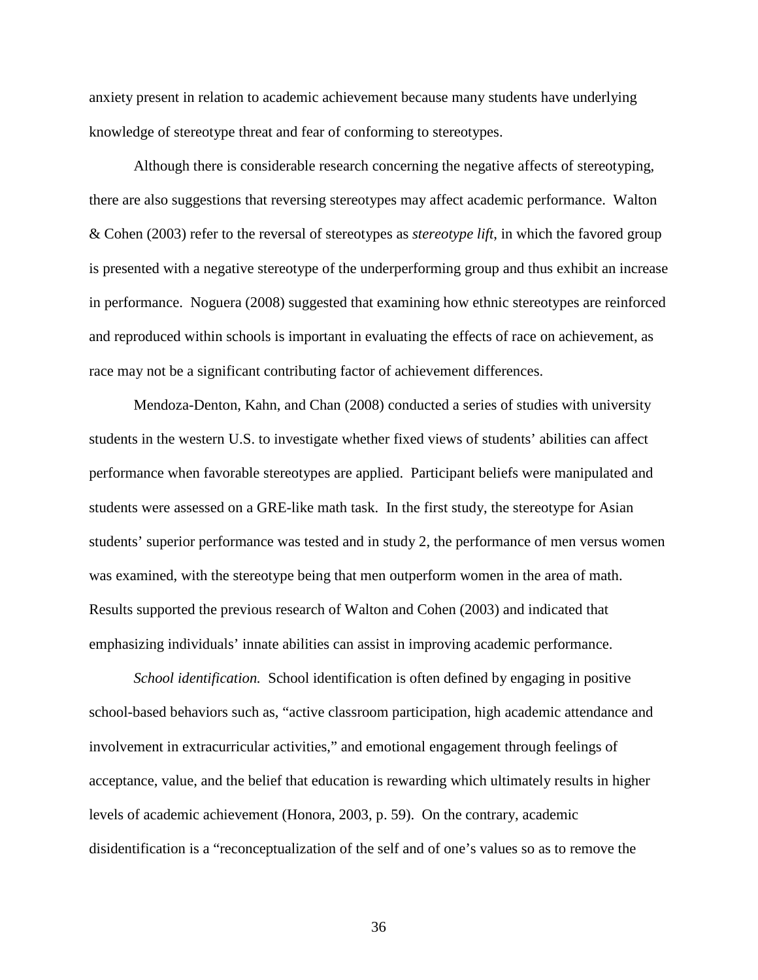anxiety present in relation to academic achievement because many students have underlying knowledge of stereotype threat and fear of conforming to stereotypes.

 Although there is considerable research concerning the negative affects of stereotyping, there are also suggestions that reversing stereotypes may affect academic performance. Walton & Cohen (2003) refer to the reversal of stereotypes as *stereotype lift*, in which the favored group is presented with a negative stereotype of the underperforming group and thus exhibit an increase in performance. Noguera (2008) suggested that examining how ethnic stereotypes are reinforced and reproduced within schools is important in evaluating the effects of race on achievement, as race may not be a significant contributing factor of achievement differences.

Mendoza-Denton, Kahn, and Chan (2008) conducted a series of studies with university students in the western U.S. to investigate whether fixed views of students' abilities can affect performance when favorable stereotypes are applied. Participant beliefs were manipulated and students were assessed on a GRE-like math task. In the first study, the stereotype for Asian students' superior performance was tested and in study 2, the performance of men versus women was examined, with the stereotype being that men outperform women in the area of math. Results supported the previous research of Walton and Cohen (2003) and indicated that emphasizing individuals' innate abilities can assist in improving academic performance.

*School identification.* School identification is often defined by engaging in positive school-based behaviors such as, "active classroom participation, high academic attendance and involvement in extracurricular activities," and emotional engagement through feelings of acceptance, value, and the belief that education is rewarding which ultimately results in higher levels of academic achievement (Honora, 2003, p. 59). On the contrary, academic disidentification is a "reconceptualization of the self and of one's values so as to remove the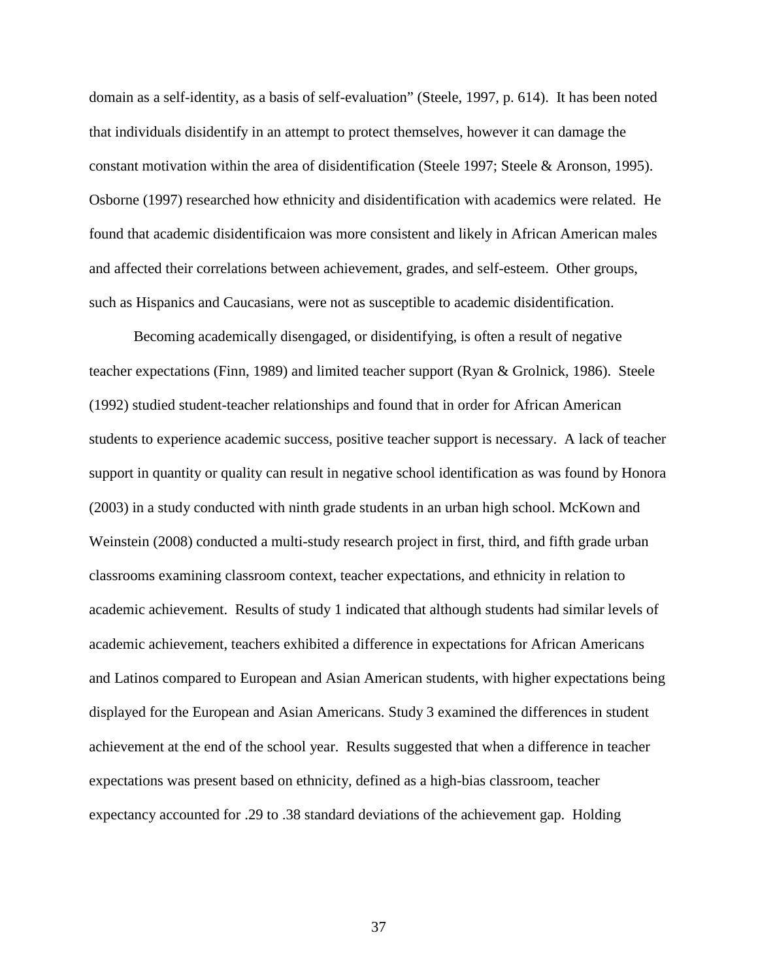domain as a self-identity, as a basis of self-evaluation" (Steele, 1997, p. 614). It has been noted that individuals disidentify in an attempt to protect themselves, however it can damage the constant motivation within the area of disidentification (Steele 1997; Steele & Aronson, 1995). Osborne (1997) researched how ethnicity and disidentification with academics were related. He found that academic disidentificaion was more consistent and likely in African American males and affected their correlations between achievement, grades, and self-esteem. Other groups, such as Hispanics and Caucasians, were not as susceptible to academic disidentification.

Becoming academically disengaged, or disidentifying, is often a result of negative teacher expectations (Finn, 1989) and limited teacher support (Ryan & Grolnick, 1986). Steele (1992) studied student-teacher relationships and found that in order for African American students to experience academic success, positive teacher support is necessary. A lack of teacher support in quantity or quality can result in negative school identification as was found by Honora (2003) in a study conducted with ninth grade students in an urban high school. McKown and Weinstein (2008) conducted a multi-study research project in first, third, and fifth grade urban classrooms examining classroom context, teacher expectations, and ethnicity in relation to academic achievement. Results of study 1 indicated that although students had similar levels of academic achievement, teachers exhibited a difference in expectations for African Americans and Latinos compared to European and Asian American students, with higher expectations being displayed for the European and Asian Americans. Study 3 examined the differences in student achievement at the end of the school year. Results suggested that when a difference in teacher expectations was present based on ethnicity, defined as a high-bias classroom, teacher expectancy accounted for .29 to .38 standard deviations of the achievement gap. Holding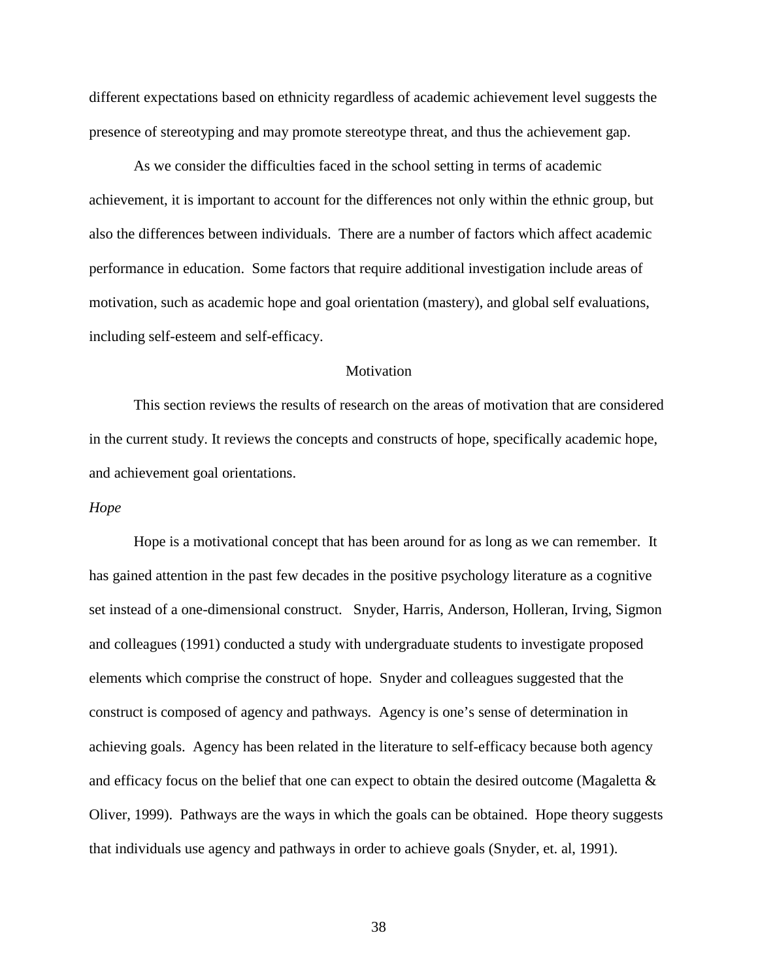different expectations based on ethnicity regardless of academic achievement level suggests the presence of stereotyping and may promote stereotype threat, and thus the achievement gap.

As we consider the difficulties faced in the school setting in terms of academic achievement, it is important to account for the differences not only within the ethnic group, but also the differences between individuals. There are a number of factors which affect academic performance in education. Some factors that require additional investigation include areas of motivation, such as academic hope and goal orientation (mastery), and global self evaluations, including self-esteem and self-efficacy.

# **Motivation**

This section reviews the results of research on the areas of motivation that are considered in the current study. It reviews the concepts and constructs of hope, specifically academic hope, and achievement goal orientations.

#### *Hope*

Hope is a motivational concept that has been around for as long as we can remember. It has gained attention in the past few decades in the positive psychology literature as a cognitive set instead of a one-dimensional construct. Snyder, Harris, Anderson, Holleran, Irving, Sigmon and colleagues (1991) conducted a study with undergraduate students to investigate proposed elements which comprise the construct of hope. Snyder and colleagues suggested that the construct is composed of agency and pathways. Agency is one's sense of determination in achieving goals. Agency has been related in the literature to self-efficacy because both agency and efficacy focus on the belief that one can expect to obtain the desired outcome (Magaletta & Oliver, 1999). Pathways are the ways in which the goals can be obtained. Hope theory suggests that individuals use agency and pathways in order to achieve goals (Snyder, et. al, 1991).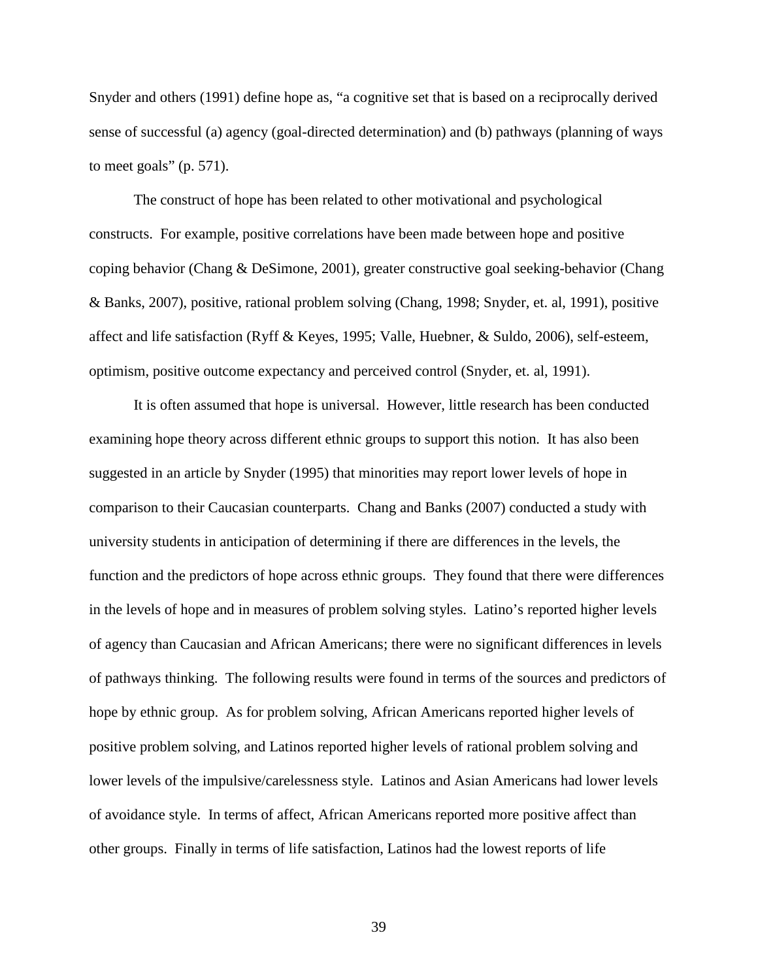Snyder and others (1991) define hope as, "a cognitive set that is based on a reciprocally derived sense of successful (a) agency (goal-directed determination) and (b) pathways (planning of ways to meet goals"  $(p. 571)$ .

The construct of hope has been related to other motivational and psychological constructs. For example, positive correlations have been made between hope and positive coping behavior (Chang & DeSimone, 2001), greater constructive goal seeking-behavior (Chang & Banks, 2007), positive, rational problem solving (Chang, 1998; Snyder, et. al, 1991), positive affect and life satisfaction (Ryff & Keyes, 1995; Valle, Huebner, & Suldo, 2006), self-esteem, optimism, positive outcome expectancy and perceived control (Snyder, et. al, 1991).

It is often assumed that hope is universal. However, little research has been conducted examining hope theory across different ethnic groups to support this notion. It has also been suggested in an article by Snyder (1995) that minorities may report lower levels of hope in comparison to their Caucasian counterparts. Chang and Banks (2007) conducted a study with university students in anticipation of determining if there are differences in the levels, the function and the predictors of hope across ethnic groups. They found that there were differences in the levels of hope and in measures of problem solving styles. Latino's reported higher levels of agency than Caucasian and African Americans; there were no significant differences in levels of pathways thinking. The following results were found in terms of the sources and predictors of hope by ethnic group. As for problem solving, African Americans reported higher levels of positive problem solving, and Latinos reported higher levels of rational problem solving and lower levels of the impulsive/carelessness style. Latinos and Asian Americans had lower levels of avoidance style. In terms of affect, African Americans reported more positive affect than other groups. Finally in terms of life satisfaction, Latinos had the lowest reports of life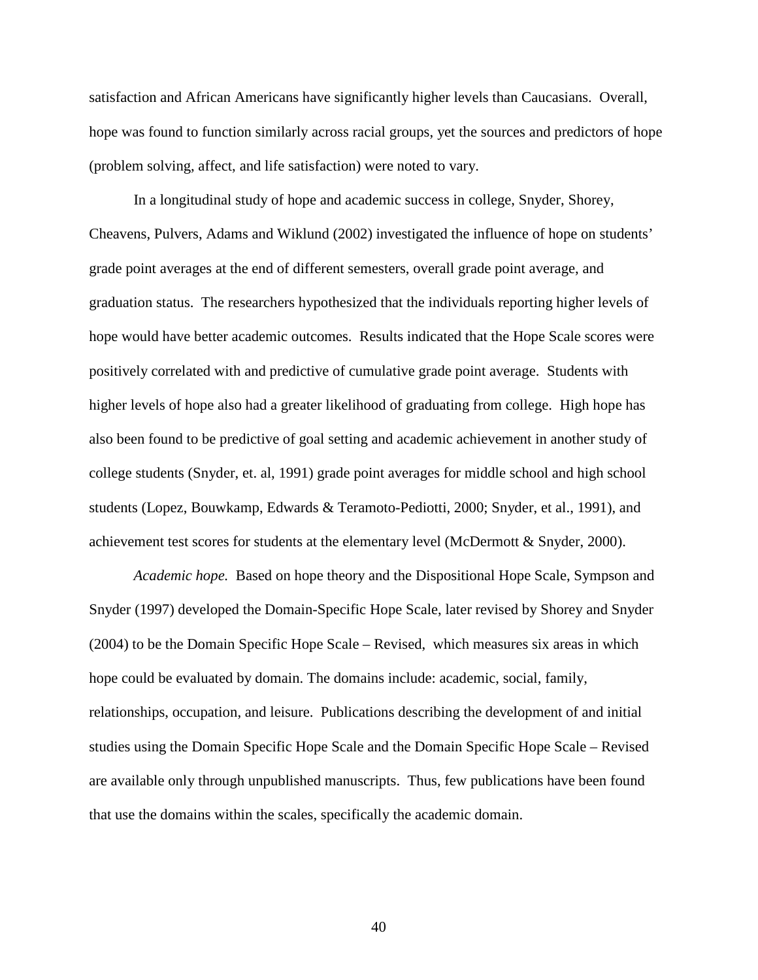satisfaction and African Americans have significantly higher levels than Caucasians. Overall, hope was found to function similarly across racial groups, yet the sources and predictors of hope (problem solving, affect, and life satisfaction) were noted to vary.

 In a longitudinal study of hope and academic success in college, Snyder, Shorey, Cheavens, Pulvers, Adams and Wiklund (2002) investigated the influence of hope on students' grade point averages at the end of different semesters, overall grade point average, and graduation status. The researchers hypothesized that the individuals reporting higher levels of hope would have better academic outcomes. Results indicated that the Hope Scale scores were positively correlated with and predictive of cumulative grade point average. Students with higher levels of hope also had a greater likelihood of graduating from college. High hope has also been found to be predictive of goal setting and academic achievement in another study of college students (Snyder, et. al, 1991) grade point averages for middle school and high school students (Lopez, Bouwkamp, Edwards & Teramoto-Pediotti, 2000; Snyder, et al., 1991), and achievement test scores for students at the elementary level (McDermott & Snyder, 2000).

*Academic hope.* Based on hope theory and the Dispositional Hope Scale, Sympson and Snyder (1997) developed the Domain-Specific Hope Scale, later revised by Shorey and Snyder (2004) to be the Domain Specific Hope Scale – Revised, which measures six areas in which hope could be evaluated by domain. The domains include: academic, social, family, relationships, occupation, and leisure. Publications describing the development of and initial studies using the Domain Specific Hope Scale and the Domain Specific Hope Scale – Revised are available only through unpublished manuscripts. Thus, few publications have been found that use the domains within the scales, specifically the academic domain.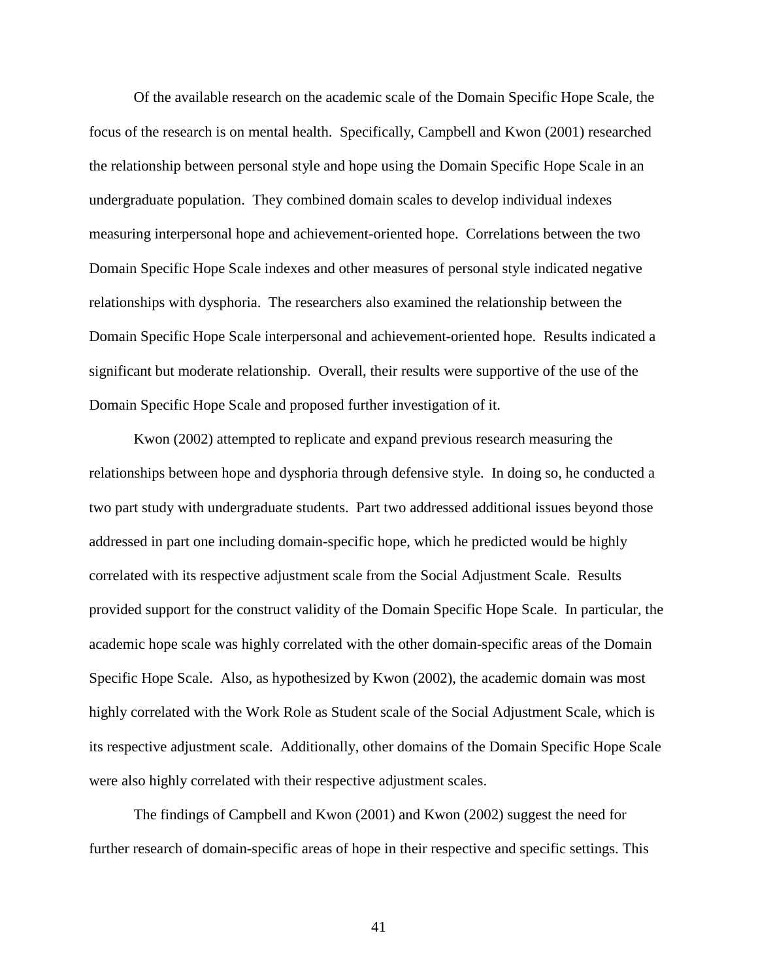Of the available research on the academic scale of the Domain Specific Hope Scale, the focus of the research is on mental health. Specifically, Campbell and Kwon (2001) researched the relationship between personal style and hope using the Domain Specific Hope Scale in an undergraduate population. They combined domain scales to develop individual indexes measuring interpersonal hope and achievement-oriented hope. Correlations between the two Domain Specific Hope Scale indexes and other measures of personal style indicated negative relationships with dysphoria. The researchers also examined the relationship between the Domain Specific Hope Scale interpersonal and achievement-oriented hope. Results indicated a significant but moderate relationship. Overall, their results were supportive of the use of the Domain Specific Hope Scale and proposed further investigation of it.

Kwon (2002) attempted to replicate and expand previous research measuring the relationships between hope and dysphoria through defensive style. In doing so, he conducted a two part study with undergraduate students. Part two addressed additional issues beyond those addressed in part one including domain-specific hope, which he predicted would be highly correlated with its respective adjustment scale from the Social Adjustment Scale. Results provided support for the construct validity of the Domain Specific Hope Scale. In particular, the academic hope scale was highly correlated with the other domain-specific areas of the Domain Specific Hope Scale. Also, as hypothesized by Kwon (2002), the academic domain was most highly correlated with the Work Role as Student scale of the Social Adjustment Scale, which is its respective adjustment scale. Additionally, other domains of the Domain Specific Hope Scale were also highly correlated with their respective adjustment scales.

The findings of Campbell and Kwon (2001) and Kwon (2002) suggest the need for further research of domain-specific areas of hope in their respective and specific settings. This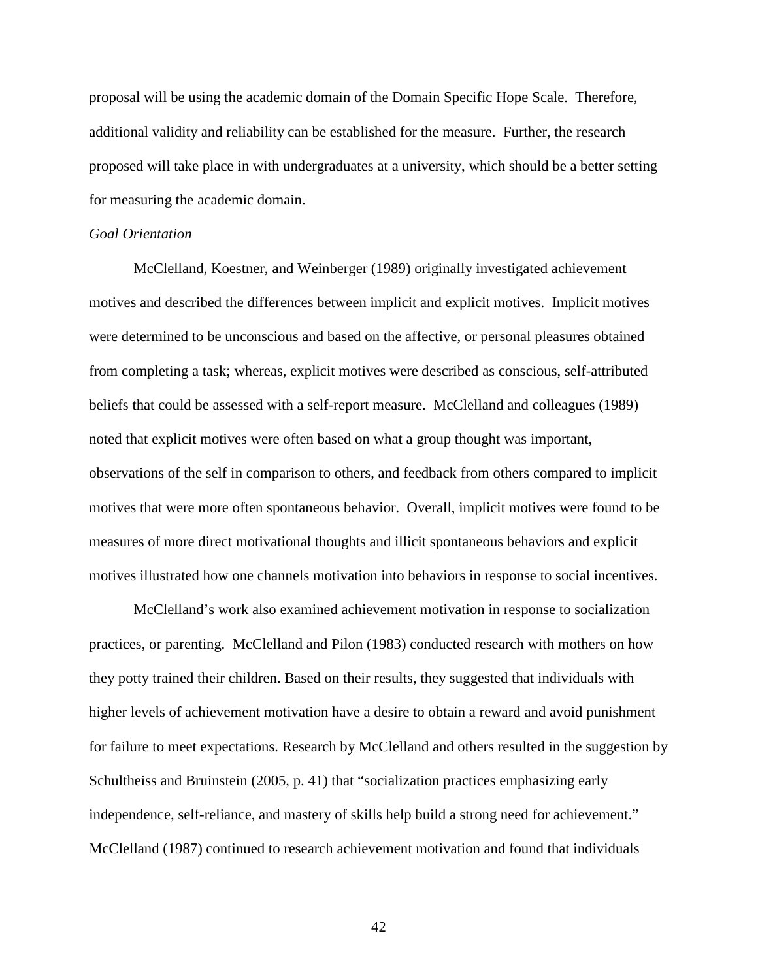proposal will be using the academic domain of the Domain Specific Hope Scale. Therefore, additional validity and reliability can be established for the measure. Further, the research proposed will take place in with undergraduates at a university, which should be a better setting for measuring the academic domain.

### *Goal Orientation*

McClelland, Koestner, and Weinberger (1989) originally investigated achievement motives and described the differences between implicit and explicit motives. Implicit motives were determined to be unconscious and based on the affective, or personal pleasures obtained from completing a task; whereas, explicit motives were described as conscious, self-attributed beliefs that could be assessed with a self-report measure. McClelland and colleagues (1989) noted that explicit motives were often based on what a group thought was important, observations of the self in comparison to others, and feedback from others compared to implicit motives that were more often spontaneous behavior. Overall, implicit motives were found to be measures of more direct motivational thoughts and illicit spontaneous behaviors and explicit motives illustrated how one channels motivation into behaviors in response to social incentives.

McClelland's work also examined achievement motivation in response to socialization practices, or parenting. McClelland and Pilon (1983) conducted research with mothers on how they potty trained their children. Based on their results, they suggested that individuals with higher levels of achievement motivation have a desire to obtain a reward and avoid punishment for failure to meet expectations. Research by McClelland and others resulted in the suggestion by Schultheiss and Bruinstein (2005, p. 41) that "socialization practices emphasizing early independence, self-reliance, and mastery of skills help build a strong need for achievement." McClelland (1987) continued to research achievement motivation and found that individuals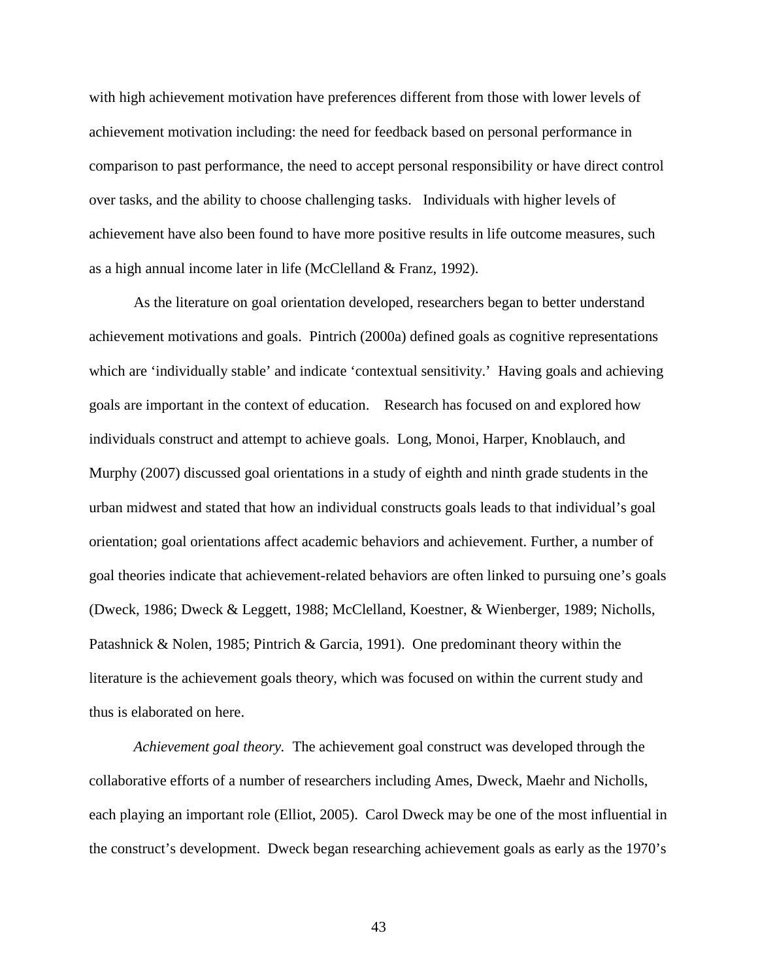with high achievement motivation have preferences different from those with lower levels of achievement motivation including: the need for feedback based on personal performance in comparison to past performance, the need to accept personal responsibility or have direct control over tasks, and the ability to choose challenging tasks. Individuals with higher levels of achievement have also been found to have more positive results in life outcome measures, such as a high annual income later in life (McClelland & Franz, 1992).

As the literature on goal orientation developed, researchers began to better understand achievement motivations and goals. Pintrich (2000a) defined goals as cognitive representations which are 'individually stable' and indicate 'contextual sensitivity.' Having goals and achieving goals are important in the context of education. Research has focused on and explored how individuals construct and attempt to achieve goals. Long, Monoi, Harper, Knoblauch, and Murphy (2007) discussed goal orientations in a study of eighth and ninth grade students in the urban midwest and stated that how an individual constructs goals leads to that individual's goal orientation; goal orientations affect academic behaviors and achievement. Further, a number of goal theories indicate that achievement-related behaviors are often linked to pursuing one's goals (Dweck, 1986; Dweck & Leggett, 1988; McClelland, Koestner, & Wienberger, 1989; Nicholls, Patashnick & Nolen, 1985; Pintrich & Garcia, 1991). One predominant theory within the literature is the achievement goals theory, which was focused on within the current study and thus is elaborated on here.

*Achievement goal theory.* The achievement goal construct was developed through the collaborative efforts of a number of researchers including Ames, Dweck, Maehr and Nicholls, each playing an important role (Elliot, 2005). Carol Dweck may be one of the most influential in the construct's development. Dweck began researching achievement goals as early as the 1970's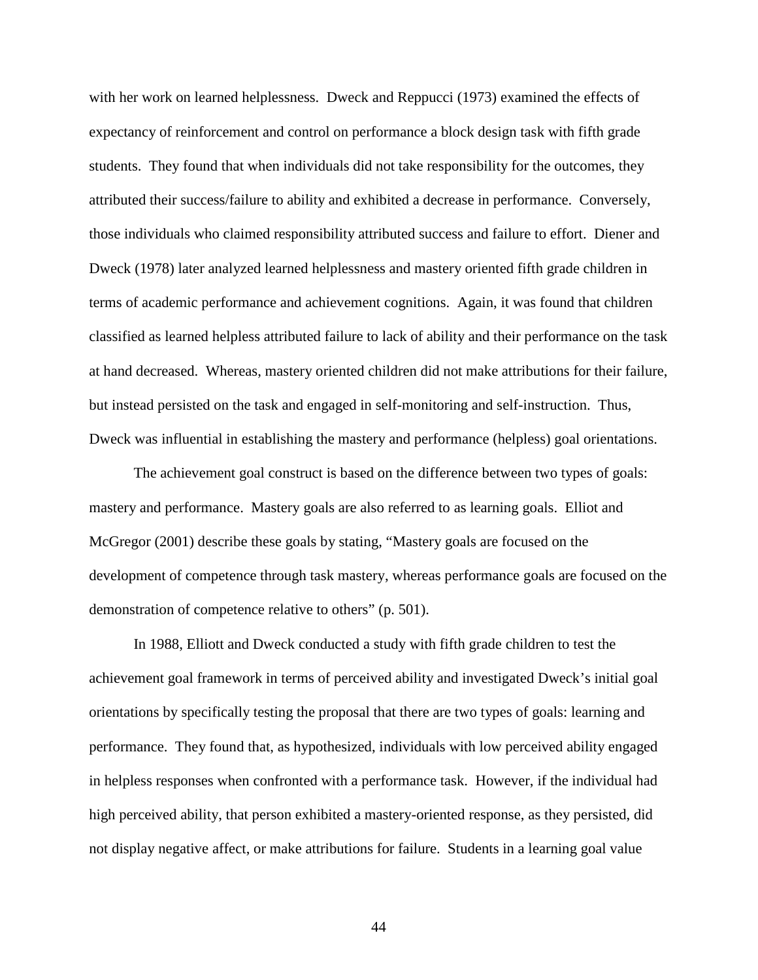with her work on learned helplessness. Dweck and Reppucci (1973) examined the effects of expectancy of reinforcement and control on performance a block design task with fifth grade students. They found that when individuals did not take responsibility for the outcomes, they attributed their success/failure to ability and exhibited a decrease in performance. Conversely, those individuals who claimed responsibility attributed success and failure to effort. Diener and Dweck (1978) later analyzed learned helplessness and mastery oriented fifth grade children in terms of academic performance and achievement cognitions. Again, it was found that children classified as learned helpless attributed failure to lack of ability and their performance on the task at hand decreased. Whereas, mastery oriented children did not make attributions for their failure, but instead persisted on the task and engaged in self-monitoring and self-instruction. Thus, Dweck was influential in establishing the mastery and performance (helpless) goal orientations.

The achievement goal construct is based on the difference between two types of goals: mastery and performance. Mastery goals are also referred to as learning goals. Elliot and McGregor (2001) describe these goals by stating, "Mastery goals are focused on the development of competence through task mastery, whereas performance goals are focused on the demonstration of competence relative to others" (p. 501).

In 1988, Elliott and Dweck conducted a study with fifth grade children to test the achievement goal framework in terms of perceived ability and investigated Dweck's initial goal orientations by specifically testing the proposal that there are two types of goals: learning and performance. They found that, as hypothesized, individuals with low perceived ability engaged in helpless responses when confronted with a performance task. However, if the individual had high perceived ability, that person exhibited a mastery-oriented response, as they persisted, did not display negative affect, or make attributions for failure. Students in a learning goal value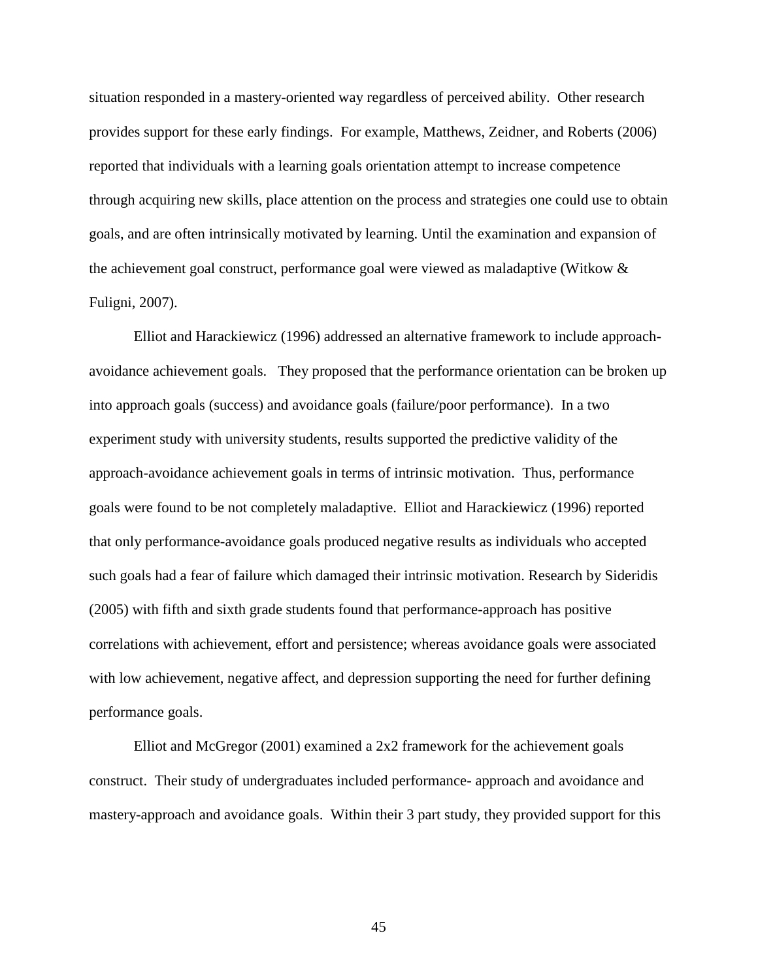situation responded in a mastery-oriented way regardless of perceived ability. Other research provides support for these early findings. For example, Matthews, Zeidner, and Roberts (2006) reported that individuals with a learning goals orientation attempt to increase competence through acquiring new skills, place attention on the process and strategies one could use to obtain goals, and are often intrinsically motivated by learning. Until the examination and expansion of the achievement goal construct, performance goal were viewed as maladaptive (Witkow & Fuligni, 2007).

Elliot and Harackiewicz (1996) addressed an alternative framework to include approachavoidance achievement goals. They proposed that the performance orientation can be broken up into approach goals (success) and avoidance goals (failure/poor performance). In a two experiment study with university students, results supported the predictive validity of the approach-avoidance achievement goals in terms of intrinsic motivation. Thus, performance goals were found to be not completely maladaptive. Elliot and Harackiewicz (1996) reported that only performance-avoidance goals produced negative results as individuals who accepted such goals had a fear of failure which damaged their intrinsic motivation. Research by Sideridis (2005) with fifth and sixth grade students found that performance-approach has positive correlations with achievement, effort and persistence; whereas avoidance goals were associated with low achievement, negative affect, and depression supporting the need for further defining performance goals.

Elliot and McGregor (2001) examined a 2x2 framework for the achievement goals construct. Their study of undergraduates included performance- approach and avoidance and mastery-approach and avoidance goals. Within their 3 part study, they provided support for this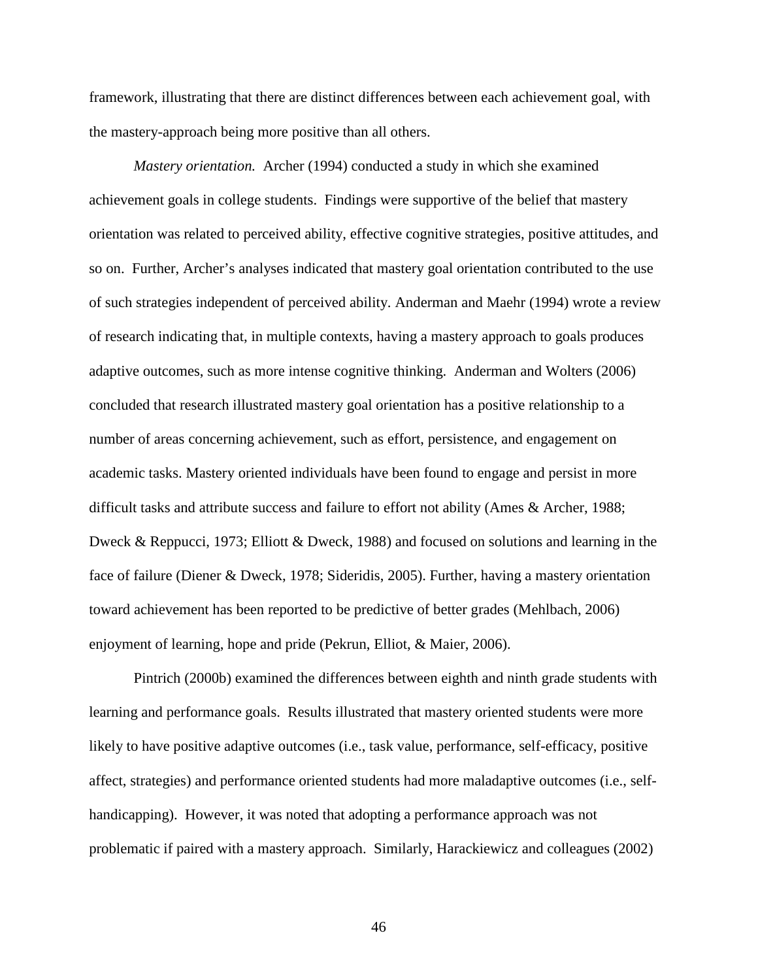framework, illustrating that there are distinct differences between each achievement goal, with the mastery-approach being more positive than all others.

*Mastery orientation.* Archer (1994) conducted a study in which she examined achievement goals in college students. Findings were supportive of the belief that mastery orientation was related to perceived ability, effective cognitive strategies, positive attitudes, and so on. Further, Archer's analyses indicated that mastery goal orientation contributed to the use of such strategies independent of perceived ability. Anderman and Maehr (1994) wrote a review of research indicating that, in multiple contexts, having a mastery approach to goals produces adaptive outcomes, such as more intense cognitive thinking. Anderman and Wolters (2006) concluded that research illustrated mastery goal orientation has a positive relationship to a number of areas concerning achievement, such as effort, persistence, and engagement on academic tasks. Mastery oriented individuals have been found to engage and persist in more difficult tasks and attribute success and failure to effort not ability (Ames & Archer, 1988; Dweck & Reppucci, 1973; Elliott & Dweck, 1988) and focused on solutions and learning in the face of failure (Diener & Dweck, 1978; Sideridis, 2005). Further, having a mastery orientation toward achievement has been reported to be predictive of better grades (Mehlbach, 2006) enjoyment of learning, hope and pride (Pekrun, Elliot, & Maier, 2006).

Pintrich (2000b) examined the differences between eighth and ninth grade students with learning and performance goals. Results illustrated that mastery oriented students were more likely to have positive adaptive outcomes (i.e., task value, performance, self-efficacy, positive affect, strategies) and performance oriented students had more maladaptive outcomes (i.e., selfhandicapping). However, it was noted that adopting a performance approach was not problematic if paired with a mastery approach. Similarly, Harackiewicz and colleagues (2002)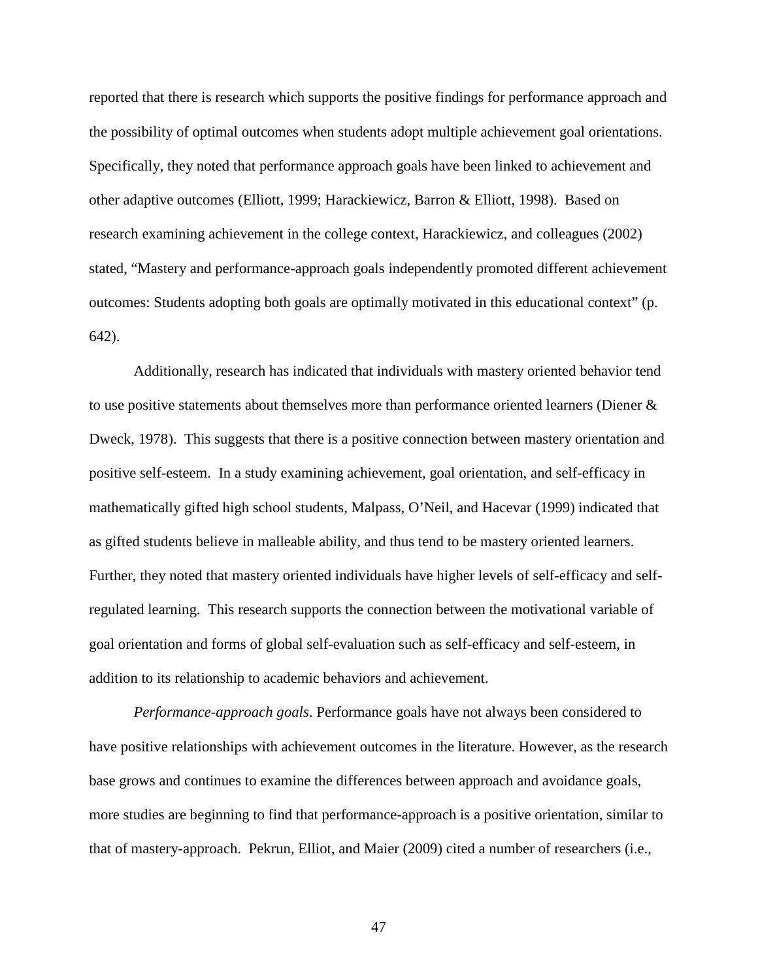reported that there is research which supports the positive findings for performance approach and the possibility of optimal outcomes when students adopt multiple achievement goal orientations. Specifically, they noted that performance approach goals have been linked to achievement and other adaptive outcomes (Elliott, 1999; Harackiewicz, Barron & Elliott, 1998). Based on research examining achievement in the college context, Harackiewicz, and colleagues (2002) stated, "Mastery and performance-approach goals independently promoted different achievement outcomes: Students adopting both goals are optimally motivated in this educational context" (p. 642).

Additionally, research has indicated that individuals with mastery oriented behavior tend to use positive statements about themselves more than performance oriented learners (Diener & Dweck, 1978). This suggests that there is a positive connection between mastery orientation and positive self-esteem. In a study examining achievement, goal orientation, and self-efficacy in mathematically gifted high school students, Malpass, O'Neil, and Hacevar (1999) indicated that as gifted students believe in malleable ability, and thus tend to be mastery oriented learners. Further, they noted that mastery oriented individuals have higher levels of self-efficacy and selfregulated learning. This research supports the connection between the motivational variable of goal orientation and forms of global self-evaluation such as self-efficacy and self-esteem, in addition to its relationship to academic behaviors and achievement.

*Performance-approach goals*. Performance goals have not always been considered to have positive relationships with achievement outcomes in the literature. However, as the research base grows and continues to examine the differences between approach and avoidance goals, more studies are beginning to find that performance-approach is a positive orientation, similar to that of mastery-approach. Pekrun, Elliot, and Maier (2009) cited a number of researchers (i.e.,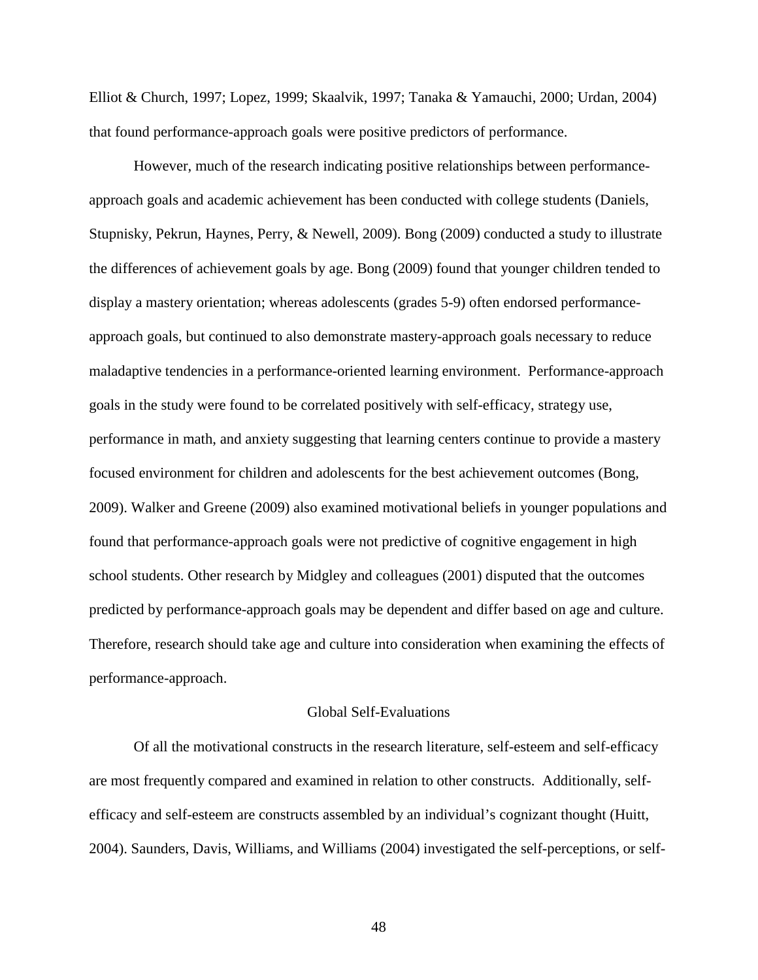Elliot & Church, 1997; Lopez, 1999; Skaalvik, 1997; Tanaka & Yamauchi, 2000; Urdan, 2004) that found performance-approach goals were positive predictors of performance.

However, much of the research indicating positive relationships between performanceapproach goals and academic achievement has been conducted with college students (Daniels, Stupnisky, Pekrun, Haynes, Perry, & Newell, 2009). Bong (2009) conducted a study to illustrate the differences of achievement goals by age. Bong (2009) found that younger children tended to display a mastery orientation; whereas adolescents (grades 5-9) often endorsed performanceapproach goals, but continued to also demonstrate mastery-approach goals necessary to reduce maladaptive tendencies in a performance-oriented learning environment. Performance-approach goals in the study were found to be correlated positively with self-efficacy, strategy use, performance in math, and anxiety suggesting that learning centers continue to provide a mastery focused environment for children and adolescents for the best achievement outcomes (Bong, 2009). Walker and Greene (2009) also examined motivational beliefs in younger populations and found that performance-approach goals were not predictive of cognitive engagement in high school students. Other research by Midgley and colleagues (2001) disputed that the outcomes predicted by performance-approach goals may be dependent and differ based on age and culture. Therefore, research should take age and culture into consideration when examining the effects of performance-approach.

### Global Self-Evaluations

Of all the motivational constructs in the research literature, self-esteem and self-efficacy are most frequently compared and examined in relation to other constructs. Additionally, selfefficacy and self-esteem are constructs assembled by an individual's cognizant thought (Huitt, 2004). Saunders, Davis, Williams, and Williams (2004) investigated the self-perceptions, or self-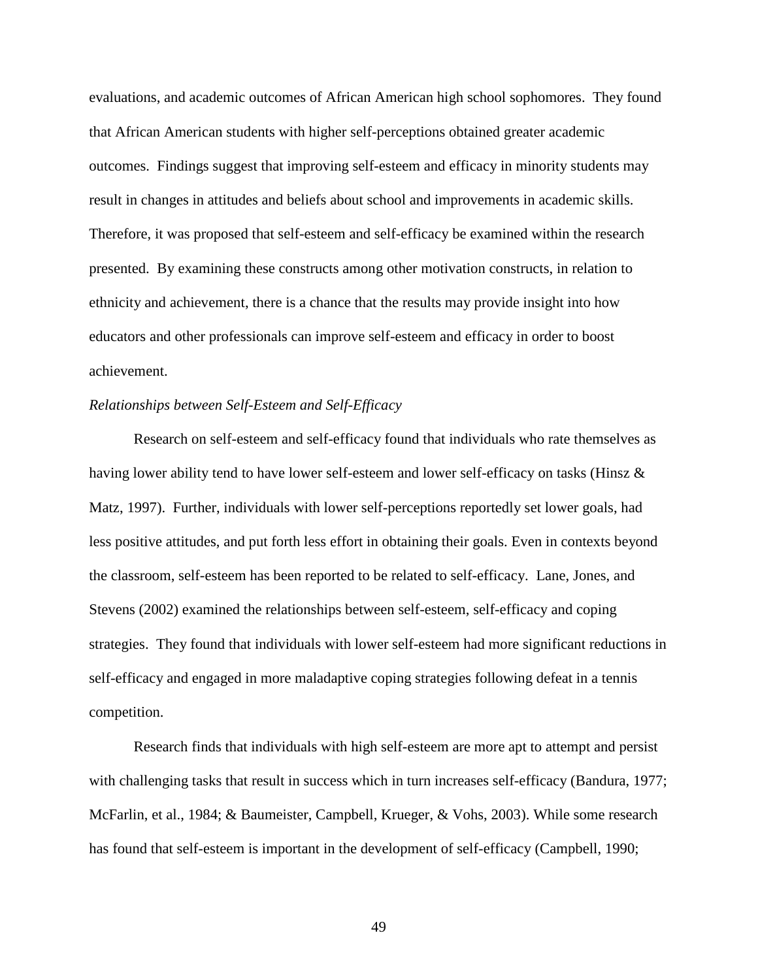evaluations, and academic outcomes of African American high school sophomores. They found that African American students with higher self-perceptions obtained greater academic outcomes. Findings suggest that improving self-esteem and efficacy in minority students may result in changes in attitudes and beliefs about school and improvements in academic skills. Therefore, it was proposed that self-esteem and self-efficacy be examined within the research presented. By examining these constructs among other motivation constructs, in relation to ethnicity and achievement, there is a chance that the results may provide insight into how educators and other professionals can improve self-esteem and efficacy in order to boost achievement.

# *Relationships between Self-Esteem and Self-Efficacy*

Research on self-esteem and self-efficacy found that individuals who rate themselves as having lower ability tend to have lower self-esteem and lower self-efficacy on tasks (Hinsz & Matz, 1997). Further, individuals with lower self-perceptions reportedly set lower goals, had less positive attitudes, and put forth less effort in obtaining their goals. Even in contexts beyond the classroom, self-esteem has been reported to be related to self-efficacy. Lane, Jones, and Stevens (2002) examined the relationships between self-esteem, self-efficacy and coping strategies. They found that individuals with lower self-esteem had more significant reductions in self-efficacy and engaged in more maladaptive coping strategies following defeat in a tennis competition.

 Research finds that individuals with high self-esteem are more apt to attempt and persist with challenging tasks that result in success which in turn increases self-efficacy (Bandura, 1977; McFarlin, et al., 1984; & Baumeister, Campbell, Krueger, & Vohs, 2003). While some research has found that self-esteem is important in the development of self-efficacy (Campbell, 1990;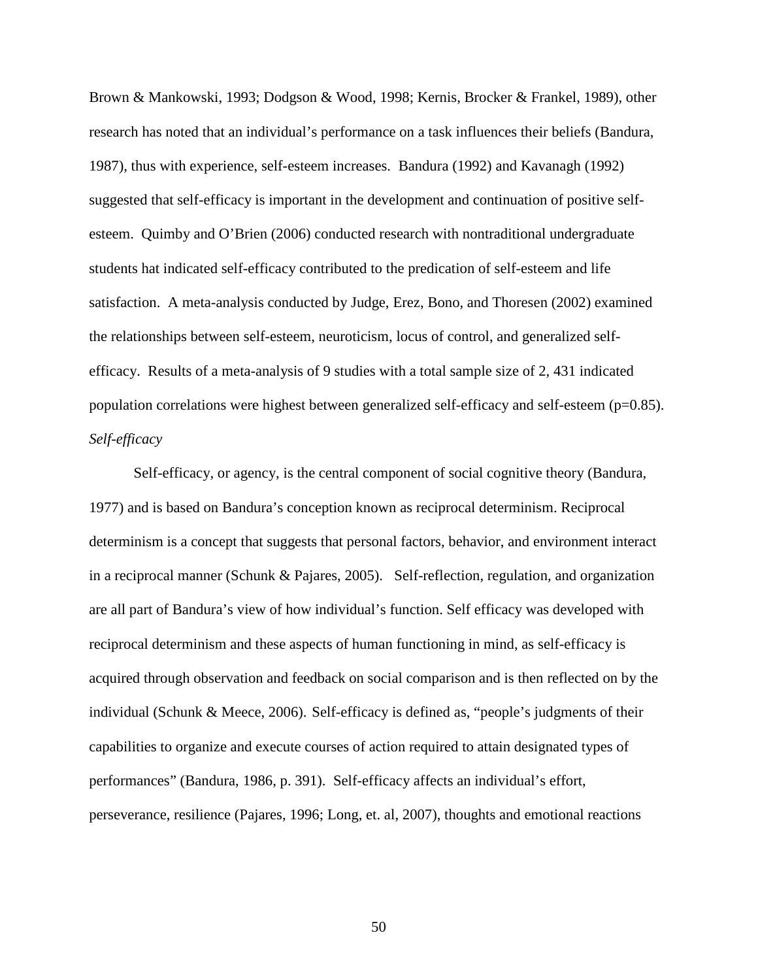Brown & Mankowski, 1993; Dodgson & Wood, 1998; Kernis, Brocker & Frankel, 1989), other research has noted that an individual's performance on a task influences their beliefs (Bandura, 1987), thus with experience, self-esteem increases. Bandura (1992) and Kavanagh (1992) suggested that self-efficacy is important in the development and continuation of positive selfesteem. Quimby and O'Brien (2006) conducted research with nontraditional undergraduate students hat indicated self-efficacy contributed to the predication of self-esteem and life satisfaction. A meta-analysis conducted by Judge, Erez, Bono, and Thoresen (2002) examined the relationships between self-esteem, neuroticism, locus of control, and generalized selfefficacy. Results of a meta-analysis of 9 studies with a total sample size of 2, 431 indicated population correlations were highest between generalized self-efficacy and self-esteem (p=0.85). *Self-efficacy* 

Self-efficacy, or agency, is the central component of social cognitive theory (Bandura, 1977) and is based on Bandura's conception known as reciprocal determinism. Reciprocal determinism is a concept that suggests that personal factors, behavior, and environment interact in a reciprocal manner (Schunk & Pajares, 2005). Self-reflection, regulation, and organization are all part of Bandura's view of how individual's function. Self efficacy was developed with reciprocal determinism and these aspects of human functioning in mind, as self-efficacy is acquired through observation and feedback on social comparison and is then reflected on by the individual (Schunk & Meece, 2006). Self-efficacy is defined as, "people's judgments of their capabilities to organize and execute courses of action required to attain designated types of performances" (Bandura, 1986, p. 391). Self-efficacy affects an individual's effort, perseverance, resilience (Pajares, 1996; Long, et. al, 2007), thoughts and emotional reactions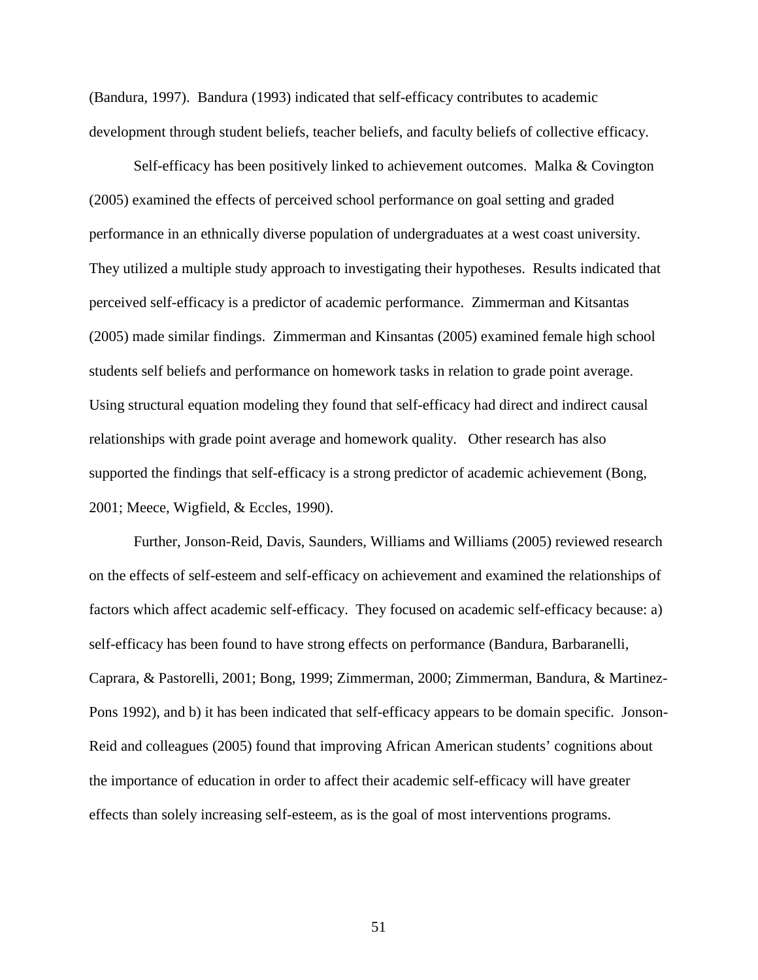(Bandura, 1997). Bandura (1993) indicated that self-efficacy contributes to academic development through student beliefs, teacher beliefs, and faculty beliefs of collective efficacy.

 Self-efficacy has been positively linked to achievement outcomes. Malka & Covington (2005) examined the effects of perceived school performance on goal setting and graded performance in an ethnically diverse population of undergraduates at a west coast university. They utilized a multiple study approach to investigating their hypotheses. Results indicated that perceived self-efficacy is a predictor of academic performance. Zimmerman and Kitsantas (2005) made similar findings. Zimmerman and Kinsantas (2005) examined female high school students self beliefs and performance on homework tasks in relation to grade point average. Using structural equation modeling they found that self-efficacy had direct and indirect causal relationships with grade point average and homework quality. Other research has also supported the findings that self-efficacy is a strong predictor of academic achievement (Bong, 2001; Meece, Wigfield, & Eccles, 1990).

Further, Jonson-Reid, Davis, Saunders, Williams and Williams (2005) reviewed research on the effects of self-esteem and self-efficacy on achievement and examined the relationships of factors which affect academic self-efficacy. They focused on academic self-efficacy because: a) self-efficacy has been found to have strong effects on performance (Bandura, Barbaranelli, Caprara, & Pastorelli, 2001; Bong, 1999; Zimmerman, 2000; Zimmerman, Bandura, & Martinez-Pons 1992), and b) it has been indicated that self-efficacy appears to be domain specific. Jonson-Reid and colleagues (2005) found that improving African American students' cognitions about the importance of education in order to affect their academic self-efficacy will have greater effects than solely increasing self-esteem, as is the goal of most interventions programs.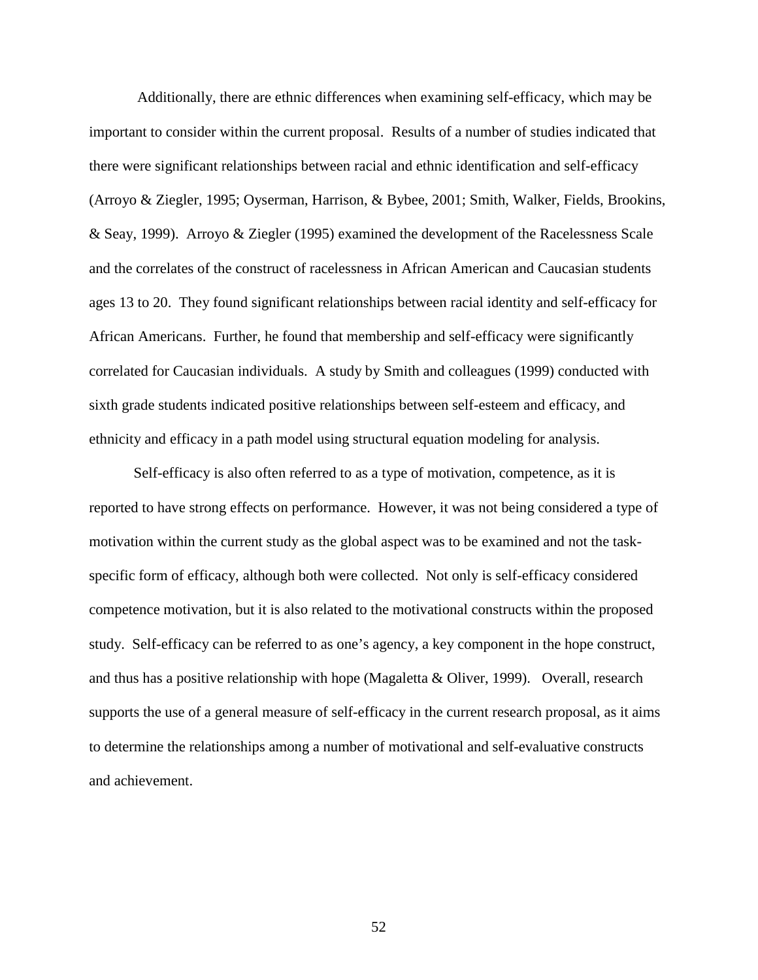Additionally, there are ethnic differences when examining self-efficacy, which may be important to consider within the current proposal. Results of a number of studies indicated that there were significant relationships between racial and ethnic identification and self-efficacy (Arroyo & Ziegler, 1995; Oyserman, Harrison, & Bybee, 2001; Smith, Walker, Fields, Brookins, & Seay, 1999). Arroyo & Ziegler (1995) examined the development of the Racelessness Scale and the correlates of the construct of racelessness in African American and Caucasian students ages 13 to 20. They found significant relationships between racial identity and self-efficacy for African Americans. Further, he found that membership and self-efficacy were significantly correlated for Caucasian individuals. A study by Smith and colleagues (1999) conducted with sixth grade students indicated positive relationships between self-esteem and efficacy, and ethnicity and efficacy in a path model using structural equation modeling for analysis.

 Self-efficacy is also often referred to as a type of motivation, competence, as it is reported to have strong effects on performance. However, it was not being considered a type of motivation within the current study as the global aspect was to be examined and not the taskspecific form of efficacy, although both were collected. Not only is self-efficacy considered competence motivation, but it is also related to the motivational constructs within the proposed study. Self-efficacy can be referred to as one's agency, a key component in the hope construct, and thus has a positive relationship with hope (Magaletta & Oliver, 1999). Overall, research supports the use of a general measure of self-efficacy in the current research proposal, as it aims to determine the relationships among a number of motivational and self-evaluative constructs and achievement.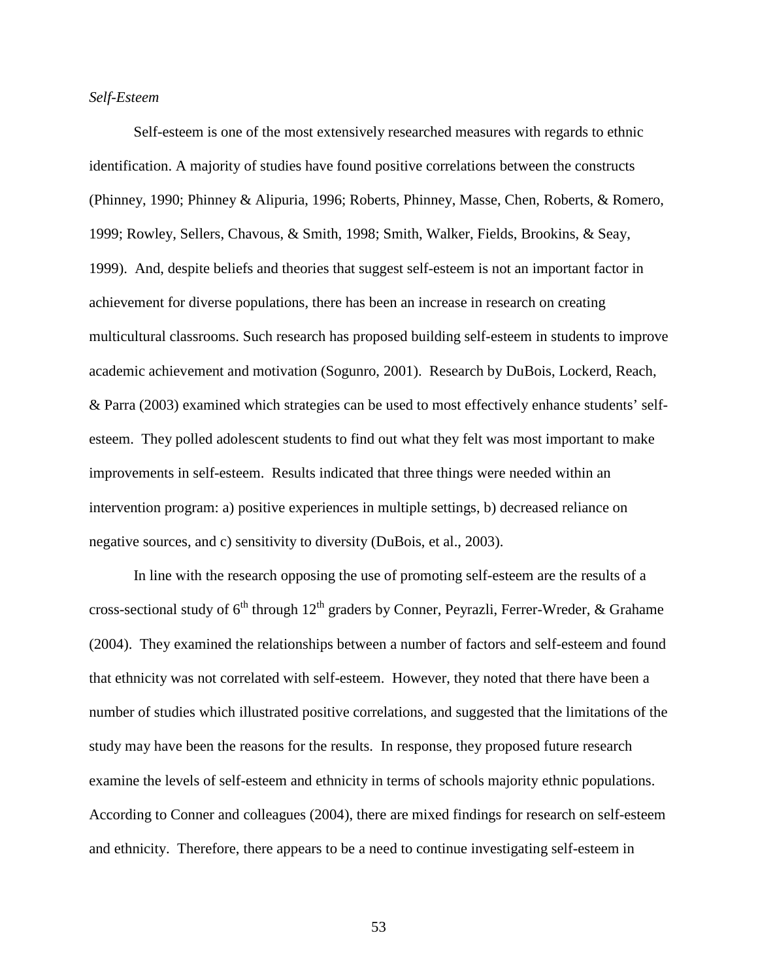# *Self-Esteem*

Self-esteem is one of the most extensively researched measures with regards to ethnic identification. A majority of studies have found positive correlations between the constructs (Phinney, 1990; Phinney & Alipuria, 1996; Roberts, Phinney, Masse, Chen, Roberts, & Romero, 1999; Rowley, Sellers, Chavous, & Smith, 1998; Smith, Walker, Fields, Brookins, & Seay, 1999). And, despite beliefs and theories that suggest self-esteem is not an important factor in achievement for diverse populations, there has been an increase in research on creating multicultural classrooms. Such research has proposed building self-esteem in students to improve academic achievement and motivation (Sogunro, 2001). Research by DuBois, Lockerd, Reach, & Parra (2003) examined which strategies can be used to most effectively enhance students' selfesteem. They polled adolescent students to find out what they felt was most important to make improvements in self-esteem. Results indicated that three things were needed within an intervention program: a) positive experiences in multiple settings, b) decreased reliance on negative sources, and c) sensitivity to diversity (DuBois, et al., 2003).

 In line with the research opposing the use of promoting self-esteem are the results of a cross-sectional study of  $6<sup>th</sup>$  through  $12<sup>th</sup>$  graders by Conner, Peyrazli, Ferrer-Wreder, & Grahame (2004). They examined the relationships between a number of factors and self-esteem and found that ethnicity was not correlated with self-esteem. However, they noted that there have been a number of studies which illustrated positive correlations, and suggested that the limitations of the study may have been the reasons for the results. In response, they proposed future research examine the levels of self-esteem and ethnicity in terms of schools majority ethnic populations. According to Conner and colleagues (2004), there are mixed findings for research on self-esteem and ethnicity. Therefore, there appears to be a need to continue investigating self-esteem in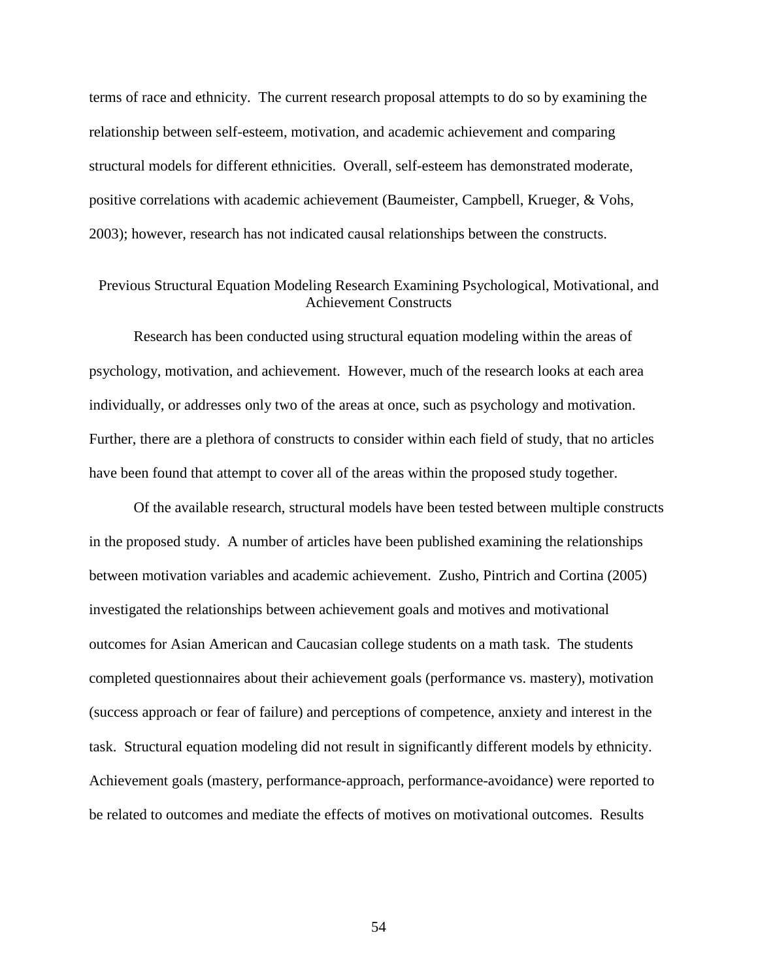terms of race and ethnicity. The current research proposal attempts to do so by examining the relationship between self-esteem, motivation, and academic achievement and comparing structural models for different ethnicities. Overall, self-esteem has demonstrated moderate, positive correlations with academic achievement (Baumeister, Campbell, Krueger, & Vohs, 2003); however, research has not indicated causal relationships between the constructs.

# Previous Structural Equation Modeling Research Examining Psychological, Motivational, and Achievement Constructs

Research has been conducted using structural equation modeling within the areas of psychology, motivation, and achievement. However, much of the research looks at each area individually, or addresses only two of the areas at once, such as psychology and motivation. Further, there are a plethora of constructs to consider within each field of study, that no articles have been found that attempt to cover all of the areas within the proposed study together.

Of the available research, structural models have been tested between multiple constructs in the proposed study. A number of articles have been published examining the relationships between motivation variables and academic achievement. Zusho, Pintrich and Cortina (2005) investigated the relationships between achievement goals and motives and motivational outcomes for Asian American and Caucasian college students on a math task. The students completed questionnaires about their achievement goals (performance vs. mastery), motivation (success approach or fear of failure) and perceptions of competence, anxiety and interest in the task. Structural equation modeling did not result in significantly different models by ethnicity. Achievement goals (mastery, performance-approach, performance-avoidance) were reported to be related to outcomes and mediate the effects of motives on motivational outcomes. Results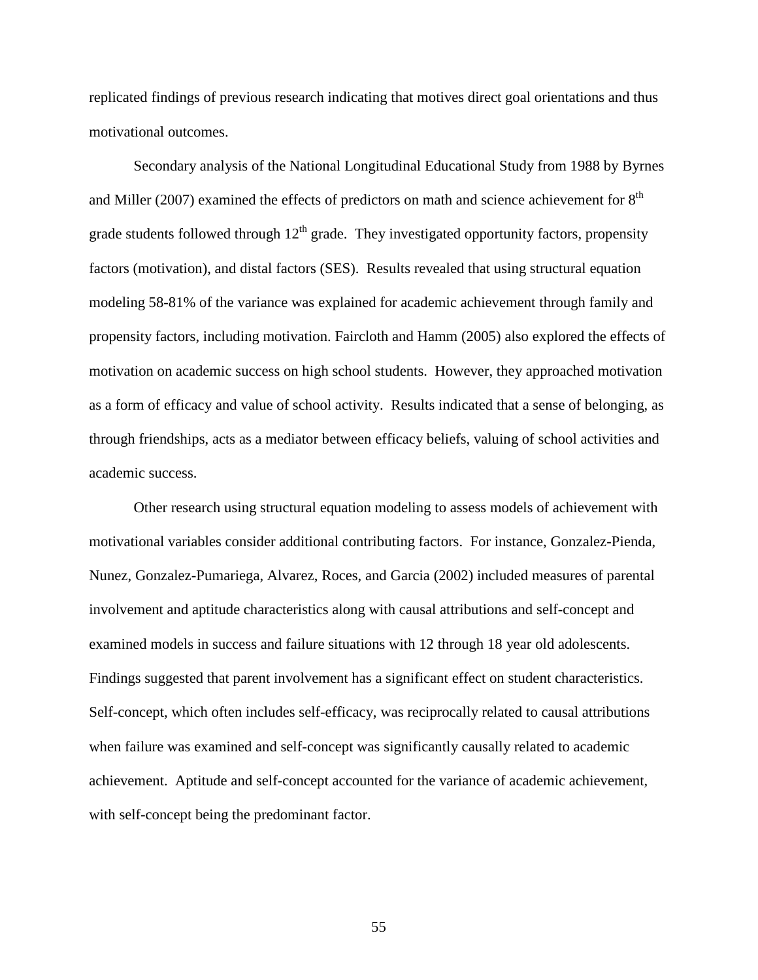replicated findings of previous research indicating that motives direct goal orientations and thus motivational outcomes.

Secondary analysis of the National Longitudinal Educational Study from 1988 by Byrnes and Miller (2007) examined the effects of predictors on math and science achievement for  $8<sup>th</sup>$ grade students followed through  $12<sup>th</sup>$  grade. They investigated opportunity factors, propensity factors (motivation), and distal factors (SES). Results revealed that using structural equation modeling 58-81% of the variance was explained for academic achievement through family and propensity factors, including motivation. Faircloth and Hamm (2005) also explored the effects of motivation on academic success on high school students. However, they approached motivation as a form of efficacy and value of school activity. Results indicated that a sense of belonging, as through friendships, acts as a mediator between efficacy beliefs, valuing of school activities and academic success.

Other research using structural equation modeling to assess models of achievement with motivational variables consider additional contributing factors. For instance, Gonzalez-Pienda, Nunez, Gonzalez-Pumariega, Alvarez, Roces, and Garcia (2002) included measures of parental involvement and aptitude characteristics along with causal attributions and self-concept and examined models in success and failure situations with 12 through 18 year old adolescents. Findings suggested that parent involvement has a significant effect on student characteristics. Self-concept, which often includes self-efficacy, was reciprocally related to causal attributions when failure was examined and self-concept was significantly causally related to academic achievement. Aptitude and self-concept accounted for the variance of academic achievement, with self-concept being the predominant factor.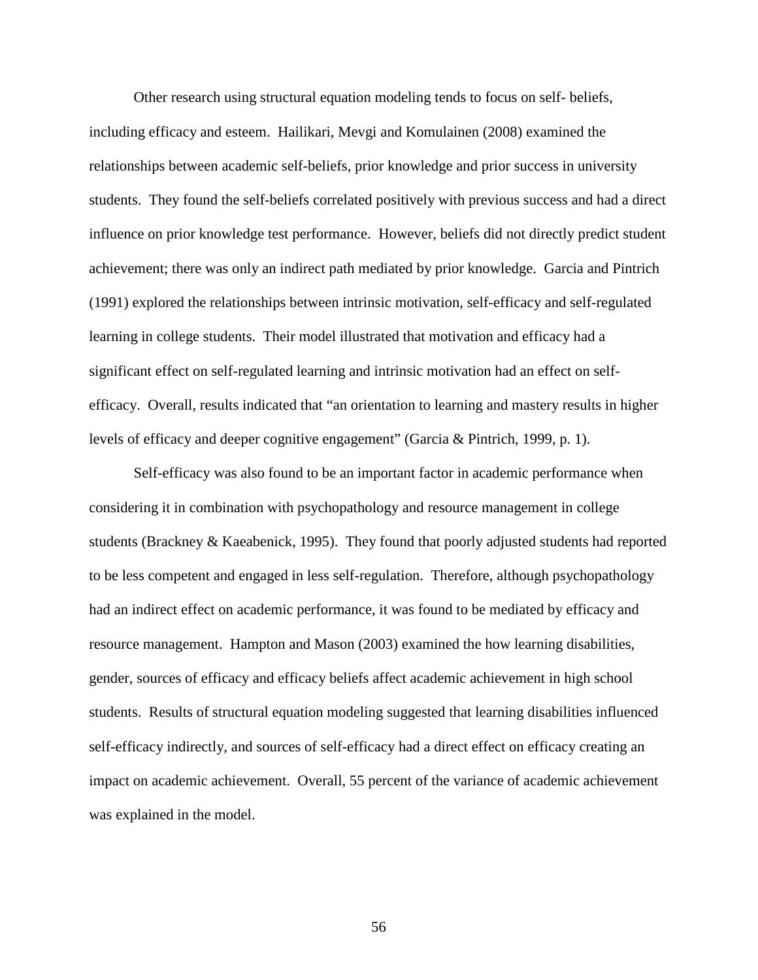Other research using structural equation modeling tends to focus on self- beliefs, including efficacy and esteem. Hailikari, Mevgi and Komulainen (2008) examined the relationships between academic self-beliefs, prior knowledge and prior success in university students. They found the self-beliefs correlated positively with previous success and had a direct influence on prior knowledge test performance. However, beliefs did not directly predict student achievement; there was only an indirect path mediated by prior knowledge. Garcia and Pintrich (1991) explored the relationships between intrinsic motivation, self-efficacy and self-regulated learning in college students. Their model illustrated that motivation and efficacy had a significant effect on self-regulated learning and intrinsic motivation had an effect on selfefficacy. Overall, results indicated that "an orientation to learning and mastery results in higher levels of efficacy and deeper cognitive engagement" (Garcia & Pintrich, 1999, p. 1).

Self-efficacy was also found to be an important factor in academic performance when considering it in combination with psychopathology and resource management in college students (Brackney & Kaeabenick, 1995). They found that poorly adjusted students had reported to be less competent and engaged in less self-regulation. Therefore, although psychopathology had an indirect effect on academic performance, it was found to be mediated by efficacy and resource management. Hampton and Mason (2003) examined the how learning disabilities, gender, sources of efficacy and efficacy beliefs affect academic achievement in high school students. Results of structural equation modeling suggested that learning disabilities influenced self-efficacy indirectly, and sources of self-efficacy had a direct effect on efficacy creating an impact on academic achievement. Overall, 55 percent of the variance of academic achievement was explained in the model.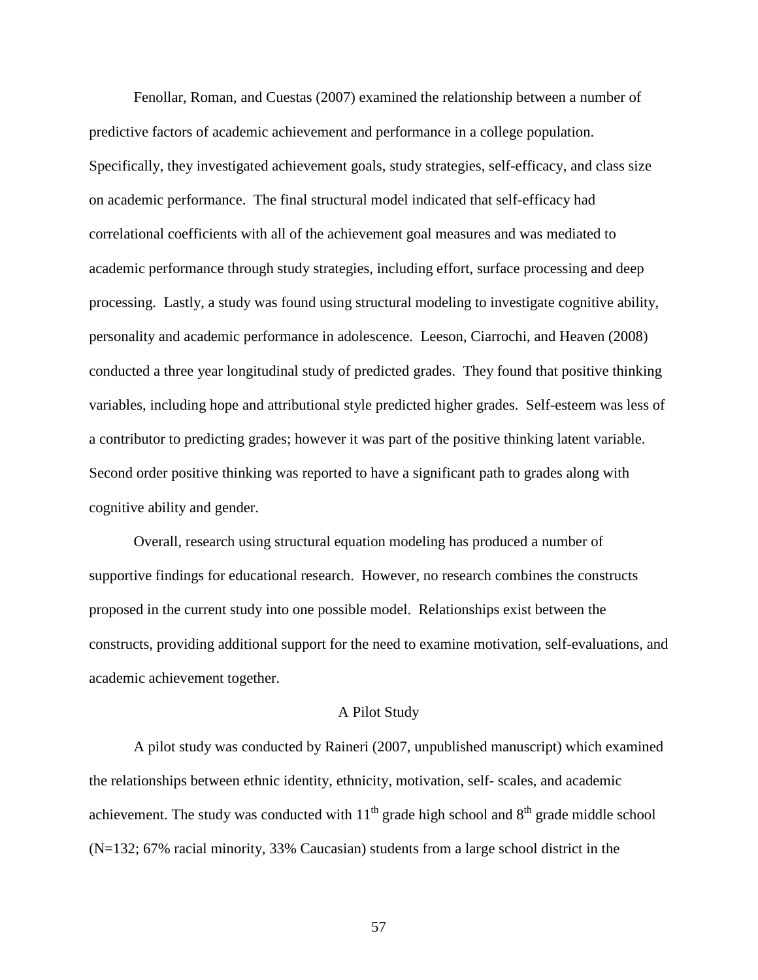Fenollar, Roman, and Cuestas (2007) examined the relationship between a number of predictive factors of academic achievement and performance in a college population. Specifically, they investigated achievement goals, study strategies, self-efficacy, and class size on academic performance. The final structural model indicated that self-efficacy had correlational coefficients with all of the achievement goal measures and was mediated to academic performance through study strategies, including effort, surface processing and deep processing. Lastly, a study was found using structural modeling to investigate cognitive ability, personality and academic performance in adolescence. Leeson, Ciarrochi, and Heaven (2008) conducted a three year longitudinal study of predicted grades. They found that positive thinking variables, including hope and attributional style predicted higher grades. Self-esteem was less of a contributor to predicting grades; however it was part of the positive thinking latent variable. Second order positive thinking was reported to have a significant path to grades along with cognitive ability and gender.

Overall, research using structural equation modeling has produced a number of supportive findings for educational research. However, no research combines the constructs proposed in the current study into one possible model. Relationships exist between the constructs, providing additional support for the need to examine motivation, self-evaluations, and academic achievement together.

### A Pilot Study

A pilot study was conducted by Raineri (2007, unpublished manuscript) which examined the relationships between ethnic identity, ethnicity, motivation, self- scales, and academic achievement. The study was conducted with  $11<sup>th</sup>$  grade high school and  $8<sup>th</sup>$  grade middle school (N=132; 67% racial minority, 33% Caucasian) students from a large school district in the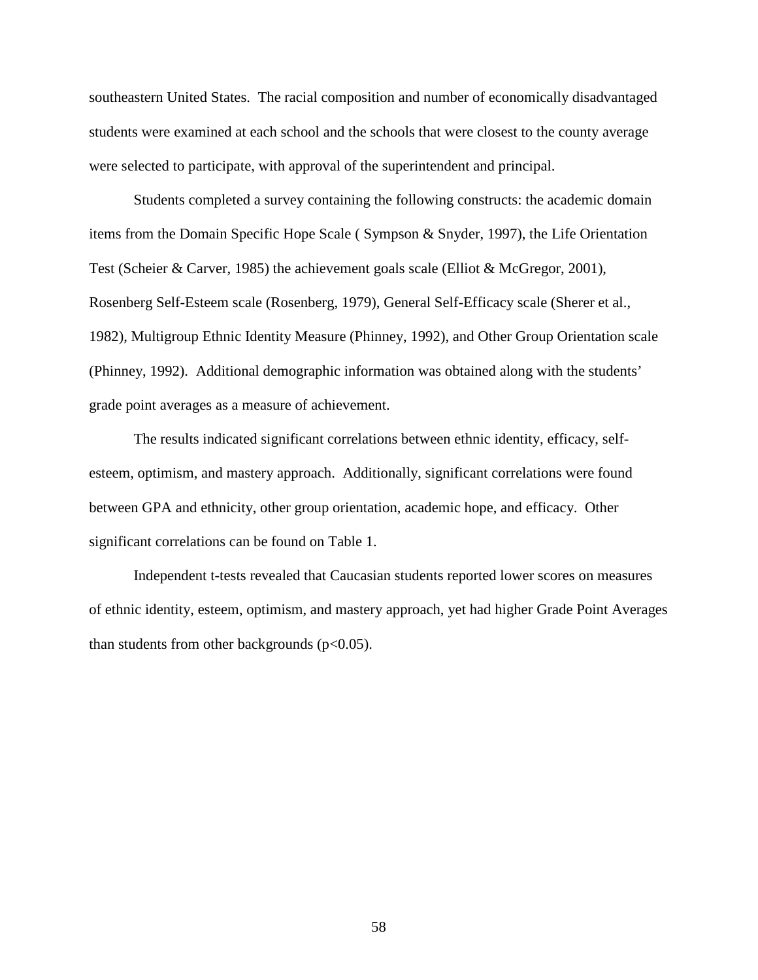southeastern United States. The racial composition and number of economically disadvantaged students were examined at each school and the schools that were closest to the county average were selected to participate, with approval of the superintendent and principal.

Students completed a survey containing the following constructs: the academic domain items from the Domain Specific Hope Scale ( Sympson & Snyder, 1997), the Life Orientation Test (Scheier & Carver, 1985) the achievement goals scale (Elliot & McGregor, 2001), Rosenberg Self-Esteem scale (Rosenberg, 1979), General Self-Efficacy scale (Sherer et al., 1982), Multigroup Ethnic Identity Measure (Phinney, 1992), and Other Group Orientation scale (Phinney, 1992). Additional demographic information was obtained along with the students' grade point averages as a measure of achievement.

The results indicated significant correlations between ethnic identity, efficacy, selfesteem, optimism, and mastery approach. Additionally, significant correlations were found between GPA and ethnicity, other group orientation, academic hope, and efficacy. Other significant correlations can be found on Table 1.

Independent t-tests revealed that Caucasian students reported lower scores on measures of ethnic identity, esteem, optimism, and mastery approach, yet had higher Grade Point Averages than students from other backgrounds  $(p<0.05)$ .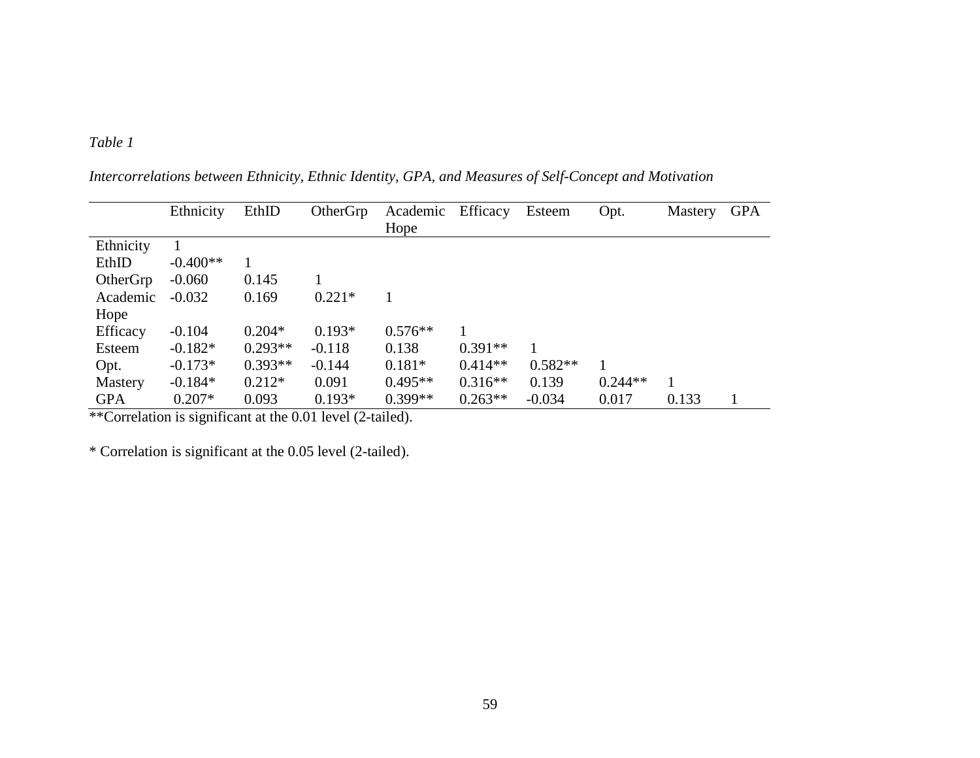# *Table 1*

|            | Ethnicity  | EthID     | OtherGrp | Academic  | Efficacy  | Esteem    | Opt.         | Mastery | <b>GPA</b> |
|------------|------------|-----------|----------|-----------|-----------|-----------|--------------|---------|------------|
|            |            |           |          | Hope      |           |           |              |         |            |
| Ethnicity  |            |           |          |           |           |           |              |         |            |
| EthID      | $-0.400**$ |           |          |           |           |           |              |         |            |
| OtherGrp   | $-0.060$   | 0.145     |          |           |           |           |              |         |            |
| Academic   | $-0.032$   | 0.169     | $0.221*$ |           |           |           |              |         |            |
| Hope       |            |           |          |           |           |           |              |         |            |
| Efficacy   | $-0.104$   | $0.204*$  | $0.193*$ | $0.576**$ |           |           |              |         |            |
| Esteem     | $-0.182*$  | $0.293**$ | $-0.118$ | 0.138     | $0.391**$ |           |              |         |            |
| Opt.       | $-0.173*$  | $0.393**$ | $-0.144$ | $0.181*$  | $0.414**$ | $0.582**$ | $\mathbf{1}$ |         |            |
| Mastery    | $-0.184*$  | $0.212*$  | 0.091    | $0.495**$ | $0.316**$ | 0.139     | $0.244**$    | 1       |            |
| <b>GPA</b> | $0.207*$   | 0.093     | $0.193*$ | $0.399**$ | $0.263**$ | $-0.034$  | 0.017        | 0.133   |            |

*Intercorrelations between Ethnicity, Ethnic Identity, GPA, and Measures of Self-Concept and Motivation* 

\*\*Correlation is significant at the 0.01 level (2-tailed).

\* Correlation is significant at the 0.05 level (2-tailed ).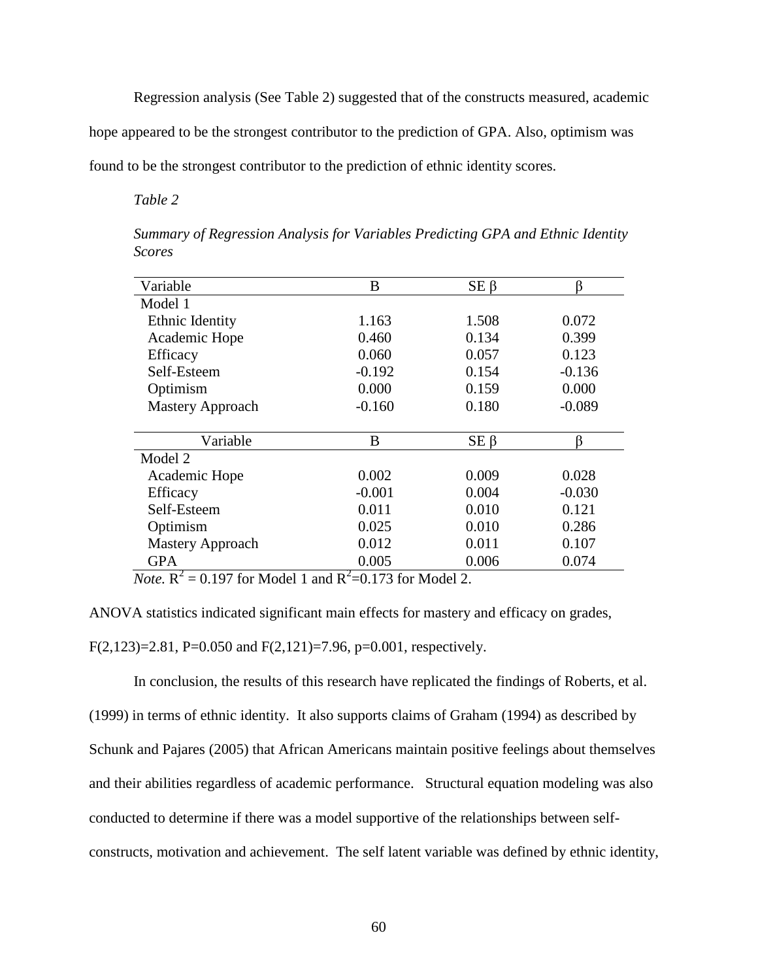Regression analysis (See Table 2) suggested that of the constructs measured, academic

hope appeared to be the strongest contributor to the prediction of GPA. Also, optimism was

found to be the strongest contributor to the prediction of ethnic identity scores.

*Table 2* 

| Variable                | B        | $SE \beta$ | ß        |
|-------------------------|----------|------------|----------|
| Model 1                 |          |            |          |
| <b>Ethnic Identity</b>  | 1.163    | 1.508      | 0.072    |
| Academic Hope           | 0.460    | 0.134      | 0.399    |
| Efficacy                | 0.060    | 0.057      | 0.123    |
| Self-Esteem             | $-0.192$ | 0.154      | $-0.136$ |
| Optimism                | 0.000    | 0.159      | 0.000    |
| <b>Mastery Approach</b> | $-0.160$ | 0.180      | $-0.089$ |
|                         |          |            |          |
| Variable                | B        | $SE \beta$ | ß        |
| Model 2                 |          |            |          |
| Academic Hope           | 0.002    | 0.009      | 0.028    |
| Efficacy                | $-0.001$ | 0.004      | $-0.030$ |
| Self-Esteem             | 0.011    | 0.010      | 0.121    |
| Optimism                | 0.025    | 0.010      | 0.286    |
| <b>Mastery Approach</b> | 0.012    | 0.011      | 0.107    |
| <b>GPA</b>              | 0.005    | 0.006      | 0.074    |

*Summary of Regression Analysis for Variables Predicting GPA and Ethnic Identity Scores* 

*Note*.  $R^2 = 0.197$  for Model 1 and  $R^2 = 0.173$  for Model 2.

ANOVA statistics indicated significant main effects for mastery and efficacy on grades,  $F(2,123)=2.81$ , P=0.050 and  $F(2,121)=7.96$ , p=0.001, respectively.

In conclusion, the results of this research have replicated the findings of Roberts, et al. (1999) in terms of ethnic identity. It also supports claims of Graham (1994) as described by Schunk and Pajares (2005) that African Americans maintain positive feelings about themselves and their abilities regardless of academic performance. Structural equation modeling was also conducted to determine if there was a model supportive of the relationships between selfconstructs, motivation and achievement. The self latent variable was defined by ethnic identity,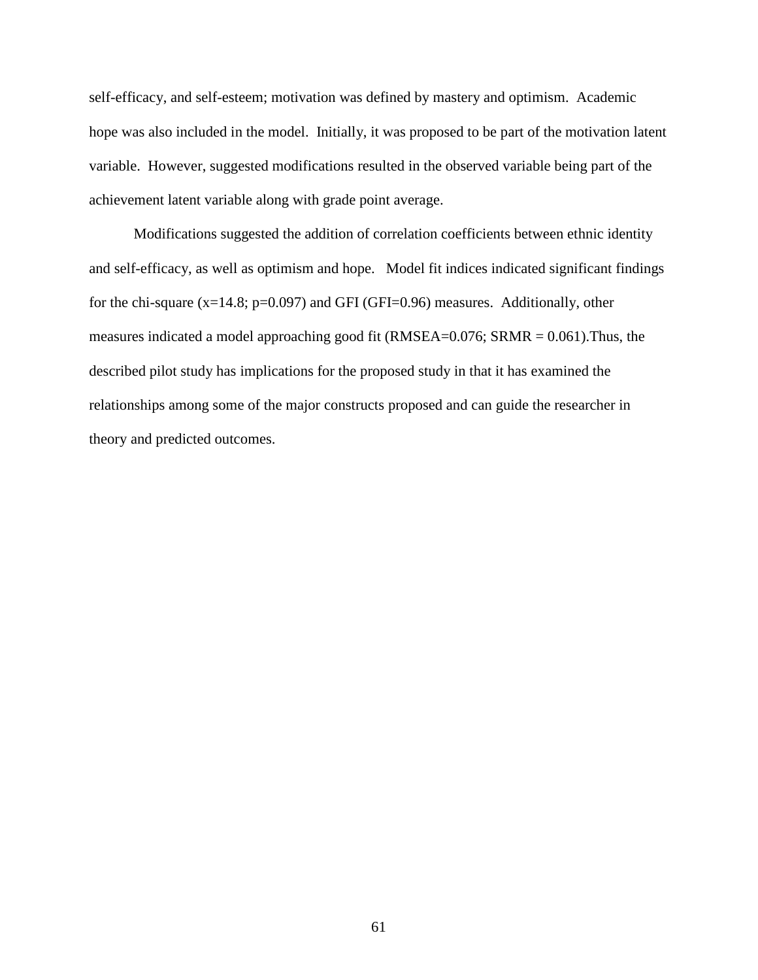self-efficacy, and self-esteem; motivation was defined by mastery and optimism. Academic hope was also included in the model. Initially, it was proposed to be part of the motivation latent variable. However, suggested modifications resulted in the observed variable being part of the achievement latent variable along with grade point average.

Modifications suggested the addition of correlation coefficients between ethnic identity and self-efficacy, as well as optimism and hope. Model fit indices indicated significant findings for the chi-square  $(x=14.8; p=0.097)$  and GFI (GFI=0.96) measures. Additionally, other measures indicated a model approaching good fit (RMSEA=0.076; SRMR = 0.061).Thus, the described pilot study has implications for the proposed study in that it has examined the relationships among some of the major constructs proposed and can guide the researcher in theory and predicted outcomes.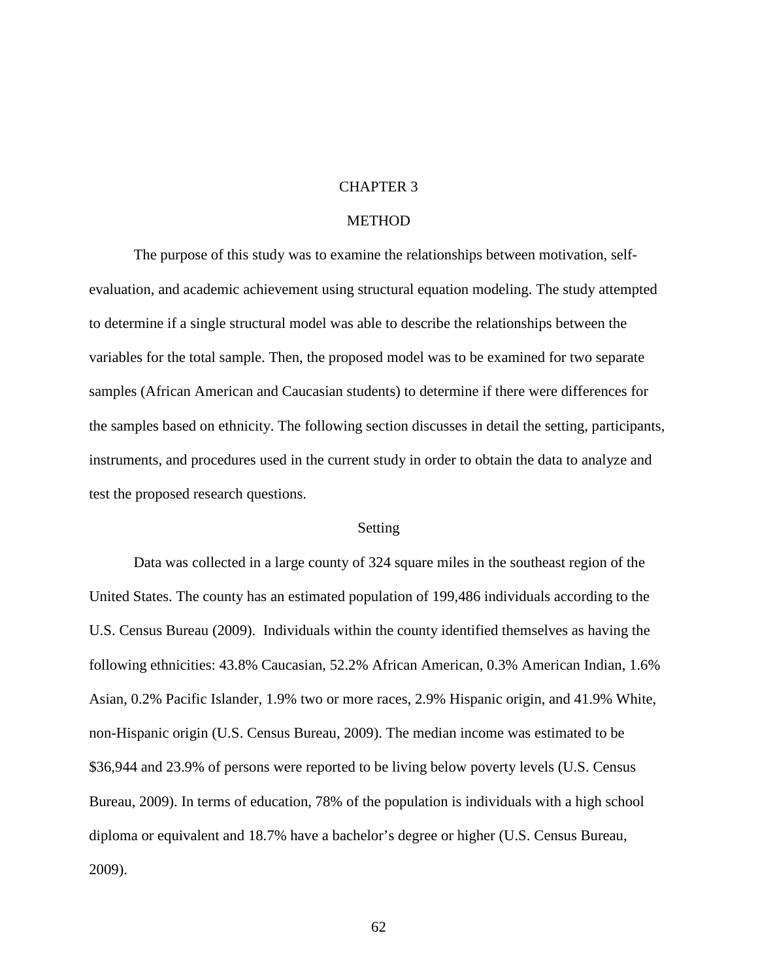# CHAPTER 3

# **METHOD**

The purpose of this study was to examine the relationships between motivation, selfevaluation, and academic achievement using structural equation modeling. The study attempted to determine if a single structural model was able to describe the relationships between the variables for the total sample. Then, the proposed model was to be examined for two separate samples (African American and Caucasian students) to determine if there were differences for the samples based on ethnicity. The following section discusses in detail the setting, participants, instruments, and procedures used in the current study in order to obtain the data to analyze and test the proposed research questions.

### Setting

 Data was collected in a large county of 324 square miles in the southeast region of the United States. The county has an estimated population of 199,486 individuals according to the U.S. Census Bureau (2009). Individuals within the county identified themselves as having the following ethnicities: 43.8% Caucasian, 52.2% African American, 0.3% American Indian, 1.6% Asian, 0.2% Pacific Islander, 1.9% two or more races, 2.9% Hispanic origin, and 41.9% White, non-Hispanic origin (U.S. Census Bureau, 2009). The median income was estimated to be \$36,944 and 23.9% of persons were reported to be living below poverty levels (U.S. Census Bureau, 2009). In terms of education, 78% of the population is individuals with a high school diploma or equivalent and 18.7% have a bachelor's degree or higher (U.S. Census Bureau, 2009).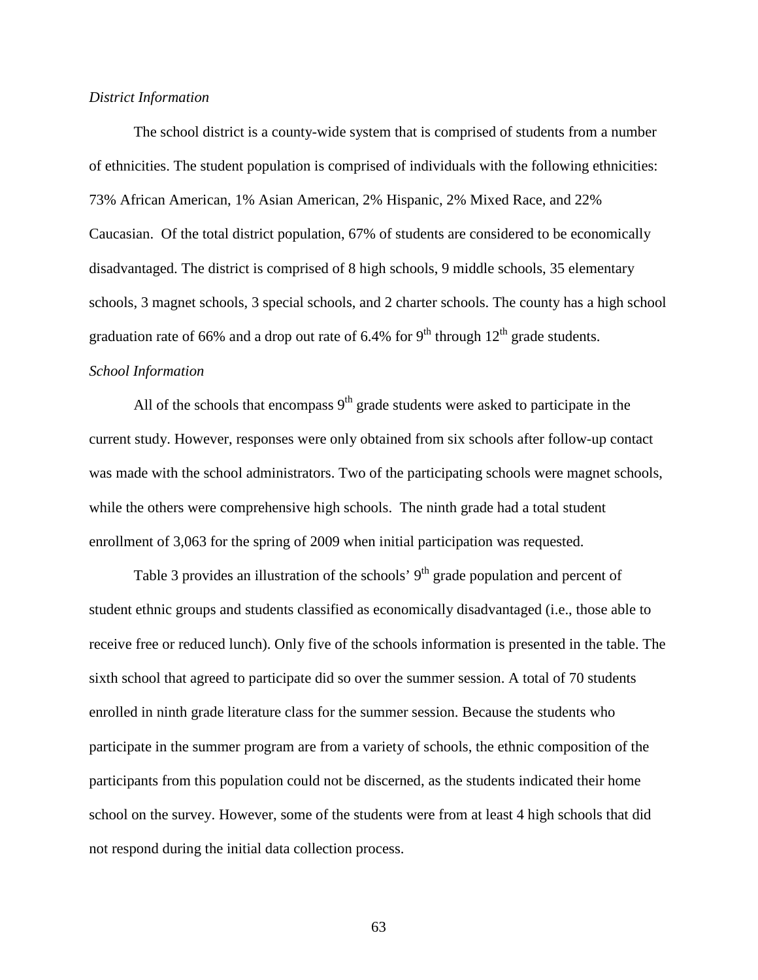#### *District Information*

 The school district is a county-wide system that is comprised of students from a number of ethnicities. The student population is comprised of individuals with the following ethnicities: 73% African American, 1% Asian American, 2% Hispanic, 2% Mixed Race, and 22% Caucasian. Of the total district population, 67% of students are considered to be economically disadvantaged. The district is comprised of 8 high schools, 9 middle schools, 35 elementary schools, 3 magnet schools, 3 special schools, and 2 charter schools. The county has a high school graduation rate of 66% and a drop out rate of 6.4% for 9<sup>th</sup> through  $12<sup>th</sup>$  grade students. *School Information* 

All of the schools that encompass  $9<sup>th</sup>$  grade students were asked to participate in the current study. However, responses were only obtained from six schools after follow-up contact was made with the school administrators. Two of the participating schools were magnet schools, while the others were comprehensive high schools. The ninth grade had a total student enrollment of 3,063 for the spring of 2009 when initial participation was requested.

Table 3 provides an illustration of the schools'  $9<sup>th</sup>$  grade population and percent of student ethnic groups and students classified as economically disadvantaged (i.e., those able to receive free or reduced lunch). Only five of the schools information is presented in the table. The sixth school that agreed to participate did so over the summer session. A total of 70 students enrolled in ninth grade literature class for the summer session. Because the students who participate in the summer program are from a variety of schools, the ethnic composition of the participants from this population could not be discerned, as the students indicated their home school on the survey. However, some of the students were from at least 4 high schools that did not respond during the initial data collection process.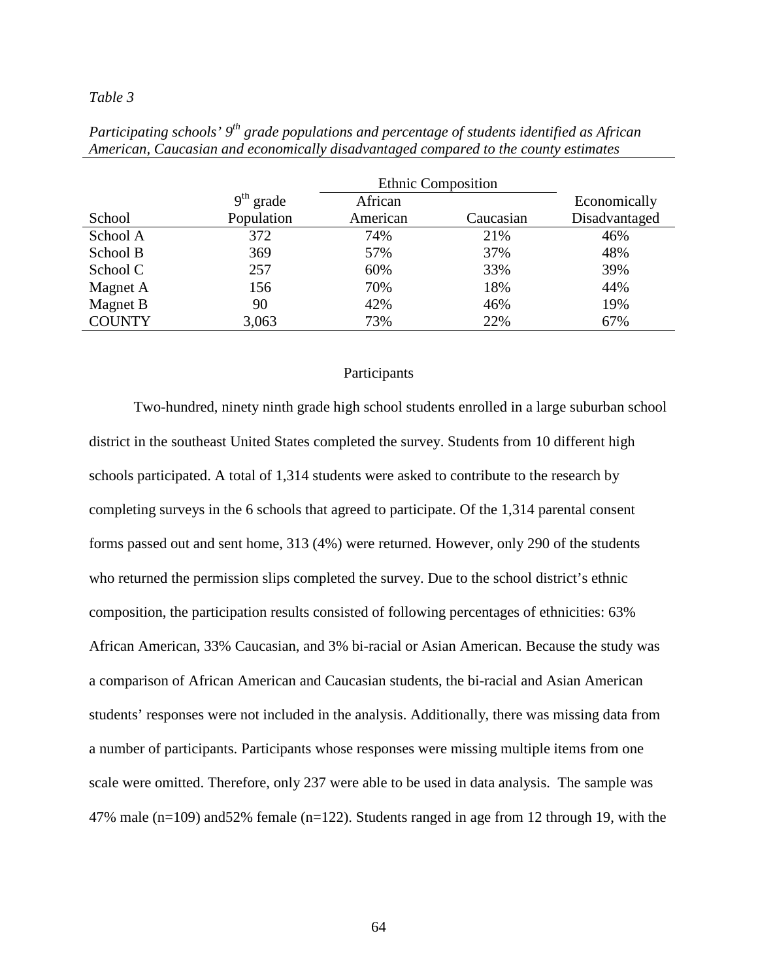|               |             |          | <b>Ethnic Composition</b> |               |
|---------------|-------------|----------|---------------------------|---------------|
|               | $9th$ grade | African  |                           | Economically  |
| School        | Population  | American | Caucasian                 | Disadvantaged |
| School A      | 372         | 74%      | 21%                       | 46%           |
| School B      | 369         | 57%      | 37%                       | 48%           |
| School C      | 257         | 60%      | 33%                       | 39%           |
| Magnet A      | 156         | 70%      | 18%                       | 44%           |
| Magnet B      | 90          | 42%      | 46%                       | 19%           |
| <b>COUNTY</b> | 3,063       | 73%      | 22%                       | 67%           |
|               |             |          |                           |               |

*Participating schools' 9th grade populations and percentage of students identified as African American, Caucasian and economically disadvantaged compared to the county estimates* 

# Participants

Two-hundred, ninety ninth grade high school students enrolled in a large suburban school district in the southeast United States completed the survey. Students from 10 different high schools participated. A total of 1,314 students were asked to contribute to the research by completing surveys in the 6 schools that agreed to participate. Of the 1,314 parental consent forms passed out and sent home, 313 (4%) were returned. However, only 290 of the students who returned the permission slips completed the survey. Due to the school district's ethnic composition, the participation results consisted of following percentages of ethnicities: 63% African American, 33% Caucasian, and 3% bi-racial or Asian American. Because the study was a comparison of African American and Caucasian students, the bi-racial and Asian American students' responses were not included in the analysis. Additionally, there was missing data from a number of participants. Participants whose responses were missing multiple items from one scale were omitted. Therefore, only 237 were able to be used in data analysis. The sample was 47% male (n=109) and52% female (n=122). Students ranged in age from 12 through 19, with the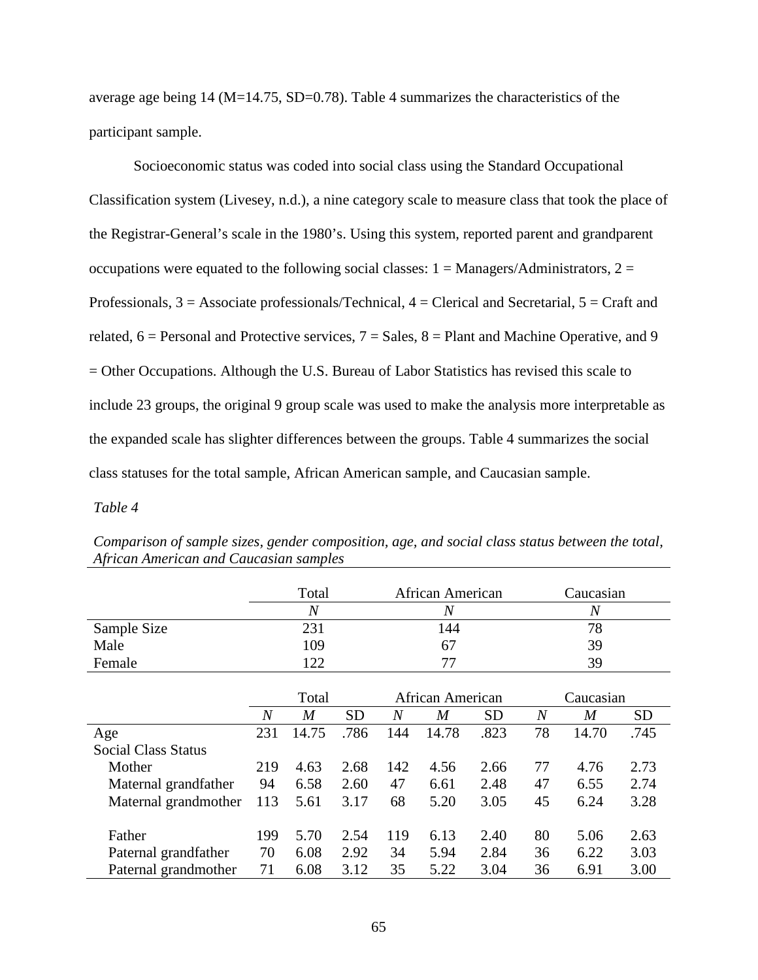average age being  $14 \text{ (M=14.75, SD=0.78)}$ . Table 4 summarizes the characteristics of the participant sample.

Socioeconomic status was coded into social class using the Standard Occupational Classification system (Livesey, n.d.), a nine category scale to measure class that took the place of the Registrar-General's scale in the 1980's. Using this system, reported parent and grandparent occupations were equated to the following social classes:  $1 =$  Managers/Administrators,  $2 =$ Professionals,  $3 =$  Associate professionals/Technical,  $4 =$  Clerical and Secretarial,  $5 =$  Craft and related,  $6$  = Personal and Protective services,  $7$  = Sales,  $8$  = Plant and Machine Operative, and 9 = Other Occupations. Although the U.S. Bureau of Labor Statistics has revised this scale to include 23 groups, the original 9 group scale was used to make the analysis more interpretable as the expanded scale has slighter differences between the groups. Table 4 summarizes the social class statuses for the total sample, African American sample, and Caucasian sample.

## *Table 4*

|                            |                | Total          |           |     | African American |      |                | Caucasian        |           |  |
|----------------------------|----------------|----------------|-----------|-----|------------------|------|----------------|------------------|-----------|--|
|                            |                | $\overline{N}$ |           |     | N                |      |                | $\overline{N}$   |           |  |
| Sample Size                |                | 231            |           |     | 144              |      |                | 78               |           |  |
| Male                       | 109            |                |           |     | 67               |      |                | 39               |           |  |
| Female                     | 122            |                |           | 77  |                  |      | 39             |                  |           |  |
|                            |                |                |           |     |                  |      |                |                  |           |  |
|                            |                | Total          |           |     | African American |      |                | Caucasian        |           |  |
|                            | $\overline{N}$ | M              | <b>SD</b> | N   | M                | SD   | $\overline{N}$ | $\boldsymbol{M}$ | <b>SD</b> |  |
| Age                        | 231            | 14.75          | .786      | 144 | 14.78            | .823 | 78             | 14.70            | .745      |  |
| <b>Social Class Status</b> |                |                |           |     |                  |      |                |                  |           |  |
| Mother                     | 219            | 4.63           | 2.68      | 142 | 4.56             | 2.66 | 77             | 4.76             | 2.73      |  |
| Maternal grandfather       | 94             | 6.58           | 2.60      | 47  | 6.61             | 2.48 | 47             | 6.55             | 2.74      |  |
| Maternal grandmother       | 113            | 5.61           | 3.17      | 68  | 5.20             | 3.05 | 45             | 6.24             | 3.28      |  |
|                            |                |                |           |     |                  |      |                |                  |           |  |
| Father                     | 199            | 5.70           | 2.54      | 119 | 6.13             | 2.40 | 80             | 5.06             | 2.63      |  |
| Paternal grandfather       | 70             | 6.08           | 2.92      | 34  | 5.94             | 2.84 | 36             | 6.22             | 3.03      |  |
| Paternal grandmother       | 71             | 6.08           | 3.12      | 35  | 5.22             | 3.04 | 36             | 6.91             | 3.00      |  |

*Comparison of sample sizes, gender composition, age, and social class status between the total, African American and Caucasian samples*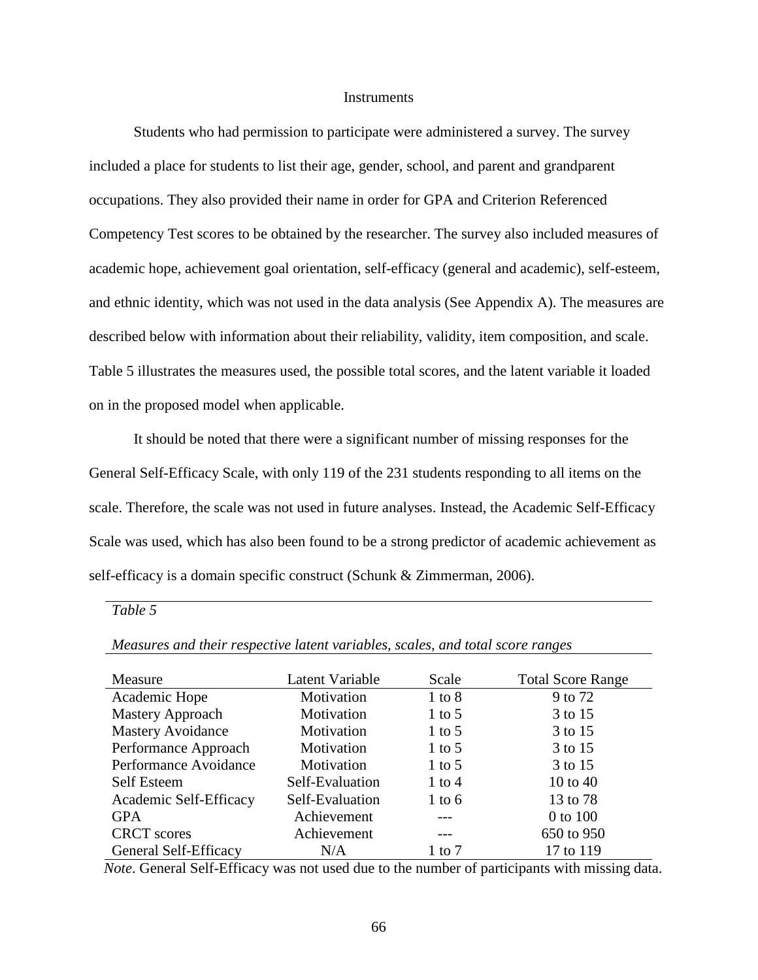## **Instruments**

 Students who had permission to participate were administered a survey. The survey included a place for students to list their age, gender, school, and parent and grandparent occupations. They also provided their name in order for GPA and Criterion Referenced Competency Test scores to be obtained by the researcher. The survey also included measures of academic hope, achievement goal orientation, self-efficacy (general and academic), self-esteem, and ethnic identity, which was not used in the data analysis (See Appendix A). The measures are described below with information about their reliability, validity, item composition, and scale. Table 5 illustrates the measures used, the possible total scores, and the latent variable it loaded on in the proposed model when applicable.

It should be noted that there were a significant number of missing responses for the General Self-Efficacy Scale, with only 119 of the 231 students responding to all items on the scale. Therefore, the scale was not used in future analyses. Instead, the Academic Self-Efficacy Scale was used, which has also been found to be a strong predictor of academic achievement as self-efficacy is a domain specific construct (Schunk & Zimmerman, 2006).

*Table 5* 

| Measure                  | Latent Variable | Scale      | <b>Total Score Range</b> |
|--------------------------|-----------------|------------|--------------------------|
| Academic Hope            | Motivation      | $1$ to $8$ | 9 to 72                  |
| <b>Mastery Approach</b>  | Motivation      | $1$ to 5   | 3 to 15                  |
| <b>Mastery Avoidance</b> | Motivation      | $1$ to 5   | 3 to 15                  |
| Performance Approach     | Motivation      | $1$ to 5   | 3 to 15                  |
| Performance Avoidance    | Motivation      | 1 to 5     | 3 to 15                  |
| <b>Self Esteem</b>       | Self-Evaluation | $1$ to $4$ | 10 to $40$               |
| Academic Self-Efficacy   | Self-Evaluation | $1$ to 6   | 13 to 78                 |
| <b>GPA</b>               | Achievement     |            | 0 to 100                 |
| <b>CRCT</b> scores       | Achievement     |            | 650 to 950               |
| General Self-Efficacy    | N/A             | 1 to 7     | 17 to 119                |

*Measures and their respective latent variables, scales, and total score ranges* 

 *Note*. General Self-Efficacy was not used due to the number of participants with missing data.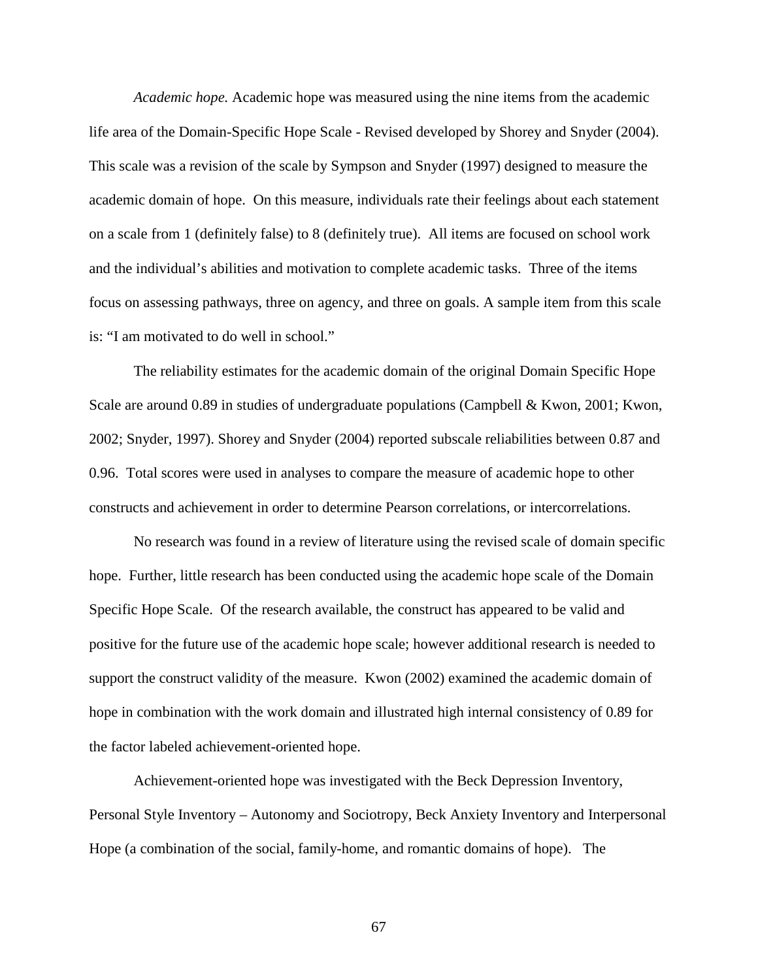*Academic hope.* Academic hope was measured using the nine items from the academic life area of the Domain-Specific Hope Scale - Revised developed by Shorey and Snyder (2004). This scale was a revision of the scale by Sympson and Snyder (1997) designed to measure the academic domain of hope. On this measure, individuals rate their feelings about each statement on a scale from 1 (definitely false) to 8 (definitely true). All items are focused on school work and the individual's abilities and motivation to complete academic tasks. Three of the items focus on assessing pathways, three on agency, and three on goals. A sample item from this scale is: "I am motivated to do well in school."

The reliability estimates for the academic domain of the original Domain Specific Hope Scale are around 0.89 in studies of undergraduate populations (Campbell & Kwon, 2001; Kwon, 2002; Snyder, 1997). Shorey and Snyder (2004) reported subscale reliabilities between 0.87 and 0.96. Total scores were used in analyses to compare the measure of academic hope to other constructs and achievement in order to determine Pearson correlations, or intercorrelations.

 No research was found in a review of literature using the revised scale of domain specific hope. Further, little research has been conducted using the academic hope scale of the Domain Specific Hope Scale. Of the research available, the construct has appeared to be valid and positive for the future use of the academic hope scale; however additional research is needed to support the construct validity of the measure. Kwon (2002) examined the academic domain of hope in combination with the work domain and illustrated high internal consistency of 0.89 for the factor labeled achievement-oriented hope.

Achievement-oriented hope was investigated with the Beck Depression Inventory, Personal Style Inventory – Autonomy and Sociotropy, Beck Anxiety Inventory and Interpersonal Hope (a combination of the social, family-home, and romantic domains of hope). The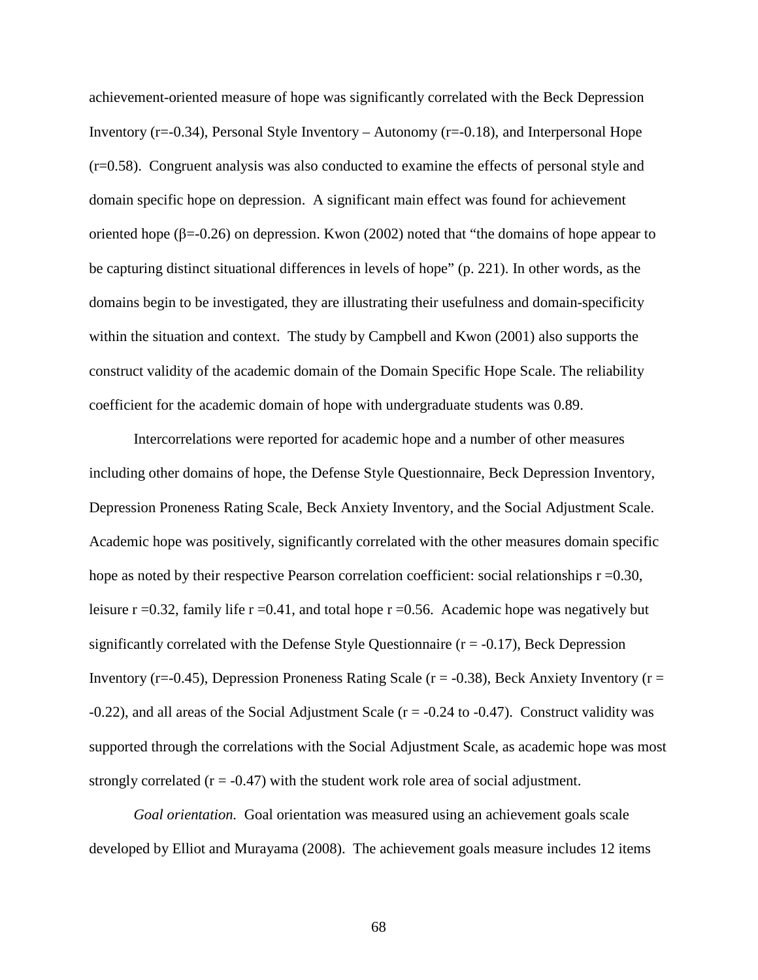achievement-oriented measure of hope was significantly correlated with the Beck Depression Inventory ( $r=-0.34$ ), Personal Style Inventory – Autonomy ( $r=-0.18$ ), and Interpersonal Hope (r=0.58). Congruent analysis was also conducted to examine the effects of personal style and domain specific hope on depression. A significant main effect was found for achievement oriented hope (β=-0.26) on depression. Kwon (2002) noted that "the domains of hope appear to be capturing distinct situational differences in levels of hope" (p. 221). In other words, as the domains begin to be investigated, they are illustrating their usefulness and domain-specificity within the situation and context. The study by Campbell and Kwon (2001) also supports the construct validity of the academic domain of the Domain Specific Hope Scale. The reliability coefficient for the academic domain of hope with undergraduate students was 0.89.

Intercorrelations were reported for academic hope and a number of other measures including other domains of hope, the Defense Style Questionnaire, Beck Depression Inventory, Depression Proneness Rating Scale, Beck Anxiety Inventory, and the Social Adjustment Scale. Academic hope was positively, significantly correlated with the other measures domain specific hope as noted by their respective Pearson correlation coefficient: social relationships  $r = 0.30$ , leisure  $r = 0.32$ , family life  $r = 0.41$ , and total hope  $r = 0.56$ . Academic hope was negatively but significantly correlated with the Defense Style Questionnaire  $(r = -0.17)$ , Beck Depression Inventory ( $r=-0.45$ ), Depression Proneness Rating Scale ( $r=-0.38$ ), Beck Anxiety Inventory ( $r=$  $-0.22$ ), and all areas of the Social Adjustment Scale ( $r = -0.24$  to  $-0.47$ ). Construct validity was supported through the correlations with the Social Adjustment Scale, as academic hope was most strongly correlated  $(r = -0.47)$  with the student work role area of social adjustment.

*Goal orientation.* Goal orientation was measured using an achievement goals scale developed by Elliot and Murayama (2008). The achievement goals measure includes 12 items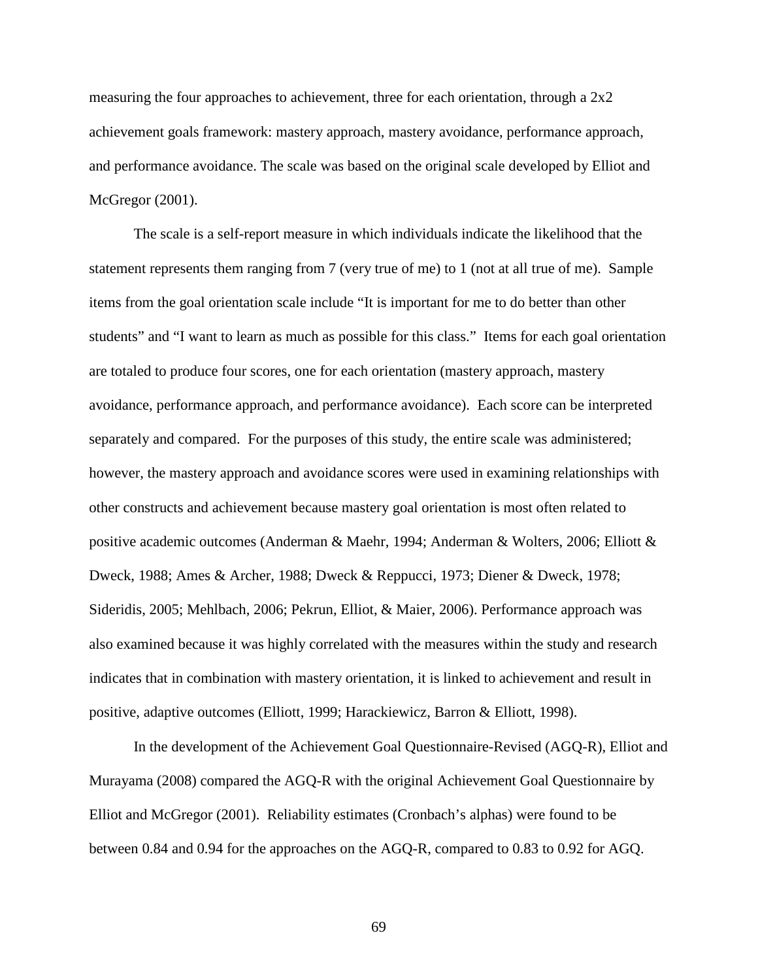measuring the four approaches to achievement, three for each orientation, through a 2x2 achievement goals framework: mastery approach, mastery avoidance, performance approach, and performance avoidance. The scale was based on the original scale developed by Elliot and McGregor (2001).

The scale is a self-report measure in which individuals indicate the likelihood that the statement represents them ranging from 7 (very true of me) to 1 (not at all true of me). Sample items from the goal orientation scale include "It is important for me to do better than other students" and "I want to learn as much as possible for this class." Items for each goal orientation are totaled to produce four scores, one for each orientation (mastery approach, mastery avoidance, performance approach, and performance avoidance). Each score can be interpreted separately and compared. For the purposes of this study, the entire scale was administered; however, the mastery approach and avoidance scores were used in examining relationships with other constructs and achievement because mastery goal orientation is most often related to positive academic outcomes (Anderman & Maehr, 1994; Anderman & Wolters, 2006; Elliott & Dweck, 1988; Ames & Archer, 1988; Dweck & Reppucci, 1973; Diener & Dweck, 1978; Sideridis, 2005; Mehlbach, 2006; Pekrun, Elliot, & Maier, 2006). Performance approach was also examined because it was highly correlated with the measures within the study and research indicates that in combination with mastery orientation, it is linked to achievement and result in positive, adaptive outcomes (Elliott, 1999; Harackiewicz, Barron & Elliott, 1998).

In the development of the Achievement Goal Questionnaire-Revised (AGQ-R), Elliot and Murayama (2008) compared the AGQ-R with the original Achievement Goal Questionnaire by Elliot and McGregor (2001). Reliability estimates (Cronbach's alphas) were found to be between 0.84 and 0.94 for the approaches on the AGQ-R, compared to 0.83 to 0.92 for AGQ.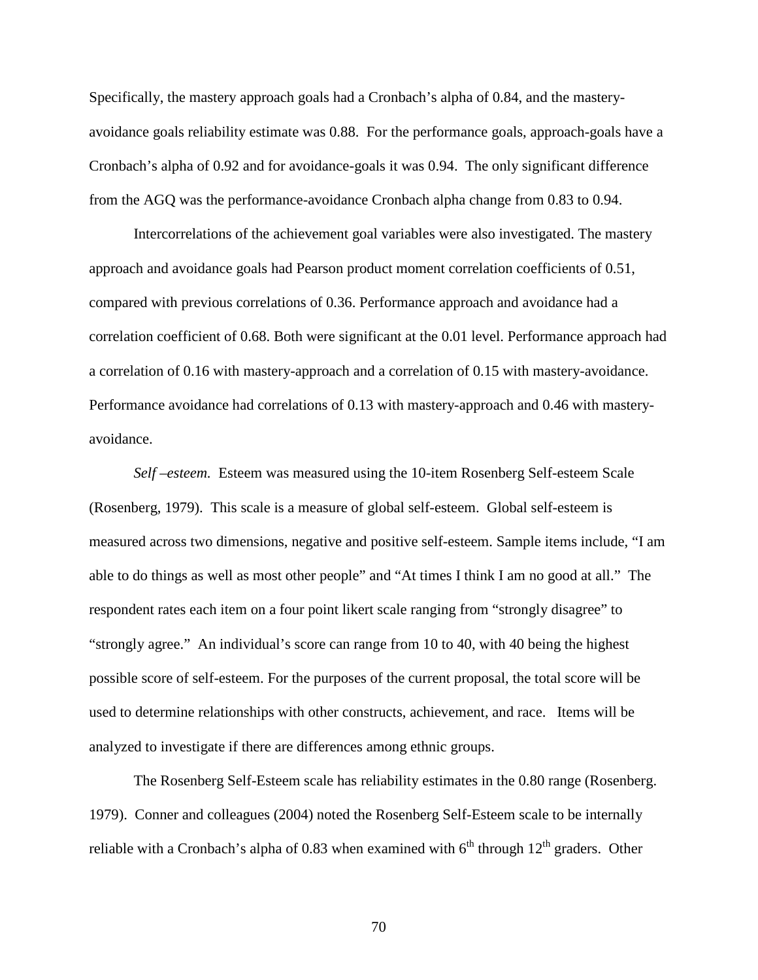Specifically, the mastery approach goals had a Cronbach's alpha of 0.84, and the masteryavoidance goals reliability estimate was 0.88. For the performance goals, approach-goals have a Cronbach's alpha of 0.92 and for avoidance-goals it was 0.94. The only significant difference from the AGQ was the performance-avoidance Cronbach alpha change from 0.83 to 0.94.

Intercorrelations of the achievement goal variables were also investigated. The mastery approach and avoidance goals had Pearson product moment correlation coefficients of 0.51, compared with previous correlations of 0.36. Performance approach and avoidance had a correlation coefficient of 0.68. Both were significant at the 0.01 level. Performance approach had a correlation of 0.16 with mastery-approach and a correlation of 0.15 with mastery-avoidance. Performance avoidance had correlations of 0.13 with mastery-approach and 0.46 with masteryavoidance.

*Self –esteem.* Esteem was measured using the 10-item Rosenberg Self-esteem Scale (Rosenberg, 1979). This scale is a measure of global self-esteem. Global self-esteem is measured across two dimensions, negative and positive self-esteem. Sample items include, "I am able to do things as well as most other people" and "At times I think I am no good at all." The respondent rates each item on a four point likert scale ranging from "strongly disagree" to "strongly agree." An individual's score can range from 10 to 40, with 40 being the highest possible score of self-esteem. For the purposes of the current proposal, the total score will be used to determine relationships with other constructs, achievement, and race. Items will be analyzed to investigate if there are differences among ethnic groups.

The Rosenberg Self-Esteem scale has reliability estimates in the 0.80 range (Rosenberg. 1979). Conner and colleagues (2004) noted the Rosenberg Self-Esteem scale to be internally reliable with a Cronbach's alpha of 0.83 when examined with  $6<sup>th</sup>$  through  $12<sup>th</sup>$  graders. Other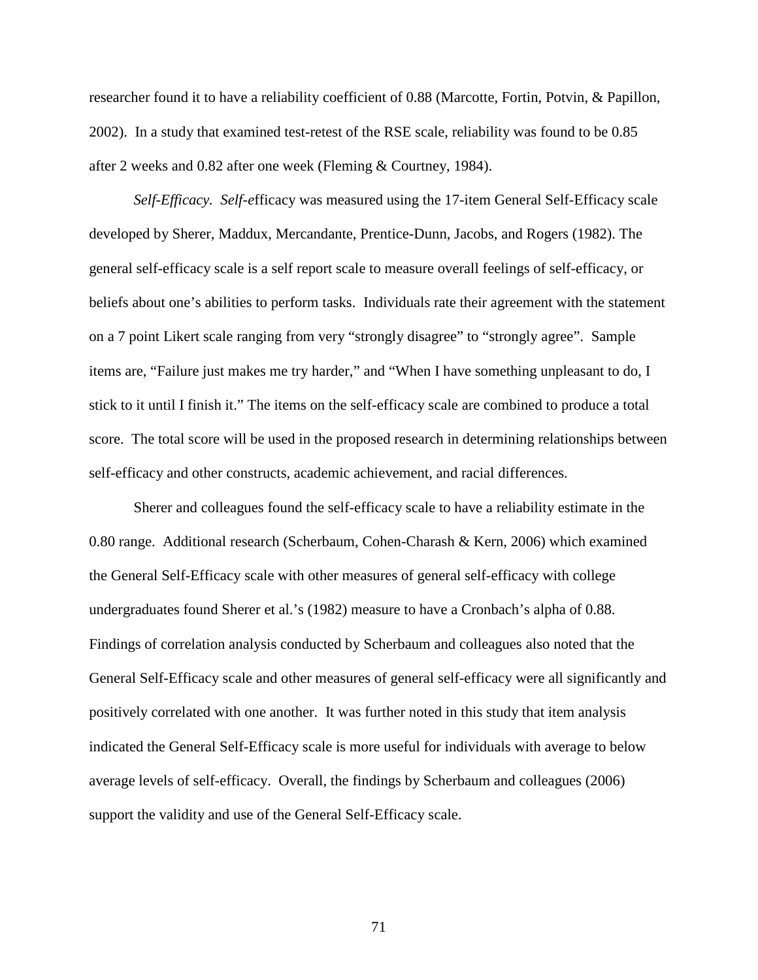researcher found it to have a reliability coefficient of 0.88 (Marcotte, Fortin, Potvin, & Papillon, 2002). In a study that examined test-retest of the RSE scale, reliability was found to be 0.85 after 2 weeks and 0.82 after one week (Fleming & Courtney, 1984).

*Self-Efficacy. Self-e*fficacy was measured using the 17-item General Self-Efficacy scale developed by Sherer, Maddux, Mercandante, Prentice-Dunn, Jacobs, and Rogers (1982). The general self-efficacy scale is a self report scale to measure overall feelings of self-efficacy, or beliefs about one's abilities to perform tasks. Individuals rate their agreement with the statement on a 7 point Likert scale ranging from very "strongly disagree" to "strongly agree". Sample items are, "Failure just makes me try harder," and "When I have something unpleasant to do, I stick to it until I finish it." The items on the self-efficacy scale are combined to produce a total score. The total score will be used in the proposed research in determining relationships between self-efficacy and other constructs, academic achievement, and racial differences.

Sherer and colleagues found the self-efficacy scale to have a reliability estimate in the 0.80 range. Additional research (Scherbaum, Cohen-Charash & Kern, 2006) which examined the General Self-Efficacy scale with other measures of general self-efficacy with college undergraduates found Sherer et al.'s (1982) measure to have a Cronbach's alpha of 0.88. Findings of correlation analysis conducted by Scherbaum and colleagues also noted that the General Self-Efficacy scale and other measures of general self-efficacy were all significantly and positively correlated with one another. It was further noted in this study that item analysis indicated the General Self-Efficacy scale is more useful for individuals with average to below average levels of self-efficacy. Overall, the findings by Scherbaum and colleagues (2006) support the validity and use of the General Self-Efficacy scale.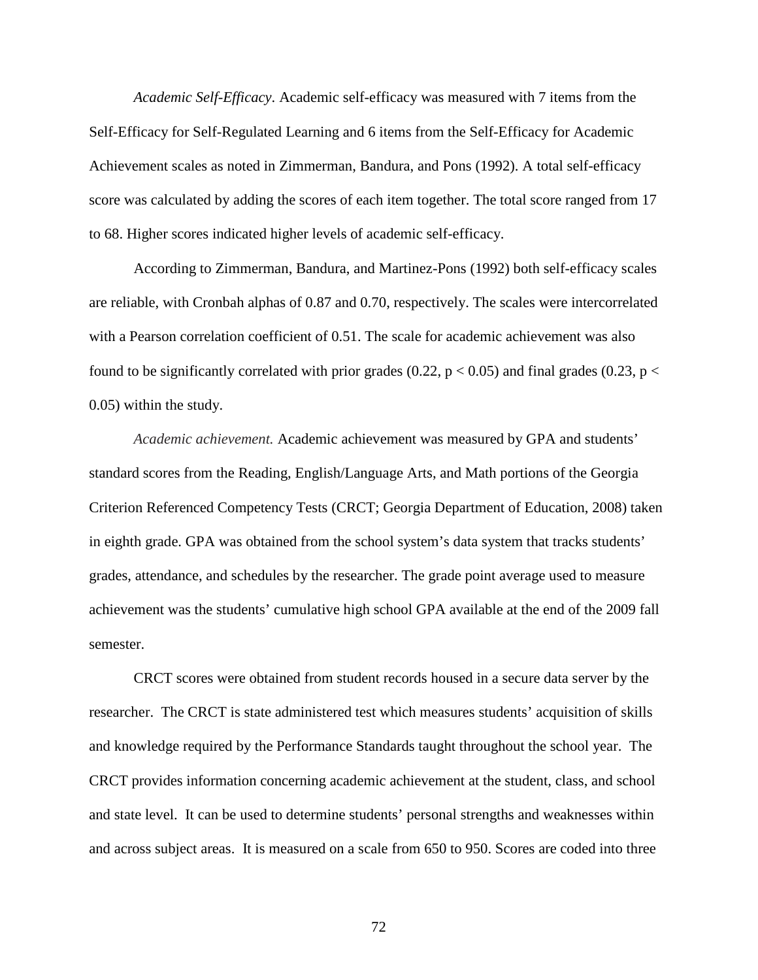*Academic Self-Efficacy*. Academic self-efficacy was measured with 7 items from the Self-Efficacy for Self-Regulated Learning and 6 items from the Self-Efficacy for Academic Achievement scales as noted in Zimmerman, Bandura, and Pons (1992). A total self-efficacy score was calculated by adding the scores of each item together. The total score ranged from 17 to 68. Higher scores indicated higher levels of academic self-efficacy.

According to Zimmerman, Bandura, and Martinez-Pons (1992) both self-efficacy scales are reliable, with Cronbah alphas of 0.87 and 0.70, respectively. The scales were intercorrelated with a Pearson correlation coefficient of 0.51. The scale for academic achievement was also found to be significantly correlated with prior grades (0.22,  $p < 0.05$ ) and final grades (0.23,  $p <$ 0.05) within the study.

*Academic achievement.* Academic achievement was measured by GPA and students' standard scores from the Reading, English/Language Arts, and Math portions of the Georgia Criterion Referenced Competency Tests (CRCT; Georgia Department of Education, 2008) taken in eighth grade. GPA was obtained from the school system's data system that tracks students' grades, attendance, and schedules by the researcher. The grade point average used to measure achievement was the students' cumulative high school GPA available at the end of the 2009 fall semester.

CRCT scores were obtained from student records housed in a secure data server by the researcher. The CRCT is state administered test which measures students' acquisition of skills and knowledge required by the Performance Standards taught throughout the school year. The CRCT provides information concerning academic achievement at the student, class, and school and state level. It can be used to determine students' personal strengths and weaknesses within and across subject areas. It is measured on a scale from 650 to 950. Scores are coded into three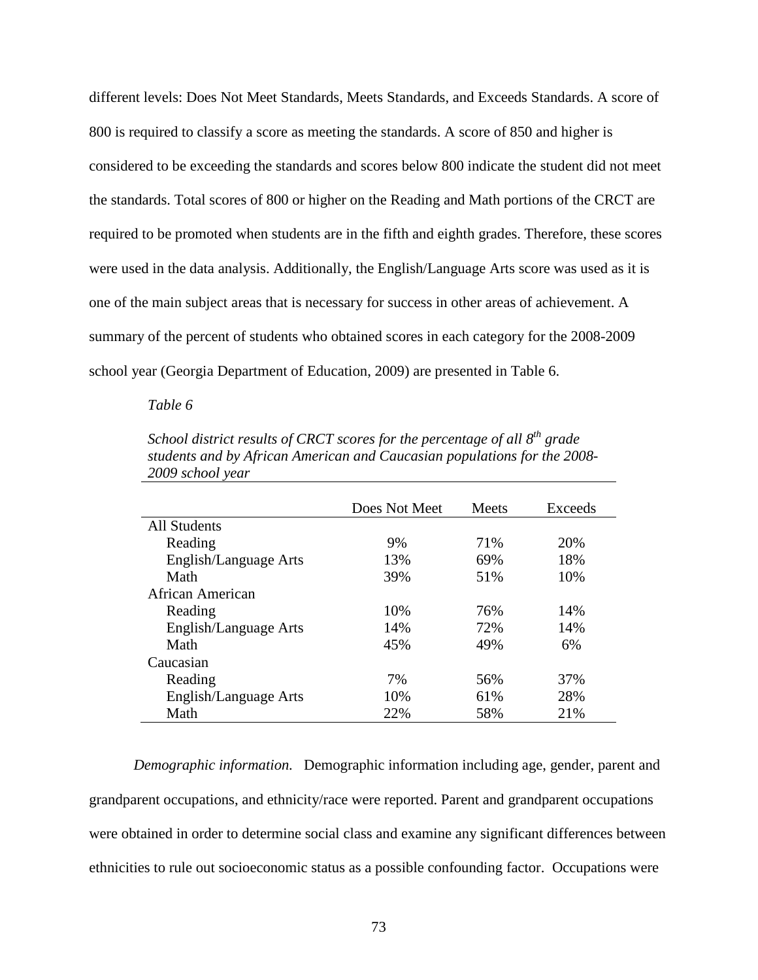different levels: Does Not Meet Standards, Meets Standards, and Exceeds Standards. A score of 800 is required to classify a score as meeting the standards. A score of 850 and higher is considered to be exceeding the standards and scores below 800 indicate the student did not meet the standards. Total scores of 800 or higher on the Reading and Math portions of the CRCT are required to be promoted when students are in the fifth and eighth grades. Therefore, these scores were used in the data analysis. Additionally, the English/Language Arts score was used as it is one of the main subject areas that is necessary for success in other areas of achievement. A summary of the percent of students who obtained scores in each category for the 2008-2009 school year (Georgia Department of Education, 2009) are presented in Table 6.

#### *Table 6*

*School district results of CRCT scores for the percentage of all 8th grade students and by African American and Caucasian populations for the 2008- 2009 school year* 

|                       | Does Not Meet | Meets | Exceeds |
|-----------------------|---------------|-------|---------|
| All Students          |               |       |         |
| Reading               | 9%            | 71%   | 20%     |
| English/Language Arts | 13%           | 69%   | 18%     |
| Math                  | 39%           | 51%   | 10%     |
| African American      |               |       |         |
| Reading               | 10%           | 76%   | 14%     |
| English/Language Arts | 14%           | 72%   | 14%     |
| Math                  | 45%           | 49%   | 6%      |
| Caucasian             |               |       |         |
| Reading               | 7%            | 56%   | 37%     |
| English/Language Arts | 10%           | 61%   | 28%     |
| Math                  | 22%           | 58%   | 21%     |

*Demographic information.* Demographic information including age, gender, parent and grandparent occupations, and ethnicity/race were reported. Parent and grandparent occupations were obtained in order to determine social class and examine any significant differences between ethnicities to rule out socioeconomic status as a possible confounding factor. Occupations were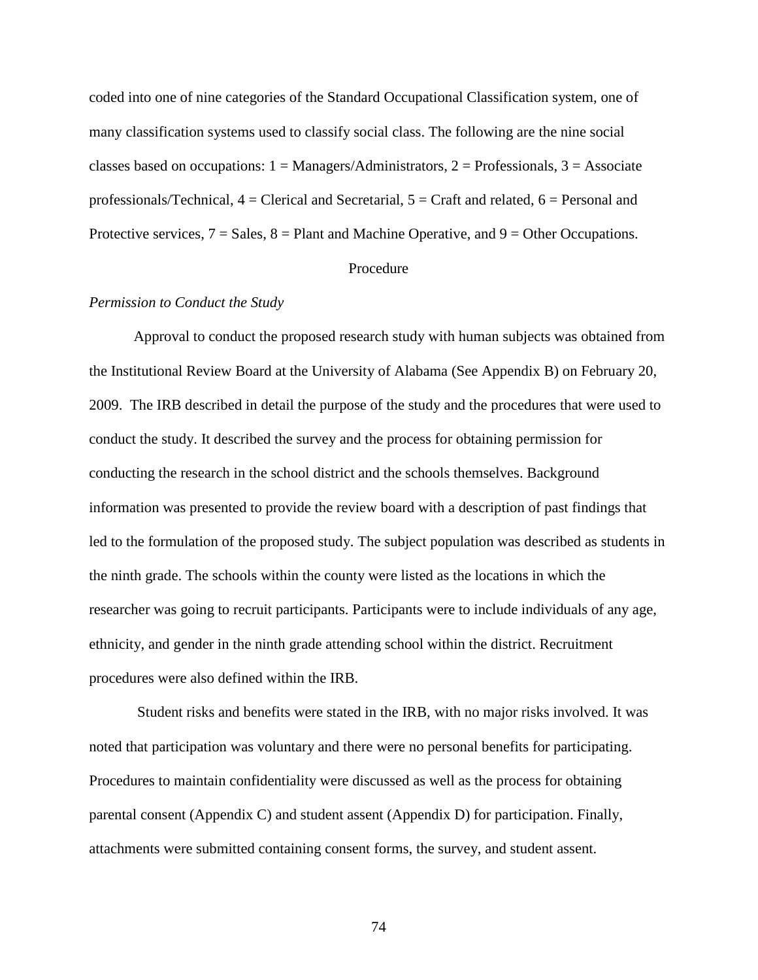coded into one of nine categories of the Standard Occupational Classification system, one of many classification systems used to classify social class. The following are the nine social classes based on occupations:  $1 =$  Managers/Administrators,  $2 =$  Professionals,  $3 =$  Associate professionals/Technical,  $4 =$  Clerical and Secretarial,  $5 =$  Craft and related,  $6 =$  Personal and Protective services,  $7 = Sales$ ,  $8 = Plant$  and Machine Operative, and  $9 = Other$  Occupations.

# Procedure

## *Permission to Conduct the Study*

Approval to conduct the proposed research study with human subjects was obtained from the Institutional Review Board at the University of Alabama (See Appendix B) on February 20, 2009. The IRB described in detail the purpose of the study and the procedures that were used to conduct the study. It described the survey and the process for obtaining permission for conducting the research in the school district and the schools themselves. Background information was presented to provide the review board with a description of past findings that led to the formulation of the proposed study. The subject population was described as students in the ninth grade. The schools within the county were listed as the locations in which the researcher was going to recruit participants. Participants were to include individuals of any age, ethnicity, and gender in the ninth grade attending school within the district. Recruitment procedures were also defined within the IRB.

 Student risks and benefits were stated in the IRB, with no major risks involved. It was noted that participation was voluntary and there were no personal benefits for participating. Procedures to maintain confidentiality were discussed as well as the process for obtaining parental consent (Appendix C) and student assent (Appendix D) for participation. Finally, attachments were submitted containing consent forms, the survey, and student assent.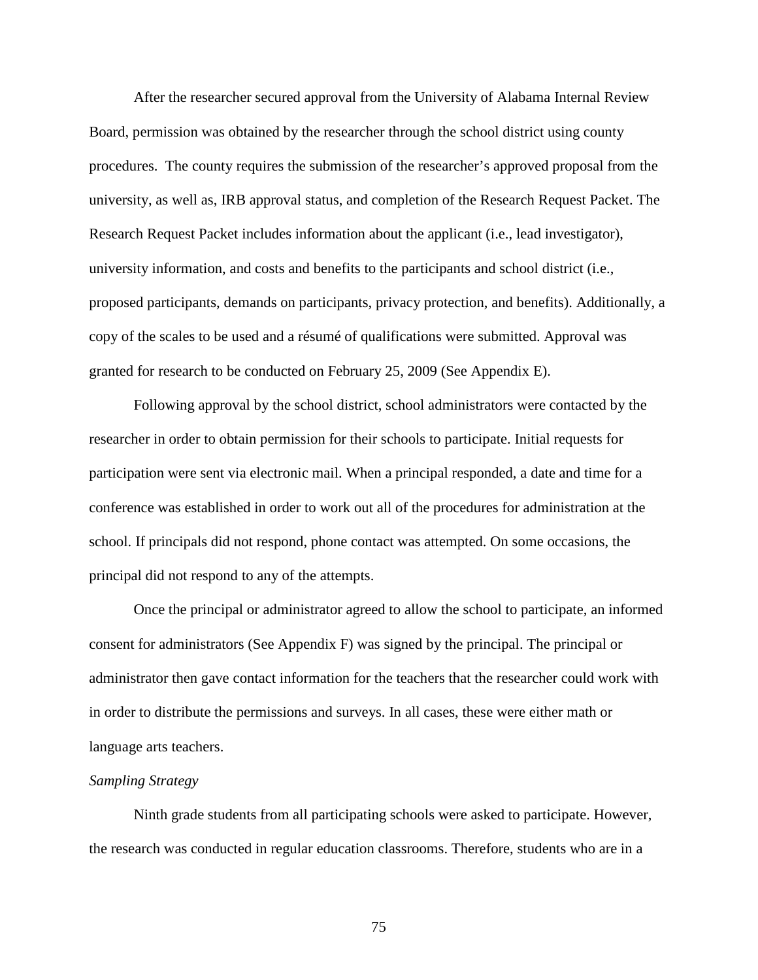After the researcher secured approval from the University of Alabama Internal Review Board, permission was obtained by the researcher through the school district using county procedures. The county requires the submission of the researcher's approved proposal from the university, as well as, IRB approval status, and completion of the Research Request Packet. The Research Request Packet includes information about the applicant (i.e., lead investigator), university information, and costs and benefits to the participants and school district (i.e., proposed participants, demands on participants, privacy protection, and benefits). Additionally, a copy of the scales to be used and a résumé of qualifications were submitted. Approval was granted for research to be conducted on February 25, 2009 (See Appendix E).

Following approval by the school district, school administrators were contacted by the researcher in order to obtain permission for their schools to participate. Initial requests for participation were sent via electronic mail. When a principal responded, a date and time for a conference was established in order to work out all of the procedures for administration at the school. If principals did not respond, phone contact was attempted. On some occasions, the principal did not respond to any of the attempts.

Once the principal or administrator agreed to allow the school to participate, an informed consent for administrators (See Appendix F) was signed by the principal. The principal or administrator then gave contact information for the teachers that the researcher could work with in order to distribute the permissions and surveys. In all cases, these were either math or language arts teachers.

## *Sampling Strategy*

Ninth grade students from all participating schools were asked to participate. However, the research was conducted in regular education classrooms. Therefore, students who are in a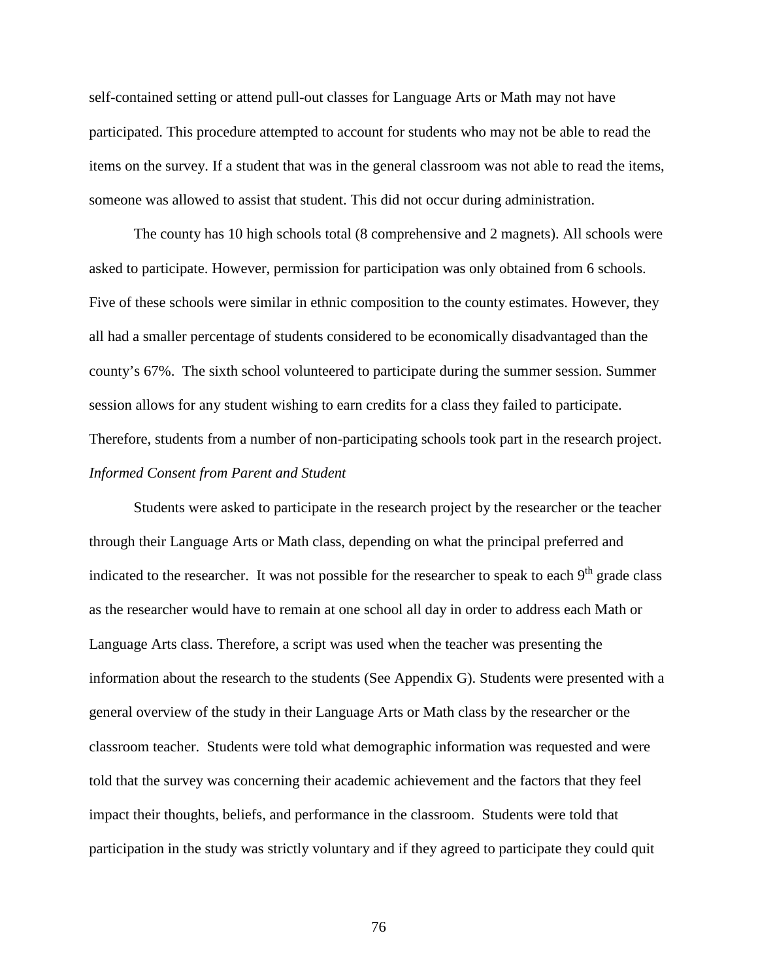self-contained setting or attend pull-out classes for Language Arts or Math may not have participated. This procedure attempted to account for students who may not be able to read the items on the survey. If a student that was in the general classroom was not able to read the items, someone was allowed to assist that student. This did not occur during administration.

 The county has 10 high schools total (8 comprehensive and 2 magnets). All schools were asked to participate. However, permission for participation was only obtained from 6 schools. Five of these schools were similar in ethnic composition to the county estimates. However, they all had a smaller percentage of students considered to be economically disadvantaged than the county's 67%. The sixth school volunteered to participate during the summer session. Summer session allows for any student wishing to earn credits for a class they failed to participate. Therefore, students from a number of non-participating schools took part in the research project. *Informed Consent from Parent and Student* 

Students were asked to participate in the research project by the researcher or the teacher through their Language Arts or Math class, depending on what the principal preferred and indicated to the researcher. It was not possible for the researcher to speak to each  $9<sup>th</sup>$  grade class as the researcher would have to remain at one school all day in order to address each Math or Language Arts class. Therefore, a script was used when the teacher was presenting the information about the research to the students (See Appendix G). Students were presented with a general overview of the study in their Language Arts or Math class by the researcher or the classroom teacher. Students were told what demographic information was requested and were told that the survey was concerning their academic achievement and the factors that they feel impact their thoughts, beliefs, and performance in the classroom. Students were told that participation in the study was strictly voluntary and if they agreed to participate they could quit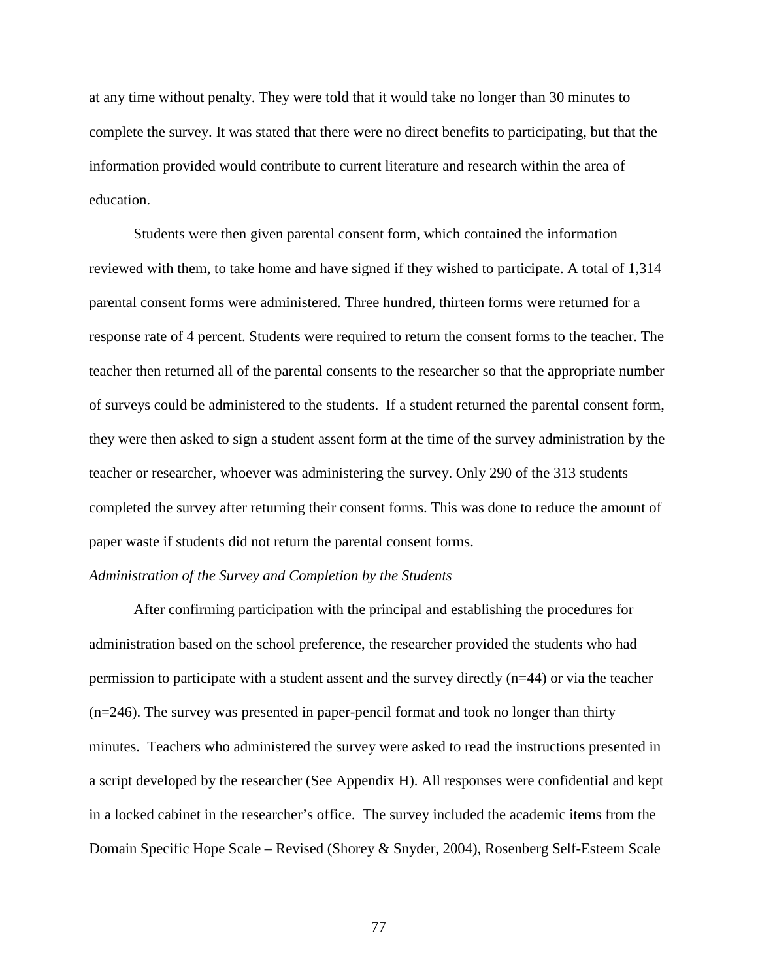at any time without penalty. They were told that it would take no longer than 30 minutes to complete the survey. It was stated that there were no direct benefits to participating, but that the information provided would contribute to current literature and research within the area of education.

Students were then given parental consent form, which contained the information reviewed with them, to take home and have signed if they wished to participate. A total of 1,314 parental consent forms were administered. Three hundred, thirteen forms were returned for a response rate of 4 percent. Students were required to return the consent forms to the teacher. The teacher then returned all of the parental consents to the researcher so that the appropriate number of surveys could be administered to the students. If a student returned the parental consent form, they were then asked to sign a student assent form at the time of the survey administration by the teacher or researcher, whoever was administering the survey. Only 290 of the 313 students completed the survey after returning their consent forms. This was done to reduce the amount of paper waste if students did not return the parental consent forms.

## *Administration of the Survey and Completion by the Students*

After confirming participation with the principal and establishing the procedures for administration based on the school preference, the researcher provided the students who had permission to participate with a student assent and the survey directly (n=44) or via the teacher (n=246). The survey was presented in paper-pencil format and took no longer than thirty minutes. Teachers who administered the survey were asked to read the instructions presented in a script developed by the researcher (See Appendix H). All responses were confidential and kept in a locked cabinet in the researcher's office. The survey included the academic items from the Domain Specific Hope Scale – Revised (Shorey & Snyder, 2004), Rosenberg Self-Esteem Scale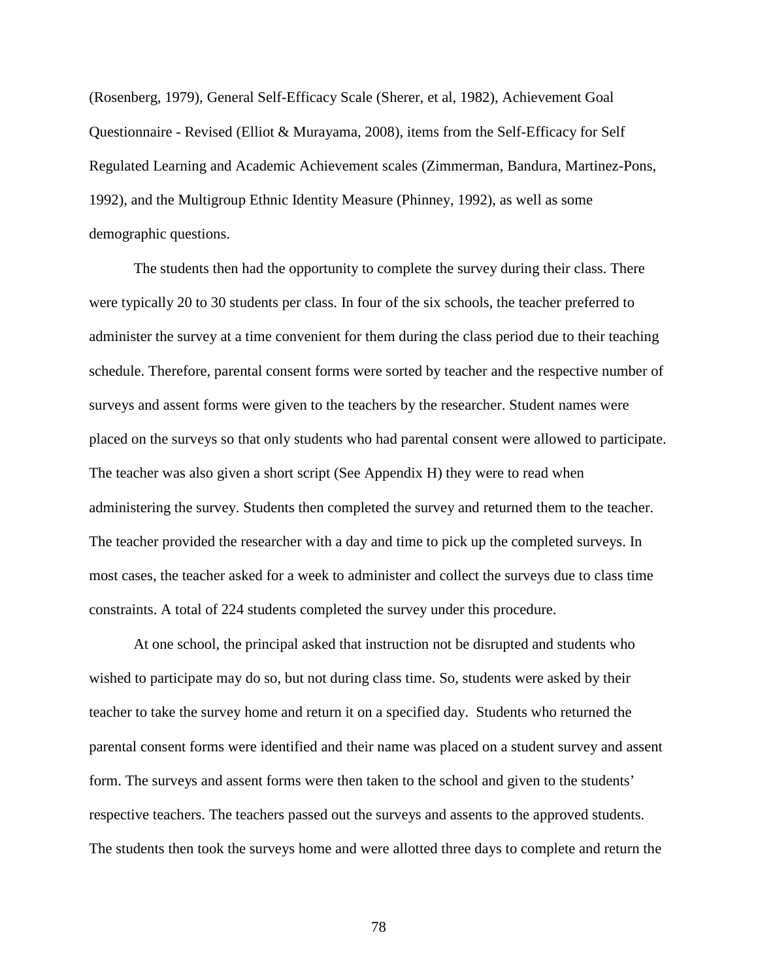(Rosenberg, 1979), General Self-Efficacy Scale (Sherer, et al, 1982), Achievement Goal Questionnaire - Revised (Elliot & Murayama, 2008), items from the Self-Efficacy for Self Regulated Learning and Academic Achievement scales (Zimmerman, Bandura, Martinez-Pons, 1992), and the Multigroup Ethnic Identity Measure (Phinney, 1992), as well as some demographic questions.

The students then had the opportunity to complete the survey during their class. There were typically 20 to 30 students per class. In four of the six schools, the teacher preferred to administer the survey at a time convenient for them during the class period due to their teaching schedule. Therefore, parental consent forms were sorted by teacher and the respective number of surveys and assent forms were given to the teachers by the researcher. Student names were placed on the surveys so that only students who had parental consent were allowed to participate. The teacher was also given a short script (See Appendix H) they were to read when administering the survey. Students then completed the survey and returned them to the teacher. The teacher provided the researcher with a day and time to pick up the completed surveys. In most cases, the teacher asked for a week to administer and collect the surveys due to class time constraints. A total of 224 students completed the survey under this procedure.

At one school, the principal asked that instruction not be disrupted and students who wished to participate may do so, but not during class time. So, students were asked by their teacher to take the survey home and return it on a specified day. Students who returned the parental consent forms were identified and their name was placed on a student survey and assent form. The surveys and assent forms were then taken to the school and given to the students' respective teachers. The teachers passed out the surveys and assents to the approved students. The students then took the surveys home and were allotted three days to complete and return the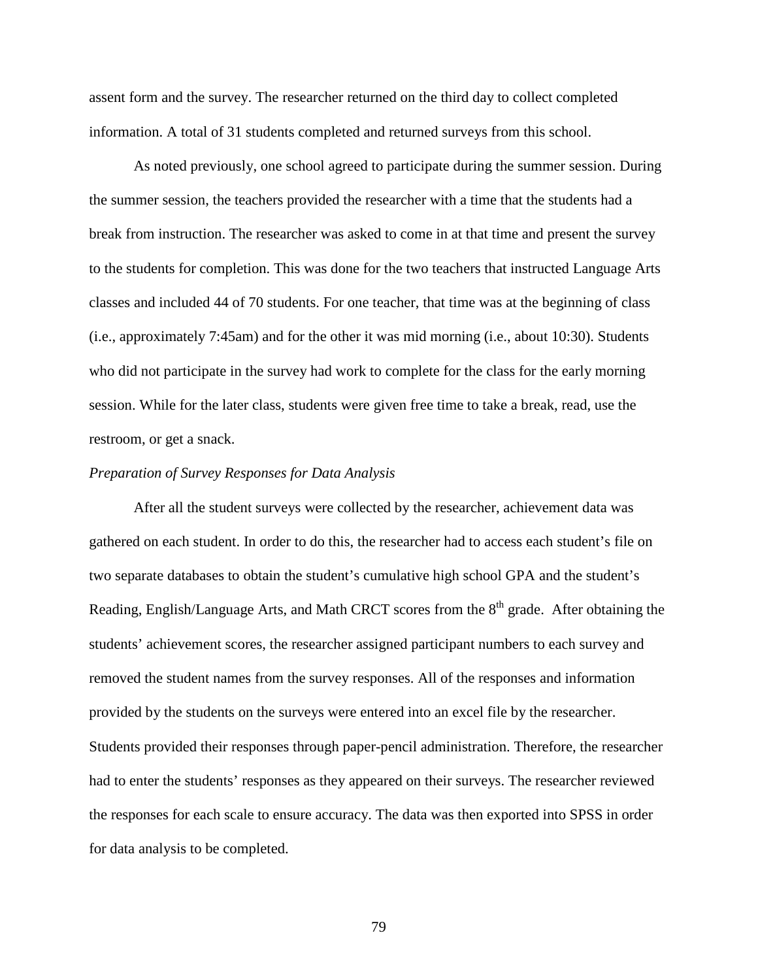assent form and the survey. The researcher returned on the third day to collect completed information. A total of 31 students completed and returned surveys from this school.

As noted previously, one school agreed to participate during the summer session. During the summer session, the teachers provided the researcher with a time that the students had a break from instruction. The researcher was asked to come in at that time and present the survey to the students for completion. This was done for the two teachers that instructed Language Arts classes and included 44 of 70 students. For one teacher, that time was at the beginning of class (i.e., approximately 7:45am) and for the other it was mid morning (i.e., about 10:30). Students who did not participate in the survey had work to complete for the class for the early morning session. While for the later class, students were given free time to take a break, read, use the restroom, or get a snack.

#### *Preparation of Survey Responses for Data Analysis*

 After all the student surveys were collected by the researcher, achievement data was gathered on each student. In order to do this, the researcher had to access each student's file on two separate databases to obtain the student's cumulative high school GPA and the student's Reading, English/Language Arts, and Math CRCT scores from the  $8<sup>th</sup>$  grade. After obtaining the students' achievement scores, the researcher assigned participant numbers to each survey and removed the student names from the survey responses. All of the responses and information provided by the students on the surveys were entered into an excel file by the researcher. Students provided their responses through paper-pencil administration. Therefore, the researcher had to enter the students' responses as they appeared on their surveys. The researcher reviewed the responses for each scale to ensure accuracy. The data was then exported into SPSS in order for data analysis to be completed.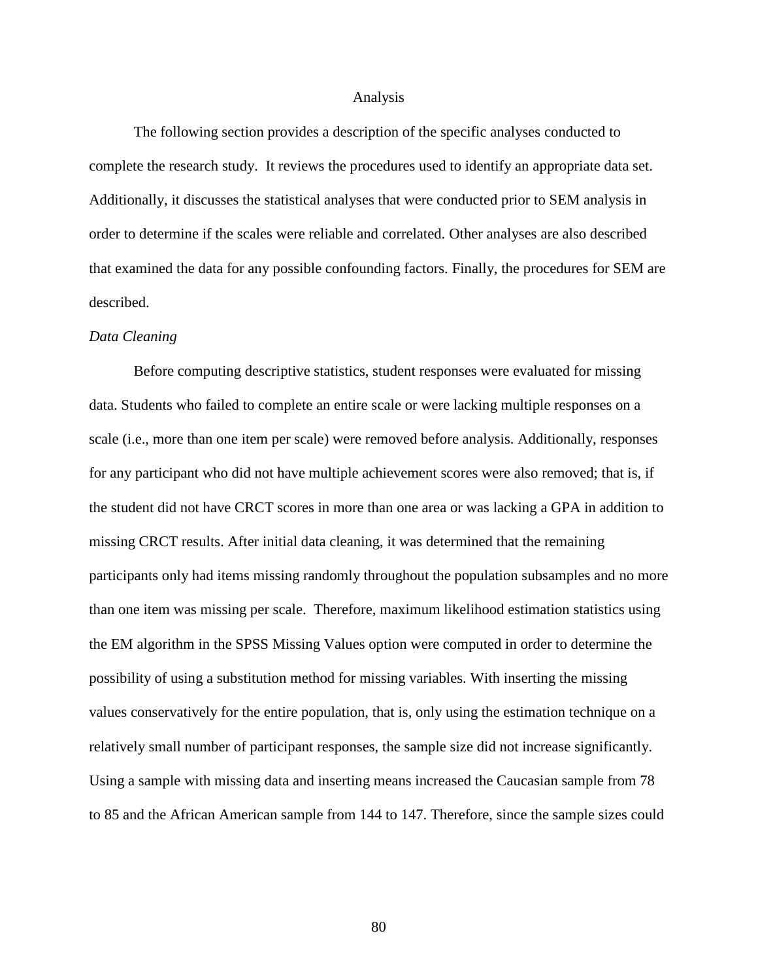#### Analysis

The following section provides a description of the specific analyses conducted to complete the research study. It reviews the procedures used to identify an appropriate data set. Additionally, it discusses the statistical analyses that were conducted prior to SEM analysis in order to determine if the scales were reliable and correlated. Other analyses are also described that examined the data for any possible confounding factors. Finally, the procedures for SEM are described.

#### *Data Cleaning*

 Before computing descriptive statistics, student responses were evaluated for missing data. Students who failed to complete an entire scale or were lacking multiple responses on a scale (i.e., more than one item per scale) were removed before analysis. Additionally, responses for any participant who did not have multiple achievement scores were also removed; that is, if the student did not have CRCT scores in more than one area or was lacking a GPA in addition to missing CRCT results. After initial data cleaning, it was determined that the remaining participants only had items missing randomly throughout the population subsamples and no more than one item was missing per scale. Therefore, maximum likelihood estimation statistics using the EM algorithm in the SPSS Missing Values option were computed in order to determine the possibility of using a substitution method for missing variables. With inserting the missing values conservatively for the entire population, that is, only using the estimation technique on a relatively small number of participant responses, the sample size did not increase significantly. Using a sample with missing data and inserting means increased the Caucasian sample from 78 to 85 and the African American sample from 144 to 147. Therefore, since the sample sizes could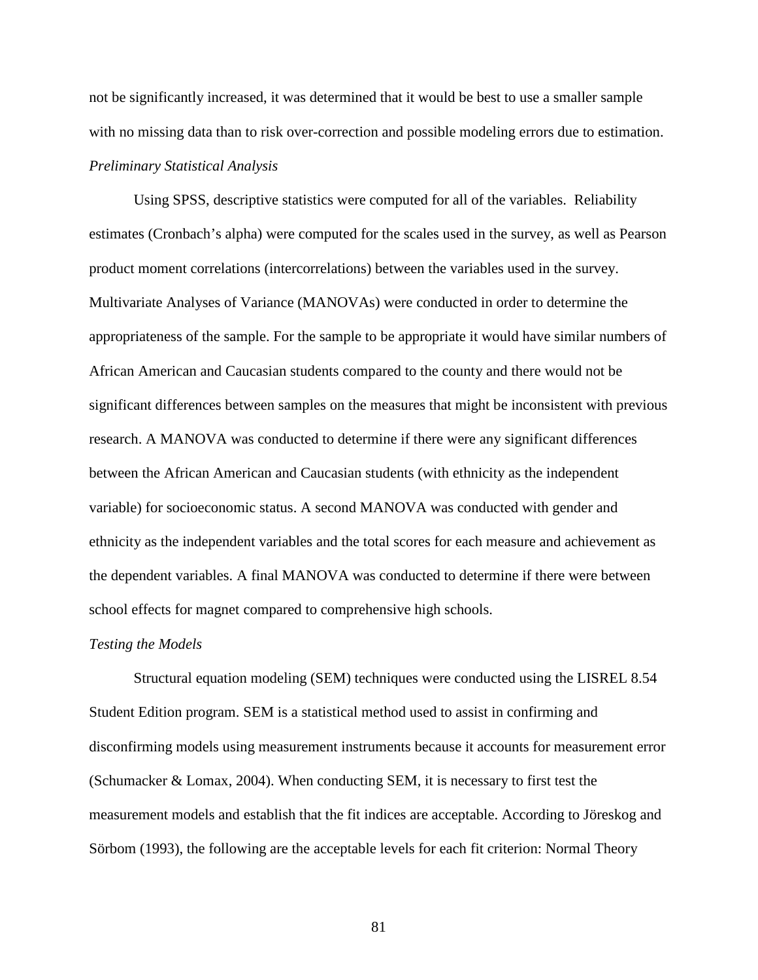not be significantly increased, it was determined that it would be best to use a smaller sample with no missing data than to risk over-correction and possible modeling errors due to estimation. *Preliminary Statistical Analysis* 

Using SPSS, descriptive statistics were computed for all of the variables. Reliability estimates (Cronbach's alpha) were computed for the scales used in the survey, as well as Pearson product moment correlations (intercorrelations) between the variables used in the survey. Multivariate Analyses of Variance (MANOVAs) were conducted in order to determine the appropriateness of the sample. For the sample to be appropriate it would have similar numbers of African American and Caucasian students compared to the county and there would not be significant differences between samples on the measures that might be inconsistent with previous research. A MANOVA was conducted to determine if there were any significant differences between the African American and Caucasian students (with ethnicity as the independent variable) for socioeconomic status. A second MANOVA was conducted with gender and ethnicity as the independent variables and the total scores for each measure and achievement as the dependent variables. A final MANOVA was conducted to determine if there were between school effects for magnet compared to comprehensive high schools.

#### *Testing the Models*

Structural equation modeling (SEM) techniques were conducted using the LISREL 8.54 Student Edition program. SEM is a statistical method used to assist in confirming and disconfirming models using measurement instruments because it accounts for measurement error (Schumacker & Lomax, 2004). When conducting SEM, it is necessary to first test the measurement models and establish that the fit indices are acceptable. According to Jöreskog and Sörbom (1993), the following are the acceptable levels for each fit criterion: Normal Theory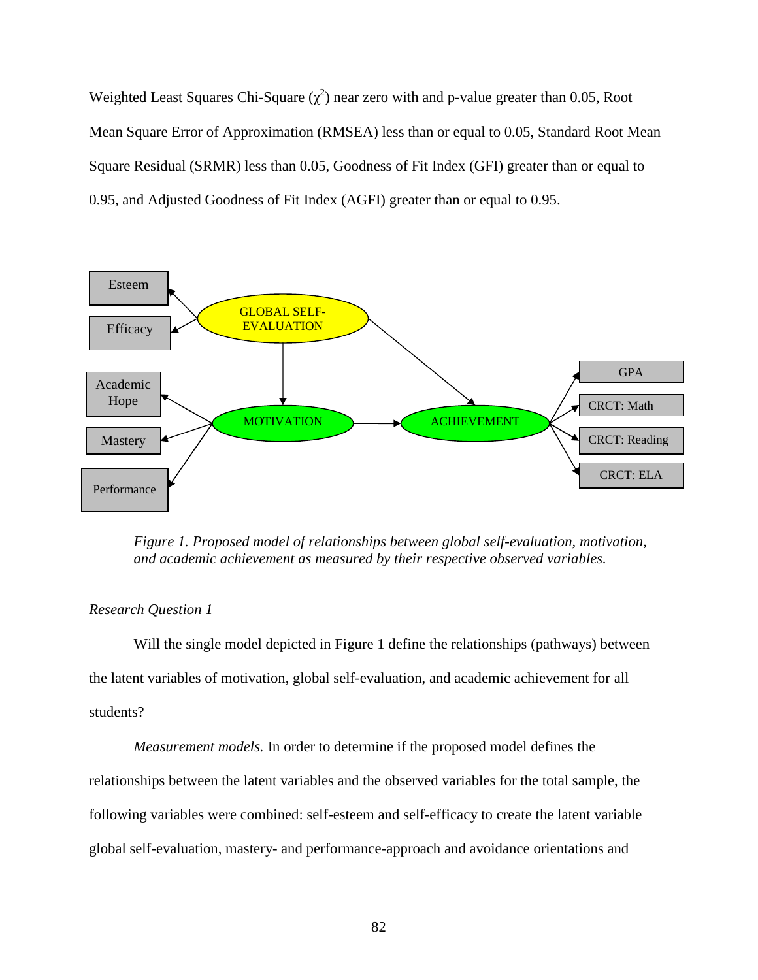Weighted Least Squares Chi-Square  $(\chi^2)$  near zero with and p-value greater than 0.05, Root Mean Square Error of Approximation (RMSEA) less than or equal to 0.05, Standard Root Mean Square Residual (SRMR) less than 0.05, Goodness of Fit Index (GFI) greater than or equal to 0.95, and Adjusted Goodness of Fit Index (AGFI) greater than or equal to 0.95.



*Figure 1. Proposed model of relationships between global self-evaluation, motivation, and academic achievement as measured by their respective observed variables.* 

# *Research Question 1*

Will the single model depicted in Figure 1 define the relationships (pathways) between the latent variables of motivation, global self-evaluation, and academic achievement for all students?

*Measurement models.* In order to determine if the proposed model defines the relationships between the latent variables and the observed variables for the total sample, the following variables were combined: self-esteem and self-efficacy to create the latent variable global self-evaluation, mastery- and performance-approach and avoidance orientations and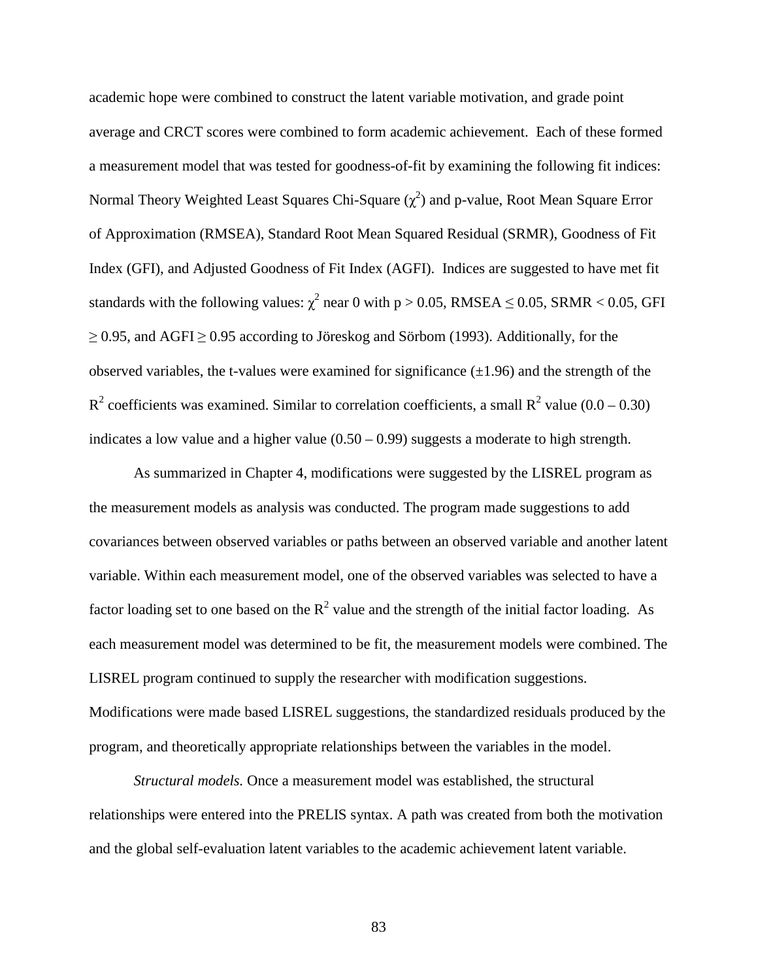academic hope were combined to construct the latent variable motivation, and grade point average and CRCT scores were combined to form academic achievement. Each of these formed a measurement model that was tested for goodness-of-fit by examining the following fit indices: Normal Theory Weighted Least Squares Chi-Square  $(\chi^2)$  and p-value, Root Mean Square Error of Approximation (RMSEA), Standard Root Mean Squared Residual (SRMR), Goodness of Fit Index (GFI), and Adjusted Goodness of Fit Index (AGFI). Indices are suggested to have met fit standards with the following values:  $\chi^2$  near 0 with p > 0.05, RMSEA  $\leq$  0.05, SRMR < 0.05, GFI  $\geq$  0.95, and AGFI  $\geq$  0.95 according to Jöreskog and Sörbom (1993). Additionally, for the observed variables, the t-values were examined for significance  $(\pm 1.96)$  and the strength of the  $R^2$  coefficients was examined. Similar to correlation coefficients, a small  $R^2$  value (0.0 – 0.30) indicates a low value and a higher value  $(0.50 - 0.99)$  suggests a moderate to high strength.

As summarized in Chapter 4, modifications were suggested by the LISREL program as the measurement models as analysis was conducted. The program made suggestions to add covariances between observed variables or paths between an observed variable and another latent variable. Within each measurement model, one of the observed variables was selected to have a factor loading set to one based on the  $R^2$  value and the strength of the initial factor loading. As each measurement model was determined to be fit, the measurement models were combined. The LISREL program continued to supply the researcher with modification suggestions. Modifications were made based LISREL suggestions, the standardized residuals produced by the program, and theoretically appropriate relationships between the variables in the model.

*Structural models.* Once a measurement model was established, the structural relationships were entered into the PRELIS syntax. A path was created from both the motivation and the global self-evaluation latent variables to the academic achievement latent variable.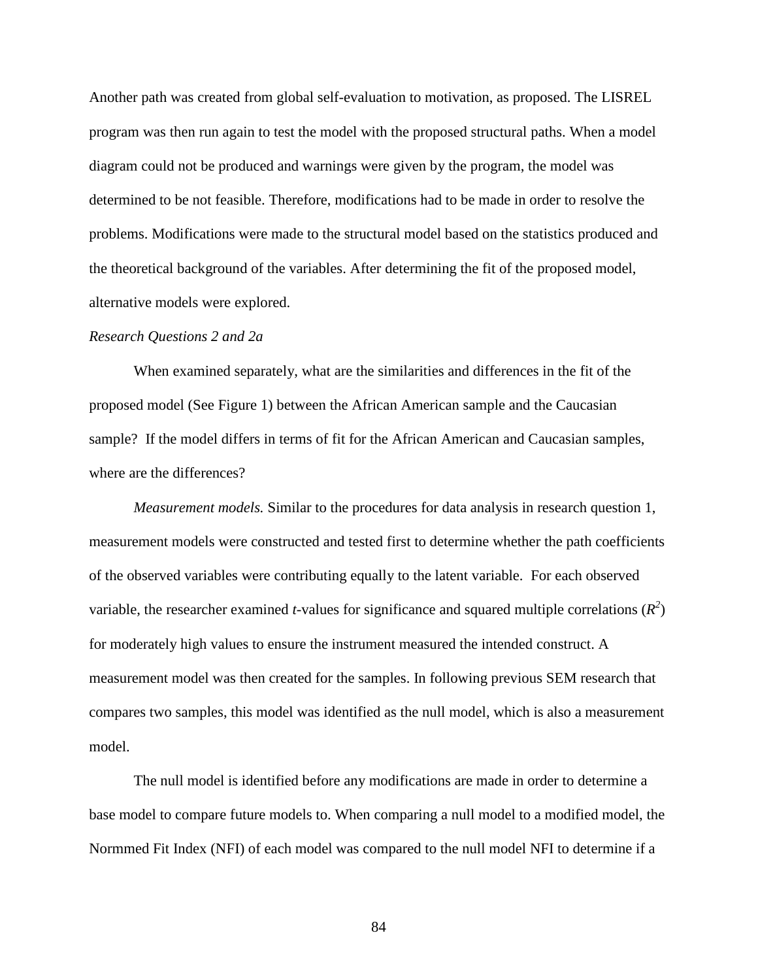Another path was created from global self-evaluation to motivation, as proposed. The LISREL program was then run again to test the model with the proposed structural paths. When a model diagram could not be produced and warnings were given by the program, the model was determined to be not feasible. Therefore, modifications had to be made in order to resolve the problems. Modifications were made to the structural model based on the statistics produced and the theoretical background of the variables. After determining the fit of the proposed model, alternative models were explored.

## *Research Questions 2 and 2a*

When examined separately, what are the similarities and differences in the fit of the proposed model (See Figure 1) between the African American sample and the Caucasian sample? If the model differs in terms of fit for the African American and Caucasian samples, where are the differences?

*Measurement models.* Similar to the procedures for data analysis in research question 1, measurement models were constructed and tested first to determine whether the path coefficients of the observed variables were contributing equally to the latent variable. For each observed variable, the researcher examined *t*-values for significance and squared multiple correlations  $(R^2)$ for moderately high values to ensure the instrument measured the intended construct. A measurement model was then created for the samples. In following previous SEM research that compares two samples, this model was identified as the null model, which is also a measurement model.

The null model is identified before any modifications are made in order to determine a base model to compare future models to. When comparing a null model to a modified model, the Normmed Fit Index (NFI) of each model was compared to the null model NFI to determine if a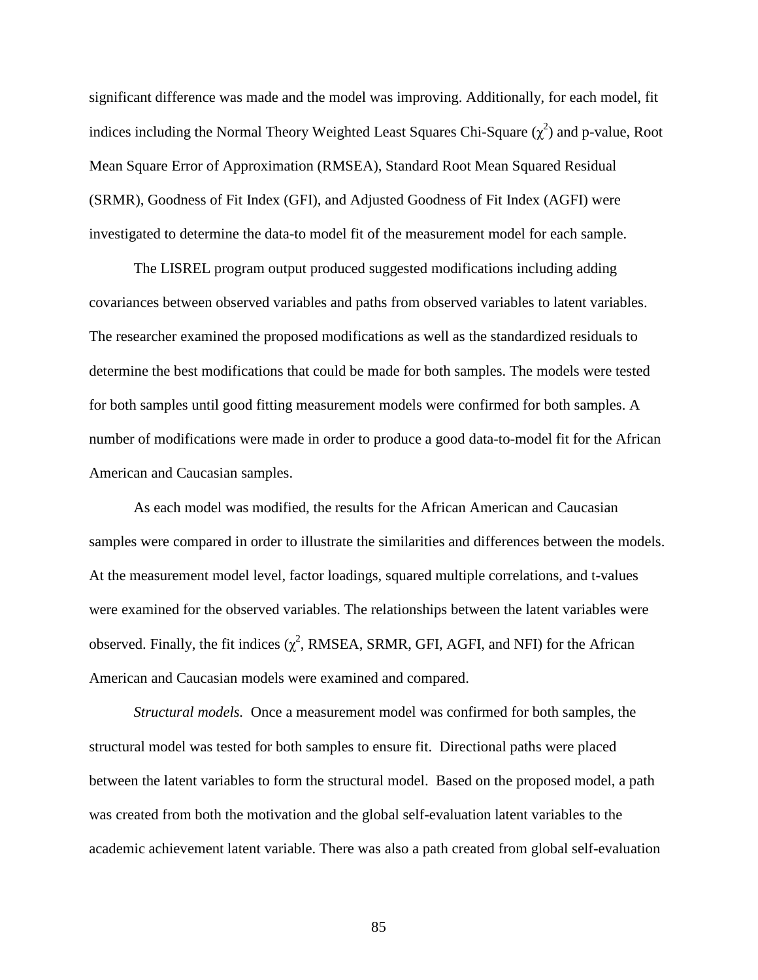significant difference was made and the model was improving. Additionally, for each model, fit indices including the Normal Theory Weighted Least Squares Chi-Square  $(\chi^2)$  and p-value, Root Mean Square Error of Approximation (RMSEA), Standard Root Mean Squared Residual (SRMR), Goodness of Fit Index (GFI), and Adjusted Goodness of Fit Index (AGFI) were investigated to determine the data-to model fit of the measurement model for each sample.

The LISREL program output produced suggested modifications including adding covariances between observed variables and paths from observed variables to latent variables. The researcher examined the proposed modifications as well as the standardized residuals to determine the best modifications that could be made for both samples. The models were tested for both samples until good fitting measurement models were confirmed for both samples. A number of modifications were made in order to produce a good data-to-model fit for the African American and Caucasian samples.

As each model was modified, the results for the African American and Caucasian samples were compared in order to illustrate the similarities and differences between the models. At the measurement model level, factor loadings, squared multiple correlations, and t-values were examined for the observed variables. The relationships between the latent variables were observed. Finally, the fit indices  $(\chi^2$ , RMSEA, SRMR, GFI, AGFI, and NFI) for the African American and Caucasian models were examined and compared.

*Structural models.* Once a measurement model was confirmed for both samples, the structural model was tested for both samples to ensure fit. Directional paths were placed between the latent variables to form the structural model. Based on the proposed model, a path was created from both the motivation and the global self-evaluation latent variables to the academic achievement latent variable. There was also a path created from global self-evaluation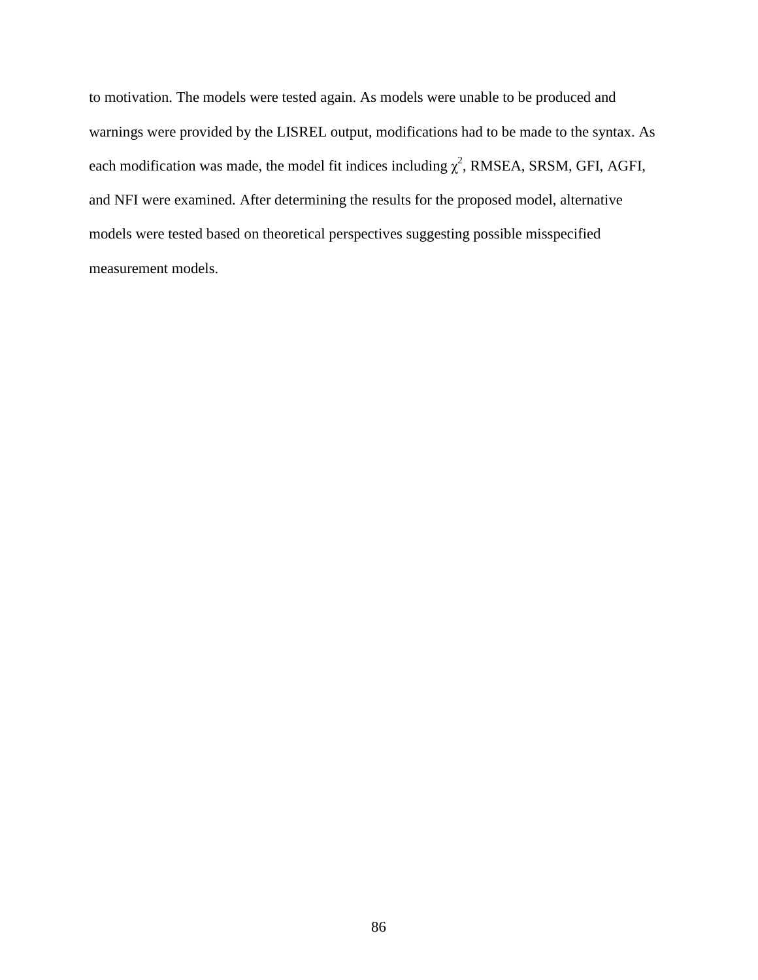to motivation. The models were tested again. As models were unable to be produced and warnings were provided by the LISREL output, modifications had to be made to the syntax. As each modification was made, the model fit indices including  $\chi^2$ , RMSEA, SRSM, GFI, AGFI, and NFI were examined. After determining the results for the proposed model, alternative models were tested based on theoretical perspectives suggesting possible misspecified measurement models.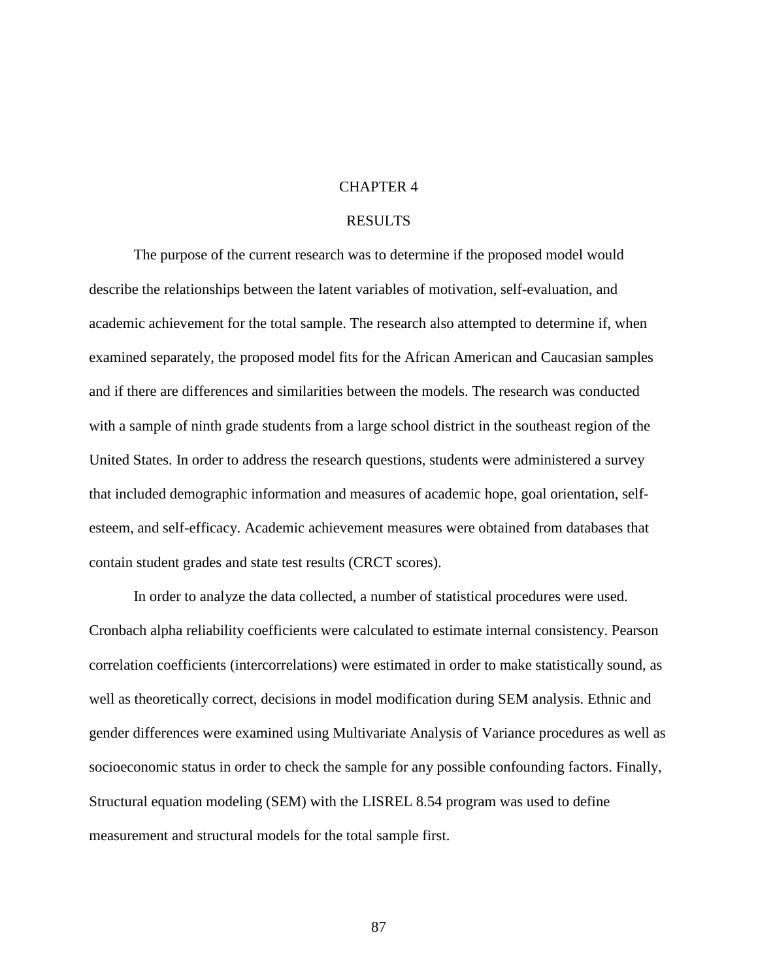## CHAPTER 4

## RESULTS

The purpose of the current research was to determine if the proposed model would describe the relationships between the latent variables of motivation, self-evaluation, and academic achievement for the total sample. The research also attempted to determine if, when examined separately, the proposed model fits for the African American and Caucasian samples and if there are differences and similarities between the models. The research was conducted with a sample of ninth grade students from a large school district in the southeast region of the United States. In order to address the research questions, students were administered a survey that included demographic information and measures of academic hope, goal orientation, selfesteem, and self-efficacy. Academic achievement measures were obtained from databases that contain student grades and state test results (CRCT scores).

In order to analyze the data collected, a number of statistical procedures were used. Cronbach alpha reliability coefficients were calculated to estimate internal consistency. Pearson correlation coefficients (intercorrelations) were estimated in order to make statistically sound, as well as theoretically correct, decisions in model modification during SEM analysis. Ethnic and gender differences were examined using Multivariate Analysis of Variance procedures as well as socioeconomic status in order to check the sample for any possible confounding factors. Finally, Structural equation modeling (SEM) with the LISREL 8.54 program was used to define measurement and structural models for the total sample first.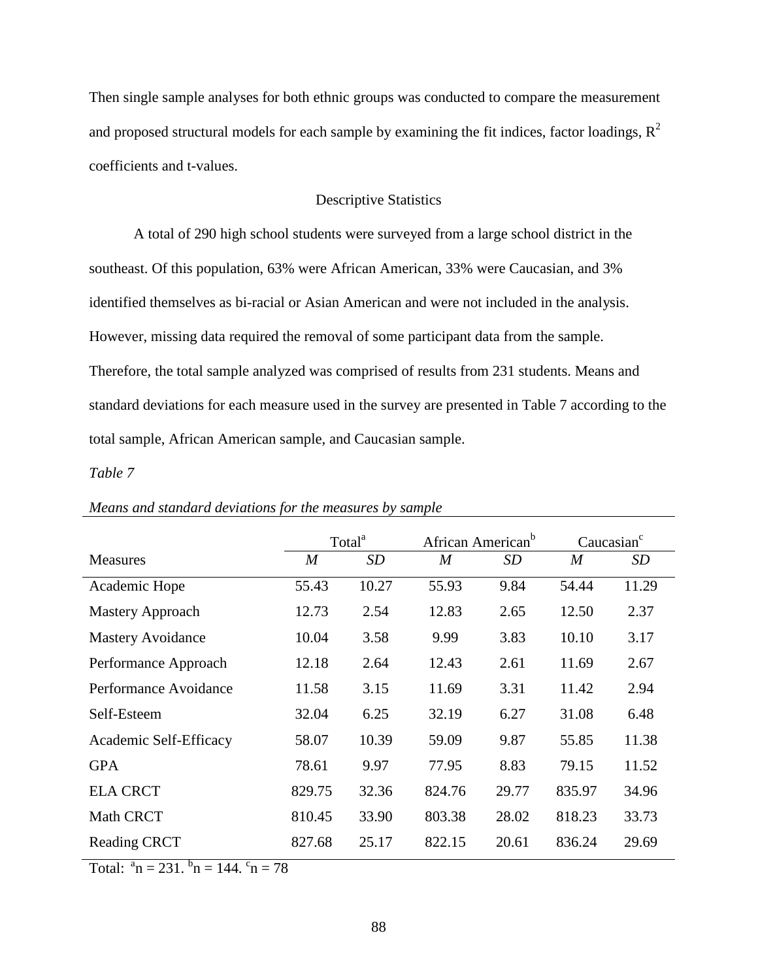Then single sample analyses for both ethnic groups was conducted to compare the measurement and proposed structural models for each sample by examining the fit indices, factor loadings,  $\mathbb{R}^2$ coefficients and t-values.

# Descriptive Statistics

A total of 290 high school students were surveyed from a large school district in the southeast. Of this population, 63% were African American, 33% were Caucasian, and 3% identified themselves as bi-racial or Asian American and were not included in the analysis. However, missing data required the removal of some participant data from the sample. Therefore, the total sample analyzed was comprised of results from 231 students. Means and standard deviations for each measure used in the survey are presented in Table 7 according to the total sample, African American sample, and Caucasian sample.

# *Table 7*

|                          | Total <sup>a</sup> |       | African American <sup>b</sup> |           | Caucasian <sup>c</sup> |       |
|--------------------------|--------------------|-------|-------------------------------|-----------|------------------------|-------|
| <b>Measures</b>          | $\boldsymbol{M}$   | SD    | $\boldsymbol{M}$              | <b>SD</b> | $\boldsymbol{M}$       | SD    |
| Academic Hope            | 55.43              | 10.27 | 55.93                         | 9.84      | 54.44                  | 11.29 |
| Mastery Approach         | 12.73              | 2.54  | 12.83                         | 2.65      | 12.50                  | 2.37  |
| <b>Mastery Avoidance</b> | 10.04              | 3.58  | 9.99                          | 3.83      | 10.10                  | 3.17  |
| Performance Approach     | 12.18              | 2.64  | 12.43                         | 2.61      | 11.69                  | 2.67  |
| Performance Avoidance    | 11.58              | 3.15  | 11.69                         | 3.31      | 11.42                  | 2.94  |
| Self-Esteem              | 32.04              | 6.25  | 32.19                         | 6.27      | 31.08                  | 6.48  |
| Academic Self-Efficacy   | 58.07              | 10.39 | 59.09                         | 9.87      | 55.85                  | 11.38 |
| <b>GPA</b>               | 78.61              | 9.97  | 77.95                         | 8.83      | 79.15                  | 11.52 |
| <b>ELA CRCT</b>          | 829.75             | 32.36 | 824.76                        | 29.77     | 835.97                 | 34.96 |
| <b>Math CRCT</b>         | 810.45             | 33.90 | 803.38                        | 28.02     | 818.23                 | 33.73 |
| <b>Reading CRCT</b>      | 827.68             | 25.17 | 822.15                        | 20.61     | 836.24                 | 29.69 |

## *Means and standard deviations for the measures by sample*

Total:  $a_n = 231$ .  $b_n = 144$ .  $c_n = 78$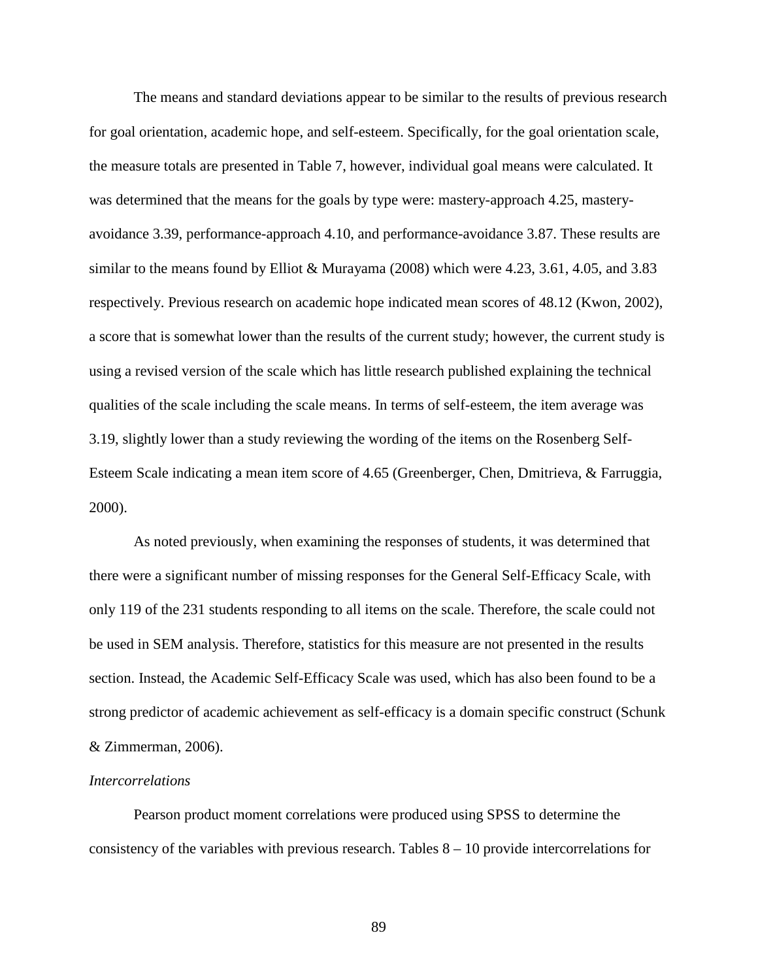The means and standard deviations appear to be similar to the results of previous research for goal orientation, academic hope, and self-esteem. Specifically, for the goal orientation scale, the measure totals are presented in Table 7, however, individual goal means were calculated. It was determined that the means for the goals by type were: mastery-approach 4.25, masteryavoidance 3.39, performance-approach 4.10, and performance-avoidance 3.87. These results are similar to the means found by Elliot & Murayama (2008) which were 4.23, 3.61, 4.05, and 3.83 respectively. Previous research on academic hope indicated mean scores of 48.12 (Kwon, 2002), a score that is somewhat lower than the results of the current study; however, the current study is using a revised version of the scale which has little research published explaining the technical qualities of the scale including the scale means. In terms of self-esteem, the item average was 3.19, slightly lower than a study reviewing the wording of the items on the Rosenberg Self-Esteem Scale indicating a mean item score of 4.65 (Greenberger, Chen, Dmitrieva, & Farruggia, 2000).

As noted previously, when examining the responses of students, it was determined that there were a significant number of missing responses for the General Self-Efficacy Scale, with only 119 of the 231 students responding to all items on the scale. Therefore, the scale could not be used in SEM analysis. Therefore, statistics for this measure are not presented in the results section. Instead, the Academic Self-Efficacy Scale was used, which has also been found to be a strong predictor of academic achievement as self-efficacy is a domain specific construct (Schunk & Zimmerman, 2006).

#### *Intercorrelations*

Pearson product moment correlations were produced using SPSS to determine the consistency of the variables with previous research. Tables 8 – 10 provide intercorrelations for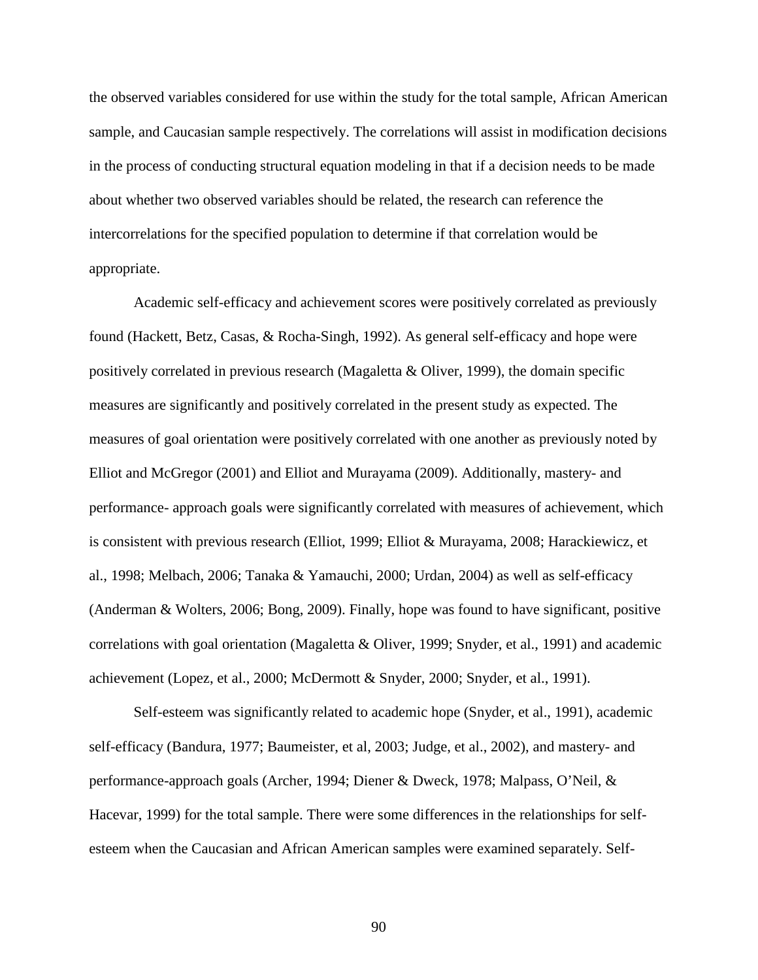the observed variables considered for use within the study for the total sample, African American sample, and Caucasian sample respectively. The correlations will assist in modification decisions in the process of conducting structural equation modeling in that if a decision needs to be made about whether two observed variables should be related, the research can reference the intercorrelations for the specified population to determine if that correlation would be appropriate.

Academic self-efficacy and achievement scores were positively correlated as previously found (Hackett, Betz, Casas, & Rocha-Singh, 1992). As general self-efficacy and hope were positively correlated in previous research (Magaletta & Oliver, 1999), the domain specific measures are significantly and positively correlated in the present study as expected. The measures of goal orientation were positively correlated with one another as previously noted by Elliot and McGregor (2001) and Elliot and Murayama (2009). Additionally, mastery- and performance- approach goals were significantly correlated with measures of achievement, which is consistent with previous research (Elliot, 1999; Elliot & Murayama, 2008; Harackiewicz, et al., 1998; Melbach, 2006; Tanaka & Yamauchi, 2000; Urdan, 2004) as well as self-efficacy (Anderman & Wolters, 2006; Bong, 2009). Finally, hope was found to have significant, positive correlations with goal orientation (Magaletta & Oliver, 1999; Snyder, et al., 1991) and academic achievement (Lopez, et al., 2000; McDermott & Snyder, 2000; Snyder, et al., 1991).

Self-esteem was significantly related to academic hope (Snyder, et al., 1991), academic self-efficacy (Bandura, 1977; Baumeister, et al, 2003; Judge, et al., 2002), and mastery- and performance-approach goals (Archer, 1994; Diener & Dweck, 1978; Malpass, O'Neil, & Hacevar, 1999) for the total sample. There were some differences in the relationships for selfesteem when the Caucasian and African American samples were examined separately. Self-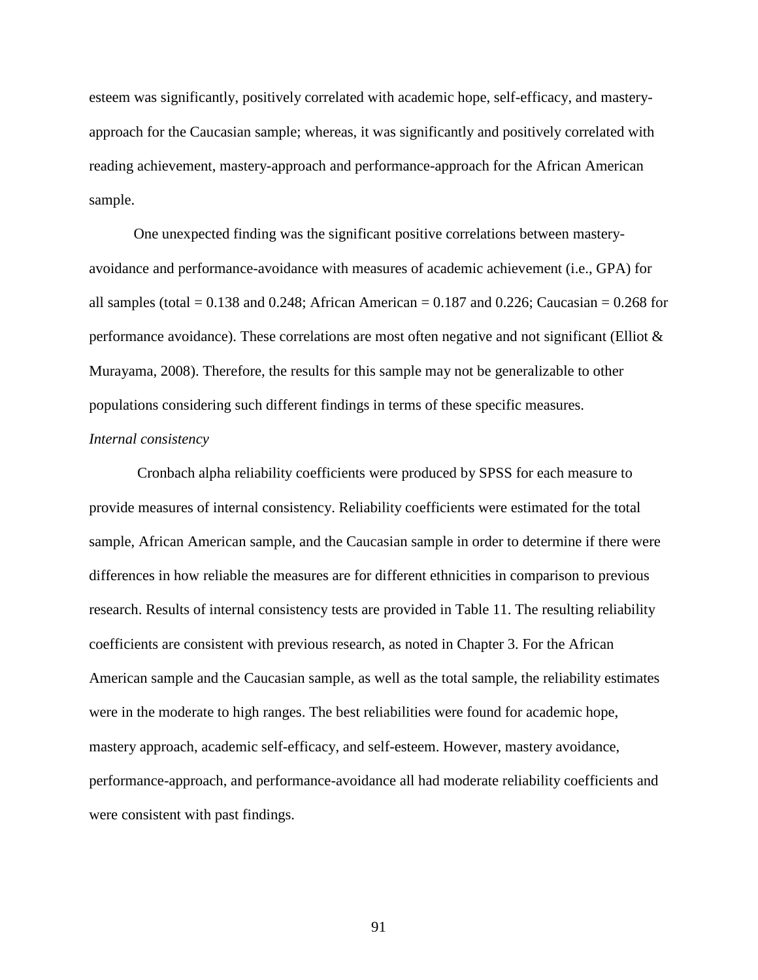esteem was significantly, positively correlated with academic hope, self-efficacy, and masteryapproach for the Caucasian sample; whereas, it was significantly and positively correlated with reading achievement, mastery-approach and performance-approach for the African American sample.

One unexpected finding was the significant positive correlations between masteryavoidance and performance-avoidance with measures of academic achievement (i.e., GPA) for all samples (total =  $0.138$  and  $0.248$ ; African American =  $0.187$  and  $0.226$ ; Caucasian =  $0.268$  for performance avoidance). These correlations are most often negative and not significant (Elliot  $\&$ Murayama, 2008). Therefore, the results for this sample may not be generalizable to other populations considering such different findings in terms of these specific measures. *Internal consistency* 

Cronbach alpha reliability coefficients were produced by SPSS for each measure to provide measures of internal consistency. Reliability coefficients were estimated for the total sample, African American sample, and the Caucasian sample in order to determine if there were differences in how reliable the measures are for different ethnicities in comparison to previous research. Results of internal consistency tests are provided in Table 11. The resulting reliability coefficients are consistent with previous research, as noted in Chapter 3. For the African American sample and the Caucasian sample, as well as the total sample, the reliability estimates were in the moderate to high ranges. The best reliabilities were found for academic hope, mastery approach, academic self-efficacy, and self-esteem. However, mastery avoidance, performance-approach, and performance-avoidance all had moderate reliability coefficients and were consistent with past findings.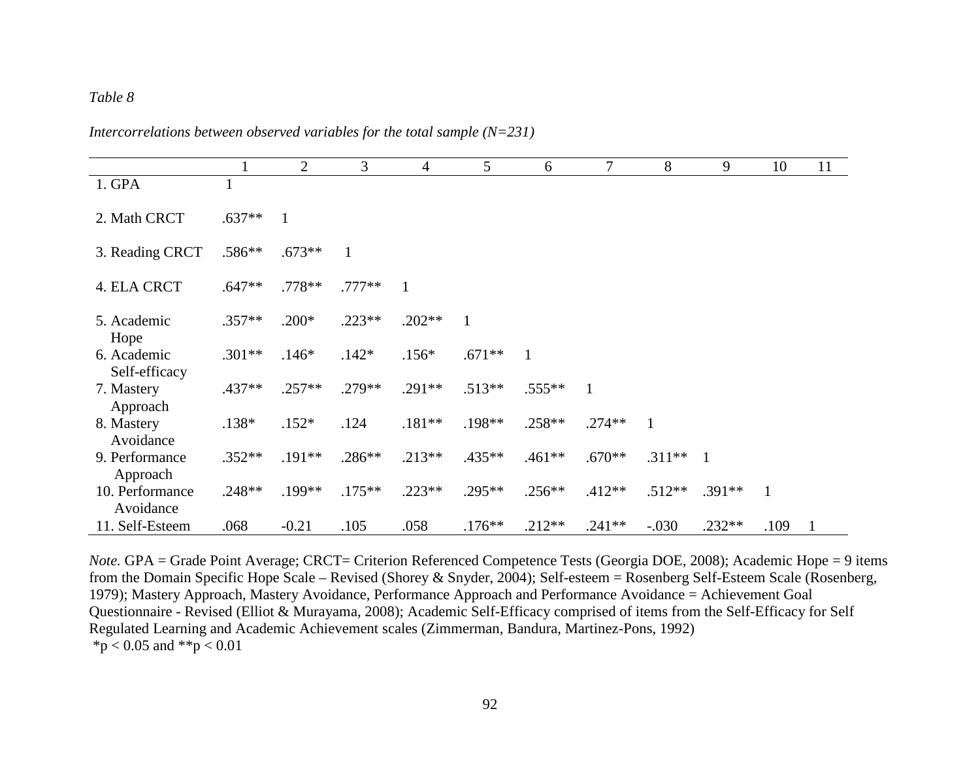*Intercorrelations between observed variables for the total sample (N=231)* 

|                              |          | $\overline{2}$ | 3            | $\overline{4}$ | 5        | 6            | 7        | 8        | 9            | 10           | 11 |
|------------------------------|----------|----------------|--------------|----------------|----------|--------------|----------|----------|--------------|--------------|----|
| 1. GPA                       |          |                |              |                |          |              |          |          |              |              |    |
| 2. Math CRCT                 | $.637**$ | 1              |              |                |          |              |          |          |              |              |    |
| 3. Reading CRCT              | .586**   | $.673**$       | $\mathbf{1}$ |                |          |              |          |          |              |              |    |
| 4. ELA CRCT                  | $.647**$ | .778**         | .777**       | $\overline{1}$ |          |              |          |          |              |              |    |
| 5. Academic<br>Hope          | $.357**$ | $.200*$        | $.223**$     | $.202**$       | 1        |              |          |          |              |              |    |
| 6. Academic<br>Self-efficacy | $.301**$ | $.146*$        | $.142*$      | $.156*$        | $.671**$ | $\mathbf{1}$ |          |          |              |              |    |
| 7. Mastery<br>Approach       | .437**   | $.257**$       | .279**       | $.291**$       | $.513**$ | $.555***$    |          |          |              |              |    |
| 8. Mastery<br>Avoidance      | $.138*$  | $.152*$        | .124         | $.181**$       | .198**   | .258**       | $.274**$ | 1        |              |              |    |
| 9. Performance<br>Approach   | $.352**$ | .191**         | .286**       | $.213**$       | .435**   | $.461**$     | $.670**$ | $.311**$ | $\mathbf{1}$ |              |    |
| 10. Performance<br>Avoidance | .248**   | .199**         | $.175**$     | $.223**$       | .295**   | $.256**$     | $.412**$ | $.512**$ | $.391**$     | $\mathbf{1}$ |    |
| 11. Self-Esteem              | .068     | $-0.21$        | .105         | .058           | $.176**$ | $.212**$     | $.241**$ | $-.030$  | $.232**$     | .109         |    |

*Note.* GPA = Grade Point Average; CRCT= Criterion Referenced Competence Tests (Georgia DOE, 2008); Academic Hope = 9 items from the Domain Specific Hope Scale – Revised (Shorey & Snyder, 2004); Self-esteem = Rosenberg Self-Esteem Scale (Rosenberg, 1979); Mastery Approach, Mastery Avoidance, Performance Approach and Performance Avoidance = Achievement Goal Questionnaire - Revised (Elliot & Murayama, 2008); Academic Self-Efficacy comprised of items from the Self-Efficacy for Self Regulated Learning and Academic Achievement scales (Zimmerman, Bandura, Martinez-Pons, 1992) \*p < 0.05 and \*\*p < 0.01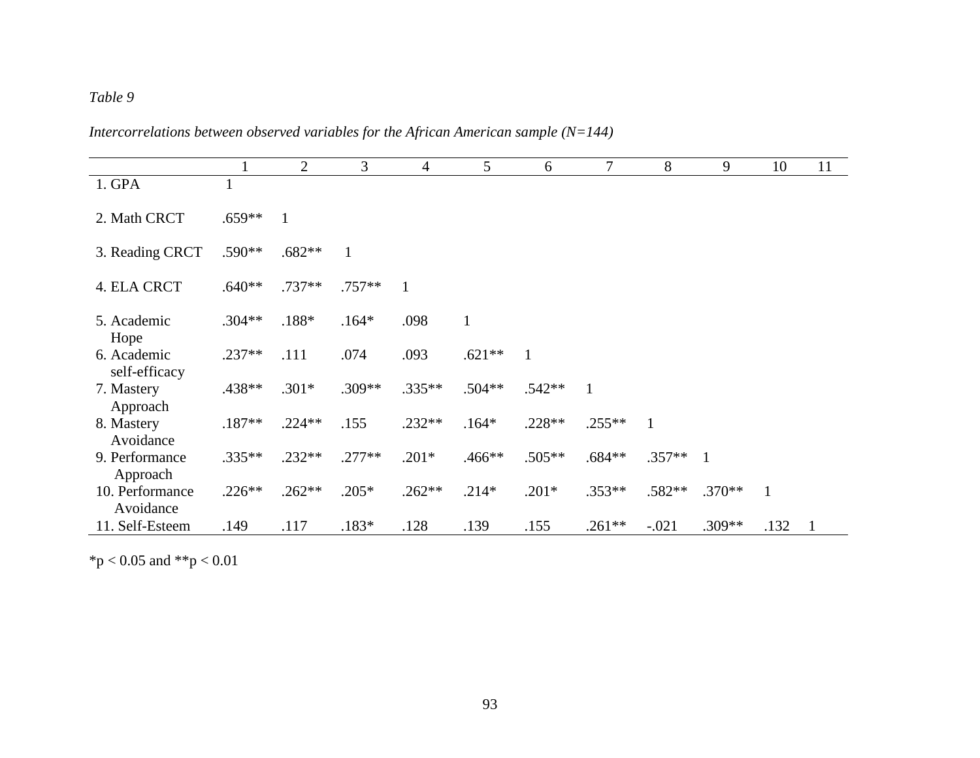*Intercorrelations between observed variables for the African American sample (N=144)* 

|                              |          | $\overline{2}$ | 3        | $\overline{4}$ | 5            | 6            | $\overline{7}$ | 8            | 9              | 10           | 11 |
|------------------------------|----------|----------------|----------|----------------|--------------|--------------|----------------|--------------|----------------|--------------|----|
| 1. GPA                       |          |                |          |                |              |              |                |              |                |              |    |
| 2. Math CRCT                 | $.659**$ | $\mathbf{1}$   |          |                |              |              |                |              |                |              |    |
| 3. Reading CRCT              | $.590**$ | $.682**$       |          |                |              |              |                |              |                |              |    |
| 4. ELA CRCT                  | $.640**$ | .737**         | $.757**$ | $\mathbf{1}$   |              |              |                |              |                |              |    |
| 5. Academic<br>Hope          | $.304**$ | .188*          | $.164*$  | .098           | $\mathbf{1}$ |              |                |              |                |              |    |
| 6. Academic<br>self-efficacy | $.237**$ | .111           | .074     | .093           | $.621**$     | $\mathbf{1}$ |                |              |                |              |    |
| 7. Mastery<br>Approach       | .438**   | $.301*$        | .309**   | $.335**$       | $.504**$     | $.542**$     | $\mathbf{1}$   |              |                |              |    |
| 8. Mastery<br>Avoidance      | $.187**$ | $.224**$       | .155     | $.232**$       | $.164*$      | $.228**$     | $.255**$       | $\mathbf{1}$ |                |              |    |
| 9. Performance<br>Approach   | $.335**$ | $.232**$       | $.277**$ | $.201*$        | .466**       | $.505**$     | $.684**$       | $.357**$     | $\overline{1}$ |              |    |
| 10. Performance<br>Avoidance | $.226**$ | $.262**$       | $.205*$  | $.262**$       | $.214*$      | $.201*$      | $.353**$       | .582**       | $.370**$       | $\mathbf{1}$ |    |
| 11. Self-Esteem              | .149     | .117           | $.183*$  | .128           | .139         | .155         | $.261**$       | $-.021$      | $.309**$       | .132         | -1 |

 $*p < 0.05$  and  $*p < 0.01$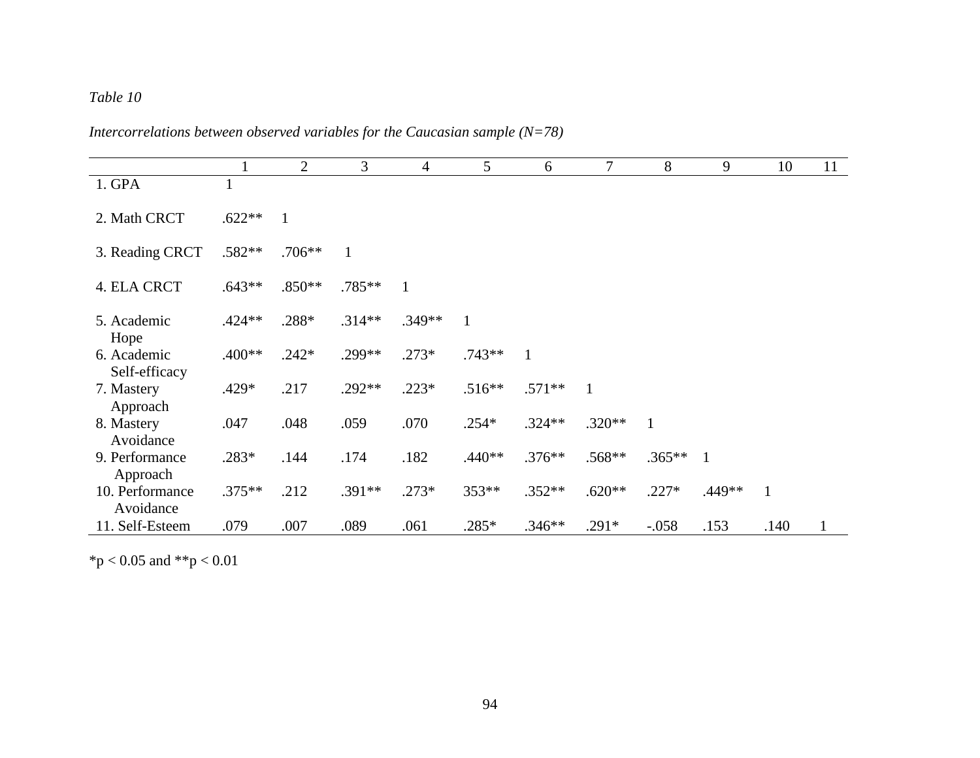*Intercorrelations between observed variables for the Caucasian sample (N=78)* 

|                              |          | $\overline{2}$ | 3            | 4            | 5        | 6            | 7        | 8        | 9              | 10           | 11 |
|------------------------------|----------|----------------|--------------|--------------|----------|--------------|----------|----------|----------------|--------------|----|
| 1. GPA                       |          |                |              |              |          |              |          |          |                |              |    |
| 2. Math CRCT                 | $.622**$ | $\mathbf{1}$   |              |              |          |              |          |          |                |              |    |
| 3. Reading CRCT              | $.582**$ | $.706**$       | $\mathbf{1}$ |              |          |              |          |          |                |              |    |
| 4. ELA CRCT                  | $.643**$ | $.850**$       | .785**       | $\mathbf{1}$ |          |              |          |          |                |              |    |
| 5. Academic<br>Hope          | $.424**$ | .288*          | $.314**$     | $.349**$     | 1        |              |          |          |                |              |    |
| 6. Academic<br>Self-efficacy | .400**   | $.242*$        | .299**       | $.273*$      | $.743**$ | $\mathbf{1}$ |          |          |                |              |    |
| 7. Mastery<br>Approach       | $.429*$  | .217           | .292**       | $.223*$      | $.516**$ | $.571**$     | 1        |          |                |              |    |
| 8. Mastery<br>Avoidance      | .047     | .048           | .059         | .070         | $.254*$  | $.324**$     | $.320**$ | 1        |                |              |    |
| 9. Performance<br>Approach   | .283*    | .144           | .174         | .182         | $.440**$ | $.376**$     | .568**   | $.365**$ | $\overline{1}$ |              |    |
| 10. Performance<br>Avoidance | $.375**$ | .212           | .391**       | $.273*$      | 353**    | $.352**$     | $.620**$ | $.227*$  | .449**         | $\mathbf{1}$ |    |
| 11. Self-Esteem              | .079     | .007           | .089         | .061         | $.285*$  | $.346**$     | $.291*$  | $-.058$  | .153           | .140         |    |

 $*p < 0.05$  and  $*p < 0.01$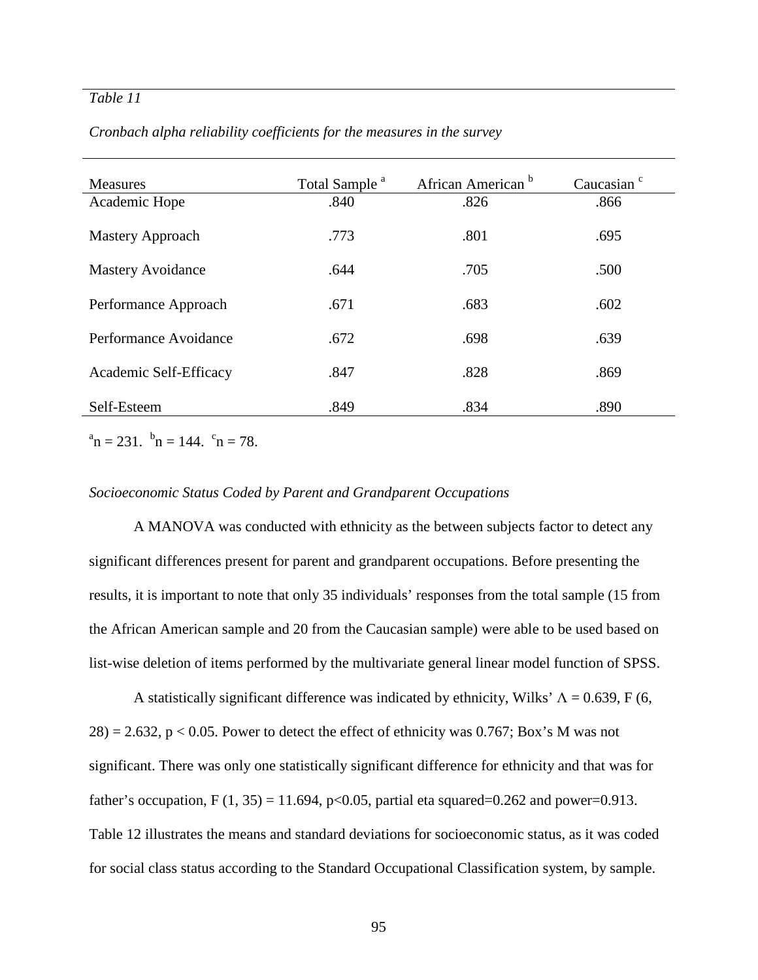| <b>Measures</b>          | Total Sample <sup>a</sup> | African American <sup>b</sup> | Caucasian <sup>c</sup> |
|--------------------------|---------------------------|-------------------------------|------------------------|
| Academic Hope            | .840                      | .826                          | .866                   |
| Mastery Approach         | .773                      | .801                          | .695                   |
| <b>Mastery Avoidance</b> | .644                      | .705                          | .500                   |
| Performance Approach     | .671                      | .683                          | .602                   |
| Performance Avoidance    | .672                      | .698                          | .639                   |
| Academic Self-Efficacy   | .847                      | .828                          | .869                   |
| Self-Esteem              | .849                      | .834                          | .890                   |

*Cronbach alpha reliability coefficients for the measures in the survey* 

 $a_n = 231$ .  $b_n = 144$ .  $c_n = 78$ .

## *Socioeconomic Status Coded by Parent and Grandparent Occupations*

A MANOVA was conducted with ethnicity as the between subjects factor to detect any significant differences present for parent and grandparent occupations. Before presenting the results, it is important to note that only 35 individuals' responses from the total sample (15 from the African American sample and 20 from the Caucasian sample) were able to be used based on list-wise deletion of items performed by the multivariate general linear model function of SPSS.

A statistically significant difference was indicated by ethnicity, Wilks'  $\Lambda = 0.639$ , F (6,  $28$ ) = 2.632, p < 0.05. Power to detect the effect of ethnicity was 0.767; Box's M was not significant. There was only one statistically significant difference for ethnicity and that was for father's occupation, F  $(1, 35) = 11.694$ , p<0.05, partial eta squared=0.262 and power=0.913. Table 12 illustrates the means and standard deviations for socioeconomic status, as it was coded for social class status according to the Standard Occupational Classification system, by sample.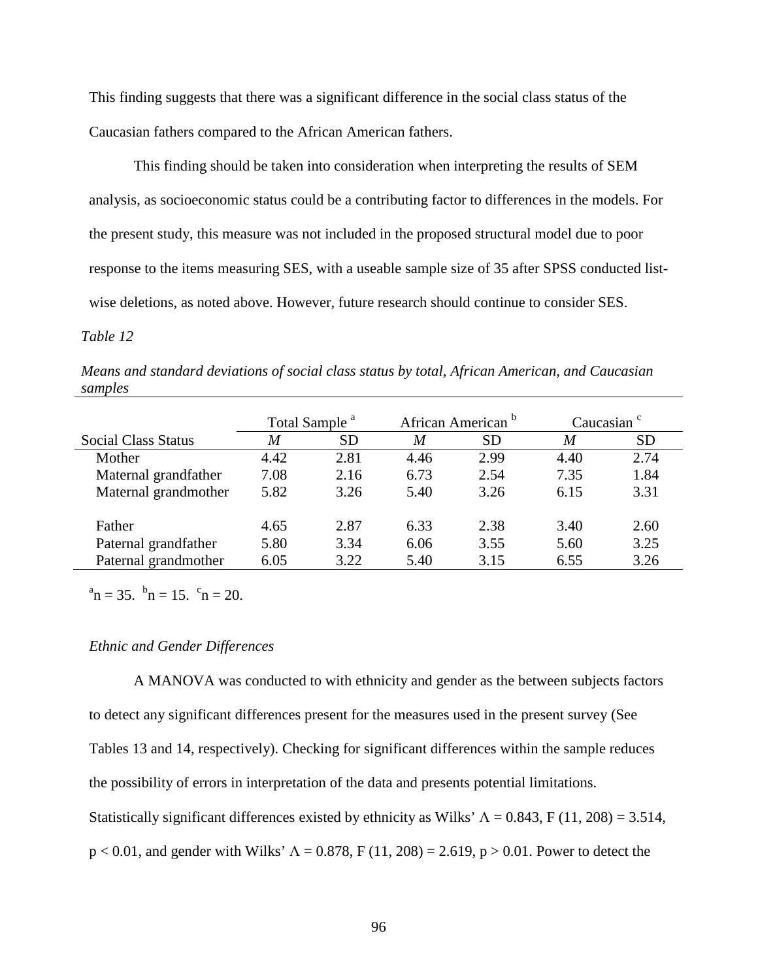This finding suggests that there was a significant difference in the social class status of the Caucasian fathers compared to the African American fathers.

This finding should be taken into consideration when interpreting the results of SEM analysis, as socioeconomic status could be a contributing factor to differences in the models. For the present study, this measure was not included in the proposed structural model due to poor response to the items measuring SES, with a useable sample size of 35 after SPSS conducted listwise deletions, as noted above. However, future research should continue to consider SES.

#### *Table 12*

*Means and standard deviations of social class status by total, African American, and Caucasian samples* 

|                            | Total Sample <sup>a</sup> |           |      | African American <sup>b</sup> | Caucasian $\degree$ |           |
|----------------------------|---------------------------|-----------|------|-------------------------------|---------------------|-----------|
| <b>Social Class Status</b> | M                         | <b>SD</b> | M    | <b>SD</b>                     | M                   | <b>SD</b> |
| Mother                     | 4.42                      | 2.81      | 4.46 | 2.99                          | 4.40                | 2.74      |
| Maternal grandfather       | 7.08                      | 2.16      | 6.73 | 2.54                          | 7.35                | 1.84      |
| Maternal grandmother       | 5.82                      | 3.26      | 5.40 | 3.26                          | 6.15                | 3.31      |
| Father                     | 4.65                      | 2.87      | 6.33 | 2.38                          | 3.40                | 2.60      |
| Paternal grandfather       | 5.80                      | 3.34      | 6.06 | 3.55                          | 5.60                | 3.25      |
| Paternal grandmother       | 6.05                      | 3.22      | 5.40 | 3.15                          | 6.55                | 3.26      |

 $a_n = 35.$   $b_n = 15.$   $c_n = 20.$ 

## *Ethnic and Gender Differences*

A MANOVA was conducted to with ethnicity and gender as the between subjects factors to detect any significant differences present for the measures used in the present survey (See Tables 13 and 14, respectively). Checking for significant differences within the sample reduces the possibility of errors in interpretation of the data and presents potential limitations. Statistically significant differences existed by ethnicity as Wilks'  $\Lambda = 0.843$ , F (11, 208) = 3.514,  $p < 0.01$ , and gender with Wilks'  $\Lambda = 0.878$ , F (11, 208) = 2.619, p > 0.01. Power to detect the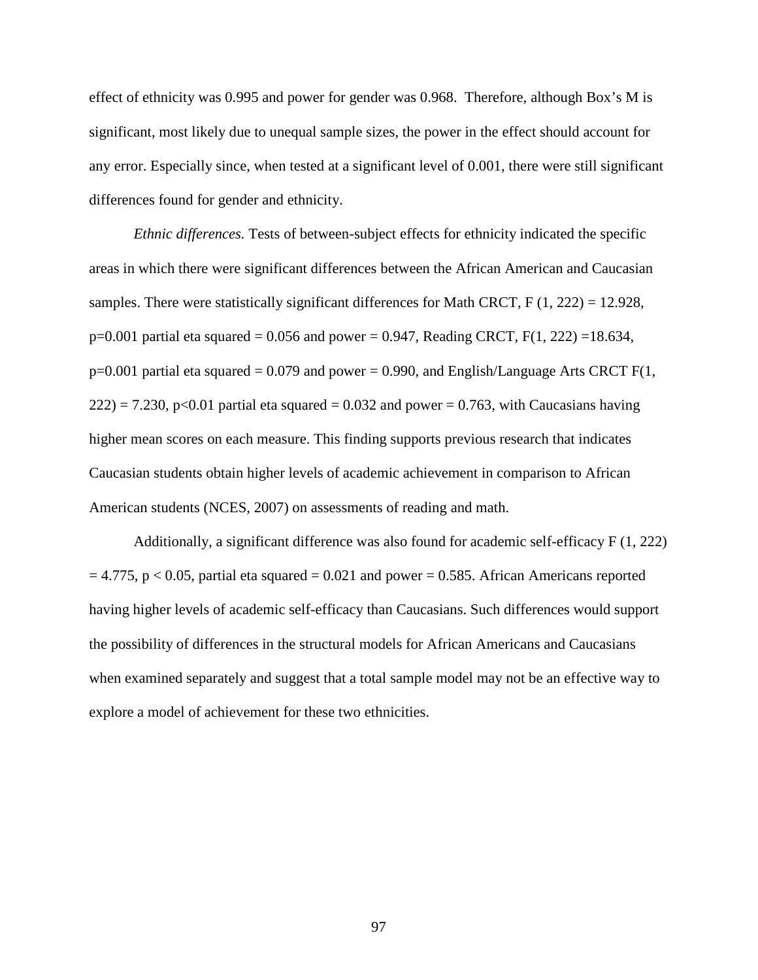effect of ethnicity was 0.995 and power for gender was 0.968. Therefore, although Box's M is significant, most likely due to unequal sample sizes, the power in the effect should account for any error. Especially since, when tested at a significant level of 0.001, there were still significant differences found for gender and ethnicity.

*Ethnic differences.* Tests of between-subject effects for ethnicity indicated the specific areas in which there were significant differences between the African American and Caucasian samples. There were statistically significant differences for Math CRCT,  $F(1, 222) = 12.928$ ,  $p=0.001$  partial eta squared = 0.056 and power = 0.947, Reading CRCT, F(1, 222) = 18.634,  $p=0.001$  partial eta squared = 0.079 and power = 0.990, and English/Language Arts CRCT F(1,  $222$ ) = 7.230, p<0.01 partial eta squared = 0.032 and power = 0.763, with Caucasians having higher mean scores on each measure. This finding supports previous research that indicates Caucasian students obtain higher levels of academic achievement in comparison to African American students (NCES, 2007) on assessments of reading and math.

Additionally, a significant difference was also found for academic self-efficacy F (1, 222)  $= 4.775$ , p  $< 0.05$ , partial eta squared  $= 0.021$  and power  $= 0.585$ . African Americans reported having higher levels of academic self-efficacy than Caucasians. Such differences would support the possibility of differences in the structural models for African Americans and Caucasians when examined separately and suggest that a total sample model may not be an effective way to explore a model of achievement for these two ethnicities.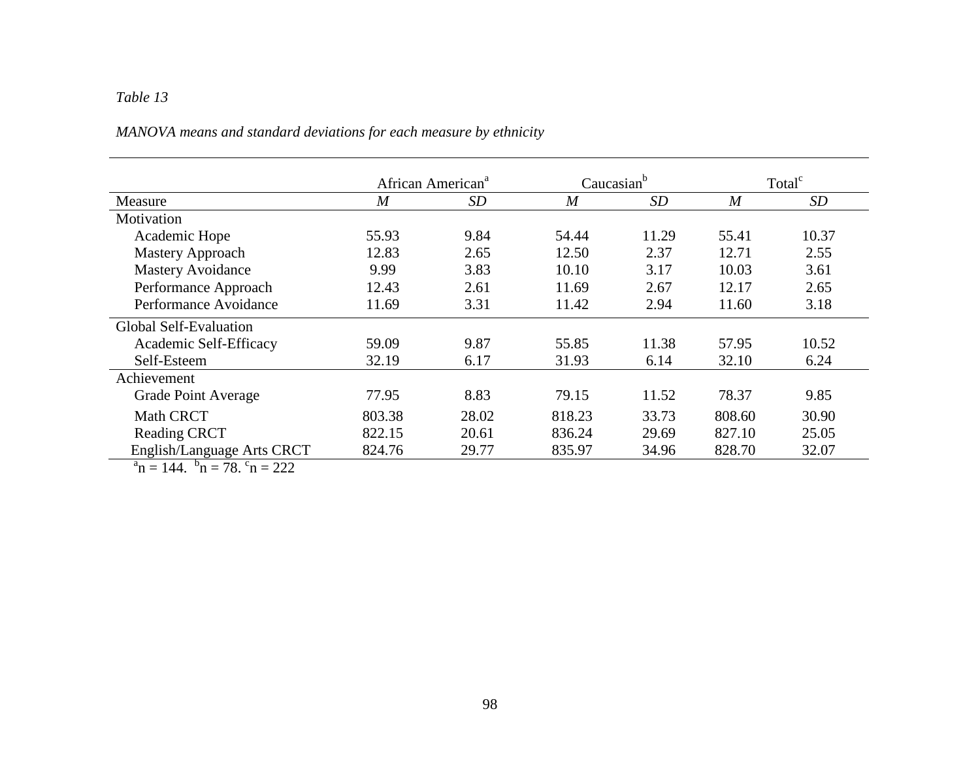# *MANOVA means and standard deviations for each measure by ethnicity*

|                               | African American <sup>a</sup> |       | Caucasian <sup>b</sup> |       | Total <sup>c</sup> |       |
|-------------------------------|-------------------------------|-------|------------------------|-------|--------------------|-------|
| Measure                       | $\overline{M}$                | SD    | $\overline{M}$         | SD    | $\overline{M}$     | SD    |
| Motivation                    |                               |       |                        |       |                    |       |
| Academic Hope                 | 55.93                         | 9.84  | 54.44                  | 11.29 | 55.41              | 10.37 |
| <b>Mastery Approach</b>       | 12.83                         | 2.65  | 12.50                  | 2.37  | 12.71              | 2.55  |
| <b>Mastery Avoidance</b>      | 9.99                          | 3.83  | 10.10                  | 3.17  | 10.03              | 3.61  |
| Performance Approach          | 12.43                         | 2.61  | 11.69                  | 2.67  | 12.17              | 2.65  |
| Performance Avoidance         | 11.69                         | 3.31  | 11.42                  | 2.94  | 11.60              | 3.18  |
| <b>Global Self-Evaluation</b> |                               |       |                        |       |                    |       |
| Academic Self-Efficacy        | 59.09                         | 9.87  | 55.85                  | 11.38 | 57.95              | 10.52 |
| Self-Esteem                   | 32.19                         | 6.17  | 31.93                  | 6.14  | 32.10              | 6.24  |
| Achievement                   |                               |       |                        |       |                    |       |
| Grade Point Average           | 77.95                         | 8.83  | 79.15                  | 11.52 | 78.37              | 9.85  |
| <b>Math CRCT</b>              | 803.38                        | 28.02 | 818.23                 | 33.73 | 808.60             | 30.90 |
| <b>Reading CRCT</b>           | 822.15                        | 20.61 | 836.24                 | 29.69 | 827.10             | 25.05 |
| English/Language Arts CRCT    | 824.76                        | 29.77 | 835.97                 | 34.96 | 828.70             | 32.07 |

 $a_n = 144$ .  $b_n = 78$ .  $c_n = 222$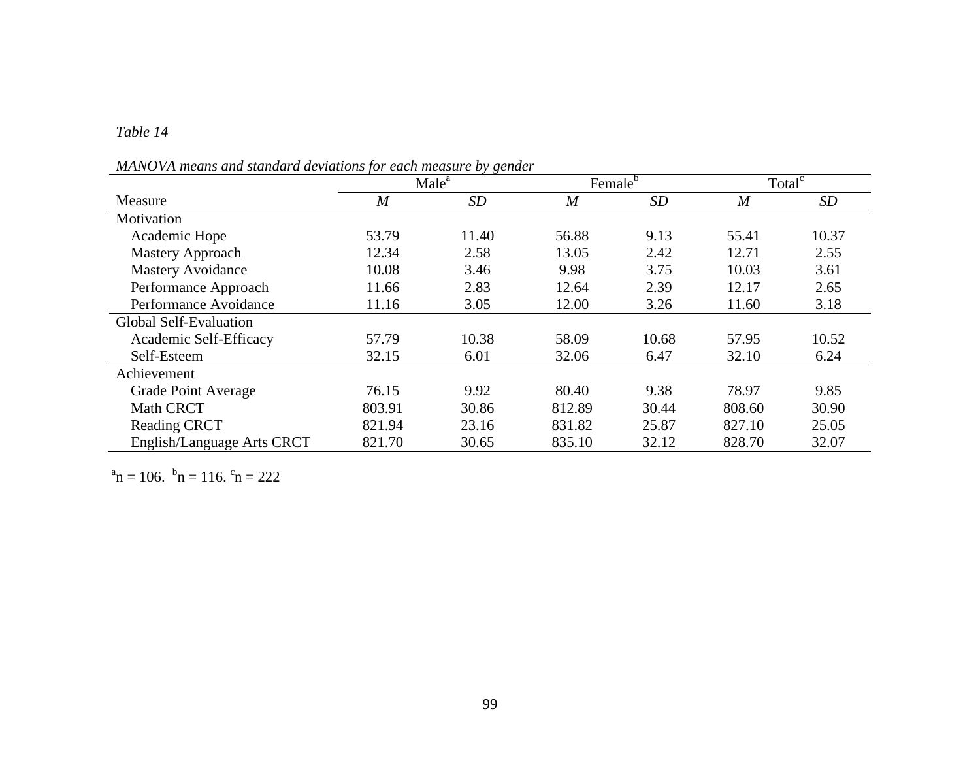# *Table 14*

*MANOVA means and standard deviations for each measure by gender* 

|                               | $\sim$ $\sim$<br>Male <sup>a</sup> |           | Female <sup>b</sup> |       | Total <sup>c</sup> |           |  |
|-------------------------------|------------------------------------|-----------|---------------------|-------|--------------------|-----------|--|
| Measure                       | $\overline{M}$                     | <b>SD</b> | $\overline{M}$      | SD    | $\overline{M}$     | <i>SD</i> |  |
| Motivation                    |                                    |           |                     |       |                    |           |  |
| Academic Hope                 | 53.79                              | 11.40     | 56.88               | 9.13  | 55.41              | 10.37     |  |
| <b>Mastery Approach</b>       | 12.34                              | 2.58      | 13.05               | 2.42  | 12.71              | 2.55      |  |
| <b>Mastery Avoidance</b>      | 10.08                              | 3.46      | 9.98                | 3.75  | 10.03              | 3.61      |  |
| Performance Approach          | 11.66                              | 2.83      | 12.64               | 2.39  | 12.17              | 2.65      |  |
| Performance Avoidance         | 11.16                              | 3.05      | 12.00               | 3.26  | 11.60              | 3.18      |  |
| <b>Global Self-Evaluation</b> |                                    |           |                     |       |                    |           |  |
| Academic Self-Efficacy        | 57.79                              | 10.38     | 58.09               | 10.68 | 57.95              | 10.52     |  |
| Self-Esteem                   | 32.15                              | 6.01      | 32.06               | 6.47  | 32.10              | 6.24      |  |
| Achievement                   |                                    |           |                     |       |                    |           |  |
| Grade Point Average           | 76.15                              | 9.92      | 80.40               | 9.38  | 78.97              | 9.85      |  |
| <b>Math CRCT</b>              | 803.91                             | 30.86     | 812.89              | 30.44 | 808.60             | 30.90     |  |
| <b>Reading CRCT</b>           | 821.94                             | 23.16     | 831.82              | 25.87 | 827.10             | 25.05     |  |
| English/Language Arts CRCT    | 821.70                             | 30.65     | 835.10              | 32.12 | 828.70             | 32.07     |  |

 $a_n = 106$ .  $b_n = 116$ .  $c_n = 222$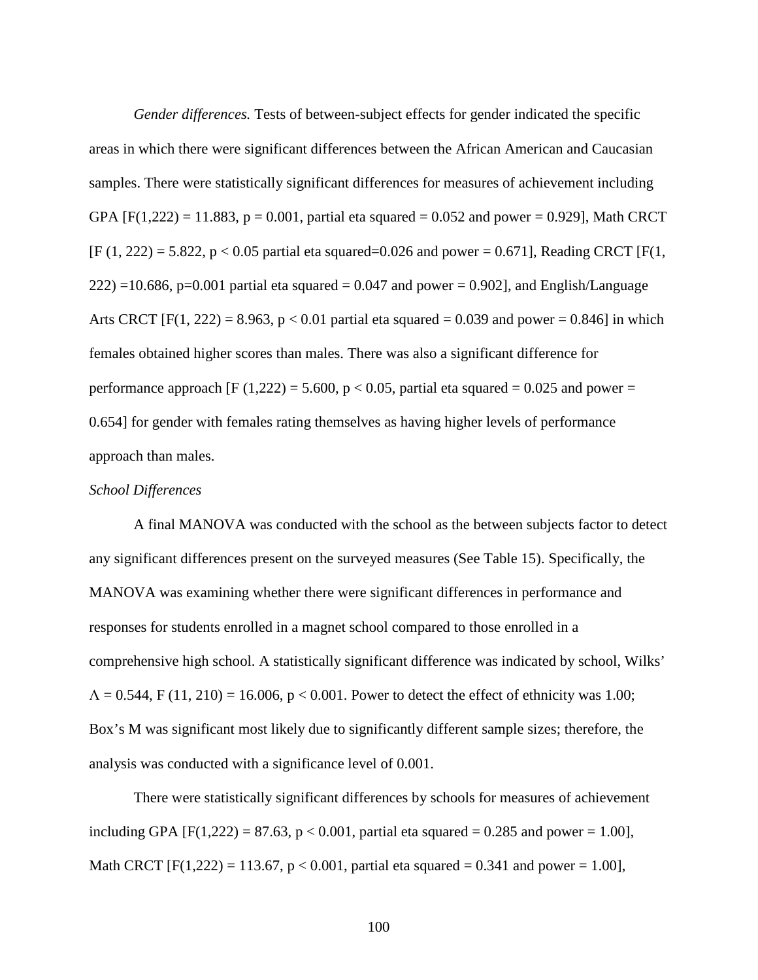*Gender differences.* Tests of between-subject effects for gender indicated the specific areas in which there were significant differences between the African American and Caucasian samples. There were statistically significant differences for measures of achievement including GPA [F(1,222) = 11.883,  $p = 0.001$ , partial eta squared = 0.052 and power = 0.929], Math CRCT  $[F (1, 222) = 5.822, p < 0.05$  partial eta squared=0.026 and power = 0.671], Reading CRCT [F(1,  $222$ ) =10.686, p=0.001 partial eta squared = 0.047 and power = 0.902], and English/Language Arts CRCT [F(1, 222) = 8.963,  $p < 0.01$  partial eta squared = 0.039 and power = 0.846] in which females obtained higher scores than males. There was also a significant difference for performance approach [F (1,222) = 5.600, p < 0.05, partial eta squared = 0.025 and power = 0.654] for gender with females rating themselves as having higher levels of performance approach than males.

## *School Differences*

A final MANOVA was conducted with the school as the between subjects factor to detect any significant differences present on the surveyed measures (See Table 15). Specifically, the MANOVA was examining whether there were significant differences in performance and responses for students enrolled in a magnet school compared to those enrolled in a comprehensive high school. A statistically significant difference was indicated by school, Wilks'  $\Lambda = 0.544$ , F (11, 210) = 16.006, p < 0.001. Power to detect the effect of ethnicity was 1.00; Box's M was significant most likely due to significantly different sample sizes; therefore, the analysis was conducted with a significance level of 0.001.

There were statistically significant differences by schools for measures of achievement including GPA  $[F(1,222) = 87.63, p < 0.001$ , partial eta squared = 0.285 and power = 1.00], Math CRCT  $[F(1,222) = 113.67, p < 0.001$ , partial eta squared = 0.341 and power = 1.00],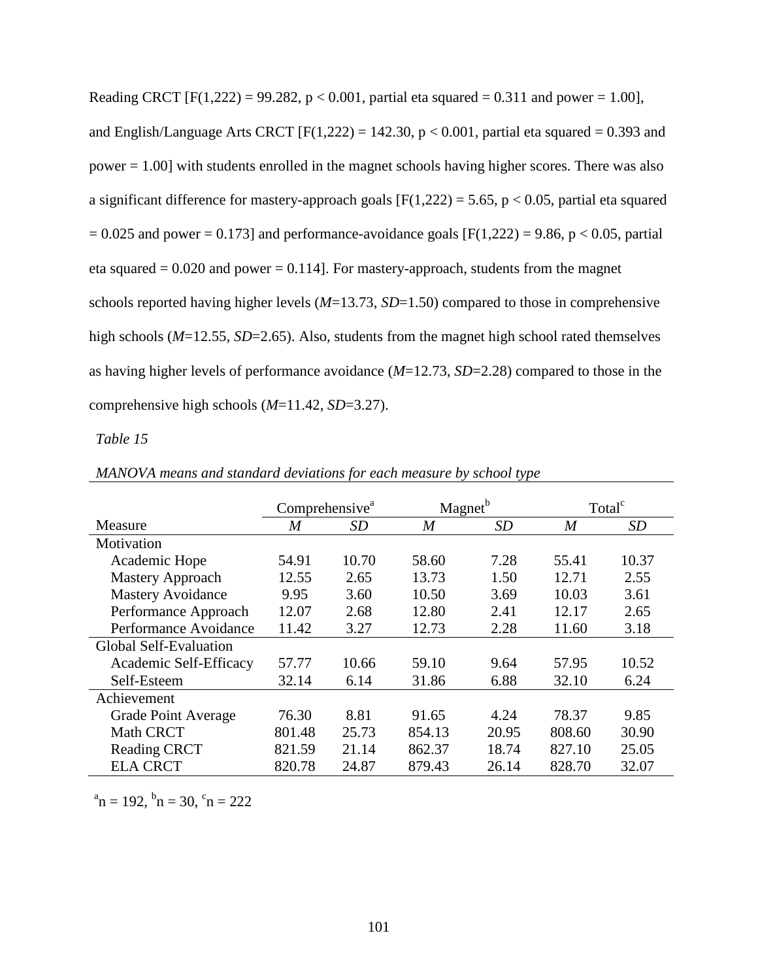Reading CRCT  $[F(1,222) = 99.282, p < 0.001$ , partial eta squared = 0.311 and power = 1.00], and English/Language Arts CRCT [F(1,222) = 142.30,  $p < 0.001$ , partial eta squared = 0.393 and power = 1.00] with students enrolled in the magnet schools having higher scores. There was also a significant difference for mastery-approach goals  $[F(1,222) = 5.65, p < 0.05$ , partial eta squared  $= 0.025$  and power  $= 0.173$ ] and performance-avoidance goals [F(1,222) = 9.86, p < 0.05, partial eta squared  $= 0.020$  and power  $= 0.114$ . For mastery-approach, students from the magnet schools reported having higher levels (*M*=13.73, *SD*=1.50) compared to those in comprehensive high schools (*M*=12.55, *SD*=2.65). Also, students from the magnet high school rated themselves as having higher levels of performance avoidance (*M*=12.73, *SD*=2.28) compared to those in the comprehensive high schools (*M*=11.42, *SD*=3.27).

## *Table 15*

|                               | Comprehensive <sup>a</sup> |       | Magnet <sup>b</sup> |           | Total <sup>c</sup> |       |  |
|-------------------------------|----------------------------|-------|---------------------|-----------|--------------------|-------|--|
| Measure                       | M                          | SD    | M                   | <i>SD</i> | M                  | SD    |  |
| Motivation                    |                            |       |                     |           |                    |       |  |
| Academic Hope                 | 54.91                      | 10.70 | 58.60               | 7.28      | 55.41              | 10.37 |  |
| Mastery Approach              | 12.55                      | 2.65  | 13.73               | 1.50      | 12.71              | 2.55  |  |
| <b>Mastery Avoidance</b>      | 9.95                       | 3.60  | 10.50               | 3.69      | 10.03              | 3.61  |  |
| Performance Approach          | 12.07                      | 2.68  | 12.80               | 2.41      | 12.17              | 2.65  |  |
| Performance Avoidance         | 11.42                      | 3.27  | 12.73               | 2.28      | 11.60              | 3.18  |  |
| <b>Global Self-Evaluation</b> |                            |       |                     |           |                    |       |  |
| Academic Self-Efficacy        | 57.77                      | 10.66 | 59.10               | 9.64      | 57.95              | 10.52 |  |
| Self-Esteem                   | 32.14                      | 6.14  | 31.86               | 6.88      | 32.10              | 6.24  |  |
| Achievement                   |                            |       |                     |           |                    |       |  |
| Grade Point Average           | 76.30                      | 8.81  | 91.65               | 4.24      | 78.37              | 9.85  |  |
| <b>Math CRCT</b>              | 801.48                     | 25.73 | 854.13              | 20.95     | 808.60             | 30.90 |  |
| <b>Reading CRCT</b>           | 821.59                     | 21.14 | 862.37              | 18.74     | 827.10             | 25.05 |  |
| <b>ELA CRCT</b>               | 820.78                     | 24.87 | 879.43              | 26.14     | 828.70             | 32.07 |  |

*MANOVA means and standard deviations for each measure by school type* 

 $a_n = 192$ ,  $b_n = 30$ ,  $c_n = 222$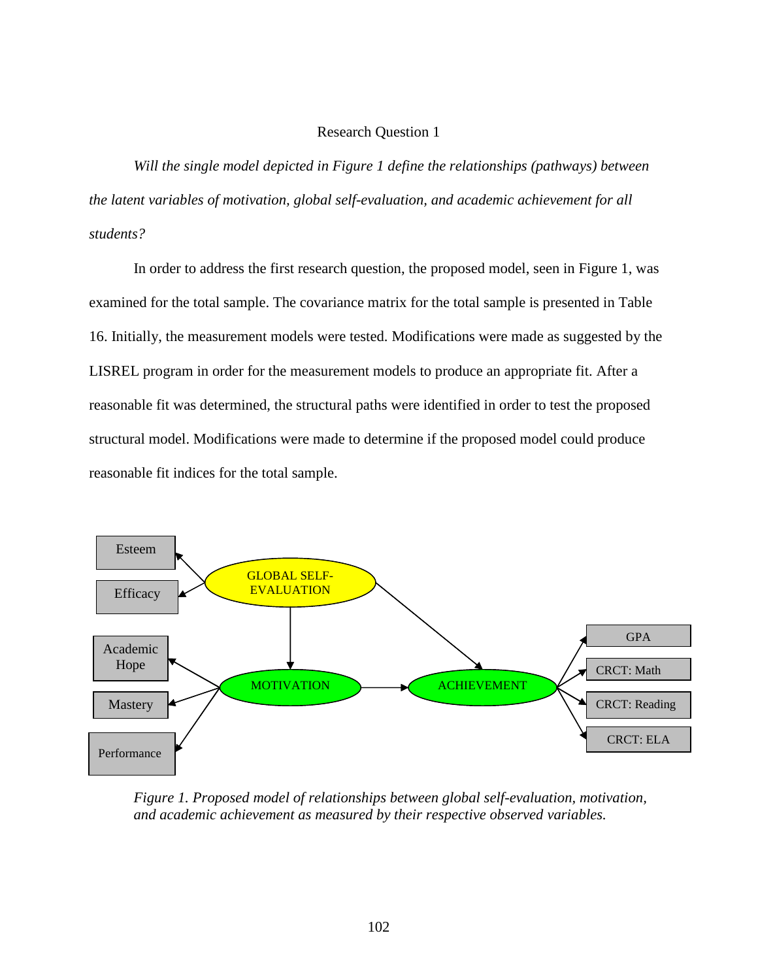## Research Question 1

 *Will the single model depicted in Figure 1 define the relationships (pathways) between the latent variables of motivation, global self-evaluation, and academic achievement for all students?*

 In order to address the first research question, the proposed model, seen in Figure 1, was examined for the total sample. The covariance matrix for the total sample is presented in Table 16. Initially, the measurement models were tested. Modifications were made as suggested by the LISREL program in order for the measurement models to produce an appropriate fit. After a reasonable fit was determined, the structural paths were identified in order to test the proposed structural model. Modifications were made to determine if the proposed model could produce reasonable fit indices for the total sample.



*Figure 1. Proposed model of relationships between global self-evaluation, motivation, and academic achievement as measured by their respective observed variables.*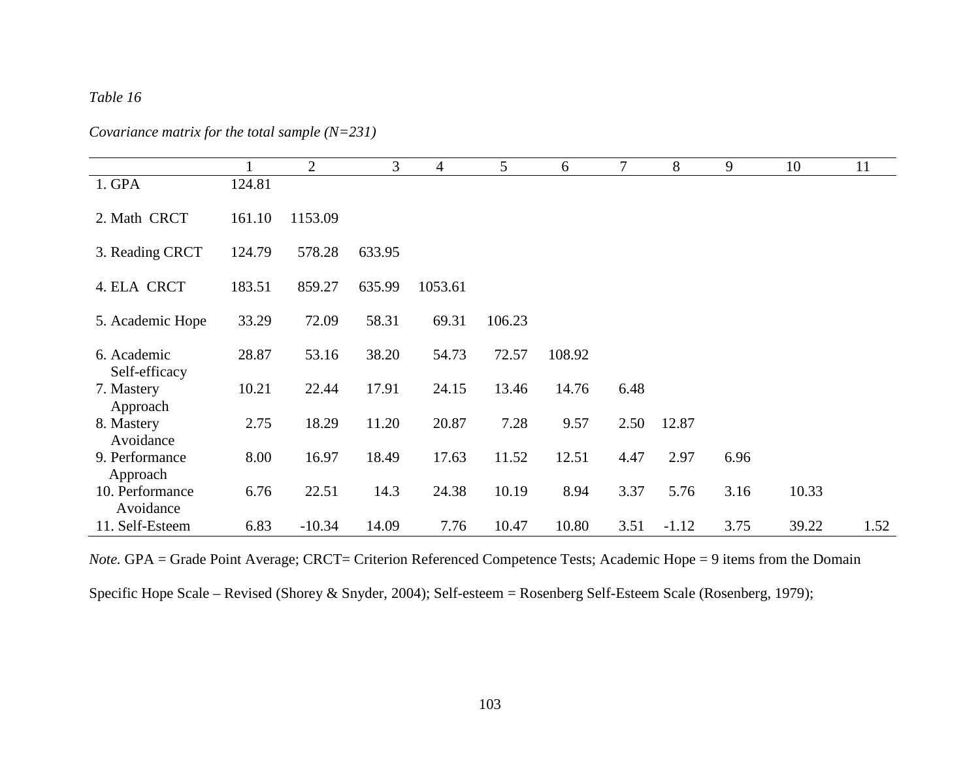# *Table 16*

*Covariance matrix for the total sample (N=231)*

|                  |        | $\overline{2}$ | 3      | 4       | 5      | 6      | 7    | 8       | 9    | 10    | 11   |
|------------------|--------|----------------|--------|---------|--------|--------|------|---------|------|-------|------|
| 1. GPA           | 124.81 |                |        |         |        |        |      |         |      |       |      |
|                  |        |                |        |         |        |        |      |         |      |       |      |
| 2. Math CRCT     | 161.10 | 1153.09        |        |         |        |        |      |         |      |       |      |
|                  |        |                |        |         |        |        |      |         |      |       |      |
|                  |        |                |        |         |        |        |      |         |      |       |      |
| 3. Reading CRCT  | 124.79 | 578.28         | 633.95 |         |        |        |      |         |      |       |      |
|                  |        |                |        |         |        |        |      |         |      |       |      |
| 4. ELA CRCT      | 183.51 | 859.27         | 635.99 | 1053.61 |        |        |      |         |      |       |      |
|                  |        |                |        |         |        |        |      |         |      |       |      |
| 5. Academic Hope | 33.29  | 72.09          | 58.31  | 69.31   | 106.23 |        |      |         |      |       |      |
|                  |        |                |        |         |        |        |      |         |      |       |      |
| 6. Academic      | 28.87  | 53.16          | 38.20  | 54.73   | 72.57  | 108.92 |      |         |      |       |      |
|                  |        |                |        |         |        |        |      |         |      |       |      |
| Self-efficacy    |        |                |        |         |        |        |      |         |      |       |      |
| 7. Mastery       | 10.21  | 22.44          | 17.91  | 24.15   | 13.46  | 14.76  | 6.48 |         |      |       |      |
| Approach         |        |                |        |         |        |        |      |         |      |       |      |
| 8. Mastery       | 2.75   | 18.29          | 11.20  | 20.87   | 7.28   | 9.57   | 2.50 | 12.87   |      |       |      |
| Avoidance        |        |                |        |         |        |        |      |         |      |       |      |
| 9. Performance   | 8.00   | 16.97          | 18.49  | 17.63   | 11.52  | 12.51  | 4.47 | 2.97    | 6.96 |       |      |
|                  |        |                |        |         |        |        |      |         |      |       |      |
| Approach         |        |                |        |         |        |        |      |         |      |       |      |
| 10. Performance  | 6.76   | 22.51          | 14.3   | 24.38   | 10.19  | 8.94   | 3.37 | 5.76    | 3.16 | 10.33 |      |
| Avoidance        |        |                |        |         |        |        |      |         |      |       |      |
| 11. Self-Esteem  | 6.83   | $-10.34$       | 14.09  | 7.76    | 10.47  | 10.80  | 3.51 | $-1.12$ | 3.75 | 39.22 | 1.52 |

*Note.* GPA = Grade Point Average; CRCT= Criterion Referenced Competence Tests; Academic Hope = 9 items from the Domain

Specific Hope Scale – Revised (Shorey & Snyder, 2004); Self-esteem = Rosenberg Self-Esteem Scale (Rosenberg, 1979);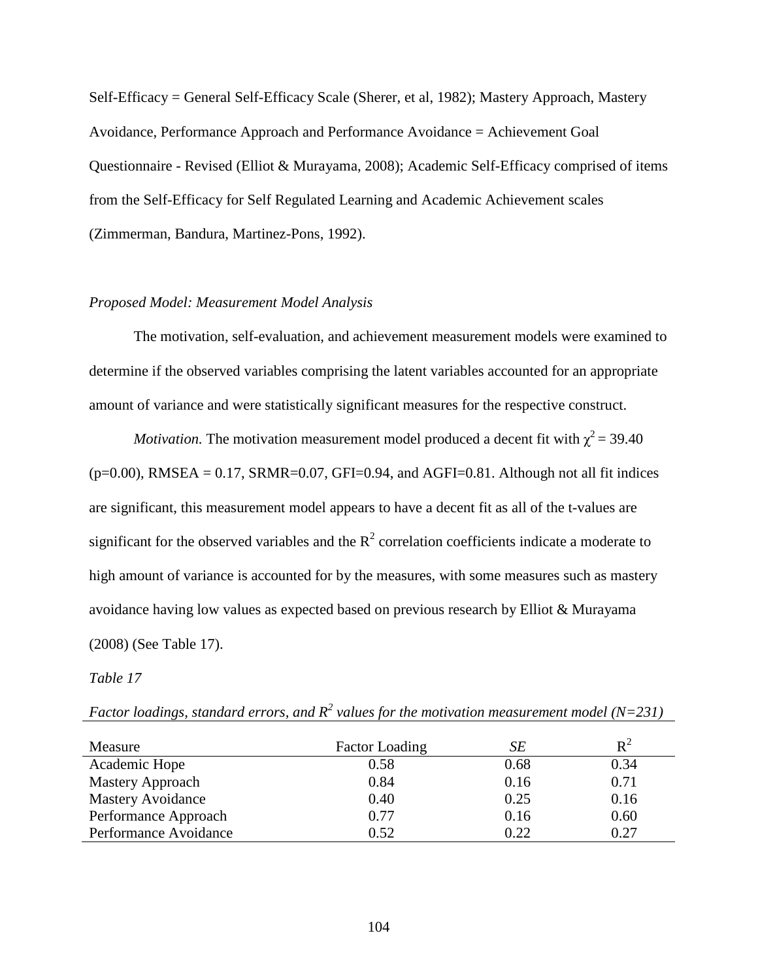Self-Efficacy = General Self-Efficacy Scale (Sherer, et al, 1982); Mastery Approach, Mastery Avoidance, Performance Approach and Performance Avoidance = Achievement Goal Questionnaire - Revised (Elliot & Murayama, 2008); Academic Self-Efficacy comprised of items from the Self-Efficacy for Self Regulated Learning and Academic Achievement scales (Zimmerman, Bandura, Martinez-Pons, 1992).

## *Proposed Model: Measurement Model Analysis*

 The motivation, self-evaluation, and achievement measurement models were examined to determine if the observed variables comprising the latent variables accounted for an appropriate amount of variance and were statistically significant measures for the respective construct.

*Motivation*. The motivation measurement model produced a decent fit with  $\chi^2 = 39.40$  $(p=0.00)$ , RMSEA = 0.17, SRMR=0.07, GFI=0.94, and AGFI=0.81. Although not all fit indices are significant, this measurement model appears to have a decent fit as all of the t-values are significant for the observed variables and the  $R^2$  correlation coefficients indicate a moderate to high amount of variance is accounted for by the measures, with some measures such as mastery avoidance having low values as expected based on previous research by Elliot & Murayama (2008) (See Table 17).

*Table 17* 

| Measure                  | <b>Factor Loading</b> | SЕ   | $R^2$ |
|--------------------------|-----------------------|------|-------|
| Academic Hope            | 0.58                  | 0.68 | 0.34  |
| Mastery Approach         | 0.84                  | 0.16 | 0.71  |
| <b>Mastery Avoidance</b> | 0.40                  | 0.25 | 0.16  |
| Performance Approach     | 0.77                  | 0.16 | 0.60  |
| Performance Avoidance    | 0.52                  | 0.22 | 0.27  |

Factor loadings, standard errors, and  $R^2$  values for the motivation measurement model (N=231)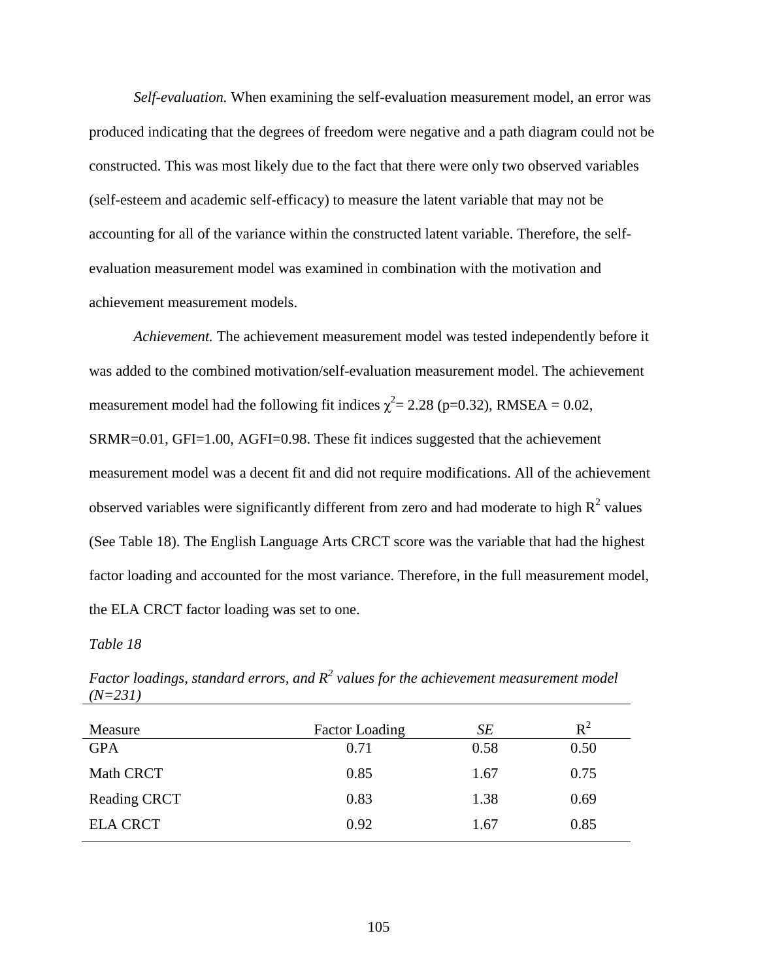*Self-evaluation.* When examining the self-evaluation measurement model, an error was produced indicating that the degrees of freedom were negative and a path diagram could not be constructed. This was most likely due to the fact that there were only two observed variables (self-esteem and academic self-efficacy) to measure the latent variable that may not be accounting for all of the variance within the constructed latent variable. Therefore, the selfevaluation measurement model was examined in combination with the motivation and achievement measurement models.

*Achievement.* The achievement measurement model was tested independently before it was added to the combined motivation/self-evaluation measurement model. The achievement measurement model had the following fit indices  $\chi^2 = 2.28$  (p=0.32), RMSEA = 0.02, SRMR=0.01, GFI=1.00, AGFI=0.98. These fit indices suggested that the achievement measurement model was a decent fit and did not require modifications. All of the achievement observed variables were significantly different from zero and had moderate to high  $R^2$  values (See Table 18). The English Language Arts CRCT score was the variable that had the highest factor loading and accounted for the most variance. Therefore, in the full measurement model, the ELA CRCT factor loading was set to one.

#### *Table 18*

| Measure             | <b>Factor Loading</b> | SE   | $R^2$ |
|---------------------|-----------------------|------|-------|
| <b>GPA</b>          | 0.71                  | 0.58 | 0.50  |
| Math CRCT           | 0.85                  | 1.67 | 0.75  |
| <b>Reading CRCT</b> | 0.83                  | 1.38 | 0.69  |
| <b>ELA CRCT</b>     | 0.92                  | 1.67 | 0.85  |

Factor loadings, standard errors, and  $R^2$  values for the achievement measurement model *(N=231)*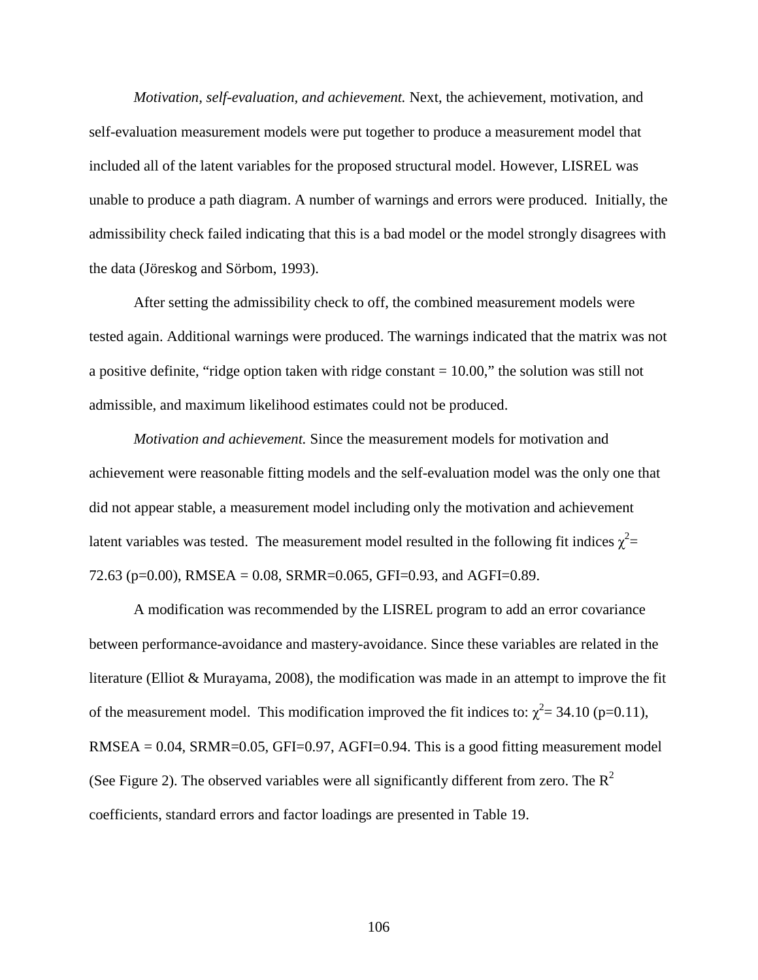*Motivation, self-evaluation, and achievement.* Next, the achievement, motivation, and self-evaluation measurement models were put together to produce a measurement model that included all of the latent variables for the proposed structural model. However, LISREL was unable to produce a path diagram. A number of warnings and errors were produced. Initially, the admissibility check failed indicating that this is a bad model or the model strongly disagrees with the data (Jöreskog and Sörbom, 1993).

After setting the admissibility check to off, the combined measurement models were tested again. Additional warnings were produced. The warnings indicated that the matrix was not a positive definite, "ridge option taken with ridge constant  $= 10.00$ ," the solution was still not admissible, and maximum likelihood estimates could not be produced.

*Motivation and achievement.* Since the measurement models for motivation and achievement were reasonable fitting models and the self-evaluation model was the only one that did not appear stable, a measurement model including only the motivation and achievement latent variables was tested. The measurement model resulted in the following fit indices  $\chi^2$  = 72.63 (p=0.00), RMSEA = 0.08, SRMR=0.065, GFI=0.93, and AGFI=0.89.

A modification was recommended by the LISREL program to add an error covariance between performance-avoidance and mastery-avoidance. Since these variables are related in the literature (Elliot & Murayama, 2008), the modification was made in an attempt to improve the fit of the measurement model. This modification improved the fit indices to:  $\chi^2$  = 34.10 (p=0.11),  $RMSEA = 0.04$ ,  $SRMR = 0.05$ ,  $GFI = 0.97$ ,  $AGFI = 0.94$ . This is a good fitting measurement model (See Figure 2). The observed variables were all significantly different from zero. The  $R^2$ coefficients, standard errors and factor loadings are presented in Table 19.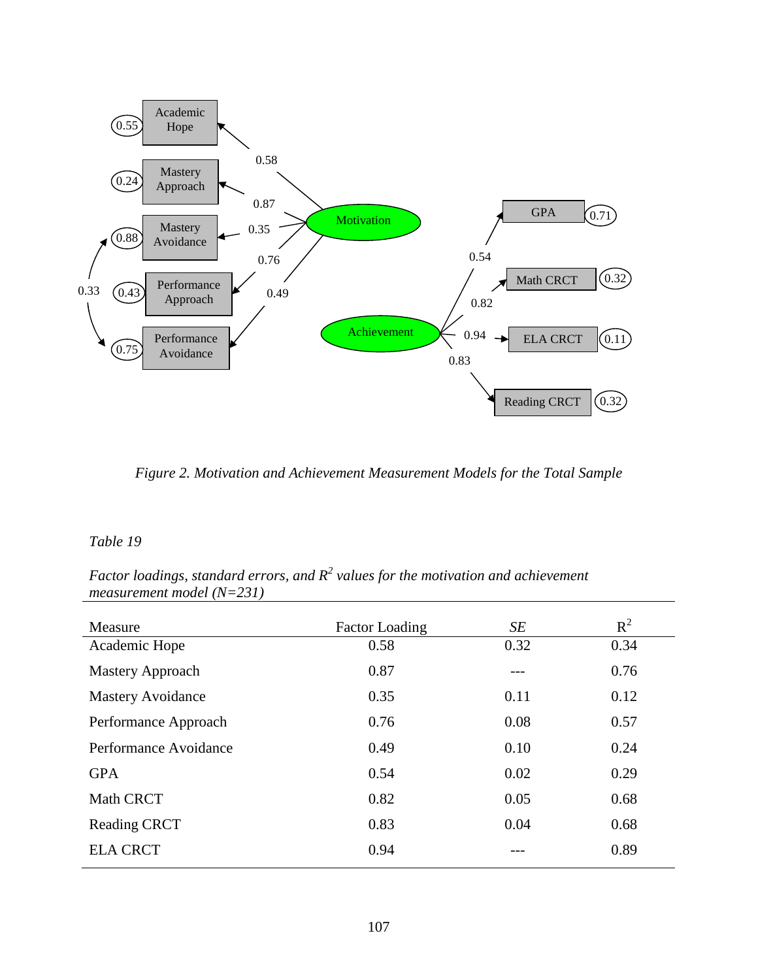

*Figure 2. Motivation and Achievement Measurement Models for the Total Sample* 

## *Table 19*

*Factor loadings, standard errors, and R<sup>2</sup> values for the motivation and achievement measurement model (N=231)* 

| Measure                  | <b>Factor Loading</b> | SE   | $R^2$ |
|--------------------------|-----------------------|------|-------|
| Academic Hope            | 0.58                  | 0.32 | 0.34  |
| Mastery Approach         | 0.87                  | ---  | 0.76  |
| <b>Mastery Avoidance</b> | 0.35                  | 0.11 | 0.12  |
| Performance Approach     | 0.76                  | 0.08 | 0.57  |
| Performance Avoidance    | 0.49                  | 0.10 | 0.24  |
| <b>GPA</b>               | 0.54                  | 0.02 | 0.29  |
| <b>Math CRCT</b>         | 0.82                  | 0.05 | 0.68  |
| <b>Reading CRCT</b>      | 0.83                  | 0.04 | 0.68  |
| <b>ELA CRCT</b>          | 0.94                  | ---  | 0.89  |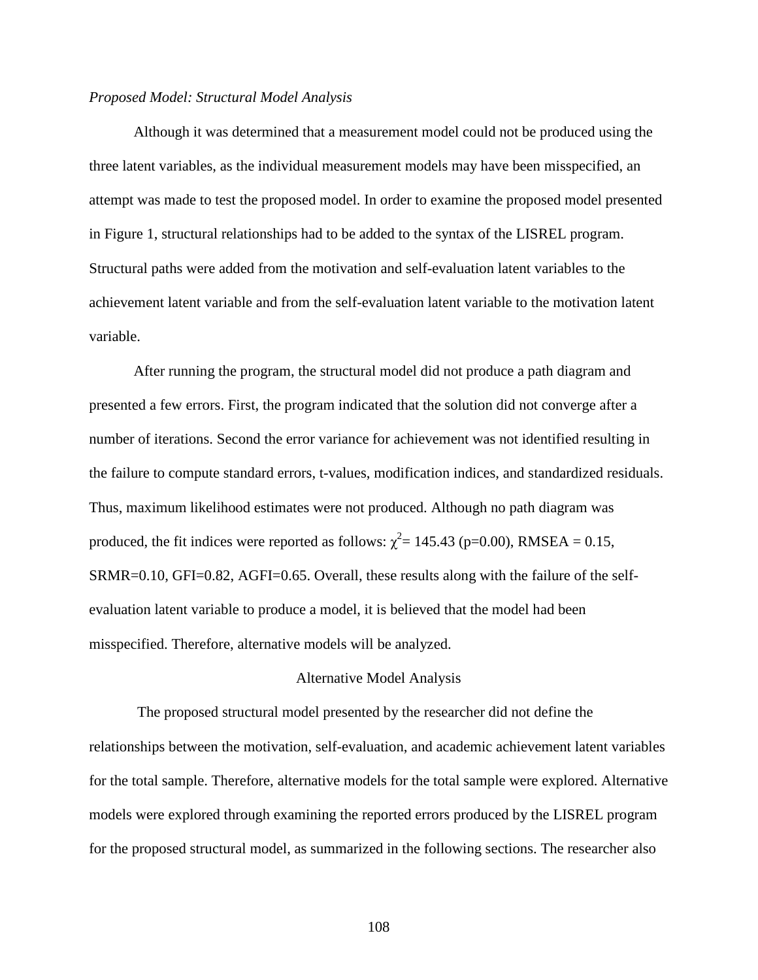## *Proposed Model: Structural Model Analysis*

 Although it was determined that a measurement model could not be produced using the three latent variables, as the individual measurement models may have been misspecified, an attempt was made to test the proposed model. In order to examine the proposed model presented in Figure 1, structural relationships had to be added to the syntax of the LISREL program. Structural paths were added from the motivation and self-evaluation latent variables to the achievement latent variable and from the self-evaluation latent variable to the motivation latent variable.

After running the program, the structural model did not produce a path diagram and presented a few errors. First, the program indicated that the solution did not converge after a number of iterations. Second the error variance for achievement was not identified resulting in the failure to compute standard errors, t-values, modification indices, and standardized residuals. Thus, maximum likelihood estimates were not produced. Although no path diagram was produced, the fit indices were reported as follows:  $\chi^2$  = 145.43 (p=0.00), RMSEA = 0.15, SRMR=0.10, GFI=0.82, AGFI=0.65. Overall, these results along with the failure of the selfevaluation latent variable to produce a model, it is believed that the model had been misspecified. Therefore, alternative models will be analyzed.

#### Alternative Model Analysis

 The proposed structural model presented by the researcher did not define the relationships between the motivation, self-evaluation, and academic achievement latent variables for the total sample. Therefore, alternative models for the total sample were explored. Alternative models were explored through examining the reported errors produced by the LISREL program for the proposed structural model, as summarized in the following sections. The researcher also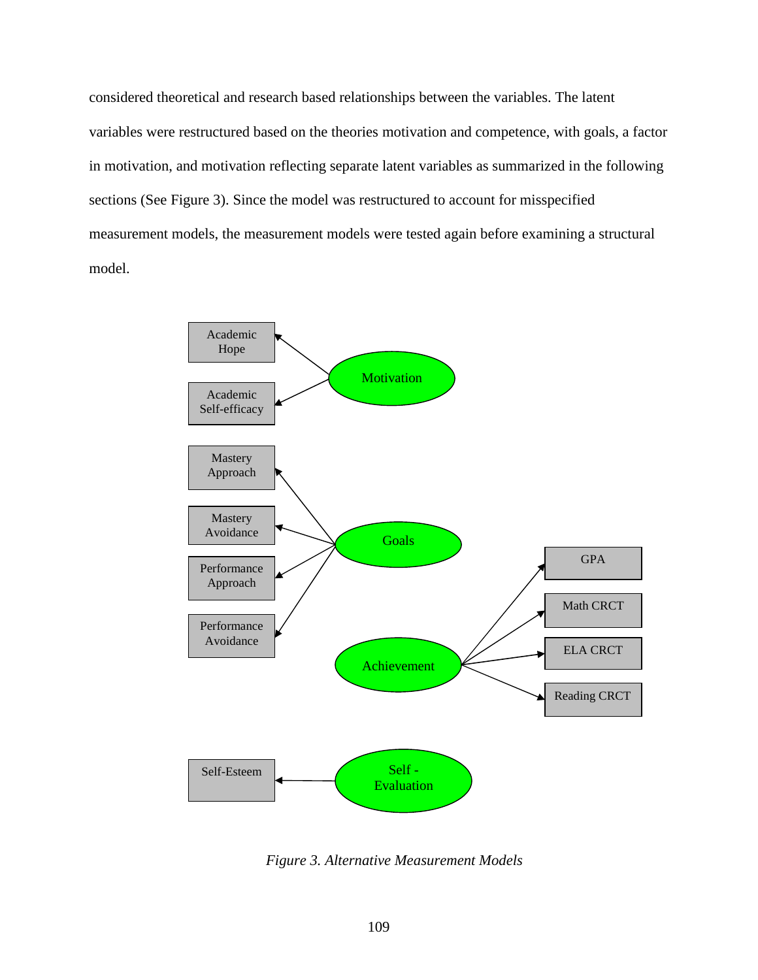considered theoretical and research based relationships between the variables. The latent variables were restructured based on the theories motivation and competence, with goals, a factor in motivation, and motivation reflecting separate latent variables as summarized in the following sections (See Figure 3). Since the model was restructured to account for misspecified measurement models, the measurement models were tested again before examining a structural model.



*Figure 3. Alternative Measurement Models*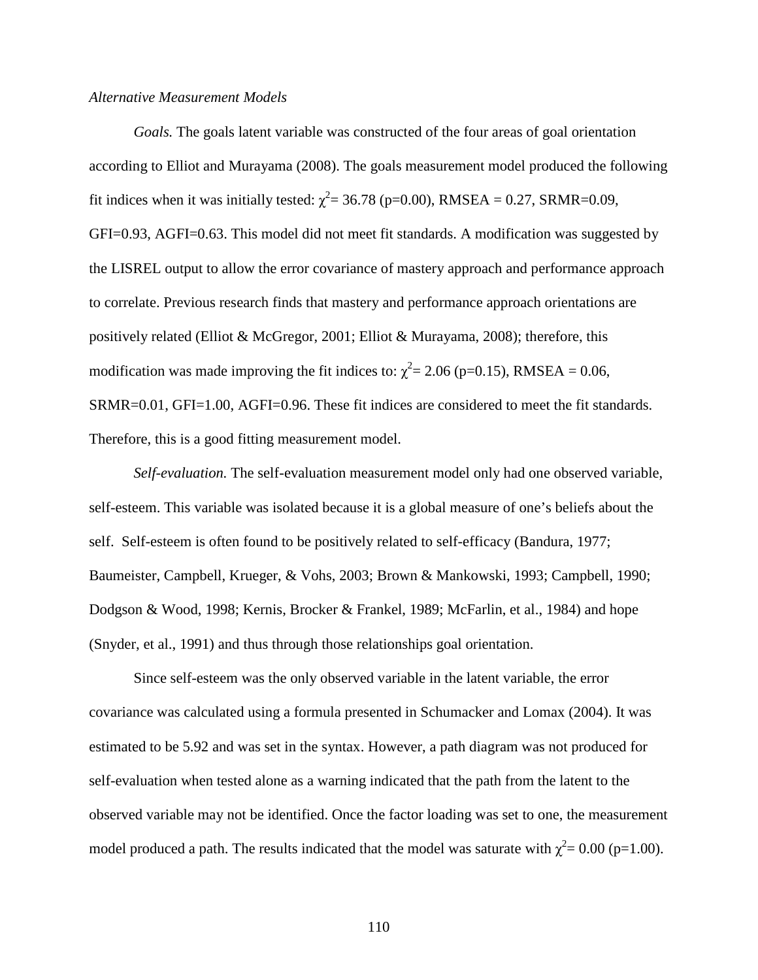### *Alternative Measurement Models*

*Goals.* The goals latent variable was constructed of the four areas of goal orientation according to Elliot and Murayama (2008). The goals measurement model produced the following fit indices when it was initially tested:  $\chi^2$  = 36.78 (p=0.00), RMSEA = 0.27, SRMR=0.09, GFI=0.93, AGFI=0.63. This model did not meet fit standards. A modification was suggested by the LISREL output to allow the error covariance of mastery approach and performance approach to correlate. Previous research finds that mastery and performance approach orientations are positively related (Elliot & McGregor, 2001; Elliot & Murayama, 2008); therefore, this modification was made improving the fit indices to:  $\chi^2$  = 2.06 (p=0.15), RMSEA = 0.06, SRMR=0.01, GFI=1.00, AGFI=0.96. These fit indices are considered to meet the fit standards. Therefore, this is a good fitting measurement model.

*Self-evaluation.* The self-evaluation measurement model only had one observed variable, self-esteem. This variable was isolated because it is a global measure of one's beliefs about the self. Self-esteem is often found to be positively related to self-efficacy (Bandura, 1977; Baumeister, Campbell, Krueger, & Vohs, 2003; Brown & Mankowski, 1993; Campbell, 1990; Dodgson & Wood, 1998; Kernis, Brocker & Frankel, 1989; McFarlin, et al., 1984) and hope (Snyder, et al., 1991) and thus through those relationships goal orientation.

Since self-esteem was the only observed variable in the latent variable, the error covariance was calculated using a formula presented in Schumacker and Lomax (2004). It was estimated to be 5.92 and was set in the syntax. However, a path diagram was not produced for self-evaluation when tested alone as a warning indicated that the path from the latent to the observed variable may not be identified. Once the factor loading was set to one, the measurement model produced a path. The results indicated that the model was saturate with  $\chi^2 = 0.00$  (p=1.00).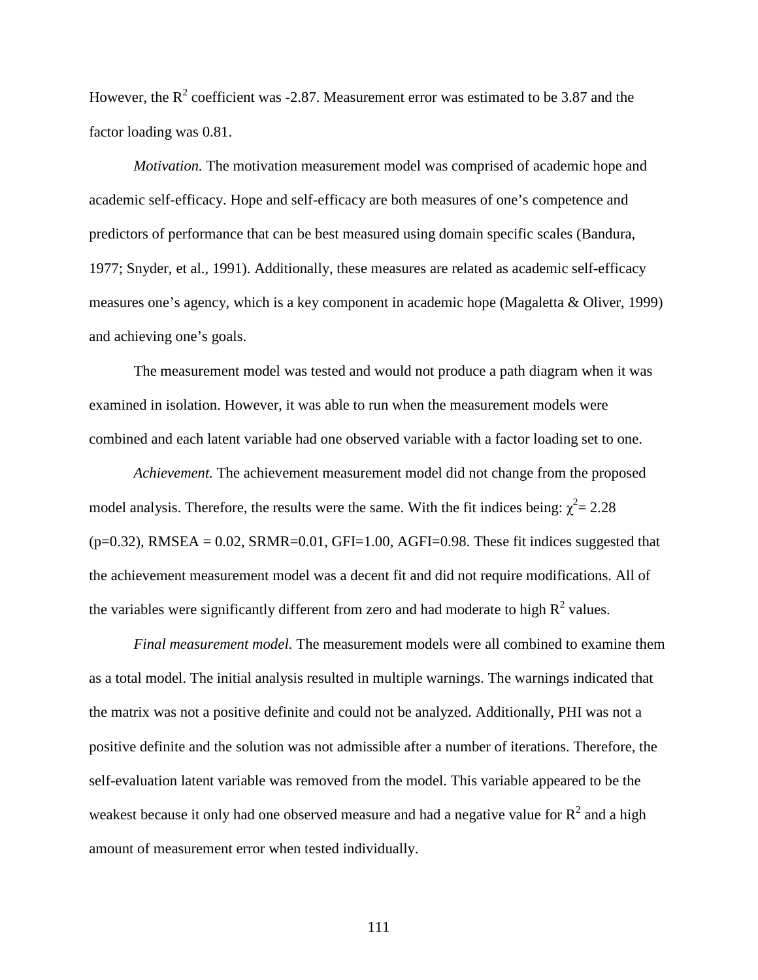However, the  $R^2$  coefficient was -2.87. Measurement error was estimated to be 3.87 and the factor loading was 0.81.

*Motivation.* The motivation measurement model was comprised of academic hope and academic self-efficacy. Hope and self-efficacy are both measures of one's competence and predictors of performance that can be best measured using domain specific scales (Bandura, 1977; Snyder, et al., 1991). Additionally, these measures are related as academic self-efficacy measures one's agency, which is a key component in academic hope (Magaletta & Oliver, 1999) and achieving one's goals.

The measurement model was tested and would not produce a path diagram when it was examined in isolation. However, it was able to run when the measurement models were combined and each latent variable had one observed variable with a factor loading set to one.

*Achievement.* The achievement measurement model did not change from the proposed model analysis. Therefore, the results were the same. With the fit indices being:  $\chi^2$  = 2.28  $(p=0.32)$ , RMSEA = 0.02, SRMR=0.01, GFI=1.00, AGFI=0.98. These fit indices suggested that the achievement measurement model was a decent fit and did not require modifications. All of the variables were significantly different from zero and had moderate to high  $R^2$  values.

*Final measurement model.* The measurement models were all combined to examine them as a total model. The initial analysis resulted in multiple warnings. The warnings indicated that the matrix was not a positive definite and could not be analyzed. Additionally, PHI was not a positive definite and the solution was not admissible after a number of iterations. Therefore, the self-evaluation latent variable was removed from the model. This variable appeared to be the weakest because it only had one observed measure and had a negative value for  $R^2$  and a high amount of measurement error when tested individually.

111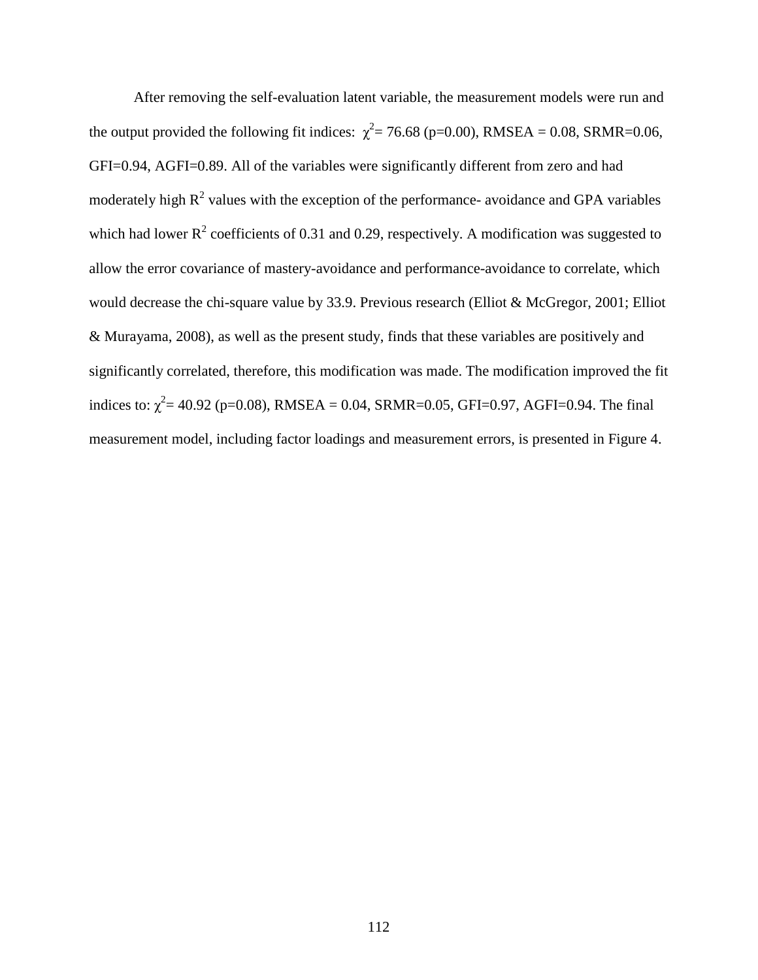After removing the self-evaluation latent variable, the measurement models were run and the output provided the following fit indices:  $\chi^2$  = 76.68 (p=0.00), RMSEA = 0.08, SRMR=0.06, GFI=0.94, AGFI=0.89. All of the variables were significantly different from zero and had moderately high  $R^2$  values with the exception of the performance- avoidance and GPA variables which had lower  $R^2$  coefficients of 0.31 and 0.29, respectively. A modification was suggested to allow the error covariance of mastery-avoidance and performance-avoidance to correlate, which would decrease the chi-square value by 33.9. Previous research (Elliot & McGregor, 2001; Elliot & Murayama, 2008), as well as the present study, finds that these variables are positively and significantly correlated, therefore, this modification was made. The modification improved the fit indices to:  $\chi^2$  = 40.92 (p=0.08), RMSEA = 0.04, SRMR=0.05, GFI=0.97, AGFI=0.94. The final measurement model, including factor loadings and measurement errors, is presented in Figure 4.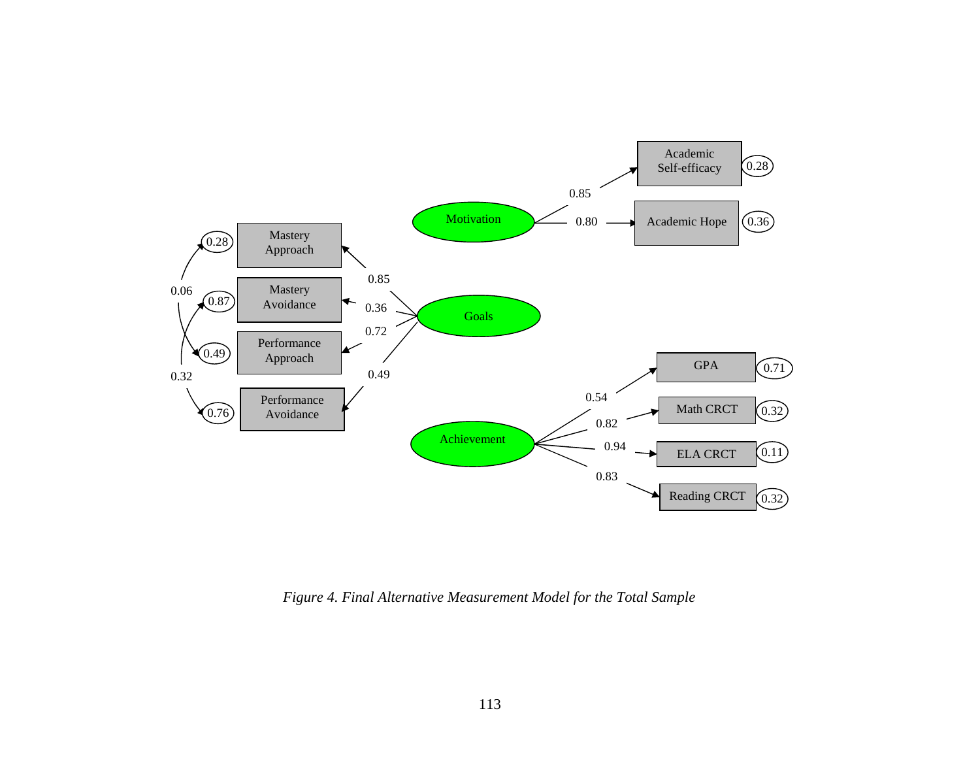

*Figure 4. Final Alternative Measurement Model for the Total Sample*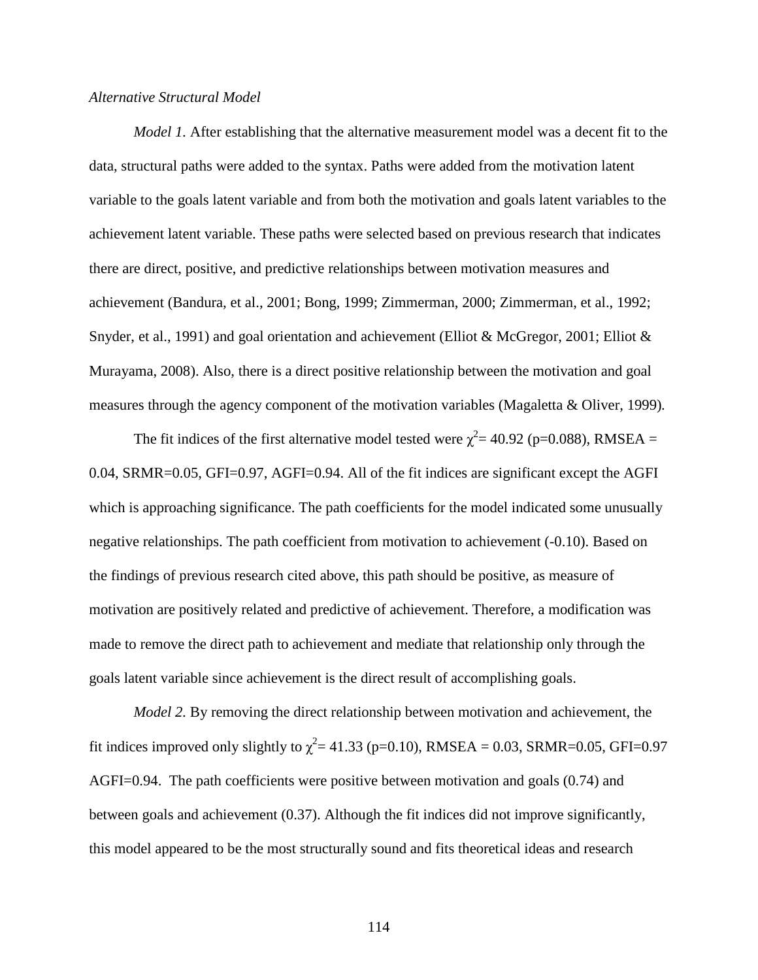### *Alternative Structural Model*

*Model 1.* After establishing that the alternative measurement model was a decent fit to the data, structural paths were added to the syntax. Paths were added from the motivation latent variable to the goals latent variable and from both the motivation and goals latent variables to the achievement latent variable. These paths were selected based on previous research that indicates there are direct, positive, and predictive relationships between motivation measures and achievement (Bandura, et al., 2001; Bong, 1999; Zimmerman, 2000; Zimmerman, et al., 1992; Snyder, et al., 1991) and goal orientation and achievement (Elliot & McGregor, 2001; Elliot & Murayama, 2008). Also, there is a direct positive relationship between the motivation and goal measures through the agency component of the motivation variables (Magaletta & Oliver, 1999)*.* 

The fit indices of the first alternative model tested were  $\chi^2$  = 40.92 (p=0.088), RMSEA = 0.04, SRMR=0.05, GFI=0.97, AGFI=0.94. All of the fit indices are significant except the AGFI which is approaching significance. The path coefficients for the model indicated some unusually negative relationships. The path coefficient from motivation to achievement (-0.10). Based on the findings of previous research cited above, this path should be positive, as measure of motivation are positively related and predictive of achievement. Therefore, a modification was made to remove the direct path to achievement and mediate that relationship only through the goals latent variable since achievement is the direct result of accomplishing goals.

*Model 2.* By removing the direct relationship between motivation and achievement, the fit indices improved only slightly to  $\chi^2$  = 41.33 (p=0.10), RMSEA = 0.03, SRMR=0.05, GFI=0.97 AGFI=0.94. The path coefficients were positive between motivation and goals (0.74) and between goals and achievement (0.37). Although the fit indices did not improve significantly, this model appeared to be the most structurally sound and fits theoretical ideas and research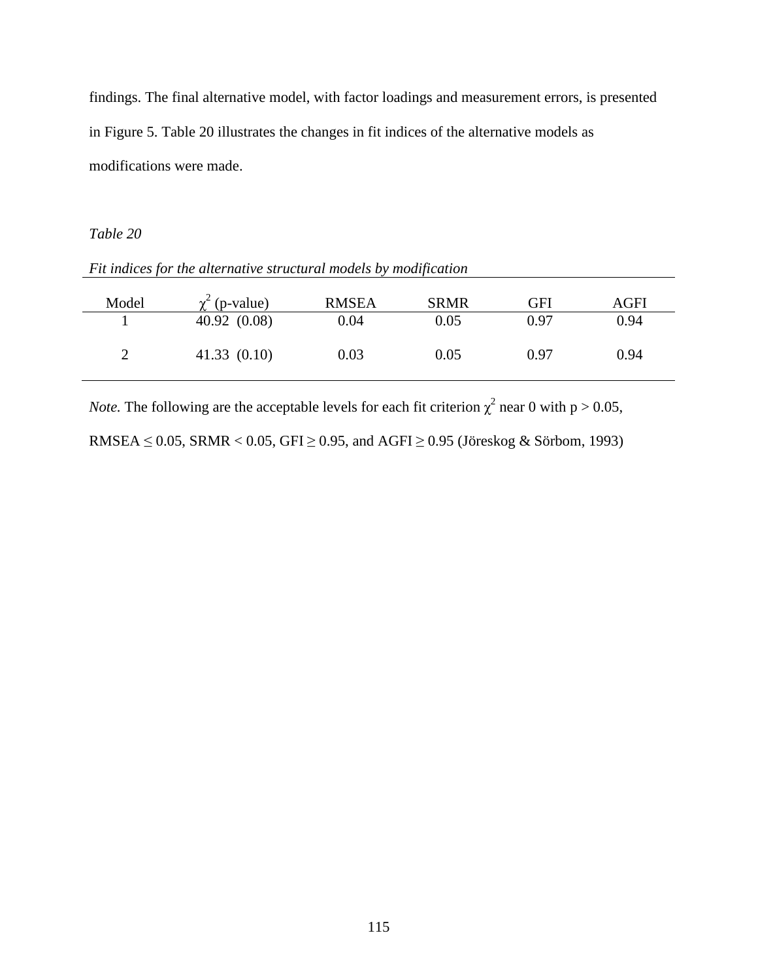findings. The final alternative model, with factor loadings and measurement errors, is presented in Figure 5. Table 20 illustrates the changes in fit indices of the alternative models as modifications were made.

## *Table 20*

| Model         | (p-value)   | <b>RMSEA</b> | <b>SRMR</b> | GFI  | AGFI |
|---------------|-------------|--------------|-------------|------|------|
|               | 40.92(0.08) | 0.04         | 0.05        | 0.97 | 0.94 |
| $\mathcal{D}$ | 41.33(0.10) | 0.03         | 0.05        | 0.97 | 0.94 |

*Fit indices for the alternative structural models by modification* 

*Note*. The following are the acceptable levels for each fit criterion  $\chi^2$  near 0 with p > 0.05,

RMSEA  $\leq$  0.05, SRMR < 0.05, GFI  $\geq$  0.95, and AGFI  $\geq$  0.95 (Jöreskog & Sörbom, 1993)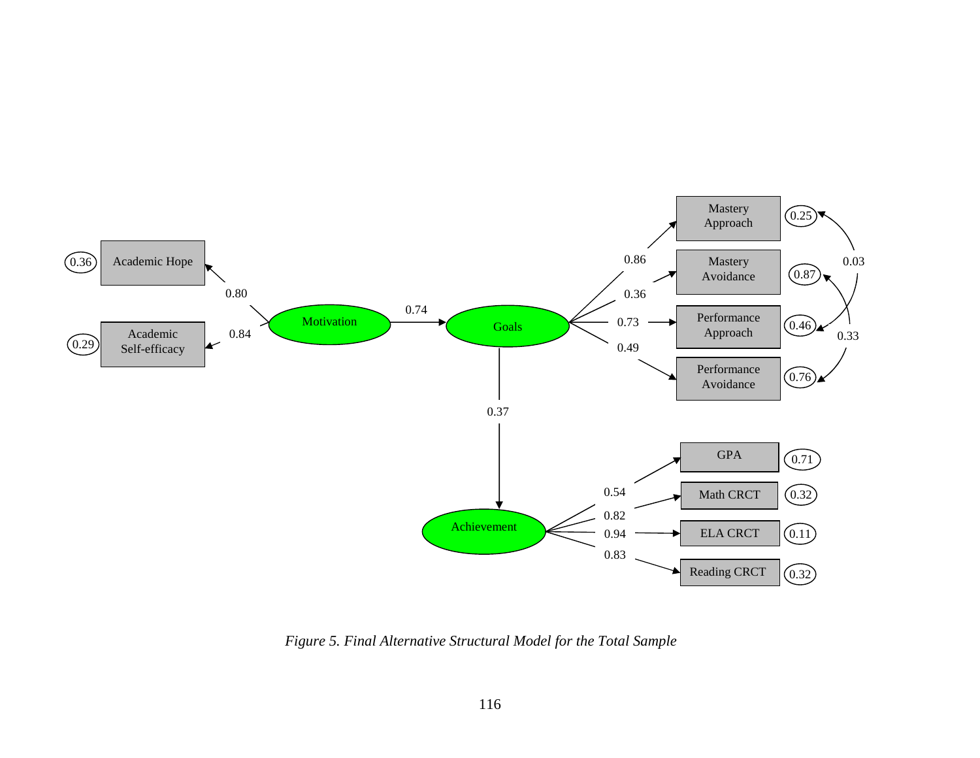

*Figure 5. Final Alternative Structural Model for the Total Sample*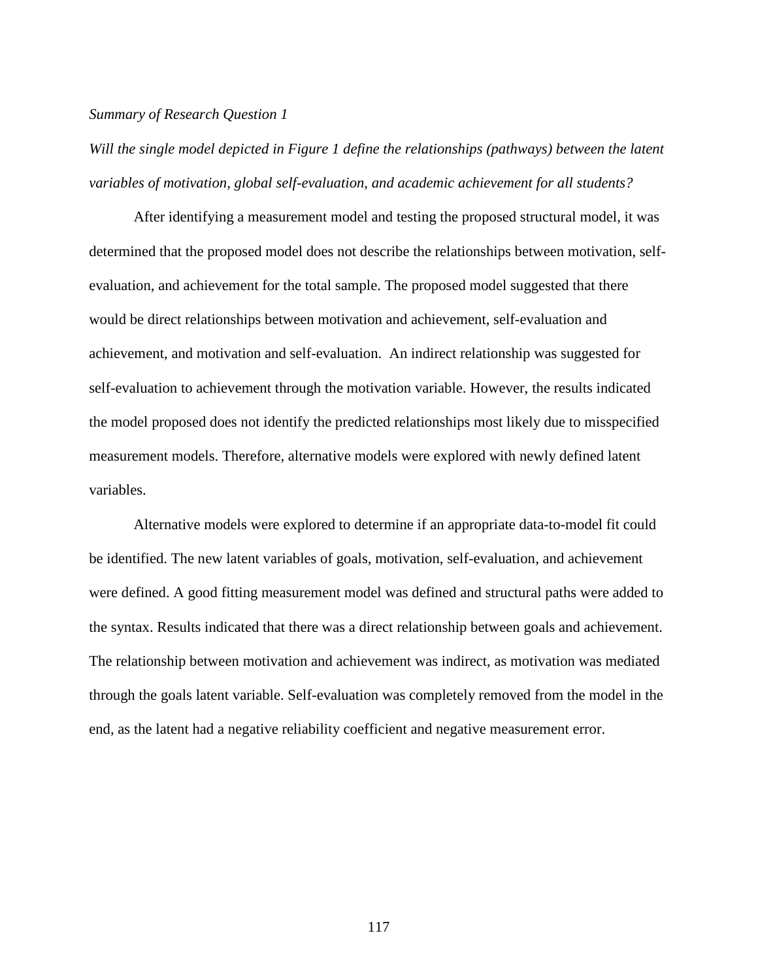#### *Summary of Research Question 1*

Will the single model depicted in Figure 1 define the relationships (pathways) between the latent *variables of motivation, global self-evaluation, and academic achievement for all students?* 

After identifying a measurement model and testing the proposed structural model, it was determined that the proposed model does not describe the relationships between motivation, selfevaluation, and achievement for the total sample. The proposed model suggested that there would be direct relationships between motivation and achievement, self-evaluation and achievement, and motivation and self-evaluation. An indirect relationship was suggested for self-evaluation to achievement through the motivation variable. However, the results indicated the model proposed does not identify the predicted relationships most likely due to misspecified measurement models. Therefore, alternative models were explored with newly defined latent variables.

Alternative models were explored to determine if an appropriate data-to-model fit could be identified. The new latent variables of goals, motivation, self-evaluation, and achievement were defined. A good fitting measurement model was defined and structural paths were added to the syntax. Results indicated that there was a direct relationship between goals and achievement. The relationship between motivation and achievement was indirect, as motivation was mediated through the goals latent variable. Self-evaluation was completely removed from the model in the end, as the latent had a negative reliability coefficient and negative measurement error.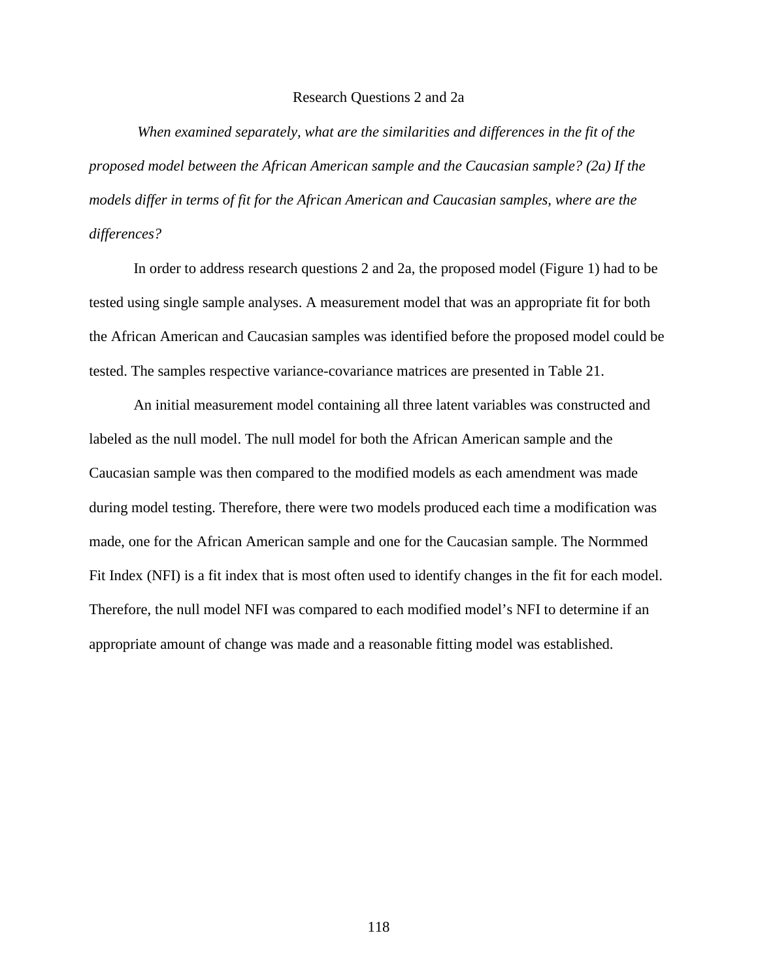#### Research Questions 2 and 2a

 *When examined separately, what are the similarities and differences in the fit of the proposed model between the African American sample and the Caucasian sample? (2a) If the models differ in terms of fit for the African American and Caucasian samples, where are the differences?* 

In order to address research questions 2 and 2a, the proposed model (Figure 1) had to be tested using single sample analyses. A measurement model that was an appropriate fit for both the African American and Caucasian samples was identified before the proposed model could be tested. The samples respective variance-covariance matrices are presented in Table 21.

An initial measurement model containing all three latent variables was constructed and labeled as the null model. The null model for both the African American sample and the Caucasian sample was then compared to the modified models as each amendment was made during model testing. Therefore, there were two models produced each time a modification was made, one for the African American sample and one for the Caucasian sample. The Normmed Fit Index (NFI) is a fit index that is most often used to identify changes in the fit for each model. Therefore, the null model NFI was compared to each modified model's NFI to determine if an appropriate amount of change was made and a reasonable fitting model was established.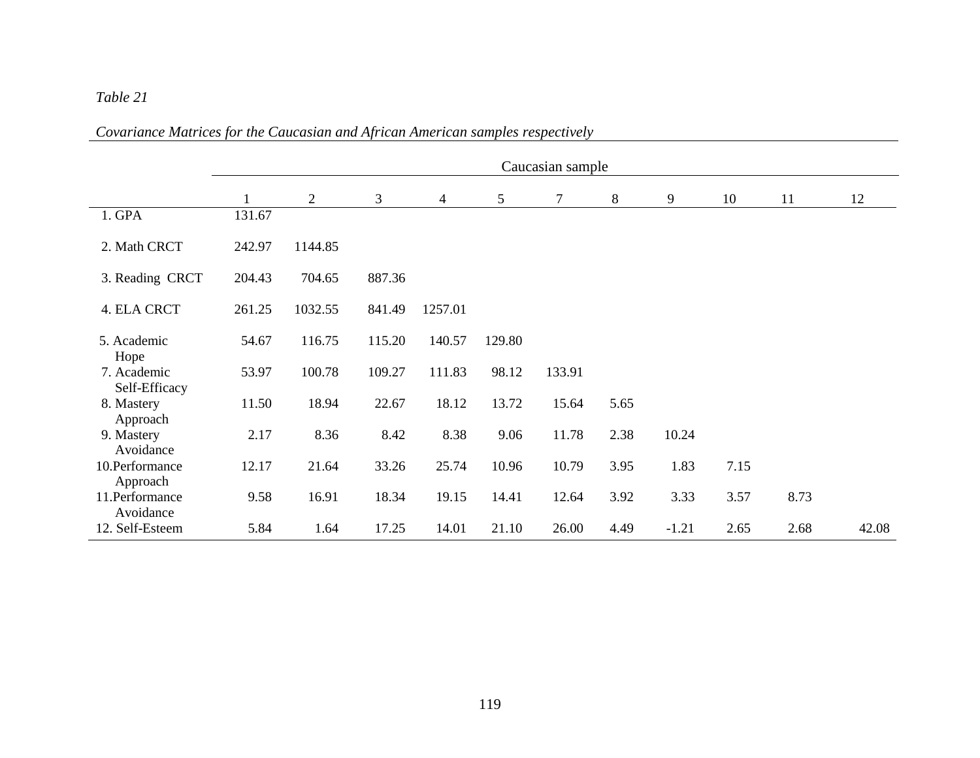# *Table 21*

|                                      | Caucasian sample |                |        |                |        |        |      |         |      |      |       |
|--------------------------------------|------------------|----------------|--------|----------------|--------|--------|------|---------|------|------|-------|
|                                      |                  | $\overline{2}$ | 3      | $\overline{4}$ | 5      | 7      | 8    | 9       | 10   | 11   | 12    |
| 1. GPA                               | 131.67           |                |        |                |        |        |      |         |      |      |       |
| 2. Math CRCT                         | 242.97           | 1144.85        |        |                |        |        |      |         |      |      |       |
| 3. Reading CRCT                      | 204.43           | 704.65         | 887.36 |                |        |        |      |         |      |      |       |
| 4. ELA CRCT                          | 261.25           | 1032.55        | 841.49 | 1257.01        |        |        |      |         |      |      |       |
| 5. Academic                          | 54.67            | 116.75         | 115.20 | 140.57         | 129.80 |        |      |         |      |      |       |
| Hope<br>7. Academic<br>Self-Efficacy | 53.97            | 100.78         | 109.27 | 111.83         | 98.12  | 133.91 |      |         |      |      |       |
| 8. Mastery<br>Approach               | 11.50            | 18.94          | 22.67  | 18.12          | 13.72  | 15.64  | 5.65 |         |      |      |       |
| 9. Mastery<br>Avoidance              | 2.17             | 8.36           | 8.42   | 8.38           | 9.06   | 11.78  | 2.38 | 10.24   |      |      |       |
| 10.Performance<br>Approach           | 12.17            | 21.64          | 33.26  | 25.74          | 10.96  | 10.79  | 3.95 | 1.83    | 7.15 |      |       |
| 11.Performance<br>Avoidance          | 9.58             | 16.91          | 18.34  | 19.15          | 14.41  | 12.64  | 3.92 | 3.33    | 3.57 | 8.73 |       |
| 12. Self-Esteem                      | 5.84             | 1.64           | 17.25  | 14.01          | 21.10  | 26.00  | 4.49 | $-1.21$ | 2.65 | 2.68 | 42.08 |

*Covariance Matrices for the Caucasian and African American samples respectively*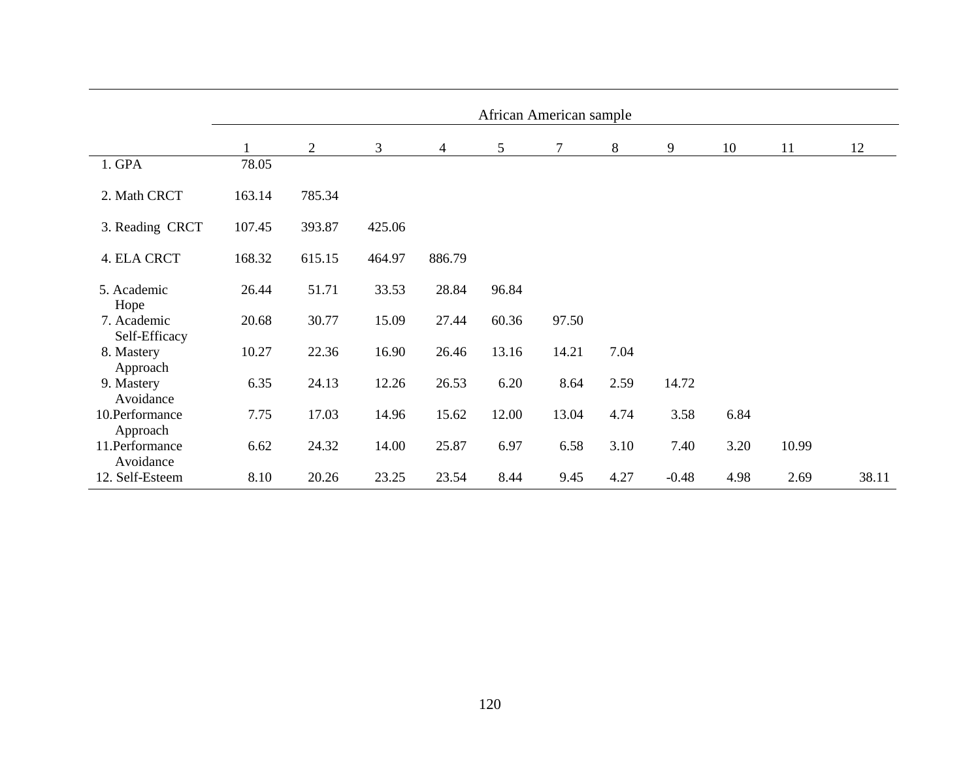|                              | African American sample |                |        |                |       |       |       |         |      |       |       |
|------------------------------|-------------------------|----------------|--------|----------------|-------|-------|-------|---------|------|-------|-------|
|                              |                         | $\overline{2}$ | 3      | $\overline{4}$ | 5     | 7     | $8\,$ | 9       | 10   | 11    | 12    |
| 1. GPA                       | 78.05                   |                |        |                |       |       |       |         |      |       |       |
| 2. Math CRCT                 | 163.14                  | 785.34         |        |                |       |       |       |         |      |       |       |
| 3. Reading CRCT              | 107.45                  | 393.87         | 425.06 |                |       |       |       |         |      |       |       |
| 4. ELA CRCT                  | 168.32                  | 615.15         | 464.97 | 886.79         |       |       |       |         |      |       |       |
| 5. Academic<br>Hope          | 26.44                   | 51.71          | 33.53  | 28.84          | 96.84 |       |       |         |      |       |       |
| 7. Academic<br>Self-Efficacy | 20.68                   | 30.77          | 15.09  | 27.44          | 60.36 | 97.50 |       |         |      |       |       |
| 8. Mastery<br>Approach       | 10.27                   | 22.36          | 16.90  | 26.46          | 13.16 | 14.21 | 7.04  |         |      |       |       |
| 9. Mastery<br>Avoidance      | 6.35                    | 24.13          | 12.26  | 26.53          | 6.20  | 8.64  | 2.59  | 14.72   |      |       |       |
| 10.Performance<br>Approach   | 7.75                    | 17.03          | 14.96  | 15.62          | 12.00 | 13.04 | 4.74  | 3.58    | 6.84 |       |       |
| 11.Performance<br>Avoidance  | 6.62                    | 24.32          | 14.00  | 25.87          | 6.97  | 6.58  | 3.10  | 7.40    | 3.20 | 10.99 |       |
| 12. Self-Esteem              | 8.10                    | 20.26          | 23.25  | 23.54          | 8.44  | 9.45  | 4.27  | $-0.48$ | 4.98 | 2.69  | 38.11 |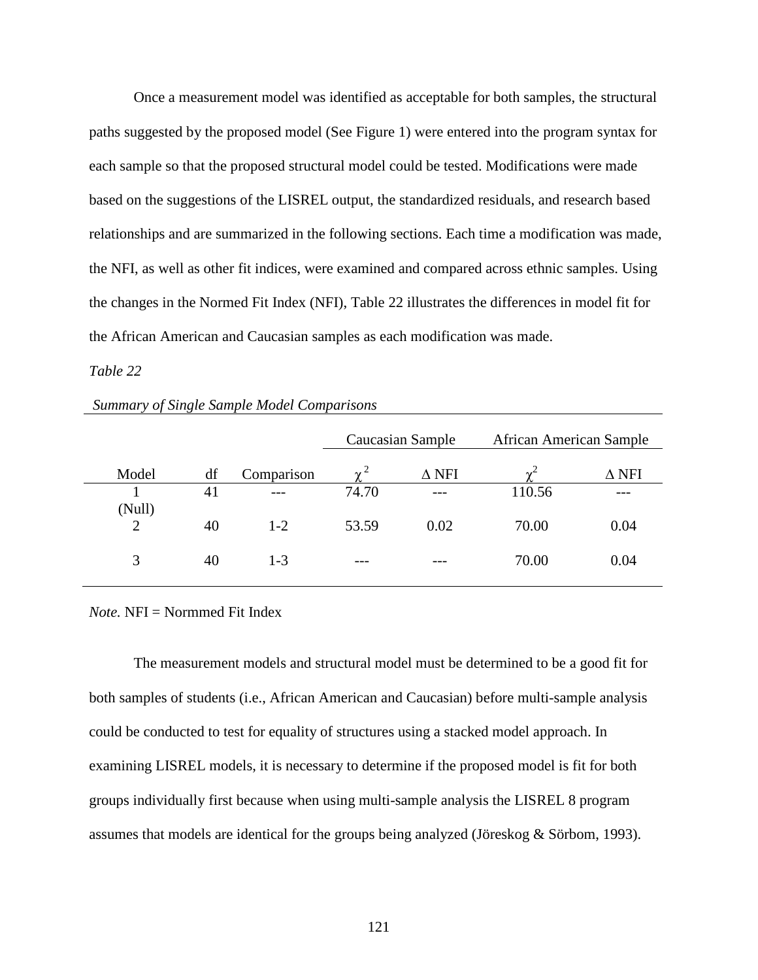Once a measurement model was identified as acceptable for both samples, the structural paths suggested by the proposed model (See Figure 1) were entered into the program syntax for each sample so that the proposed structural model could be tested. Modifications were made based on the suggestions of the LISREL output, the standardized residuals, and research based relationships and are summarized in the following sections. Each time a modification was made, the NFI, as well as other fit indices, were examined and compared across ethnic samples. Using the changes in the Normed Fit Index (NFI), Table 22 illustrates the differences in model fit for the African American and Caucasian samples as each modification was made.

## *Table 22*

|                          |    |            |       | Caucasian Sample | <b>African American Sample</b> |              |
|--------------------------|----|------------|-------|------------------|--------------------------------|--------------|
| Model                    | df | Comparison |       | $\Delta$ NFI     | $\gamma^2$                     | $\Delta$ NFI |
|                          | 41 | $---$      | 74.70 | ---              | 110.56                         |              |
| (Null)<br>$\overline{2}$ | 40 | $1 - 2$    | 53.59 | 0.02             | 70.00                          | 0.04         |
| 3                        | 40 | $1 - 3$    | ---   | ---              | 70.00                          | 0.04         |

## *Summary of Single Sample Model Comparisons*

*Note.* NFI = Normmed Fit Index

The measurement models and structural model must be determined to be a good fit for both samples of students (i.e., African American and Caucasian) before multi-sample analysis could be conducted to test for equality of structures using a stacked model approach. In examining LISREL models, it is necessary to determine if the proposed model is fit for both groups individually first because when using multi-sample analysis the LISREL 8 program assumes that models are identical for the groups being analyzed (Jöreskog & Sörbom, 1993).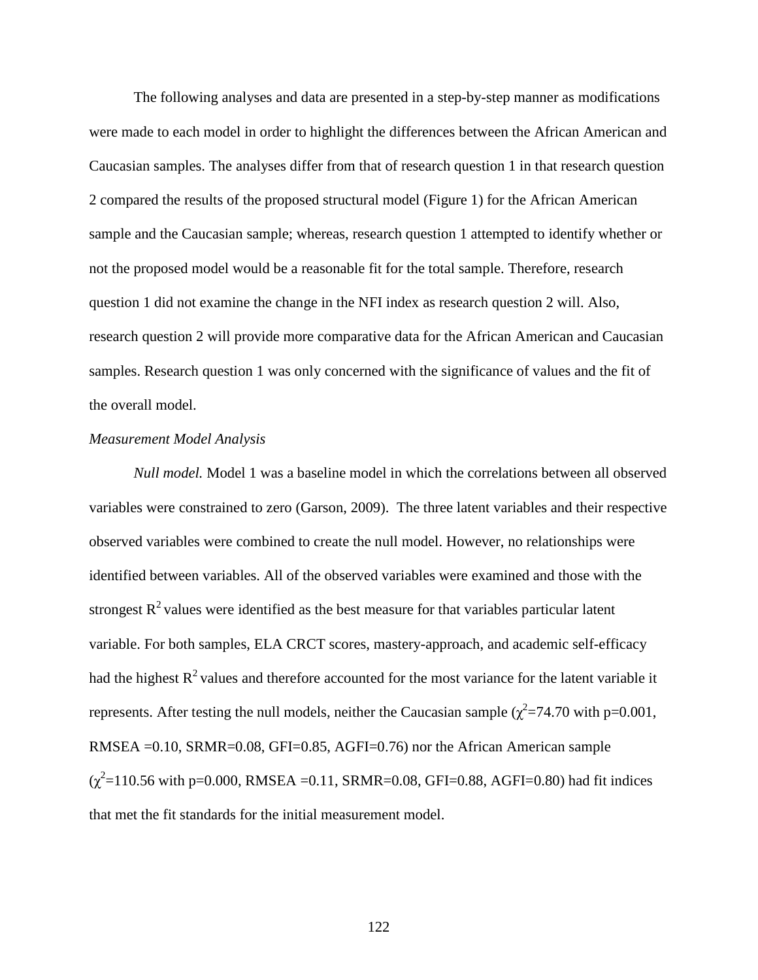The following analyses and data are presented in a step-by-step manner as modifications were made to each model in order to highlight the differences between the African American and Caucasian samples. The analyses differ from that of research question 1 in that research question 2 compared the results of the proposed structural model (Figure 1) for the African American sample and the Caucasian sample; whereas, research question 1 attempted to identify whether or not the proposed model would be a reasonable fit for the total sample. Therefore, research question 1 did not examine the change in the NFI index as research question 2 will. Also, research question 2 will provide more comparative data for the African American and Caucasian samples. Research question 1 was only concerned with the significance of values and the fit of the overall model.

### *Measurement Model Analysis*

*Null model.* Model 1 was a baseline model in which the correlations between all observed variables were constrained to zero (Garson, 2009). The three latent variables and their respective observed variables were combined to create the null model. However, no relationships were identified between variables. All of the observed variables were examined and those with the strongest  $R<sup>2</sup>$  values were identified as the best measure for that variables particular latent variable. For both samples, ELA CRCT scores, mastery-approach, and academic self-efficacy had the highest  $R^2$  values and therefore accounted for the most variance for the latent variable it represents. After testing the null models, neither the Caucasian sample ( $\chi^2$ =74.70 with p=0.001, RMSEA =0.10, SRMR=0.08, GFI=0.85, AGFI=0.76) nor the African American sample  $(\chi^2 = 110.56 \text{ with } p = 0.000, \text{ RMSEA} = 0.11, \text{ SRMR} = 0.08, \text{ GFI} = 0.88, \text{ AGFI} = 0.80)$  had fit indices that met the fit standards for the initial measurement model.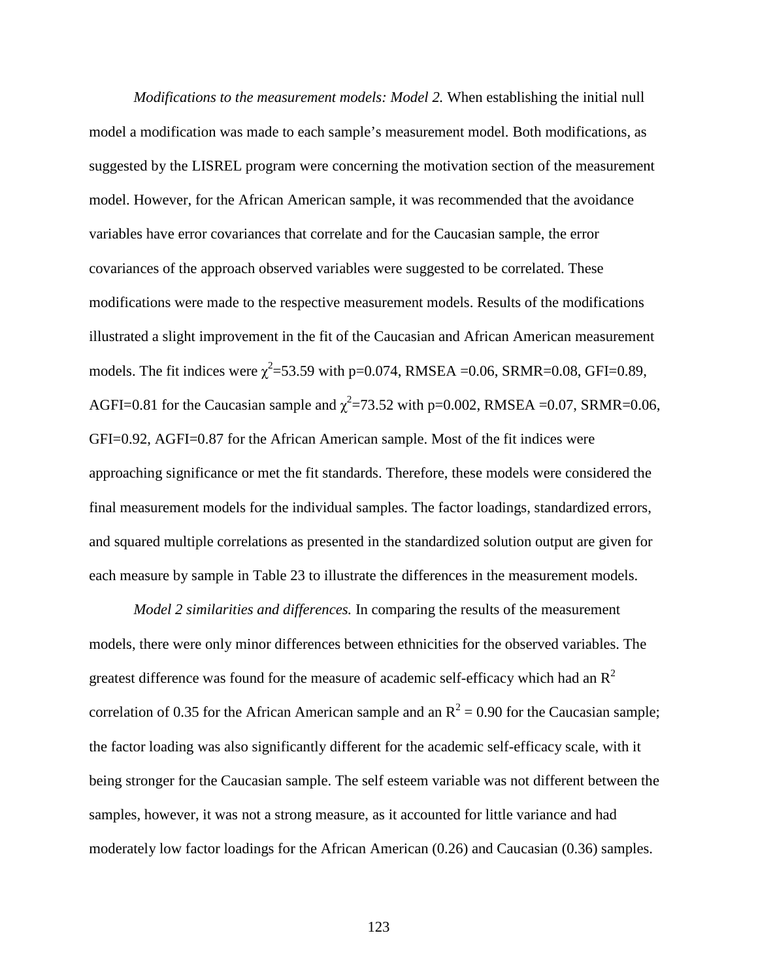*Modifications to the measurement models: Model 2.* When establishing the initial null model a modification was made to each sample's measurement model. Both modifications, as suggested by the LISREL program were concerning the motivation section of the measurement model. However, for the African American sample, it was recommended that the avoidance variables have error covariances that correlate and for the Caucasian sample, the error covariances of the approach observed variables were suggested to be correlated. These modifications were made to the respective measurement models. Results of the modifications illustrated a slight improvement in the fit of the Caucasian and African American measurement models. The fit indices were  $\chi^2$ =53.59 with p=0.074, RMSEA =0.06, SRMR=0.08, GFI=0.89, AGFI=0.81 for the Caucasian sample and  $\chi^2$ =73.52 with p=0.002, RMSEA =0.07, SRMR=0.06, GFI=0.92, AGFI=0.87 for the African American sample. Most of the fit indices were approaching significance or met the fit standards. Therefore, these models were considered the final measurement models for the individual samples. The factor loadings, standardized errors, and squared multiple correlations as presented in the standardized solution output are given for each measure by sample in Table 23 to illustrate the differences in the measurement models.

*Model 2 similarities and differences.* In comparing the results of the measurement models, there were only minor differences between ethnicities for the observed variables. The greatest difference was found for the measure of academic self-efficacy which had an  $R^2$ correlation of 0.35 for the African American sample and an  $R^2 = 0.90$  for the Caucasian sample; the factor loading was also significantly different for the academic self-efficacy scale, with it being stronger for the Caucasian sample. The self esteem variable was not different between the samples, however, it was not a strong measure, as it accounted for little variance and had moderately low factor loadings for the African American (0.26) and Caucasian (0.36) samples.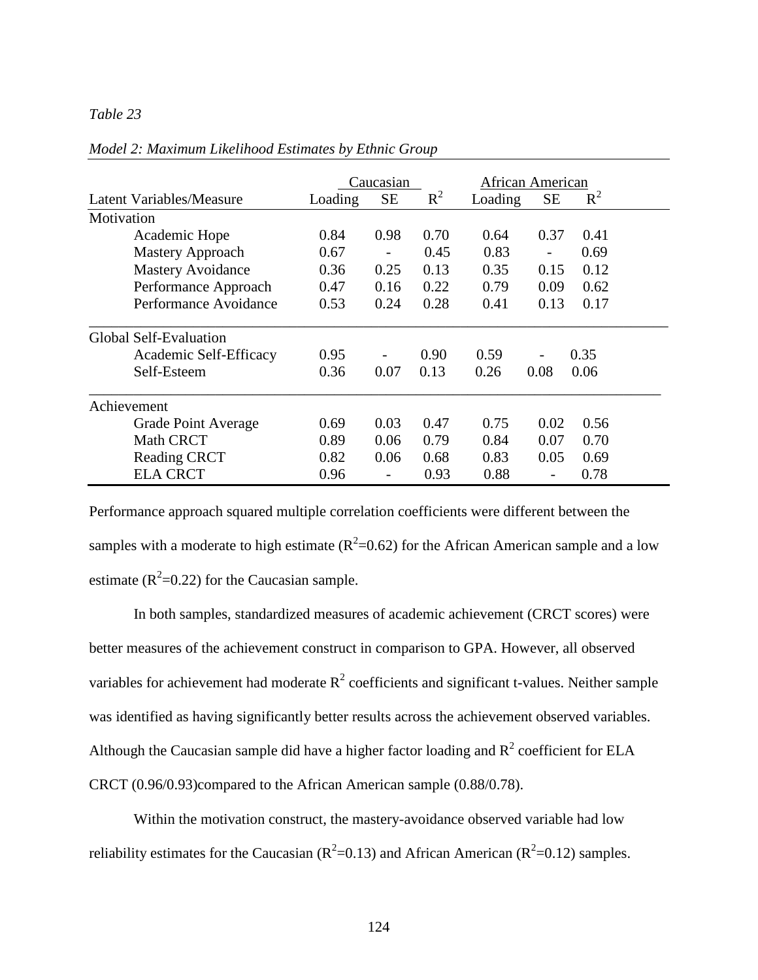## *Table 23*

|                                 |         | Caucasian |       | African American |           |       |
|---------------------------------|---------|-----------|-------|------------------|-----------|-------|
| <b>Latent Variables/Measure</b> | Loading | <b>SE</b> | $R^2$ | Loading          | <b>SE</b> | $R^2$ |
| Motivation                      |         |           |       |                  |           |       |
| Academic Hope                   | 0.84    | 0.98      | 0.70  | 0.64             | 0.37      | 0.41  |
| <b>Mastery Approach</b>         | 0.67    |           | 0.45  | 0.83             |           | 0.69  |
| <b>Mastery Avoidance</b>        | 0.36    | 0.25      | 0.13  | 0.35             | 0.15      | 0.12  |
| Performance Approach            | 0.47    | 0.16      | 0.22  | 0.79             | 0.09      | 0.62  |
| Performance Avoidance           | 0.53    | 0.24      | 0.28  | 0.41             | 0.13      | 0.17  |
| <b>Global Self-Evaluation</b>   |         |           |       |                  |           |       |
| Academic Self-Efficacy          | 0.95    |           | 0.90  | 0.59             |           | 0.35  |
| Self-Esteem                     | 0.36    | 0.07      | 0.13  | 0.26             | 0.08      | 0.06  |
| Achievement                     |         |           |       |                  |           |       |
| Grade Point Average             | 0.69    | 0.03      | 0.47  | 0.75             | 0.02      | 0.56  |
| <b>Math CRCT</b>                | 0.89    | 0.06      | 0.79  | 0.84             | 0.07      | 0.70  |
| <b>Reading CRCT</b>             | 0.82    | 0.06      | 0.68  | 0.83             | 0.05      | 0.69  |
| <b>ELA CRCT</b>                 | 0.96    |           | 0.93  | 0.88             |           | 0.78  |

#### *Model 2: Maximum Likelihood Estimates by Ethnic Group*

Performance approach squared multiple correlation coefficients were different between the samples with a moderate to high estimate ( $R^2$ =0.62) for the African American sample and a low estimate ( $R^2$ =0.22) for the Caucasian sample.

In both samples, standardized measures of academic achievement (CRCT scores) were better measures of the achievement construct in comparison to GPA. However, all observed variables for achievement had moderate  $R^2$  coefficients and significant t-values. Neither sample was identified as having significantly better results across the achievement observed variables. Although the Caucasian sample did have a higher factor loading and  $R^2$  coefficient for ELA CRCT (0.96/0.93)compared to the African American sample (0.88/0.78).

Within the motivation construct, the mastery-avoidance observed variable had low reliability estimates for the Caucasian ( $R^2$ =0.13) and African American ( $R^2$ =0.12) samples.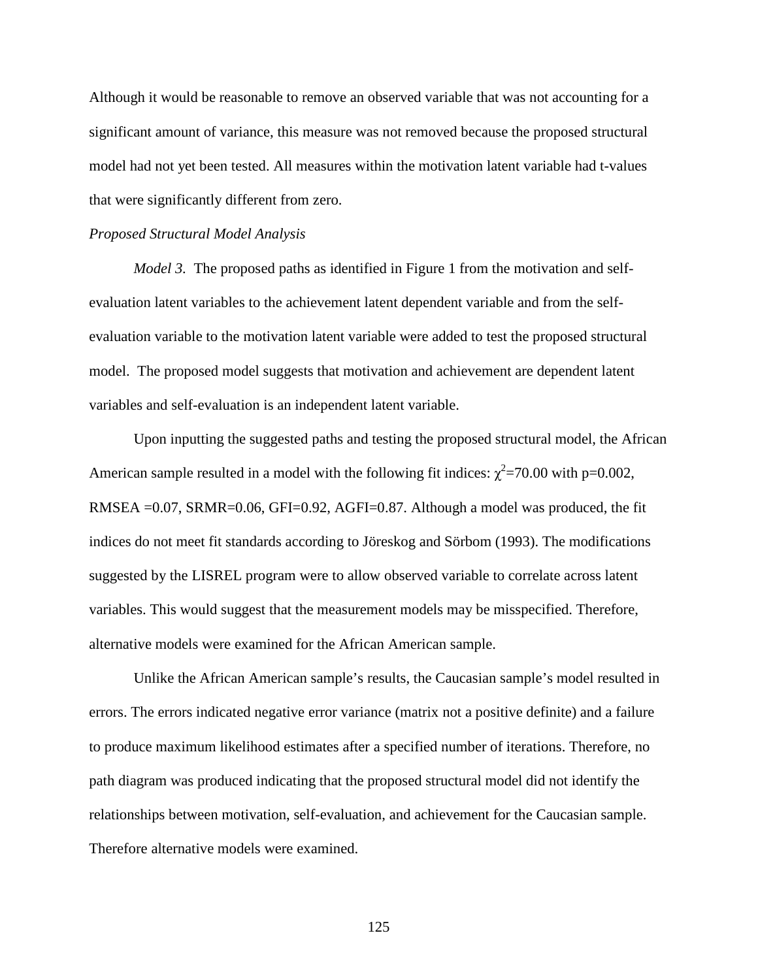Although it would be reasonable to remove an observed variable that was not accounting for a significant amount of variance, this measure was not removed because the proposed structural model had not yet been tested. All measures within the motivation latent variable had t-values that were significantly different from zero.

#### *Proposed Structural Model Analysis*

*Model 3.* The proposed paths as identified in Figure 1 from the motivation and selfevaluation latent variables to the achievement latent dependent variable and from the selfevaluation variable to the motivation latent variable were added to test the proposed structural model. The proposed model suggests that motivation and achievement are dependent latent variables and self-evaluation is an independent latent variable.

Upon inputting the suggested paths and testing the proposed structural model, the African American sample resulted in a model with the following fit indices:  $\chi^2$ =70.00 with p=0.002, RMSEA =0.07, SRMR=0.06, GFI=0.92, AGFI=0.87. Although a model was produced, the fit indices do not meet fit standards according to Jöreskog and Sörbom (1993). The modifications suggested by the LISREL program were to allow observed variable to correlate across latent variables. This would suggest that the measurement models may be misspecified. Therefore, alternative models were examined for the African American sample.

Unlike the African American sample's results, the Caucasian sample's model resulted in errors. The errors indicated negative error variance (matrix not a positive definite) and a failure to produce maximum likelihood estimates after a specified number of iterations. Therefore, no path diagram was produced indicating that the proposed structural model did not identify the relationships between motivation, self-evaluation, and achievement for the Caucasian sample. Therefore alternative models were examined.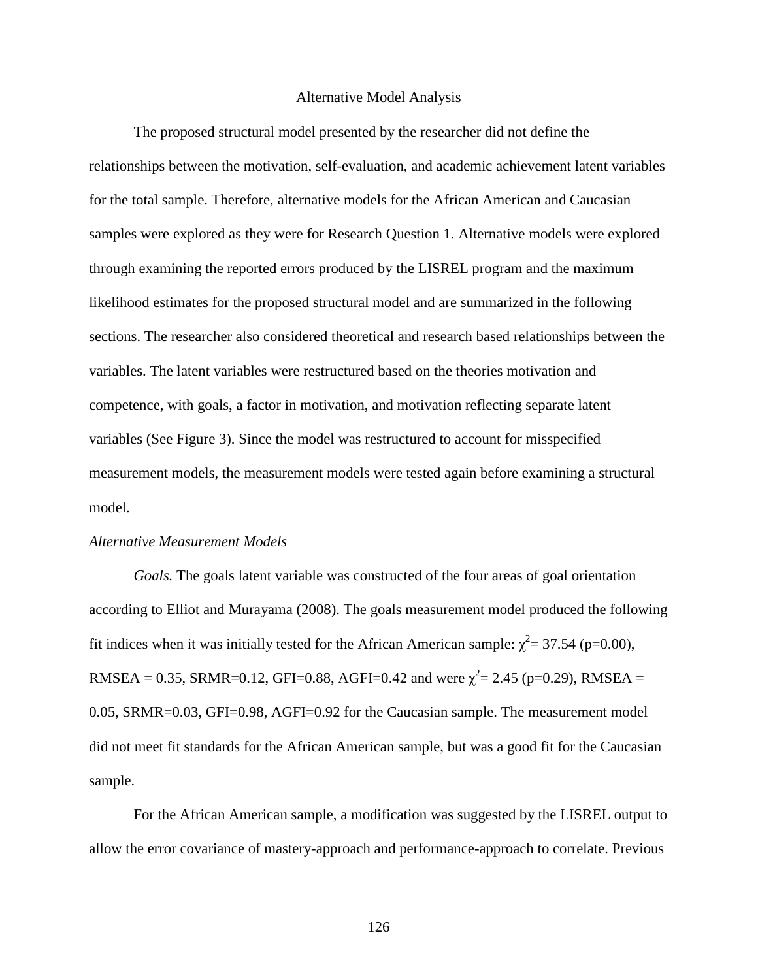#### Alternative Model Analysis

The proposed structural model presented by the researcher did not define the relationships between the motivation, self-evaluation, and academic achievement latent variables for the total sample. Therefore, alternative models for the African American and Caucasian samples were explored as they were for Research Question 1. Alternative models were explored through examining the reported errors produced by the LISREL program and the maximum likelihood estimates for the proposed structural model and are summarized in the following sections. The researcher also considered theoretical and research based relationships between the variables. The latent variables were restructured based on the theories motivation and competence, with goals, a factor in motivation, and motivation reflecting separate latent variables (See Figure 3). Since the model was restructured to account for misspecified measurement models, the measurement models were tested again before examining a structural model.

#### *Alternative Measurement Models*

*Goals.* The goals latent variable was constructed of the four areas of goal orientation according to Elliot and Murayama (2008). The goals measurement model produced the following fit indices when it was initially tested for the African American sample:  $\chi^2$  = 37.54 (p=0.00), RMSEA = 0.35, SRMR=0.12, GFI=0.88, AGFI=0.42 and were  $\chi^2$  = 2.45 (p=0.29), RMSEA = 0.05, SRMR=0.03, GFI=0.98, AGFI=0.92 for the Caucasian sample. The measurement model did not meet fit standards for the African American sample, but was a good fit for the Caucasian sample.

For the African American sample, a modification was suggested by the LISREL output to allow the error covariance of mastery-approach and performance-approach to correlate. Previous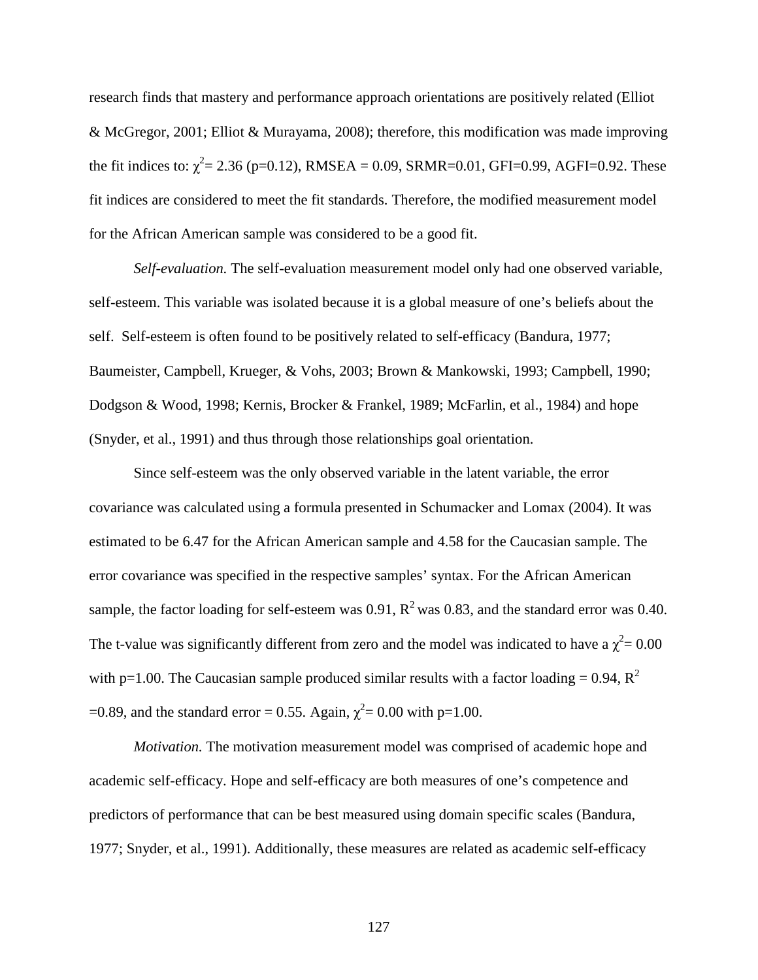research finds that mastery and performance approach orientations are positively related (Elliot & McGregor, 2001; Elliot & Murayama, 2008); therefore, this modification was made improving the fit indices to:  $\chi^2$  = 2.36 (p=0.12), RMSEA = 0.09, SRMR=0.01, GFI=0.99, AGFI=0.92. These fit indices are considered to meet the fit standards. Therefore, the modified measurement model for the African American sample was considered to be a good fit.

*Self-evaluation.* The self-evaluation measurement model only had one observed variable, self-esteem. This variable was isolated because it is a global measure of one's beliefs about the self. Self-esteem is often found to be positively related to self-efficacy (Bandura, 1977; Baumeister, Campbell, Krueger, & Vohs, 2003; Brown & Mankowski, 1993; Campbell, 1990; Dodgson & Wood, 1998; Kernis, Brocker & Frankel, 1989; McFarlin, et al., 1984) and hope (Snyder, et al., 1991) and thus through those relationships goal orientation.

Since self-esteem was the only observed variable in the latent variable, the error covariance was calculated using a formula presented in Schumacker and Lomax (2004). It was estimated to be 6.47 for the African American sample and 4.58 for the Caucasian sample. The error covariance was specified in the respective samples' syntax. For the African American sample, the factor loading for self-esteem was  $0.91$ ,  $\mathbb{R}^2$  was 0.83, and the standard error was 0.40. The t-value was significantly different from zero and the model was indicated to have a  $\chi^2$  = 0.00 with p=1.00. The Caucasian sample produced similar results with a factor loading = 0.94,  $R^2$ =0.89, and the standard error = 0.55. Again,  $\chi^2$  = 0.00 with p=1.00.

*Motivation.* The motivation measurement model was comprised of academic hope and academic self-efficacy. Hope and self-efficacy are both measures of one's competence and predictors of performance that can be best measured using domain specific scales (Bandura, 1977; Snyder, et al., 1991). Additionally, these measures are related as academic self-efficacy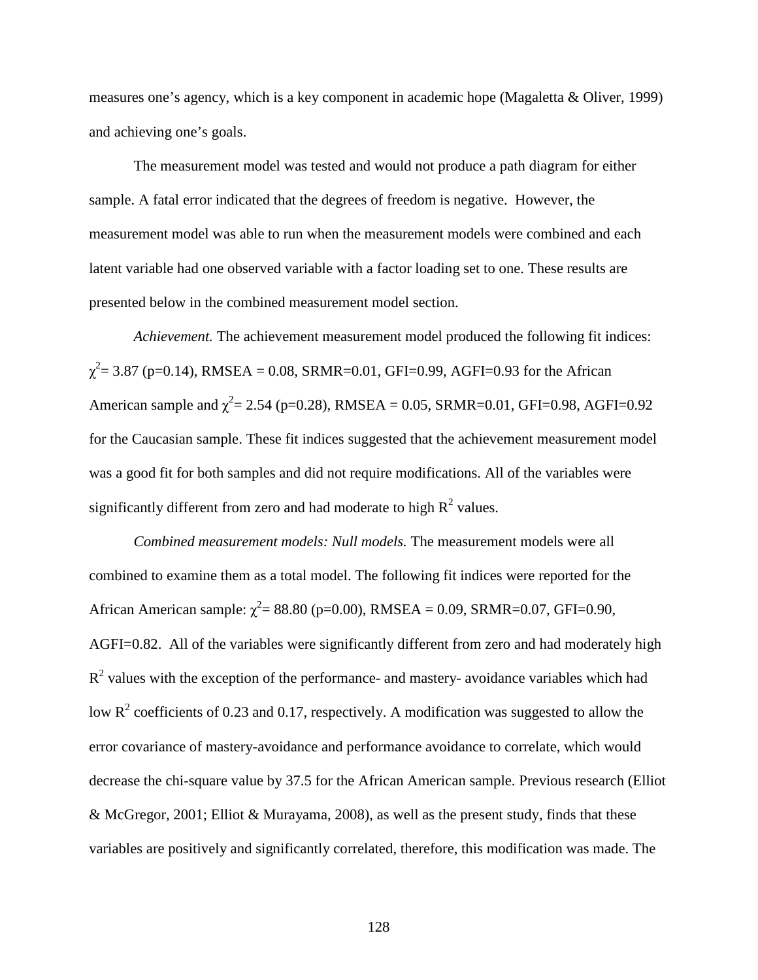measures one's agency, which is a key component in academic hope (Magaletta & Oliver, 1999) and achieving one's goals.

The measurement model was tested and would not produce a path diagram for either sample. A fatal error indicated that the degrees of freedom is negative. However, the measurement model was able to run when the measurement models were combined and each latent variable had one observed variable with a factor loading set to one. These results are presented below in the combined measurement model section.

*Achievement.* The achievement measurement model produced the following fit indices:  $\chi^2$  = 3.87 (p=0.14), RMSEA = 0.08, SRMR=0.01, GFI=0.99, AGFI=0.93 for the African American sample and  $\chi^2$  = 2.54 (p=0.28), RMSEA = 0.05, SRMR=0.01, GFI=0.98, AGFI=0.92 for the Caucasian sample. These fit indices suggested that the achievement measurement model was a good fit for both samples and did not require modifications. All of the variables were significantly different from zero and had moderate to high  $R^2$  values.

*Combined measurement models: Null models.* The measurement models were all combined to examine them as a total model. The following fit indices were reported for the African American sample:  $\chi^2 = 88.80$  (p=0.00), RMSEA = 0.09, SRMR=0.07, GFI=0.90, AGFI=0.82. All of the variables were significantly different from zero and had moderately high  $R<sup>2</sup>$  values with the exception of the performance- and mastery- avoidance variables which had low  $R^2$  coefficients of 0.23 and 0.17, respectively. A modification was suggested to allow the error covariance of mastery-avoidance and performance avoidance to correlate, which would decrease the chi-square value by 37.5 for the African American sample. Previous research (Elliot & McGregor, 2001; Elliot & Murayama, 2008), as well as the present study, finds that these variables are positively and significantly correlated, therefore, this modification was made. The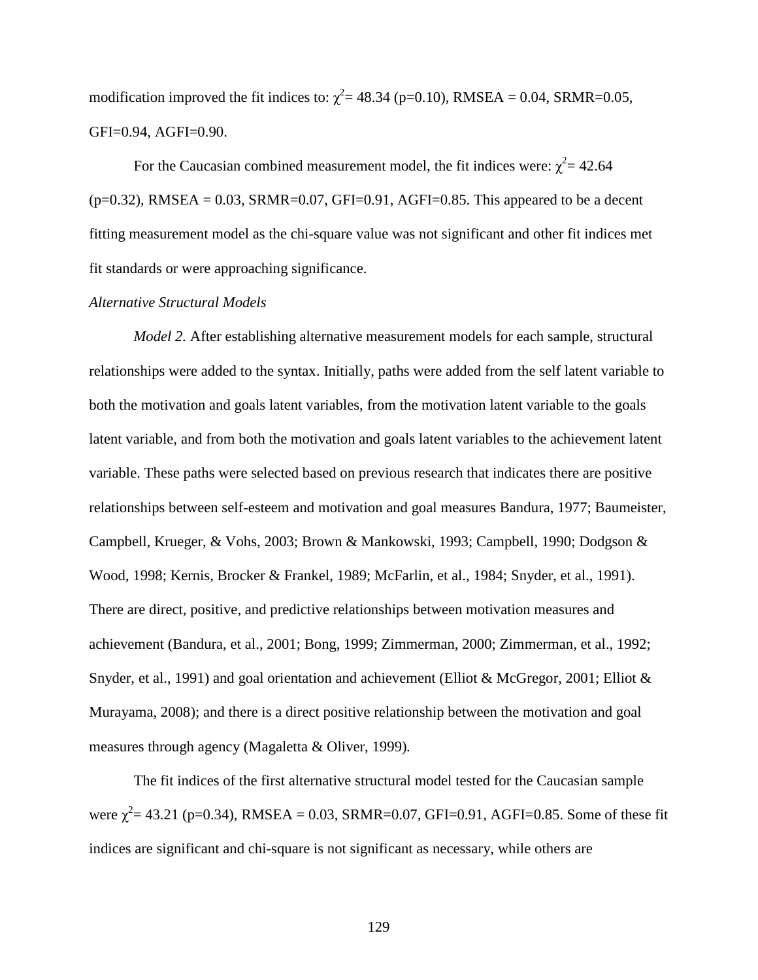modification improved the fit indices to:  $\chi^2$  = 48.34 (p=0.10), RMSEA = 0.04, SRMR=0.05, GFI=0.94, AGFI=0.90.

For the Caucasian combined measurement model, the fit indices were:  $\chi^2$  = 42.64  $(p=0.32)$ , RMSEA = 0.03, SRMR=0.07, GFI=0.91, AGFI=0.85. This appeared to be a decent fitting measurement model as the chi-square value was not significant and other fit indices met fit standards or were approaching significance.

## *Alternative Structural Models*

*Model 2.* After establishing alternative measurement models for each sample, structural relationships were added to the syntax. Initially, paths were added from the self latent variable to both the motivation and goals latent variables, from the motivation latent variable to the goals latent variable, and from both the motivation and goals latent variables to the achievement latent variable. These paths were selected based on previous research that indicates there are positive relationships between self-esteem and motivation and goal measures Bandura, 1977; Baumeister, Campbell, Krueger, & Vohs, 2003; Brown & Mankowski, 1993; Campbell, 1990; Dodgson & Wood, 1998; Kernis, Brocker & Frankel, 1989; McFarlin, et al., 1984; Snyder, et al., 1991). There are direct, positive, and predictive relationships between motivation measures and achievement (Bandura, et al., 2001; Bong, 1999; Zimmerman, 2000; Zimmerman, et al., 1992; Snyder, et al., 1991) and goal orientation and achievement (Elliot & McGregor, 2001; Elliot & Murayama, 2008); and there is a direct positive relationship between the motivation and goal measures through agency (Magaletta & Oliver, 1999)*.* 

The fit indices of the first alternative structural model tested for the Caucasian sample were  $\chi^2$  = 43.21 (p=0.34), RMSEA = 0.03, SRMR=0.07, GFI=0.91, AGFI=0.85. Some of these fit indices are significant and chi-square is not significant as necessary, while others are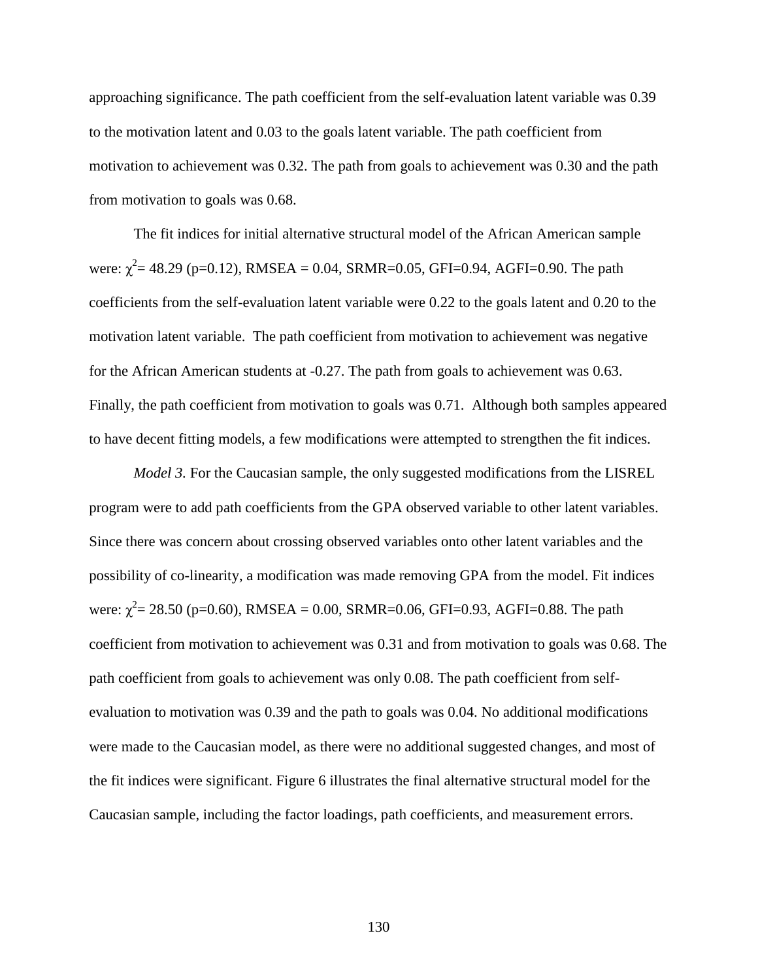approaching significance. The path coefficient from the self-evaluation latent variable was 0.39 to the motivation latent and 0.03 to the goals latent variable. The path coefficient from motivation to achievement was 0.32. The path from goals to achievement was 0.30 and the path from motivation to goals was 0.68.

The fit indices for initial alternative structural model of the African American sample were:  $\chi^2$  = 48.29 (p=0.12), RMSEA = 0.04, SRMR=0.05, GFI=0.94, AGFI=0.90. The path coefficients from the self-evaluation latent variable were 0.22 to the goals latent and 0.20 to the motivation latent variable. The path coefficient from motivation to achievement was negative for the African American students at -0.27. The path from goals to achievement was 0.63. Finally, the path coefficient from motivation to goals was 0.71. Although both samples appeared to have decent fitting models, a few modifications were attempted to strengthen the fit indices.

*Model 3.* For the Caucasian sample, the only suggested modifications from the LISREL program were to add path coefficients from the GPA observed variable to other latent variables. Since there was concern about crossing observed variables onto other latent variables and the possibility of co-linearity, a modification was made removing GPA from the model. Fit indices were:  $\chi^2$  = 28.50 (p=0.60), RMSEA = 0.00, SRMR=0.06, GFI=0.93, AGFI=0.88. The path coefficient from motivation to achievement was 0.31 and from motivation to goals was 0.68. The path coefficient from goals to achievement was only 0.08. The path coefficient from selfevaluation to motivation was 0.39 and the path to goals was 0.04. No additional modifications were made to the Caucasian model, as there were no additional suggested changes, and most of the fit indices were significant. Figure 6 illustrates the final alternative structural model for the Caucasian sample, including the factor loadings, path coefficients, and measurement errors.

130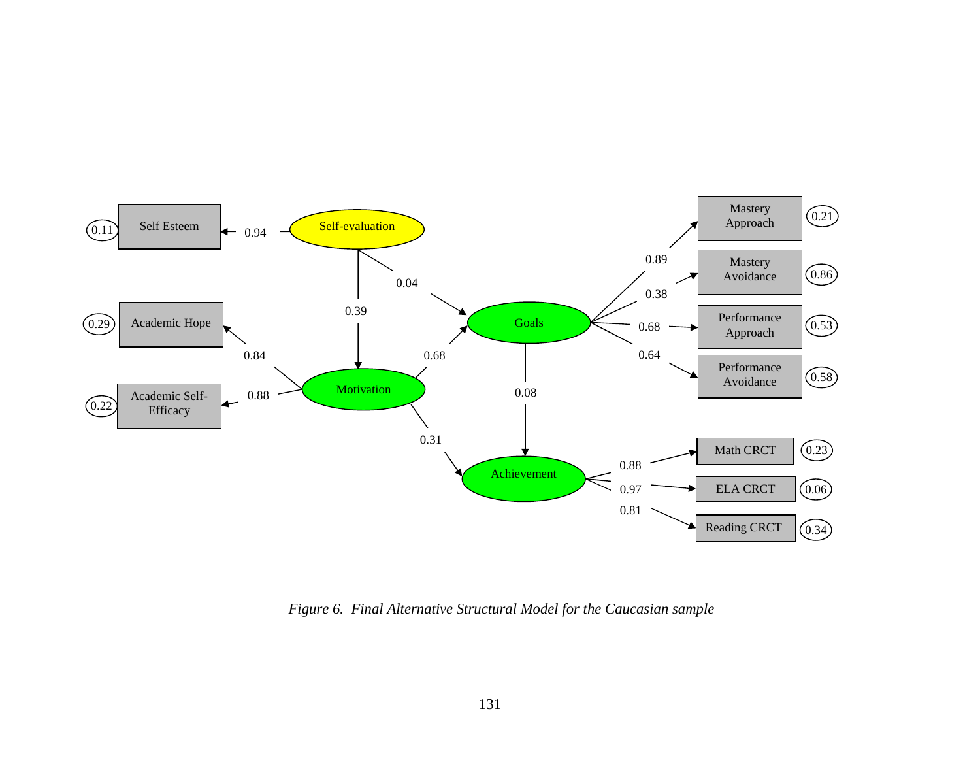

*Figure 6. Final Alternative Structural Model for the Caucasian sample*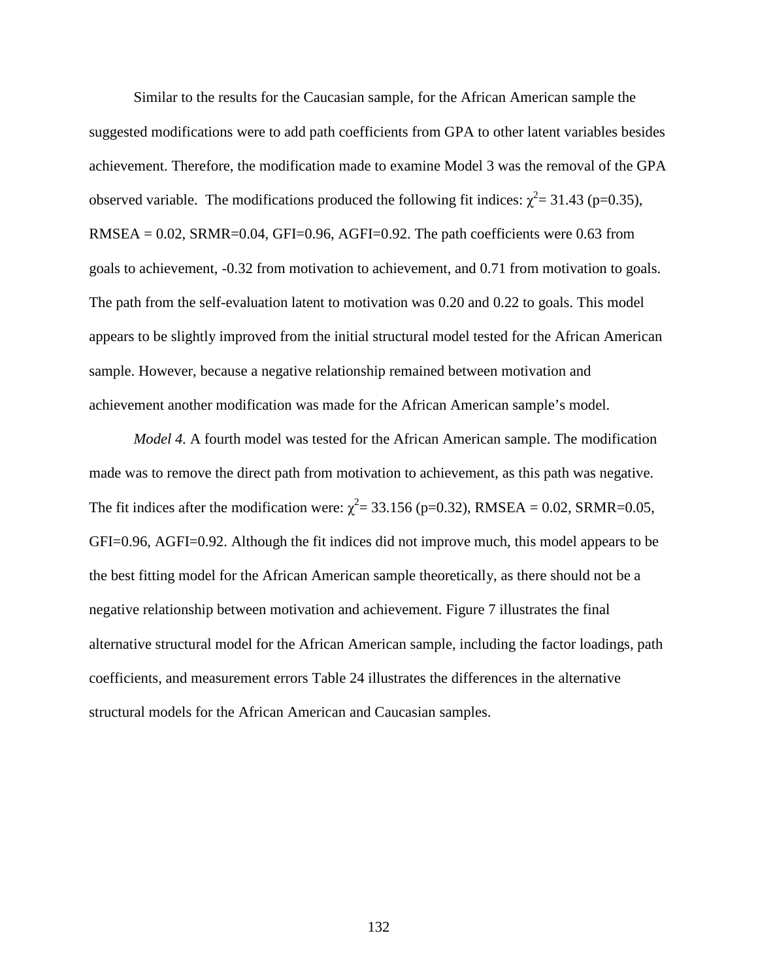Similar to the results for the Caucasian sample, for the African American sample the suggested modifications were to add path coefficients from GPA to other latent variables besides achievement. Therefore, the modification made to examine Model 3 was the removal of the GPA observed variable. The modifications produced the following fit indices:  $\chi^2$  = 31.43 (p=0.35),  $RMSEA = 0.02$ ,  $SRMR = 0.04$ ,  $GFI = 0.96$ ,  $AGFI = 0.92$ . The path coefficients were 0.63 from goals to achievement, -0.32 from motivation to achievement, and 0.71 from motivation to goals. The path from the self-evaluation latent to motivation was 0.20 and 0.22 to goals. This model appears to be slightly improved from the initial structural model tested for the African American sample. However, because a negative relationship remained between motivation and achievement another modification was made for the African American sample's model.

*Model 4.* A fourth model was tested for the African American sample. The modification made was to remove the direct path from motivation to achievement, as this path was negative. The fit indices after the modification were:  $\chi^2$  = 33.156 (p=0.32), RMSEA = 0.02, SRMR=0.05, GFI=0.96, AGFI=0.92. Although the fit indices did not improve much, this model appears to be the best fitting model for the African American sample theoretically, as there should not be a negative relationship between motivation and achievement. Figure 7 illustrates the final alternative structural model for the African American sample, including the factor loadings, path coefficients, and measurement errors Table 24 illustrates the differences in the alternative structural models for the African American and Caucasian samples.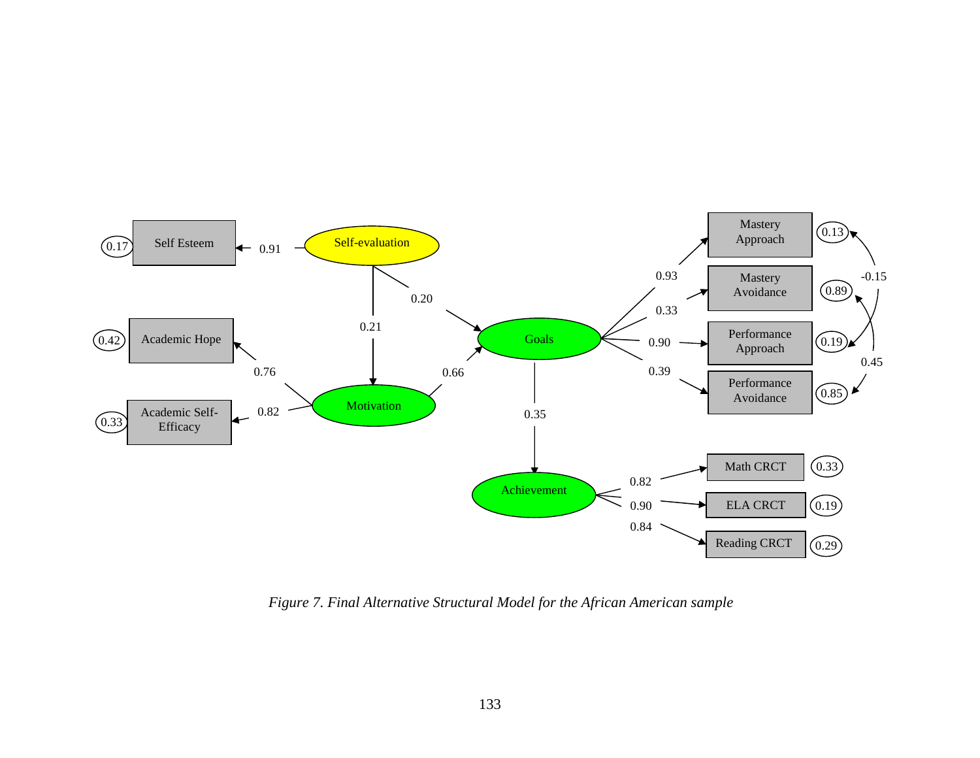

*Figure 7. Final Alternative Structural Model for the African American sample*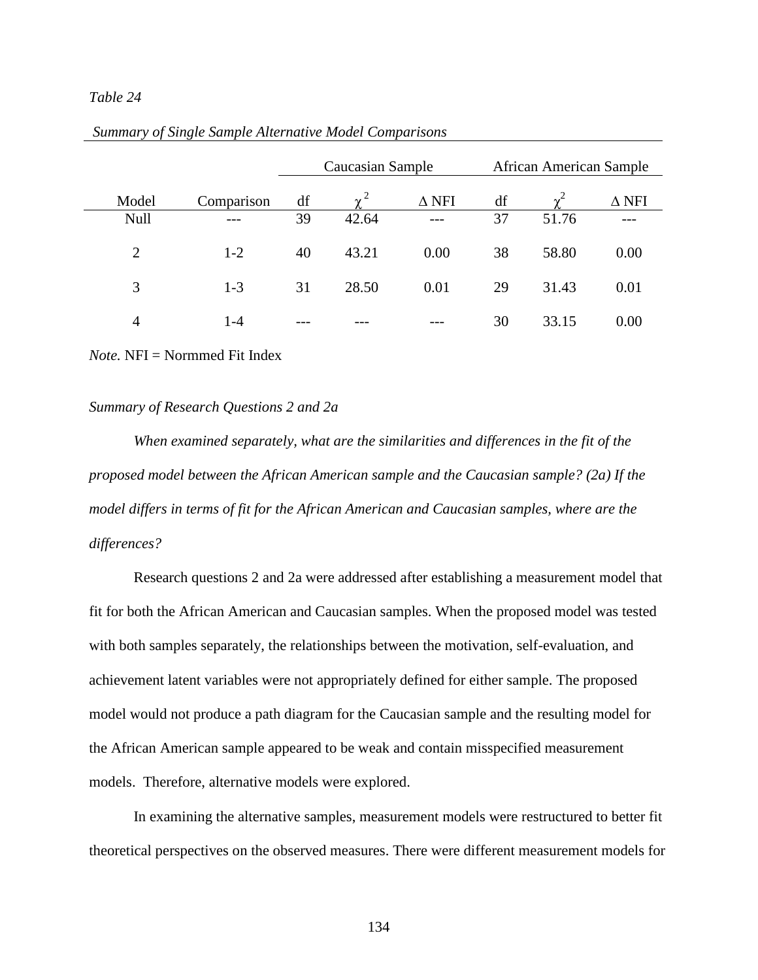## *Table 24*

|                |            | Caucasian Sample |          |              |    | African American Sample |              |
|----------------|------------|------------------|----------|--------------|----|-------------------------|--------------|
| Model          | Comparison | df               | $\chi^2$ | $\Delta$ NFI | df | $\gamma^2$              | $\Delta$ NFI |
| Null           |            | 39               | 42.64    | $---$        | 37 | 51.76                   |              |
| $\overline{2}$ | $1 - 2$    | 40               | 43.21    | 0.00         | 38 | 58.80                   | 0.00         |
| 3              | $1 - 3$    | 31               | 28.50    | 0.01         | 29 | 31.43                   | 0.01         |
| 4              | $1 - 4$    |                  |          |              | 30 | 33.15                   | 0.00         |

*Note.* NFI = Normmed Fit Index

#### *Summary of Research Questions 2 and 2a*

*When examined separately, what are the similarities and differences in the fit of the proposed model between the African American sample and the Caucasian sample? (2a) If the model differs in terms of fit for the African American and Caucasian samples, where are the differences?* 

 Research questions 2 and 2a were addressed after establishing a measurement model that fit for both the African American and Caucasian samples. When the proposed model was tested with both samples separately, the relationships between the motivation, self-evaluation, and achievement latent variables were not appropriately defined for either sample. The proposed model would not produce a path diagram for the Caucasian sample and the resulting model for the African American sample appeared to be weak and contain misspecified measurement models. Therefore, alternative models were explored.

In examining the alternative samples, measurement models were restructured to better fit theoretical perspectives on the observed measures. There were different measurement models for

134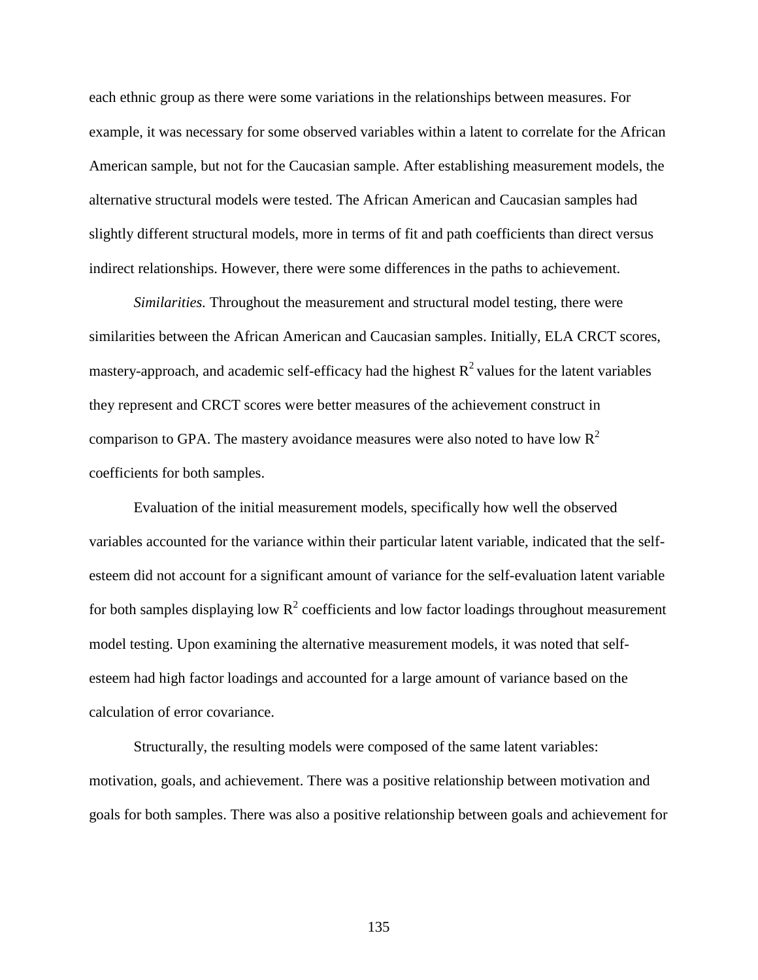each ethnic group as there were some variations in the relationships between measures. For example, it was necessary for some observed variables within a latent to correlate for the African American sample, but not for the Caucasian sample. After establishing measurement models, the alternative structural models were tested. The African American and Caucasian samples had slightly different structural models, more in terms of fit and path coefficients than direct versus indirect relationships. However, there were some differences in the paths to achievement.

*Similarities.* Throughout the measurement and structural model testing, there were similarities between the African American and Caucasian samples. Initially, ELA CRCT scores, mastery-approach, and academic self-efficacy had the highest  $R^2$  values for the latent variables they represent and CRCT scores were better measures of the achievement construct in comparison to GPA. The mastery avoidance measures were also noted to have low  $R^2$ coefficients for both samples.

Evaluation of the initial measurement models, specifically how well the observed variables accounted for the variance within their particular latent variable, indicated that the selfesteem did not account for a significant amount of variance for the self-evaluation latent variable for both samples displaying low  $R^2$  coefficients and low factor loadings throughout measurement model testing. Upon examining the alternative measurement models, it was noted that selfesteem had high factor loadings and accounted for a large amount of variance based on the calculation of error covariance.

Structurally, the resulting models were composed of the same latent variables: motivation, goals, and achievement. There was a positive relationship between motivation and goals for both samples. There was also a positive relationship between goals and achievement for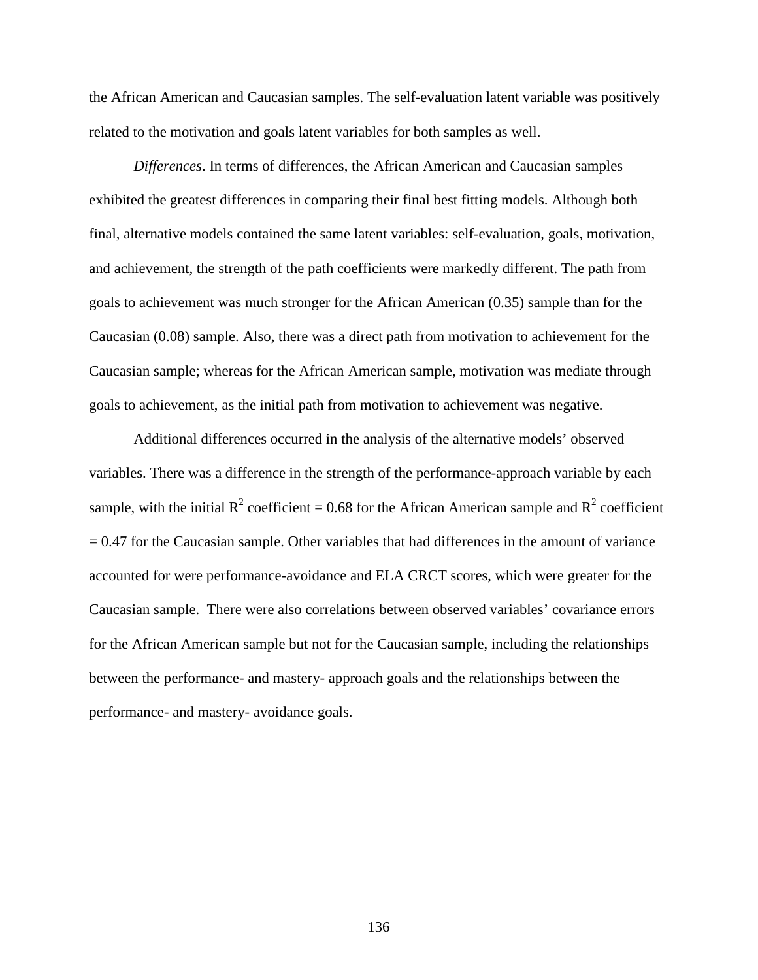the African American and Caucasian samples. The self-evaluation latent variable was positively related to the motivation and goals latent variables for both samples as well.

 *Differences*. In terms of differences, the African American and Caucasian samples exhibited the greatest differences in comparing their final best fitting models. Although both final, alternative models contained the same latent variables: self-evaluation, goals, motivation, and achievement, the strength of the path coefficients were markedly different. The path from goals to achievement was much stronger for the African American (0.35) sample than for the Caucasian (0.08) sample. Also, there was a direct path from motivation to achievement for the Caucasian sample; whereas for the African American sample, motivation was mediate through goals to achievement, as the initial path from motivation to achievement was negative.

 Additional differences occurred in the analysis of the alternative models' observed variables. There was a difference in the strength of the performance-approach variable by each sample, with the initial  $R^2$  coefficient = 0.68 for the African American sample and  $R^2$  coefficient  $= 0.47$  for the Caucasian sample. Other variables that had differences in the amount of variance accounted for were performance-avoidance and ELA CRCT scores, which were greater for the Caucasian sample. There were also correlations between observed variables' covariance errors for the African American sample but not for the Caucasian sample, including the relationships between the performance- and mastery- approach goals and the relationships between the performance- and mastery- avoidance goals.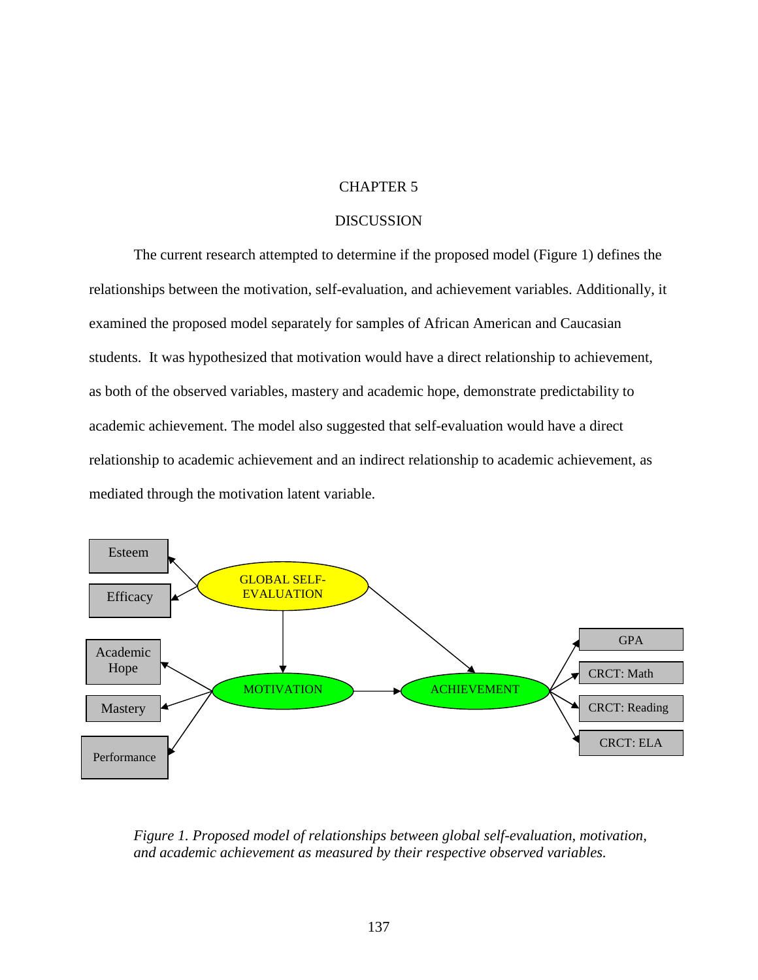# CHAPTER 5

## DISCUSSION

The current research attempted to determine if the proposed model (Figure 1) defines the relationships between the motivation, self-evaluation, and achievement variables. Additionally, it examined the proposed model separately for samples of African American and Caucasian students. It was hypothesized that motivation would have a direct relationship to achievement, as both of the observed variables, mastery and academic hope, demonstrate predictability to academic achievement. The model also suggested that self-evaluation would have a direct relationship to academic achievement and an indirect relationship to academic achievement, as mediated through the motivation latent variable.



*Figure 1. Proposed model of relationships between global self-evaluation, motivation, and academic achievement as measured by their respective observed variables.*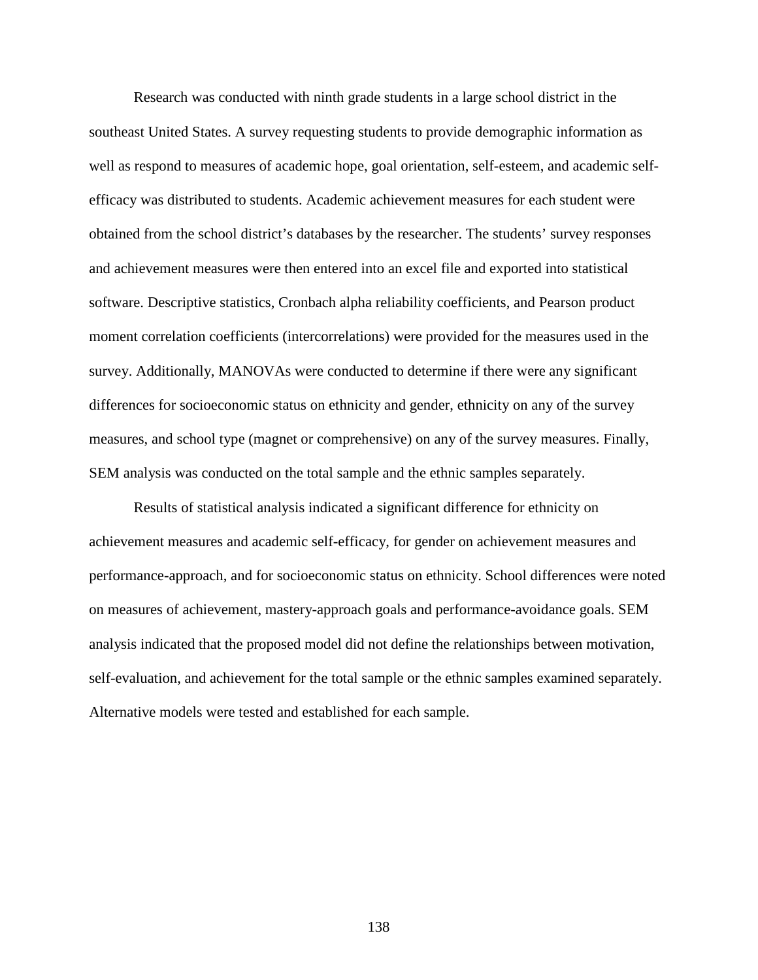Research was conducted with ninth grade students in a large school district in the southeast United States. A survey requesting students to provide demographic information as well as respond to measures of academic hope, goal orientation, self-esteem, and academic selfefficacy was distributed to students. Academic achievement measures for each student were obtained from the school district's databases by the researcher. The students' survey responses and achievement measures were then entered into an excel file and exported into statistical software. Descriptive statistics, Cronbach alpha reliability coefficients, and Pearson product moment correlation coefficients (intercorrelations) were provided for the measures used in the survey. Additionally, MANOVAs were conducted to determine if there were any significant differences for socioeconomic status on ethnicity and gender, ethnicity on any of the survey measures, and school type (magnet or comprehensive) on any of the survey measures. Finally, SEM analysis was conducted on the total sample and the ethnic samples separately.

 Results of statistical analysis indicated a significant difference for ethnicity on achievement measures and academic self-efficacy, for gender on achievement measures and performance-approach, and for socioeconomic status on ethnicity. School differences were noted on measures of achievement, mastery-approach goals and performance-avoidance goals. SEM analysis indicated that the proposed model did not define the relationships between motivation, self-evaluation, and achievement for the total sample or the ethnic samples examined separately. Alternative models were tested and established for each sample.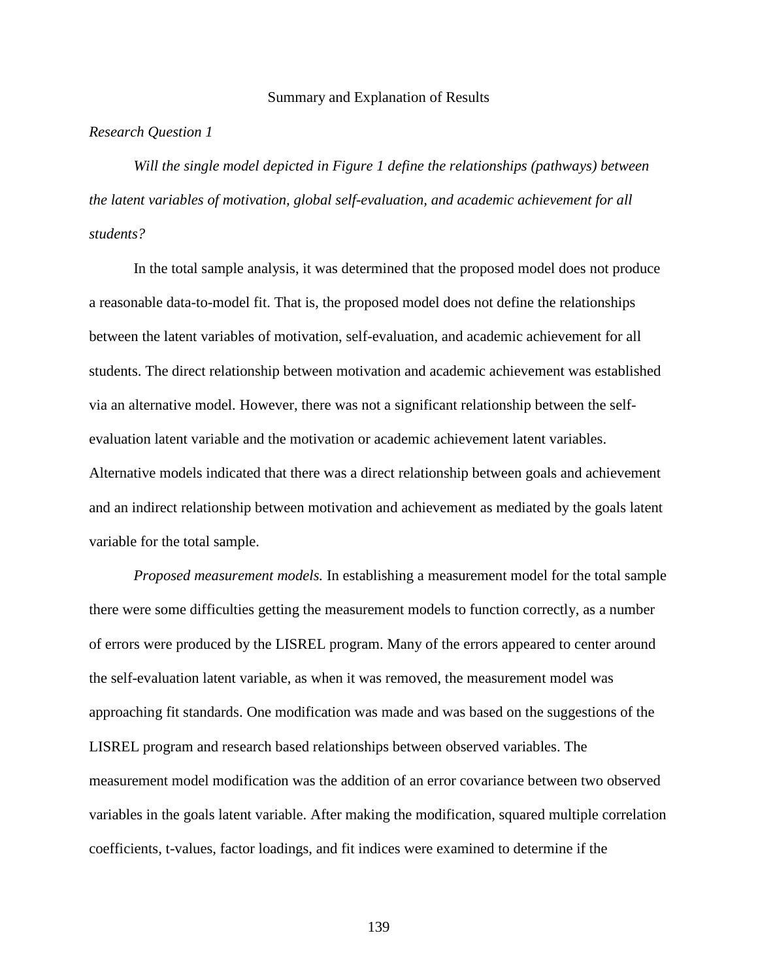#### Summary and Explanation of Results

## *Research Question 1*

*Will the single model depicted in Figure 1 define the relationships (pathways) between the latent variables of motivation, global self-evaluation, and academic achievement for all students?*

 In the total sample analysis, it was determined that the proposed model does not produce a reasonable data-to-model fit. That is, the proposed model does not define the relationships between the latent variables of motivation, self-evaluation, and academic achievement for all students. The direct relationship between motivation and academic achievement was established via an alternative model. However, there was not a significant relationship between the selfevaluation latent variable and the motivation or academic achievement latent variables. Alternative models indicated that there was a direct relationship between goals and achievement and an indirect relationship between motivation and achievement as mediated by the goals latent variable for the total sample.

*Proposed measurement models.* In establishing a measurement model for the total sample there were some difficulties getting the measurement models to function correctly, as a number of errors were produced by the LISREL program. Many of the errors appeared to center around the self-evaluation latent variable, as when it was removed, the measurement model was approaching fit standards. One modification was made and was based on the suggestions of the LISREL program and research based relationships between observed variables. The measurement model modification was the addition of an error covariance between two observed variables in the goals latent variable. After making the modification, squared multiple correlation coefficients, t-values, factor loadings, and fit indices were examined to determine if the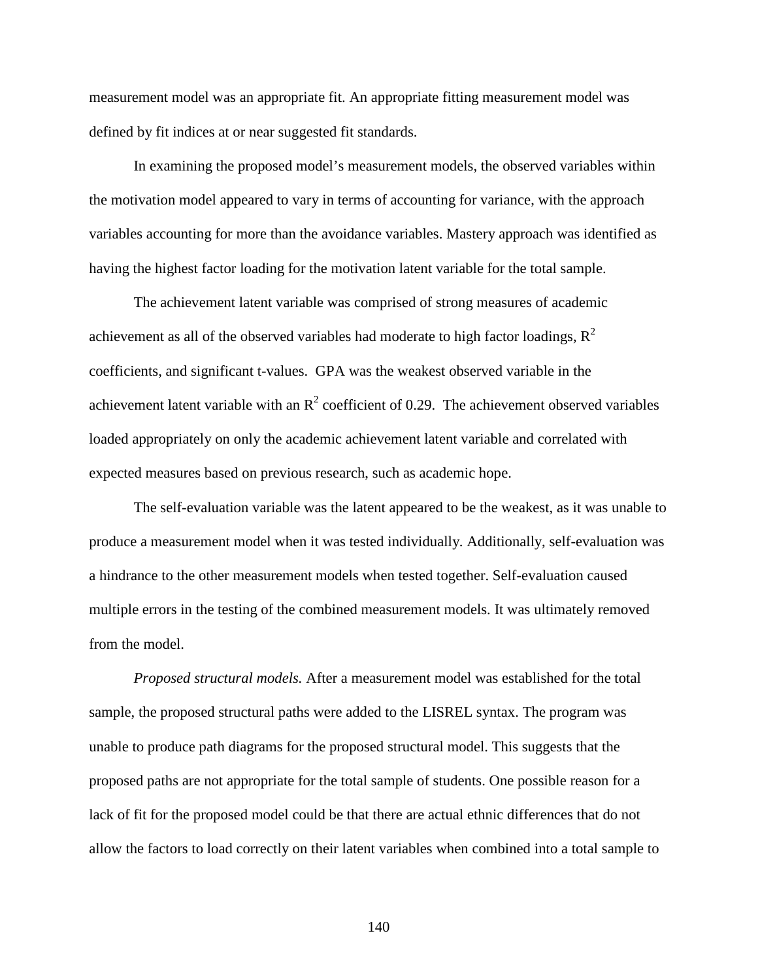measurement model was an appropriate fit. An appropriate fitting measurement model was defined by fit indices at or near suggested fit standards.

In examining the proposed model's measurement models, the observed variables within the motivation model appeared to vary in terms of accounting for variance, with the approach variables accounting for more than the avoidance variables. Mastery approach was identified as having the highest factor loading for the motivation latent variable for the total sample.

 The achievement latent variable was comprised of strong measures of academic achievement as all of the observed variables had moderate to high factor loadings,  $\mathbb{R}^2$ coefficients, and significant t-values. GPA was the weakest observed variable in the achievement latent variable with an  $R^2$  coefficient of 0.29. The achievement observed variables loaded appropriately on only the academic achievement latent variable and correlated with expected measures based on previous research, such as academic hope.

 The self-evaluation variable was the latent appeared to be the weakest, as it was unable to produce a measurement model when it was tested individually. Additionally, self-evaluation was a hindrance to the other measurement models when tested together. Self-evaluation caused multiple errors in the testing of the combined measurement models. It was ultimately removed from the model.

*Proposed structural models.* After a measurement model was established for the total sample, the proposed structural paths were added to the LISREL syntax. The program was unable to produce path diagrams for the proposed structural model. This suggests that the proposed paths are not appropriate for the total sample of students. One possible reason for a lack of fit for the proposed model could be that there are actual ethnic differences that do not allow the factors to load correctly on their latent variables when combined into a total sample to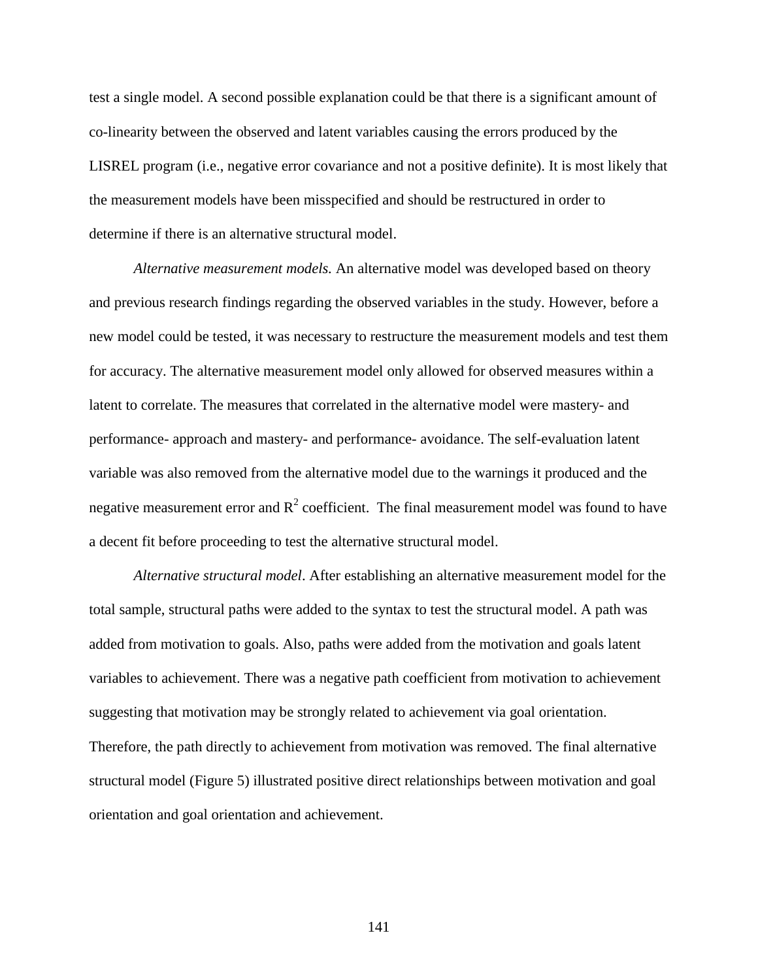test a single model. A second possible explanation could be that there is a significant amount of co-linearity between the observed and latent variables causing the errors produced by the LISREL program (i.e., negative error covariance and not a positive definite). It is most likely that the measurement models have been misspecified and should be restructured in order to determine if there is an alternative structural model.

*Alternative measurement models.* An alternative model was developed based on theory and previous research findings regarding the observed variables in the study. However, before a new model could be tested, it was necessary to restructure the measurement models and test them for accuracy. The alternative measurement model only allowed for observed measures within a latent to correlate. The measures that correlated in the alternative model were mastery- and performance- approach and mastery- and performance- avoidance. The self-evaluation latent variable was also removed from the alternative model due to the warnings it produced and the negative measurement error and  $R^2$  coefficient. The final measurement model was found to have a decent fit before proceeding to test the alternative structural model.

*Alternative structural model*. After establishing an alternative measurement model for the total sample, structural paths were added to the syntax to test the structural model. A path was added from motivation to goals. Also, paths were added from the motivation and goals latent variables to achievement. There was a negative path coefficient from motivation to achievement suggesting that motivation may be strongly related to achievement via goal orientation. Therefore, the path directly to achievement from motivation was removed. The final alternative structural model (Figure 5) illustrated positive direct relationships between motivation and goal orientation and goal orientation and achievement.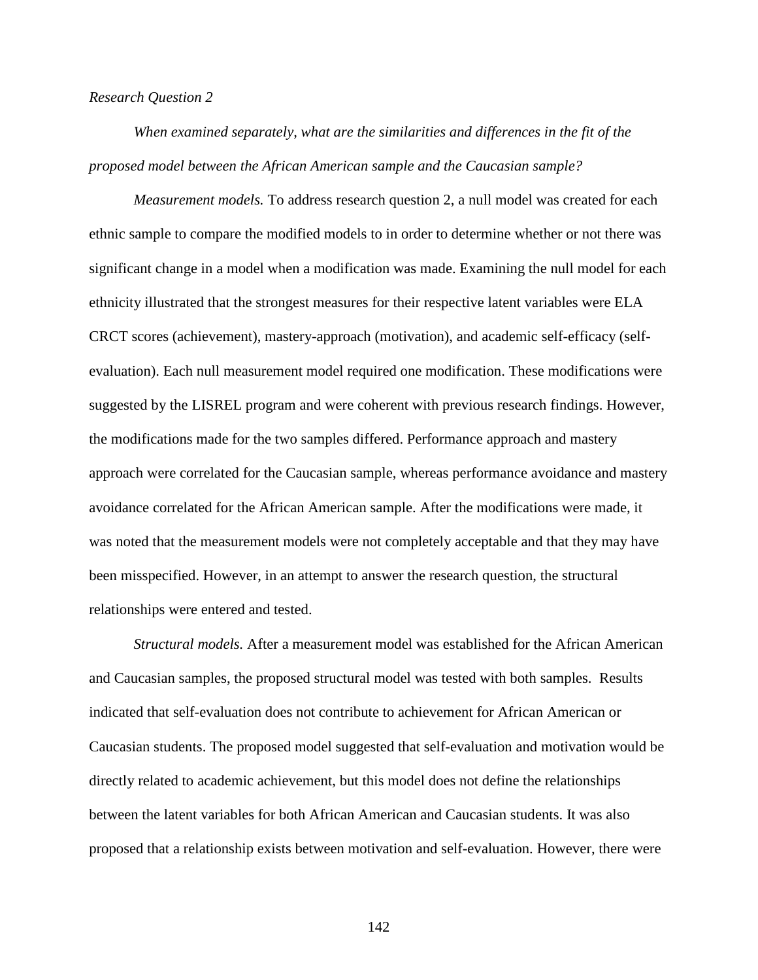### *Research Question 2*

*When examined separately, what are the similarities and differences in the fit of the proposed model between the African American sample and the Caucasian sample?* 

*Measurement models.* To address research question 2, a null model was created for each ethnic sample to compare the modified models to in order to determine whether or not there was significant change in a model when a modification was made. Examining the null model for each ethnicity illustrated that the strongest measures for their respective latent variables were ELA CRCT scores (achievement), mastery-approach (motivation), and academic self-efficacy (selfevaluation). Each null measurement model required one modification. These modifications were suggested by the LISREL program and were coherent with previous research findings. However, the modifications made for the two samples differed. Performance approach and mastery approach were correlated for the Caucasian sample, whereas performance avoidance and mastery avoidance correlated for the African American sample. After the modifications were made, it was noted that the measurement models were not completely acceptable and that they may have been misspecified. However, in an attempt to answer the research question, the structural relationships were entered and tested.

*Structural models.* After a measurement model was established for the African American and Caucasian samples, the proposed structural model was tested with both samples. Results indicated that self-evaluation does not contribute to achievement for African American or Caucasian students. The proposed model suggested that self-evaluation and motivation would be directly related to academic achievement, but this model does not define the relationships between the latent variables for both African American and Caucasian students. It was also proposed that a relationship exists between motivation and self-evaluation. However, there were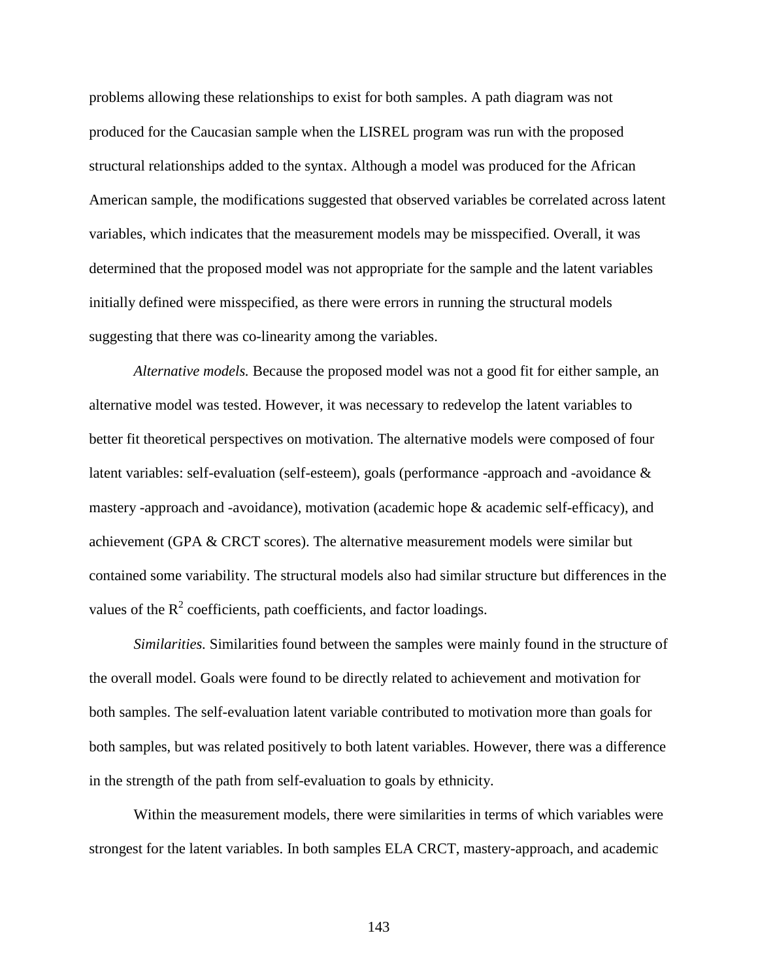problems allowing these relationships to exist for both samples. A path diagram was not produced for the Caucasian sample when the LISREL program was run with the proposed structural relationships added to the syntax. Although a model was produced for the African American sample, the modifications suggested that observed variables be correlated across latent variables, which indicates that the measurement models may be misspecified. Overall, it was determined that the proposed model was not appropriate for the sample and the latent variables initially defined were misspecified, as there were errors in running the structural models suggesting that there was co-linearity among the variables.

*Alternative models.* Because the proposed model was not a good fit for either sample, an alternative model was tested. However, it was necessary to redevelop the latent variables to better fit theoretical perspectives on motivation. The alternative models were composed of four latent variables: self-evaluation (self-esteem), goals (performance -approach and -avoidance & mastery -approach and -avoidance), motivation (academic hope & academic self-efficacy), and achievement (GPA & CRCT scores). The alternative measurement models were similar but contained some variability. The structural models also had similar structure but differences in the values of the  $R^2$  coefficients, path coefficients, and factor loadings.

*Similarities.* Similarities found between the samples were mainly found in the structure of the overall model. Goals were found to be directly related to achievement and motivation for both samples. The self-evaluation latent variable contributed to motivation more than goals for both samples, but was related positively to both latent variables. However, there was a difference in the strength of the path from self-evaluation to goals by ethnicity.

Within the measurement models, there were similarities in terms of which variables were strongest for the latent variables. In both samples ELA CRCT, mastery-approach, and academic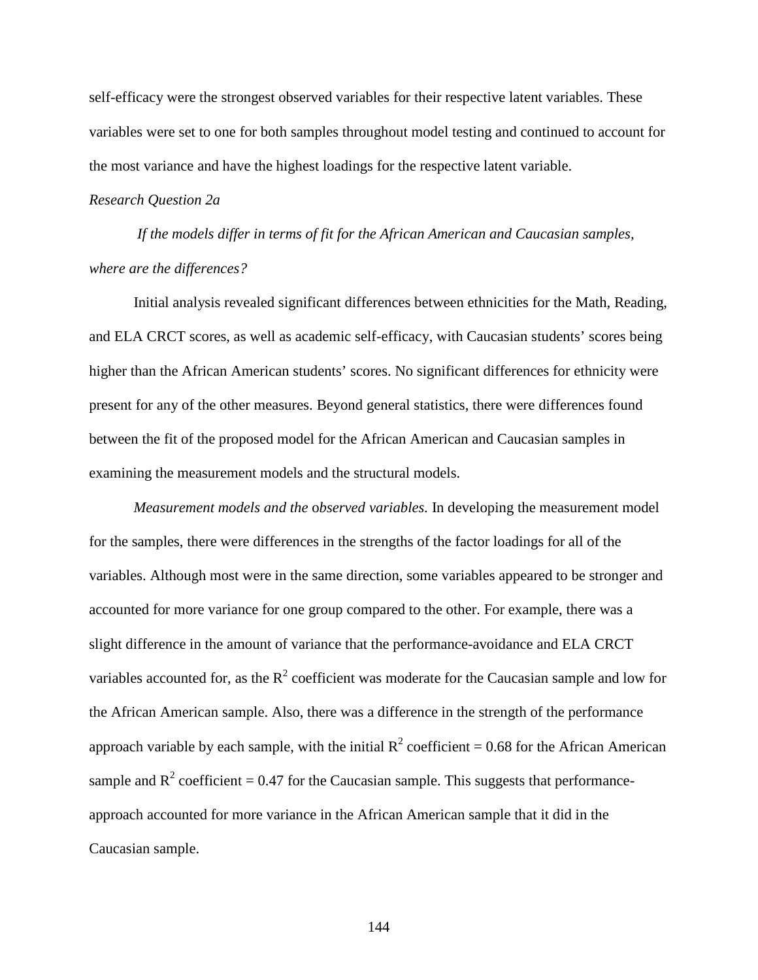self-efficacy were the strongest observed variables for their respective latent variables. These variables were set to one for both samples throughout model testing and continued to account for the most variance and have the highest loadings for the respective latent variable.

## *Research Question 2a*

 *If the models differ in terms of fit for the African American and Caucasian samples, where are the differences?* 

 Initial analysis revealed significant differences between ethnicities for the Math, Reading, and ELA CRCT scores, as well as academic self-efficacy, with Caucasian students' scores being higher than the African American students' scores. No significant differences for ethnicity were present for any of the other measures. Beyond general statistics, there were differences found between the fit of the proposed model for the African American and Caucasian samples in examining the measurement models and the structural models.

*Measurement models and the* o*bserved variables.* In developing the measurement model for the samples, there were differences in the strengths of the factor loadings for all of the variables. Although most were in the same direction, some variables appeared to be stronger and accounted for more variance for one group compared to the other. For example, there was a slight difference in the amount of variance that the performance-avoidance and ELA CRCT variables accounted for, as the  $R^2$  coefficient was moderate for the Caucasian sample and low for the African American sample. Also, there was a difference in the strength of the performance approach variable by each sample, with the initial  $R^2$  coefficient = 0.68 for the African American sample and  $R^2$  coefficient = 0.47 for the Caucasian sample. This suggests that performanceapproach accounted for more variance in the African American sample that it did in the Caucasian sample.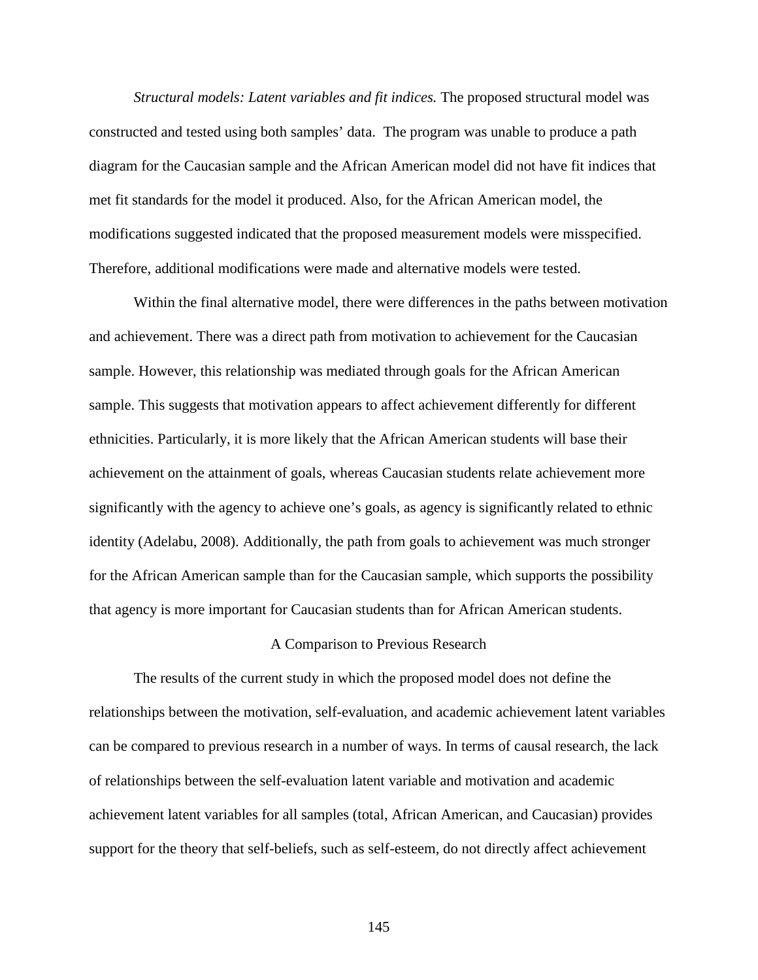*Structural models: Latent variables and fit indices.* The proposed structural model was constructed and tested using both samples' data. The program was unable to produce a path diagram for the Caucasian sample and the African American model did not have fit indices that met fit standards for the model it produced. Also, for the African American model, the modifications suggested indicated that the proposed measurement models were misspecified. Therefore, additional modifications were made and alternative models were tested.

Within the final alternative model, there were differences in the paths between motivation and achievement. There was a direct path from motivation to achievement for the Caucasian sample. However, this relationship was mediated through goals for the African American sample. This suggests that motivation appears to affect achievement differently for different ethnicities. Particularly, it is more likely that the African American students will base their achievement on the attainment of goals, whereas Caucasian students relate achievement more significantly with the agency to achieve one's goals, as agency is significantly related to ethnic identity (Adelabu, 2008). Additionally, the path from goals to achievement was much stronger for the African American sample than for the Caucasian sample, which supports the possibility that agency is more important for Caucasian students than for African American students.

### A Comparison to Previous Research

The results of the current study in which the proposed model does not define the relationships between the motivation, self-evaluation, and academic achievement latent variables can be compared to previous research in a number of ways. In terms of causal research, the lack of relationships between the self-evaluation latent variable and motivation and academic achievement latent variables for all samples (total, African American, and Caucasian) provides support for the theory that self-beliefs, such as self-esteem, do not directly affect achievement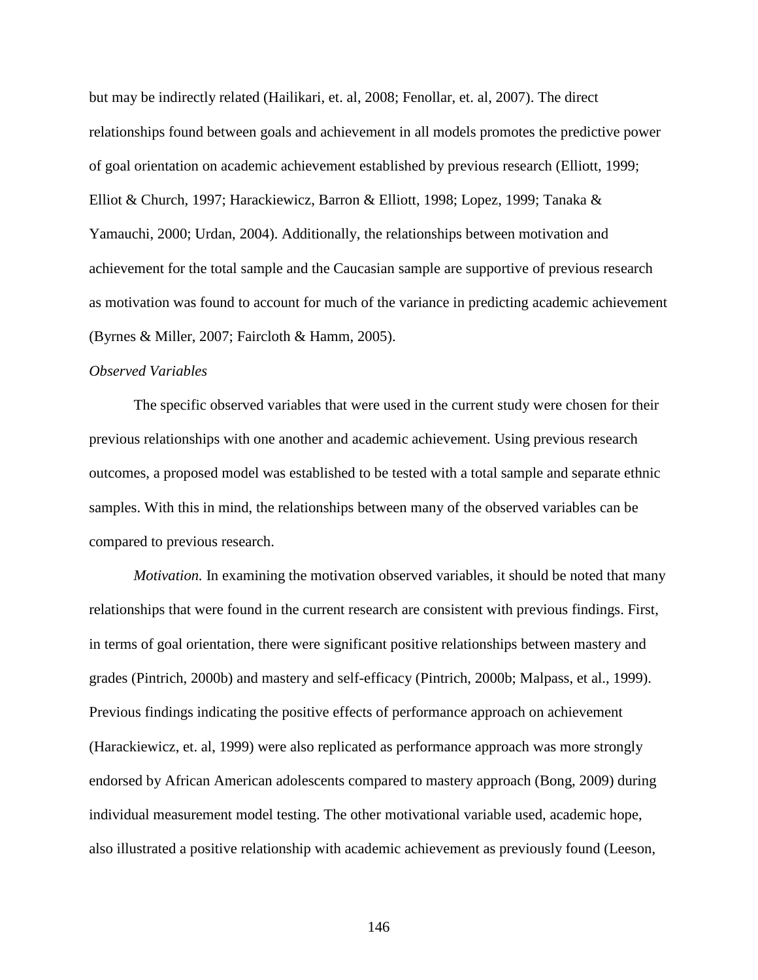but may be indirectly related (Hailikari, et. al, 2008; Fenollar, et. al, 2007). The direct relationships found between goals and achievement in all models promotes the predictive power of goal orientation on academic achievement established by previous research (Elliott, 1999; Elliot & Church, 1997; Harackiewicz, Barron & Elliott, 1998; Lopez, 1999; Tanaka & Yamauchi, 2000; Urdan, 2004). Additionally, the relationships between motivation and achievement for the total sample and the Caucasian sample are supportive of previous research as motivation was found to account for much of the variance in predicting academic achievement (Byrnes & Miller, 2007; Faircloth & Hamm, 2005).

## *Observed Variables*

The specific observed variables that were used in the current study were chosen for their previous relationships with one another and academic achievement. Using previous research outcomes, a proposed model was established to be tested with a total sample and separate ethnic samples. With this in mind, the relationships between many of the observed variables can be compared to previous research.

*Motivation.* In examining the motivation observed variables, it should be noted that many relationships that were found in the current research are consistent with previous findings. First, in terms of goal orientation, there were significant positive relationships between mastery and grades (Pintrich, 2000b) and mastery and self-efficacy (Pintrich, 2000b; Malpass, et al., 1999). Previous findings indicating the positive effects of performance approach on achievement (Harackiewicz, et. al, 1999) were also replicated as performance approach was more strongly endorsed by African American adolescents compared to mastery approach (Bong, 2009) during individual measurement model testing. The other motivational variable used, academic hope, also illustrated a positive relationship with academic achievement as previously found (Leeson,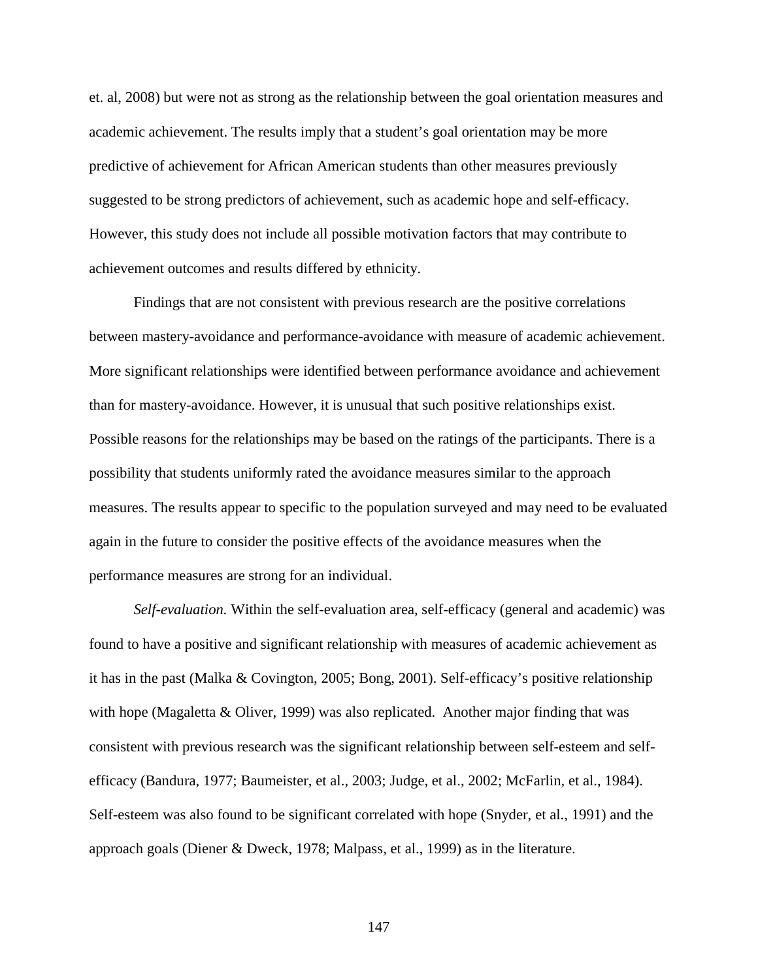et. al, 2008) but were not as strong as the relationship between the goal orientation measures and academic achievement. The results imply that a student's goal orientation may be more predictive of achievement for African American students than other measures previously suggested to be strong predictors of achievement, such as academic hope and self-efficacy. However, this study does not include all possible motivation factors that may contribute to achievement outcomes and results differed by ethnicity.

Findings that are not consistent with previous research are the positive correlations between mastery-avoidance and performance-avoidance with measure of academic achievement. More significant relationships were identified between performance avoidance and achievement than for mastery-avoidance. However, it is unusual that such positive relationships exist. Possible reasons for the relationships may be based on the ratings of the participants. There is a possibility that students uniformly rated the avoidance measures similar to the approach measures. The results appear to specific to the population surveyed and may need to be evaluated again in the future to consider the positive effects of the avoidance measures when the performance measures are strong for an individual.

*Self-evaluation.* Within the self-evaluation area, self-efficacy (general and academic) was found to have a positive and significant relationship with measures of academic achievement as it has in the past (Malka & Covington, 2005; Bong, 2001). Self-efficacy's positive relationship with hope (Magaletta  $\&$  Oliver, 1999) was also replicated. Another major finding that was consistent with previous research was the significant relationship between self-esteem and selfefficacy (Bandura, 1977; Baumeister, et al., 2003; Judge, et al., 2002; McFarlin, et al., 1984). Self-esteem was also found to be significant correlated with hope (Snyder, et al., 1991) and the approach goals (Diener & Dweck, 1978; Malpass, et al., 1999) as in the literature.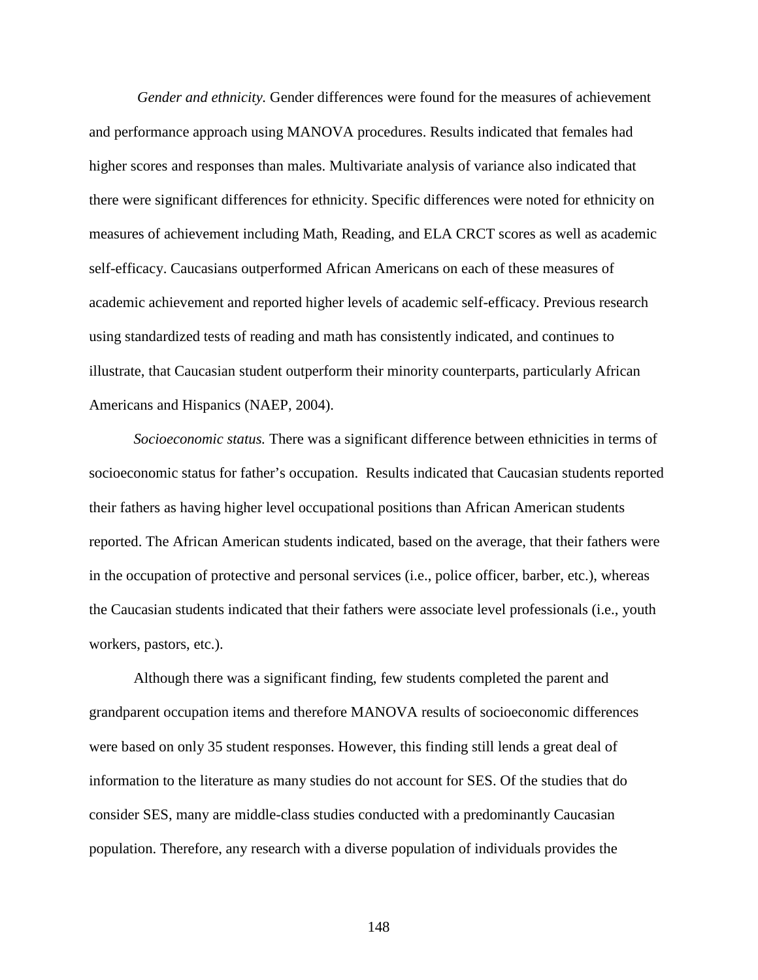*Gender and ethnicity.* Gender differences were found for the measures of achievement and performance approach using MANOVA procedures. Results indicated that females had higher scores and responses than males. Multivariate analysis of variance also indicated that there were significant differences for ethnicity. Specific differences were noted for ethnicity on measures of achievement including Math, Reading, and ELA CRCT scores as well as academic self-efficacy. Caucasians outperformed African Americans on each of these measures of academic achievement and reported higher levels of academic self-efficacy. Previous research using standardized tests of reading and math has consistently indicated, and continues to illustrate, that Caucasian student outperform their minority counterparts, particularly African Americans and Hispanics (NAEP, 2004).

*Socioeconomic status.* There was a significant difference between ethnicities in terms of socioeconomic status for father's occupation. Results indicated that Caucasian students reported their fathers as having higher level occupational positions than African American students reported. The African American students indicated, based on the average, that their fathers were in the occupation of protective and personal services (i.e., police officer, barber, etc.), whereas the Caucasian students indicated that their fathers were associate level professionals (i.e., youth workers, pastors, etc.).

Although there was a significant finding, few students completed the parent and grandparent occupation items and therefore MANOVA results of socioeconomic differences were based on only 35 student responses. However, this finding still lends a great deal of information to the literature as many studies do not account for SES. Of the studies that do consider SES, many are middle-class studies conducted with a predominantly Caucasian population. Therefore, any research with a diverse population of individuals provides the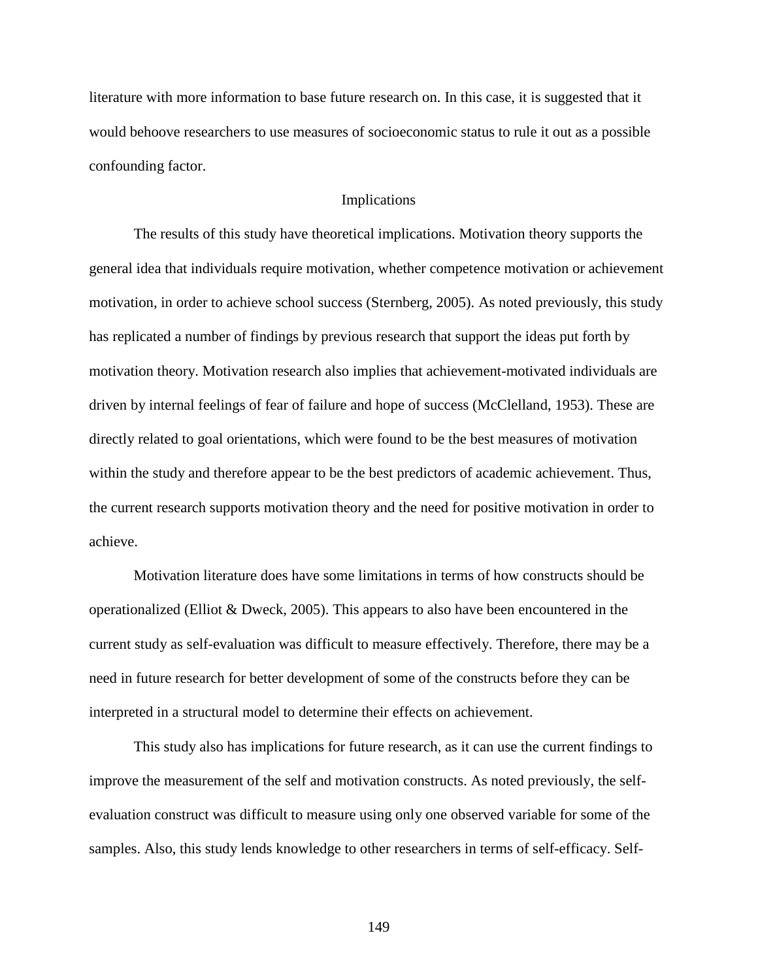literature with more information to base future research on. In this case, it is suggested that it would behoove researchers to use measures of socioeconomic status to rule it out as a possible confounding factor.

## Implications

 The results of this study have theoretical implications. Motivation theory supports the general idea that individuals require motivation, whether competence motivation or achievement motivation, in order to achieve school success (Sternberg, 2005). As noted previously, this study has replicated a number of findings by previous research that support the ideas put forth by motivation theory. Motivation research also implies that achievement-motivated individuals are driven by internal feelings of fear of failure and hope of success (McClelland, 1953). These are directly related to goal orientations, which were found to be the best measures of motivation within the study and therefore appear to be the best predictors of academic achievement. Thus, the current research supports motivation theory and the need for positive motivation in order to achieve.

 Motivation literature does have some limitations in terms of how constructs should be operationalized (Elliot & Dweck, 2005). This appears to also have been encountered in the current study as self-evaluation was difficult to measure effectively. Therefore, there may be a need in future research for better development of some of the constructs before they can be interpreted in a structural model to determine their effects on achievement.

 This study also has implications for future research, as it can use the current findings to improve the measurement of the self and motivation constructs. As noted previously, the selfevaluation construct was difficult to measure using only one observed variable for some of the samples. Also, this study lends knowledge to other researchers in terms of self-efficacy. Self-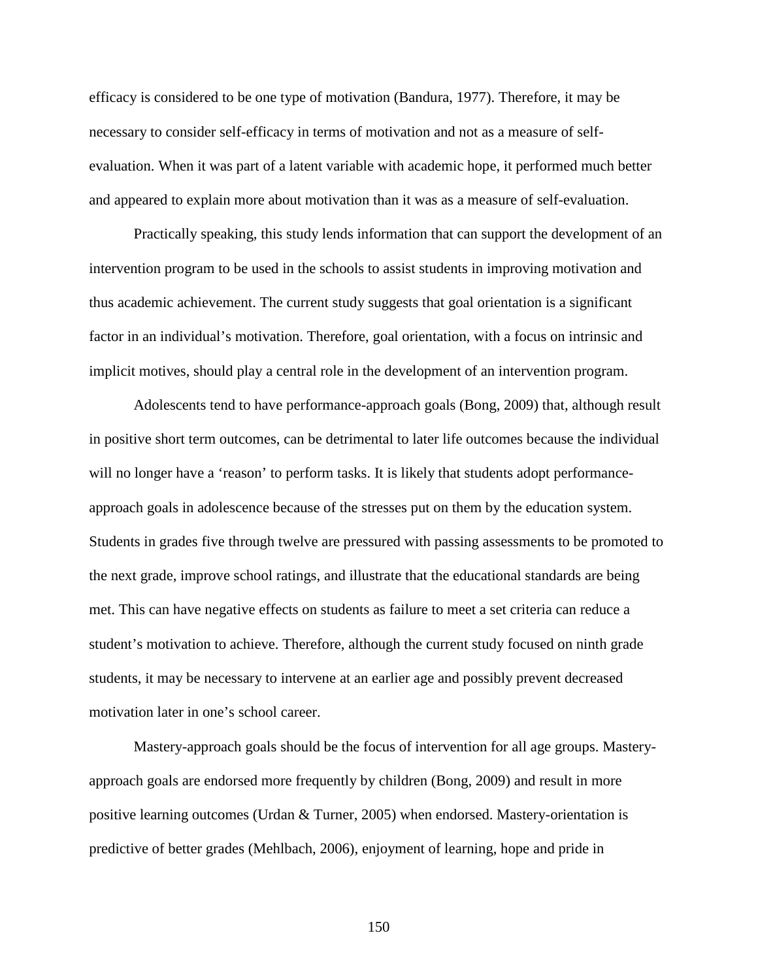efficacy is considered to be one type of motivation (Bandura, 1977). Therefore, it may be necessary to consider self-efficacy in terms of motivation and not as a measure of selfevaluation. When it was part of a latent variable with academic hope, it performed much better and appeared to explain more about motivation than it was as a measure of self-evaluation.

 Practically speaking, this study lends information that can support the development of an intervention program to be used in the schools to assist students in improving motivation and thus academic achievement. The current study suggests that goal orientation is a significant factor in an individual's motivation. Therefore, goal orientation, with a focus on intrinsic and implicit motives, should play a central role in the development of an intervention program.

Adolescents tend to have performance-approach goals (Bong, 2009) that, although result in positive short term outcomes, can be detrimental to later life outcomes because the individual will no longer have a 'reason' to perform tasks. It is likely that students adopt performanceapproach goals in adolescence because of the stresses put on them by the education system. Students in grades five through twelve are pressured with passing assessments to be promoted to the next grade, improve school ratings, and illustrate that the educational standards are being met. This can have negative effects on students as failure to meet a set criteria can reduce a student's motivation to achieve. Therefore, although the current study focused on ninth grade students, it may be necessary to intervene at an earlier age and possibly prevent decreased motivation later in one's school career.

 Mastery-approach goals should be the focus of intervention for all age groups. Masteryapproach goals are endorsed more frequently by children (Bong, 2009) and result in more positive learning outcomes (Urdan  $&$  Turner, 2005) when endorsed. Mastery-orientation is predictive of better grades (Mehlbach, 2006), enjoyment of learning, hope and pride in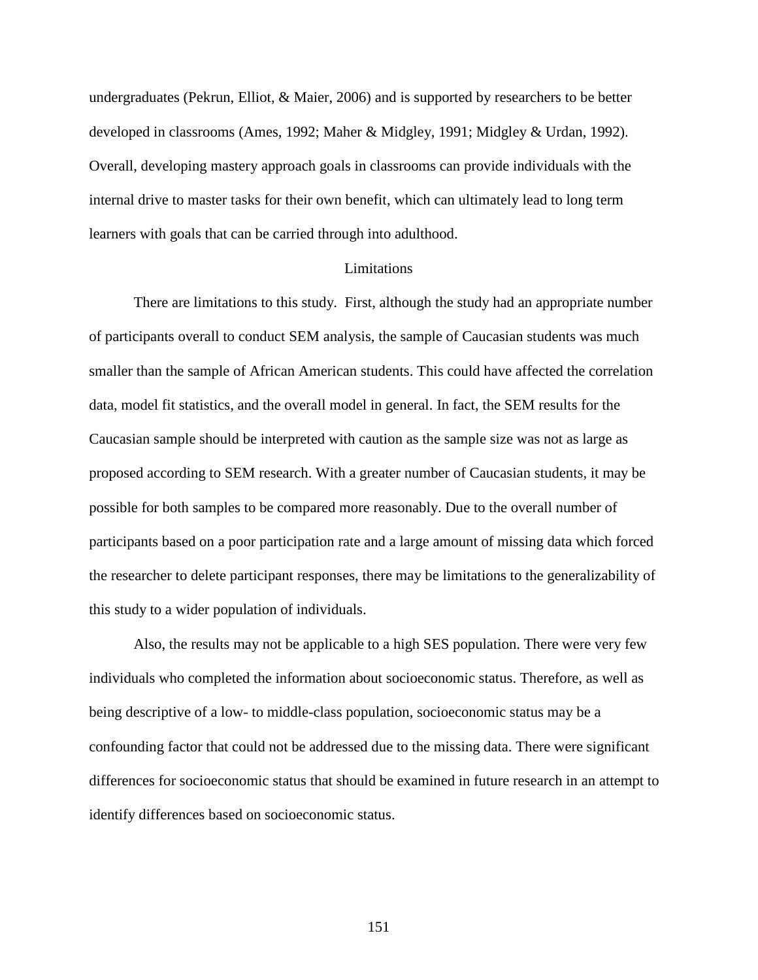undergraduates (Pekrun, Elliot, & Maier, 2006) and is supported by researchers to be better developed in classrooms (Ames, 1992; Maher & Midgley, 1991; Midgley & Urdan, 1992). Overall, developing mastery approach goals in classrooms can provide individuals with the internal drive to master tasks for their own benefit, which can ultimately lead to long term learners with goals that can be carried through into adulthood.

### Limitations

There are limitations to this study. First, although the study had an appropriate number of participants overall to conduct SEM analysis, the sample of Caucasian students was much smaller than the sample of African American students. This could have affected the correlation data, model fit statistics, and the overall model in general. In fact, the SEM results for the Caucasian sample should be interpreted with caution as the sample size was not as large as proposed according to SEM research. With a greater number of Caucasian students, it may be possible for both samples to be compared more reasonably. Due to the overall number of participants based on a poor participation rate and a large amount of missing data which forced the researcher to delete participant responses, there may be limitations to the generalizability of this study to a wider population of individuals.

Also, the results may not be applicable to a high SES population. There were very few individuals who completed the information about socioeconomic status. Therefore, as well as being descriptive of a low- to middle-class population, socioeconomic status may be a confounding factor that could not be addressed due to the missing data. There were significant differences for socioeconomic status that should be examined in future research in an attempt to identify differences based on socioeconomic status.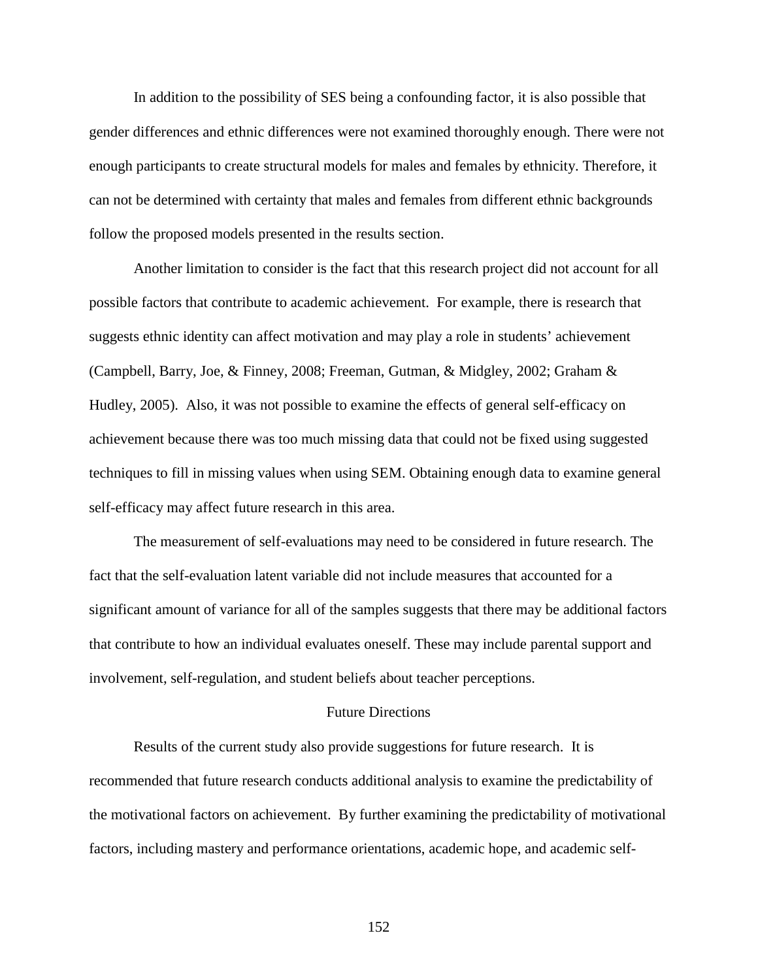In addition to the possibility of SES being a confounding factor, it is also possible that gender differences and ethnic differences were not examined thoroughly enough. There were not enough participants to create structural models for males and females by ethnicity. Therefore, it can not be determined with certainty that males and females from different ethnic backgrounds follow the proposed models presented in the results section.

Another limitation to consider is the fact that this research project did not account for all possible factors that contribute to academic achievement. For example, there is research that suggests ethnic identity can affect motivation and may play a role in students' achievement (Campbell, Barry, Joe, & Finney, 2008; Freeman, Gutman, & Midgley, 2002; Graham & Hudley, 2005). Also, it was not possible to examine the effects of general self-efficacy on achievement because there was too much missing data that could not be fixed using suggested techniques to fill in missing values when using SEM. Obtaining enough data to examine general self-efficacy may affect future research in this area.

 The measurement of self-evaluations may need to be considered in future research. The fact that the self-evaluation latent variable did not include measures that accounted for a significant amount of variance for all of the samples suggests that there may be additional factors that contribute to how an individual evaluates oneself. These may include parental support and involvement, self-regulation, and student beliefs about teacher perceptions.

## Future Directions

Results of the current study also provide suggestions for future research. It is recommended that future research conducts additional analysis to examine the predictability of the motivational factors on achievement. By further examining the predictability of motivational factors, including mastery and performance orientations, academic hope, and academic self-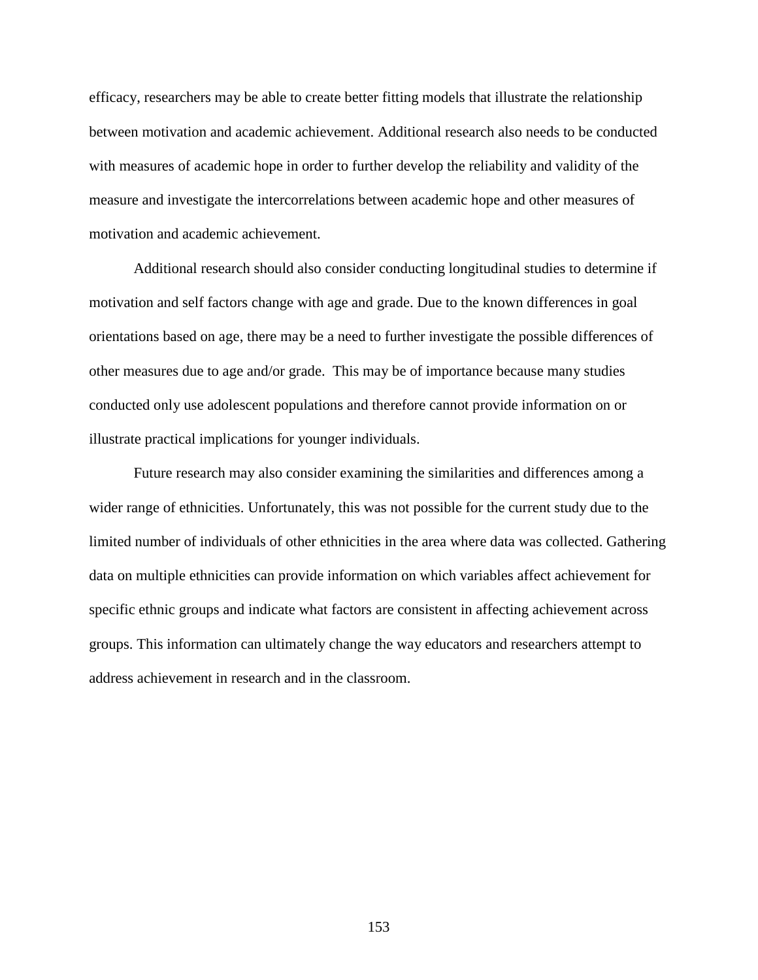efficacy, researchers may be able to create better fitting models that illustrate the relationship between motivation and academic achievement. Additional research also needs to be conducted with measures of academic hope in order to further develop the reliability and validity of the measure and investigate the intercorrelations between academic hope and other measures of motivation and academic achievement.

Additional research should also consider conducting longitudinal studies to determine if motivation and self factors change with age and grade. Due to the known differences in goal orientations based on age, there may be a need to further investigate the possible differences of other measures due to age and/or grade. This may be of importance because many studies conducted only use adolescent populations and therefore cannot provide information on or illustrate practical implications for younger individuals.

Future research may also consider examining the similarities and differences among a wider range of ethnicities. Unfortunately, this was not possible for the current study due to the limited number of individuals of other ethnicities in the area where data was collected. Gathering data on multiple ethnicities can provide information on which variables affect achievement for specific ethnic groups and indicate what factors are consistent in affecting achievement across groups. This information can ultimately change the way educators and researchers attempt to address achievement in research and in the classroom.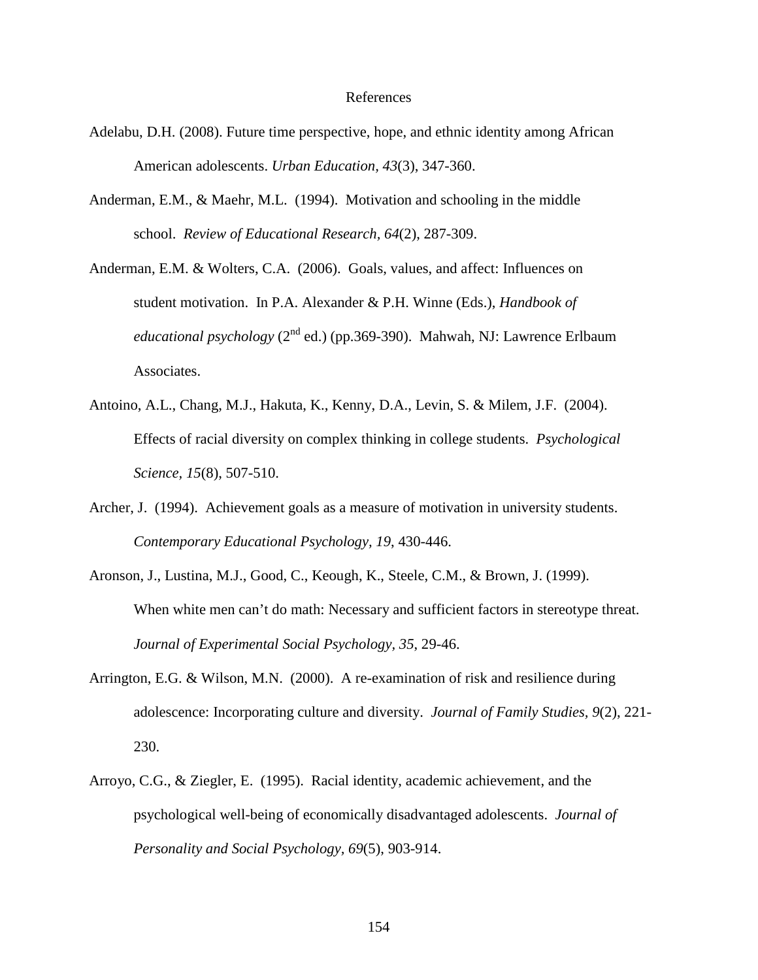#### References

- Adelabu, D.H. (2008). Future time perspective, hope, and ethnic identity among African American adolescents. *Urban Education, 43*(3), 347-360.
- Anderman, E.M., & Maehr, M.L. (1994). Motivation and schooling in the middle school. *Review of Educational Research, 64*(2), 287-309.
- Anderman, E.M. & Wolters, C.A. (2006). Goals, values, and affect: Influences on student motivation. In P.A. Alexander & P.H. Winne (Eds.), *Handbook of educational psychology* ( $2^{nd}$  ed.) (pp.369-390). Mahwah, NJ: Lawrence Erlbaum Associates.
- Antoino, A.L., Chang, M.J., Hakuta, K., Kenny, D.A., Levin, S. & Milem, J.F. (2004). Effects of racial diversity on complex thinking in college students. *Psychological Science, 15*(8), 507-510.
- Archer, J. (1994). Achievement goals as a measure of motivation in university students. *Contemporary Educational Psychology, 19*, 430-446.
- Aronson, J., Lustina, M.J., Good, C., Keough, K., Steele, C.M., & Brown, J. (1999). When white men can't do math: Necessary and sufficient factors in stereotype threat. *Journal of Experimental Social Psychology, 35*, 29-46.
- Arrington, E.G. & Wilson, M.N. (2000). A re-examination of risk and resilience during adolescence: Incorporating culture and diversity. *Journal of Family Studies, 9*(2), 221- 230.
- Arroyo, C.G., & Ziegler, E. (1995). Racial identity, academic achievement, and the psychological well-being of economically disadvantaged adolescents. *Journal of Personality and Social Psychology, 69*(5), 903-914.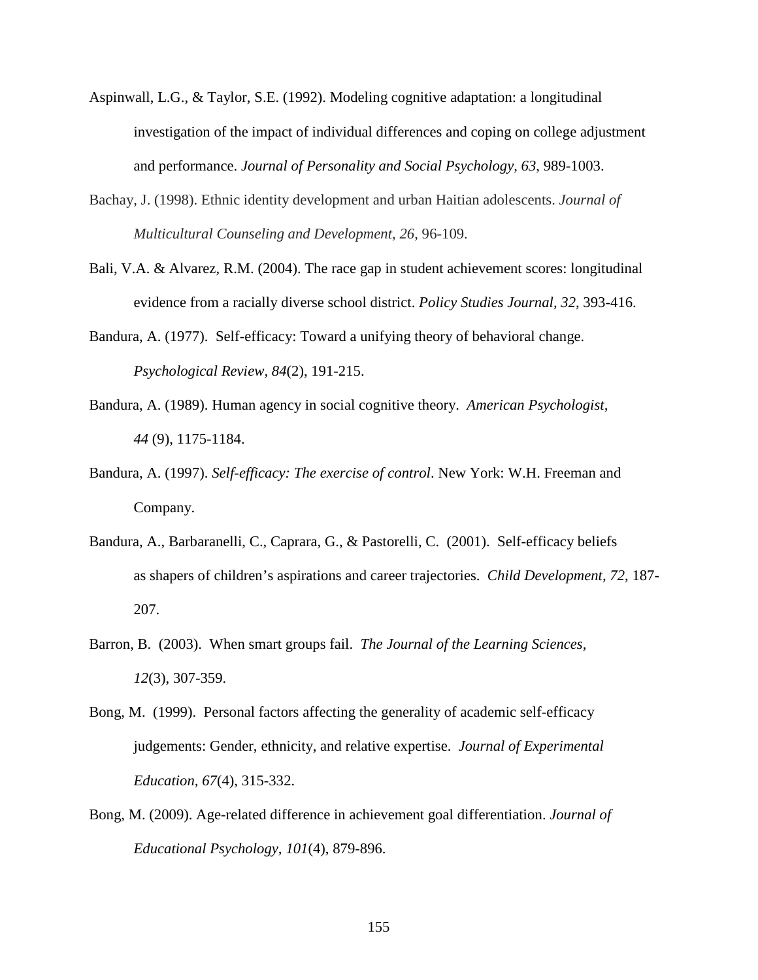- Aspinwall, L.G., & Taylor, S.E. (1992). Modeling cognitive adaptation: a longitudinal investigation of the impact of individual differences and coping on college adjustment and performance. *Journal of Personality and Social Psychology, 63*, 989-1003.
- Bachay, J. (1998). Ethnic identity development and urban Haitian adolescents. *Journal of Multicultural Counseling and Development*, *26*, 96-109.
- Bali, V.A. & Alvarez, R.M. (2004). The race gap in student achievement scores: longitudinal evidence from a racially diverse school district. *Policy Studies Journal, 32*, 393-416.
- Bandura, A. (1977). Self-efficacy: Toward a unifying theory of behavioral change. *Psychological Review, 84*(2), 191-215.
- Bandura, A. (1989). Human agency in social cognitive theory. *American Psychologist, 44* (9), 1175-1184.
- Bandura, A. (1997). *Self-efficacy: The exercise of control*. New York: W.H. Freeman and Company.
- Bandura, A., Barbaranelli, C., Caprara, G., & Pastorelli, C. (2001). Self-efficacy beliefs as shapers of children's aspirations and career trajectories. *Child Development, 72*, 187- 207.
- Barron, B. (2003). When smart groups fail. *The Journal of the Learning Sciences, 12*(3), 307-359.
- Bong, M. (1999). Personal factors affecting the generality of academic self-efficacy judgements: Gender, ethnicity, and relative expertise. *Journal of Experimental Education, 67*(4), 315-332.
- Bong, M. (2009). Age-related difference in achievement goal differentiation. *Journal of Educational Psychology, 101*(4), 879-896.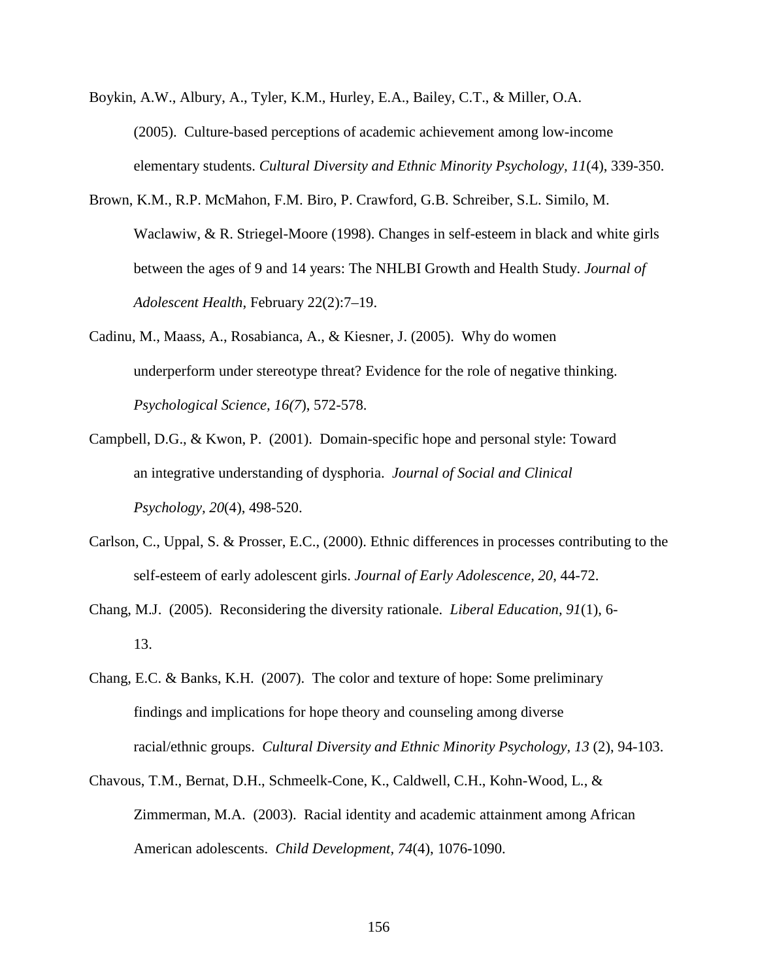- Boykin, A.W., Albury, A., Tyler, K.M., Hurley, E.A., Bailey, C.T., & Miller, O.A. (2005). Culture-based perceptions of academic achievement among low-income elementary students. *Cultural Diversity and Ethnic Minority Psychology, 11*(4), 339-350.
- Brown, K.M., R.P. McMahon, F.M. Biro, P. Crawford, G.B. Schreiber, S.L. Similo, M. Waclawiw, & R. Striegel-Moore (1998). Changes in self-esteem in black and white girls between the ages of 9 and 14 years: The NHLBI Growth and Health Study. *Journal of Adolescent Health*, February 22(2):7–19.
- Cadinu, M., Maass, A., Rosabianca, A., & Kiesner, J. (2005). Why do women underperform under stereotype threat? Evidence for the role of negative thinking. *Psychological Science, 16(7*), 572-578.
- Campbell, D.G., & Kwon, P. (2001). Domain-specific hope and personal style: Toward an integrative understanding of dysphoria. *Journal of Social and Clinical Psychology, 20*(4), 498-520.
- Carlson, C., Uppal, S. & Prosser, E.C., (2000). Ethnic differences in processes contributing to the self-esteem of early adolescent girls. *Journal of Early Adolescence, 20*, 44-72.
- Chang, M.J. (2005). Reconsidering the diversity rationale. *Liberal Education, 91*(1), 6- 13.
- Chang, E.C. & Banks, K.H. (2007). The color and texture of hope: Some preliminary findings and implications for hope theory and counseling among diverse racial/ethnic groups. *Cultural Diversity and Ethnic Minority Psychology, 13* (2), 94-103.
- Chavous, T.M., Bernat, D.H., Schmeelk-Cone, K., Caldwell, C.H., Kohn-Wood, L., & Zimmerman, M.A. (2003). Racial identity and academic attainment among African American adolescents. *Child Development, 74*(4), 1076-1090.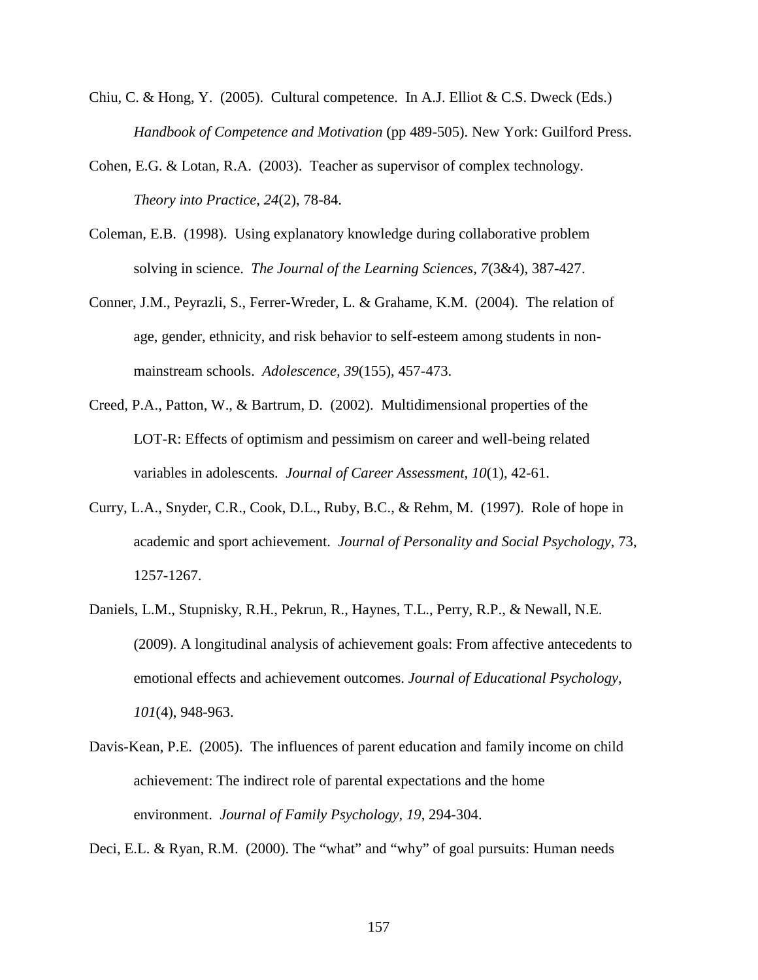- Chiu, C. & Hong, Y. (2005). Cultural competence. In A.J. Elliot & C.S. Dweck (Eds.) *Handbook of Competence and Motivation* (pp 489-505). New York: Guilford Press.
- Cohen, E.G. & Lotan, R.A. (2003). Teacher as supervisor of complex technology. *Theory into Practice, 24*(2), 78-84.
- Coleman, E.B. (1998). Using explanatory knowledge during collaborative problem solving in science. *The Journal of the Learning Sciences, 7*(3&4), 387-427.
- Conner, J.M., Peyrazli, S., Ferrer-Wreder, L. & Grahame, K.M. (2004). The relation of age, gender, ethnicity, and risk behavior to self-esteem among students in nonmainstream schools. *Adolescence, 39*(155), 457-473.
- Creed, P.A., Patton, W., & Bartrum, D. (2002). Multidimensional properties of the LOT-R: Effects of optimism and pessimism on career and well-being related variables in adolescents. *Journal of Career Assessment, 10*(1), 42-61.
- Curry, L.A., Snyder, C.R., Cook, D.L., Ruby, B.C., & Rehm, M. (1997). Role of hope in academic and sport achievement. *Journal of Personality and Social Psychology*, 73, 1257-1267.
- Daniels, L.M., Stupnisky, R.H., Pekrun, R., Haynes, T.L., Perry, R.P., & Newall, N.E. (2009). A longitudinal analysis of achievement goals: From affective antecedents to emotional effects and achievement outcomes. *Journal of Educational Psychology, 101*(4), 948-963.
- Davis-Kean, P.E. (2005). The influences of parent education and family income on child achievement: The indirect role of parental expectations and the home environment. *Journal of Family Psychology, 19*, 294-304.

Deci, E.L. & Ryan, R.M. (2000). The "what" and "why" of goal pursuits: Human needs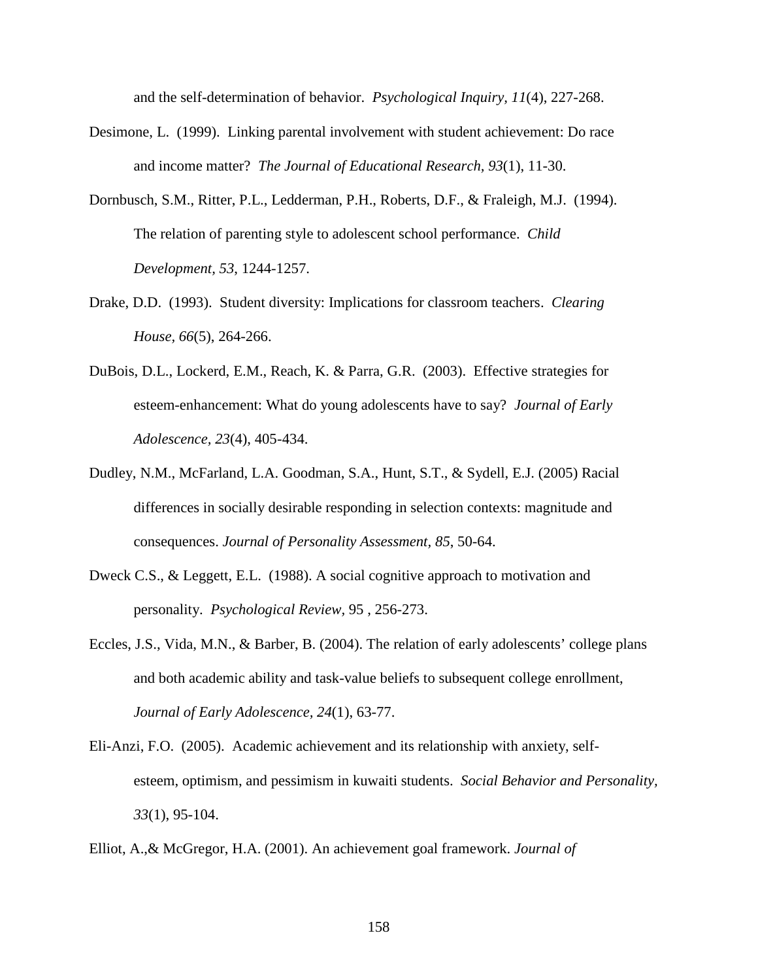and the self-determination of behavior. *Psychological Inquiry, 11*(4), 227-268.

- Desimone, L. (1999). Linking parental involvement with student achievement: Do race and income matter? *The Journal of Educational Research, 93*(1), 11-30.
- Dornbusch, S.M., Ritter, P.L., Ledderman, P.H., Roberts, D.F., & Fraleigh, M.J. (1994). The relation of parenting style to adolescent school performance. *Child Development, 53*, 1244-1257.
- Drake, D.D. (1993). Student diversity: Implications for classroom teachers. *Clearing House, 66*(5), 264-266.
- DuBois, D.L., Lockerd, E.M., Reach, K. & Parra, G.R. (2003). Effective strategies for esteem-enhancement: What do young adolescents have to say? *Journal of Early Adolescence, 23*(4), 405-434.
- Dudley, N.M., McFarland, L.A. Goodman, S.A., Hunt, S.T., & Sydell, E.J. (2005) Racial differences in socially desirable responding in selection contexts: magnitude and consequences. *Journal of Personality Assessment, 85*, 50-64.
- Dweck C.S., & Leggett, E.L. (1988). A social cognitive approach to motivation and personality. *Psychological Review,* 95 , 256-273.
- Eccles, J.S., Vida, M.N., & Barber, B. (2004). The relation of early adolescents' college plans and both academic ability and task-value beliefs to subsequent college enrollment, *Journal of Early Adolescence, 24*(1), 63-77.
- Eli-Anzi, F.O. (2005). Academic achievement and its relationship with anxiety, selfesteem, optimism, and pessimism in kuwaiti students. *Social Behavior and Personality, 33*(1), 95-104.

Elliot, A.,& McGregor, H.A. (2001). An achievement goal framework. *Journal of*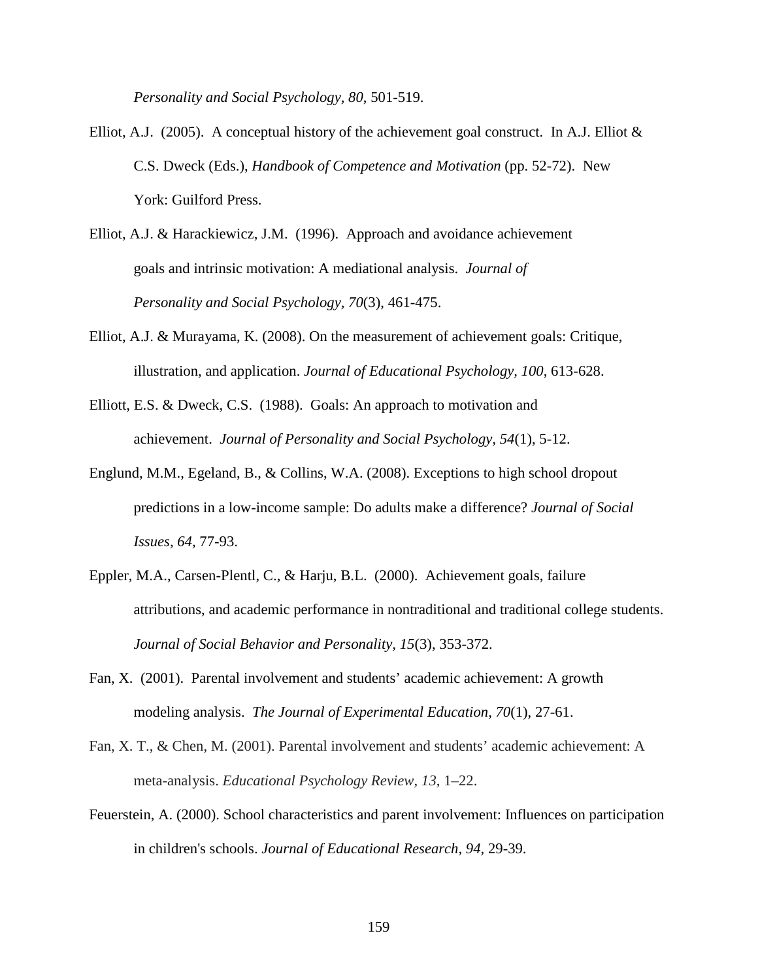*Personality and Social Psychology, 80*, 501-519.

- Elliot, A.J. (2005). A conceptual history of the achievement goal construct. In A.J. Elliot & C.S. Dweck (Eds.), *Handbook of Competence and Motivation* (pp. 52-72). New York: Guilford Press.
- Elliot, A.J. & Harackiewicz, J.M. (1996). Approach and avoidance achievement goals and intrinsic motivation: A mediational analysis. *Journal of Personality and Social Psychology, 70*(3), 461-475.
- Elliot, A.J. & Murayama, K. (2008). On the measurement of achievement goals: Critique, illustration, and application. *Journal of Educational Psychology, 100*, 613-628.
- Elliott, E.S. & Dweck, C.S. (1988). Goals: An approach to motivation and achievement. *Journal of Personality and Social Psychology, 54*(1), 5-12.
- Englund, M.M., Egeland, B., & Collins, W.A. (2008). Exceptions to high school dropout predictions in a low-income sample: Do adults make a difference? *Journal of Social Issues, 64*, 77-93.
- Eppler, M.A., Carsen-Plentl, C., & Harju, B.L. (2000). Achievement goals, failure attributions, and academic performance in nontraditional and traditional college students. *Journal of Social Behavior and Personality, 15*(3), 353-372.
- Fan, X. (2001). Parental involvement and students' academic achievement: A growth modeling analysis. *The Journal of Experimental Education, 70*(1), 27-61.
- Fan, X. T., & Chen, M. (2001). Parental involvement and students' academic achievement: A meta-analysis. *Educational Psychology Review, 13*, 1–22.
- Feuerstein, A. (2000). School characteristics and parent involvement: Influences on participation in children's schools. *Journal of Educational Research, 94,* 29-39.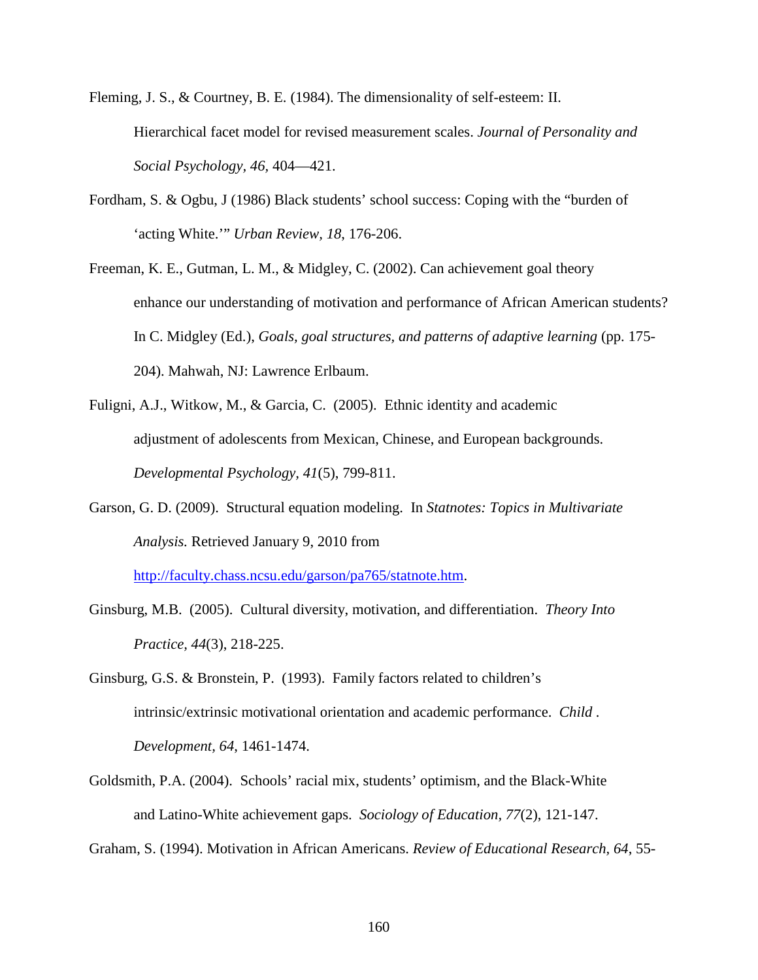Fleming, J. S., & Courtney, B. E. (1984). The dimensionality of self-esteem: II. Hierarchical facet model for revised measurement scales. *Journal of Personality and Social Psychology, 46,* 404—421.

- Fordham, S. & Ogbu, J (1986) Black students' school success: Coping with the "burden of 'acting White.'" *Urban Review, 18*, 176-206.
- Freeman, K. E., Gutman, L. M., & Midgley, C. (2002). Can achievement goal theory enhance our understanding of motivation and performance of African American students? In C. Midgley (Ed.), *Goals, goal structures, and patterns of adaptive learning* (pp. 175- 204). Mahwah, NJ: Lawrence Erlbaum.
- Fuligni, A.J., Witkow, M., & Garcia, C. (2005). Ethnic identity and academic adjustment of adolescents from Mexican, Chinese, and European backgrounds. *Developmental Psychology, 41*(5), 799-811.
- Garson, G. D. (2009). Structural equation modeling. In *Statnotes: Topics in Multivariate Analysis.* Retrieved January 9, 2010 from

http://faculty.chass.ncsu.edu/garson/pa765/statnote.htm.

- Ginsburg, M.B. (2005). Cultural diversity, motivation, and differentiation. *Theory Into Practice, 44*(3), 218-225.
- Ginsburg, G.S. & Bronstein, P. (1993). Family factors related to children's intrinsic/extrinsic motivational orientation and academic performance. *Child . Development, 64*, 1461-1474.
- Goldsmith, P.A. (2004). Schools' racial mix, students' optimism, and the Black-White and Latino-White achievement gaps. *Sociology of Education, 77*(2), 121-147.

Graham, S. (1994). Motivation in African Americans. *Review of Educational Research, 64*, 55-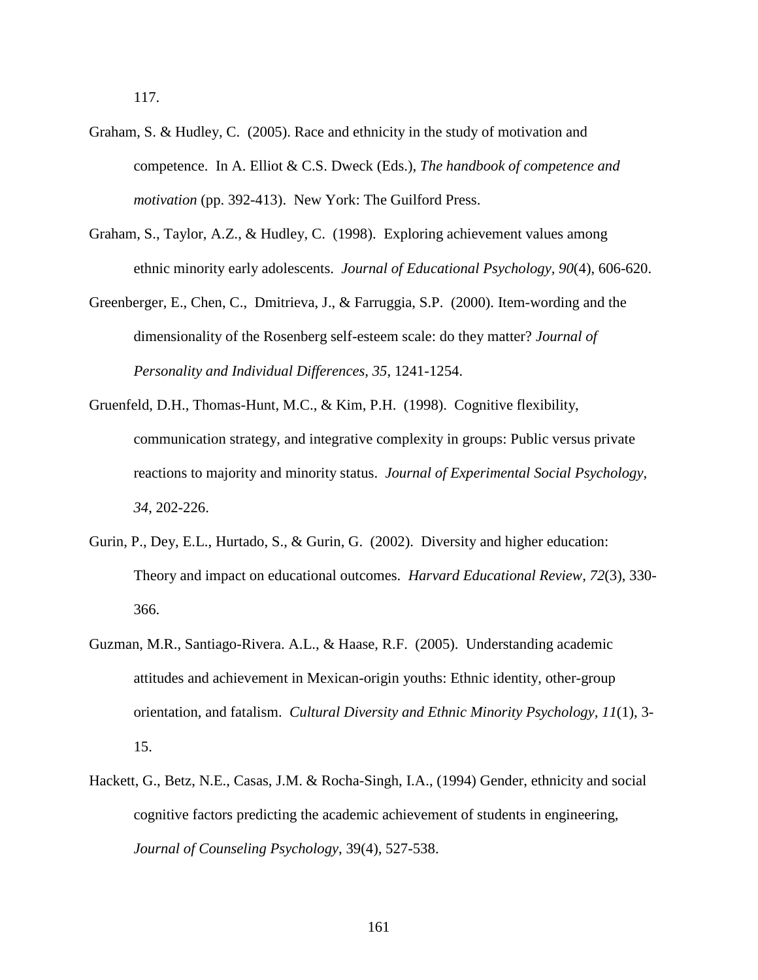117.

- Graham, S. & Hudley, C. (2005). Race and ethnicity in the study of motivation and competence. In A. Elliot & C.S. Dweck (Eds.), *The handbook of competence and motivation* (pp. 392-413). New York: The Guilford Press.
- Graham, S., Taylor, A.Z., & Hudley, C. (1998). Exploring achievement values among ethnic minority early adolescents. *Journal of Educational Psychology, 90*(4), 606-620.
- Greenberger, E., Chen, C., Dmitrieva, J., & Farruggia, S.P. (2000). Item-wording and the dimensionality of the Rosenberg self-esteem scale: do they matter? *Journal of Personality and Individual Differences, 35*, 1241-1254.
- Gruenfeld, D.H., Thomas-Hunt, M.C., & Kim, P.H. (1998). Cognitive flexibility, communication strategy, and integrative complexity in groups: Public versus private reactions to majority and minority status. *Journal of Experimental Social Psychology, 34*, 202-226.
- Gurin, P., Dey, E.L., Hurtado, S., & Gurin, G. (2002). Diversity and higher education: Theory and impact on educational outcomes. *Harvard Educational Review, 72*(3), 330- 366.
- Guzman, M.R., Santiago-Rivera. A.L., & Haase, R.F. (2005). Understanding academic attitudes and achievement in Mexican-origin youths: Ethnic identity, other-group orientation, and fatalism. *Cultural Diversity and Ethnic Minority Psychology, 11*(1), 3- 15.
- Hackett, G., Betz, N.E., Casas, J.M. & Rocha-Singh, I.A., (1994) Gender, ethnicity and social cognitive factors predicting the academic achievement of students in engineering, *Journal of Counseling Psychology*, 39(4), 527-538.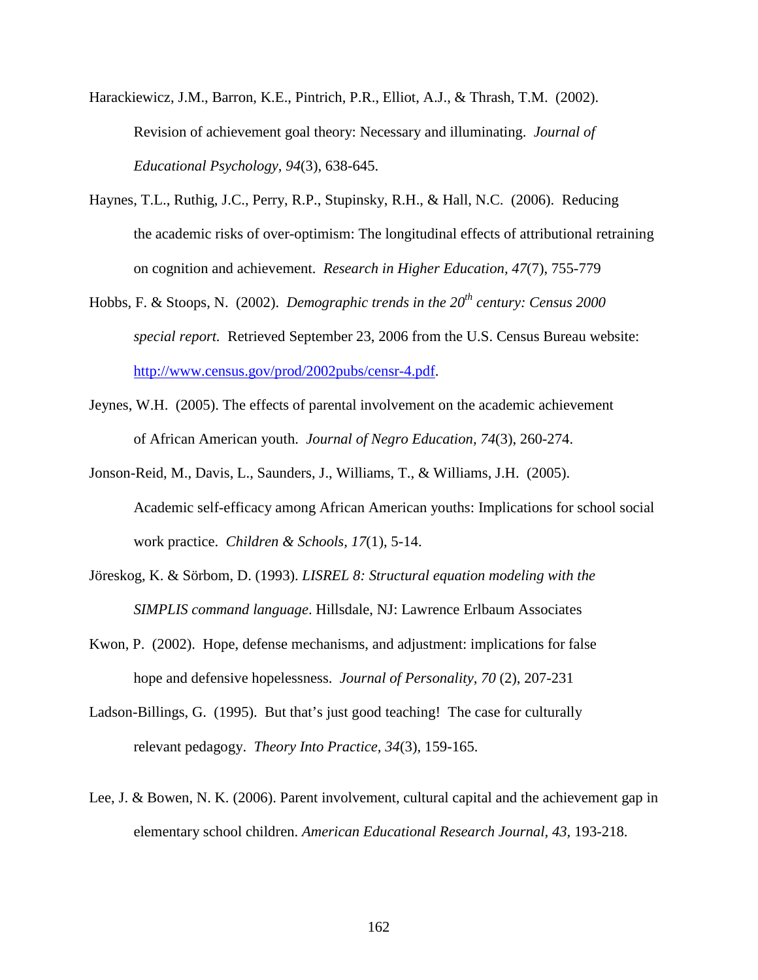- Harackiewicz, J.M., Barron, K.E., Pintrich, P.R., Elliot, A.J., & Thrash, T.M. (2002). Revision of achievement goal theory: Necessary and illuminating. *Journal of Educational Psychology, 94*(3), 638-645.
- Haynes, T.L., Ruthig, J.C., Perry, R.P., Stupinsky, R.H., & Hall, N.C. (2006). Reducing the academic risks of over-optimism: The longitudinal effects of attributional retraining on cognition and achievement. *Research in Higher Education, 47*(7), 755-779
- Hobbs, F. & Stoops, N. (2002). *Demographic trends in the 20th century: Census 2000 special report.* Retrieved September 23, 2006 from the U.S. Census Bureau website: http://www.census.gov/prod/2002pubs/censr-4.pdf.
- Jeynes, W.H. (2005). The effects of parental involvement on the academic achievement of African American youth. *Journal of Negro Education, 74*(3), 260-274.
- Jonson-Reid, M., Davis, L., Saunders, J., Williams, T., & Williams, J.H. (2005). Academic self-efficacy among African American youths: Implications for school social work practice. *Children & Schools, 17*(1), 5-14.
- Jöreskog, K. & Sörbom, D. (1993). *LISREL 8: Structural equation modeling with the SIMPLIS command language*. Hillsdale, NJ: Lawrence Erlbaum Associates
- Kwon, P. (2002). Hope, defense mechanisms, and adjustment: implications for false hope and defensive hopelessness. *Journal of Personality, 70* (2), 207-231
- Ladson-Billings, G. (1995). But that's just good teaching! The case for culturally relevant pedagogy. *Theory Into Practice, 34*(3), 159-165.
- Lee, J. & Bowen, N. K. (2006). Parent involvement, cultural capital and the achievement gap in elementary school children. *American Educational Research Journal, 43,* 193-218.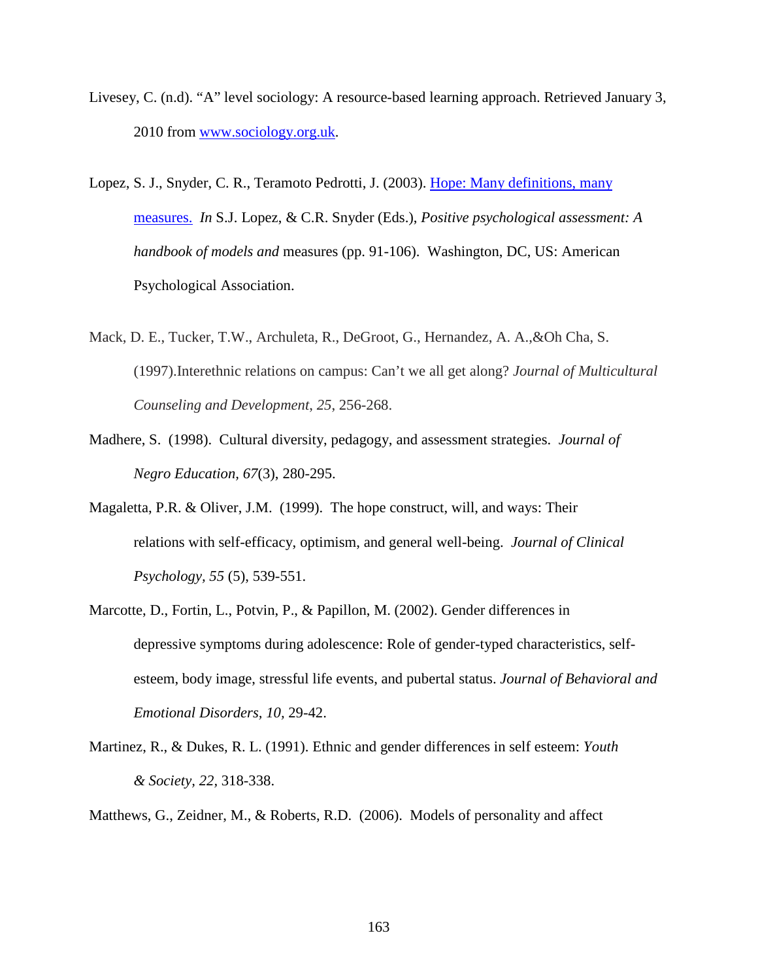- Livesey, C. (n.d). "A" level sociology: A resource-based learning approach. Retrieved January 3, 2010 from www.sociology.org.uk.
- Lopez, S. J., Snyder, C. R., Teramoto Pedrotti, J. (2003). Hope: Many definitions, many measures. *In* S.J. Lopez, & C.R. Snyder (Eds.), *Positive psychological assessment: A handbook of models and* measures (pp. 91-106). Washington, DC, US: American Psychological Association.
- Mack, D. E., Tucker, T.W., Archuleta, R., DeGroot, G., Hernandez, A. A.,&Oh Cha, S. (1997).Interethnic relations on campus: Can't we all get along? *Journal of Multicultural Counseling and Development*, *25*, 256-268.
- Madhere, S. (1998). Cultural diversity, pedagogy, and assessment strategies. *Journal of Negro Education, 67*(3), 280-295.
- Magaletta, P.R. & Oliver, J.M. (1999). The hope construct, will, and ways: Their relations with self-efficacy, optimism, and general well-being. *Journal of Clinical Psychology, 55* (5), 539-551.
- Marcotte, D., Fortin, L., Potvin, P., & Papillon, M. (2002). Gender differences in depressive symptoms during adolescence: Role of gender-typed characteristics, selfesteem, body image, stressful life events, and pubertal status. *Journal of Behavioral and Emotional Disorders, 10,* 29-42.
- Martinez, R., & Dukes, R. L. (1991). Ethnic and gender differences in self esteem: *Youth & Society, 22,* 318-338.
- Matthews, G., Zeidner, M., & Roberts, R.D. (2006). Models of personality and affect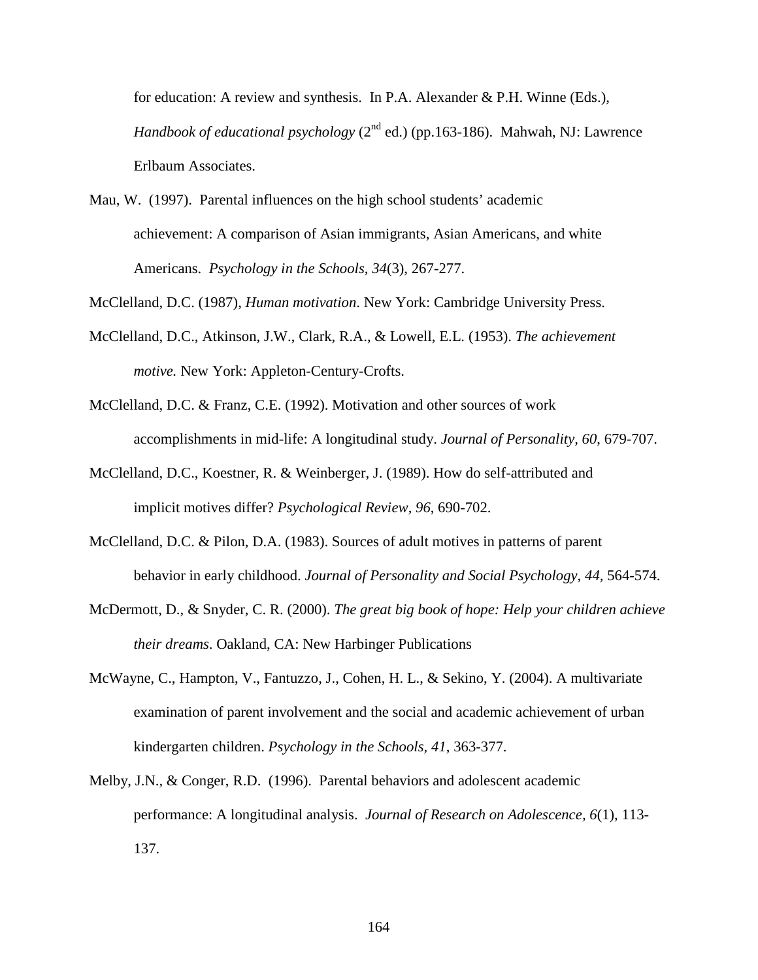for education: A review and synthesis. In P.A. Alexander & P.H. Winne (Eds.), *Handbook of educational psychology* (2<sup>nd</sup> ed.) (pp.163-186). Mahwah, NJ: Lawrence Erlbaum Associates.

Mau, W. (1997). Parental influences on the high school students' academic achievement: A comparison of Asian immigrants, Asian Americans, and white Americans. *Psychology in the Schools, 34*(3), 267-277.

McClelland, D.C. (1987), *Human motivation*. New York: Cambridge University Press.

- McClelland, D.C., Atkinson, J.W., Clark, R.A., & Lowell, E.L. (1953). *The achievement motive.* New York: Appleton-Century-Crofts.
- McClelland, D.C. & Franz, C.E. (1992). Motivation and other sources of work accomplishments in mid-life: A longitudinal study. *Journal of Personality, 60*, 679-707.
- McClelland, D.C., Koestner, R. & Weinberger, J. (1989). How do self-attributed and implicit motives differ? *Psychological Review, 96*, 690-702.
- McClelland, D.C. & Pilon, D.A. (1983). Sources of adult motives in patterns of parent behavior in early childhood. *Journal of Personality and Social Psychology, 44,* 564-574.
- McDermott, D., & Snyder, C. R. (2000). *The great big book of hope: Help your children achieve their dreams*. Oakland, CA: New Harbinger Publications
- McWayne, C., Hampton, V., Fantuzzo, J., Cohen, H. L., & Sekino, Y. (2004). A multivariate examination of parent involvement and the social and academic achievement of urban kindergarten children. *Psychology in the Schools, 41*, 363-377.
- Melby, J.N., & Conger, R.D. (1996). Parental behaviors and adolescent academic performance: A longitudinal analysis. *Journal of Research on Adolescence, 6*(1), 113- 137.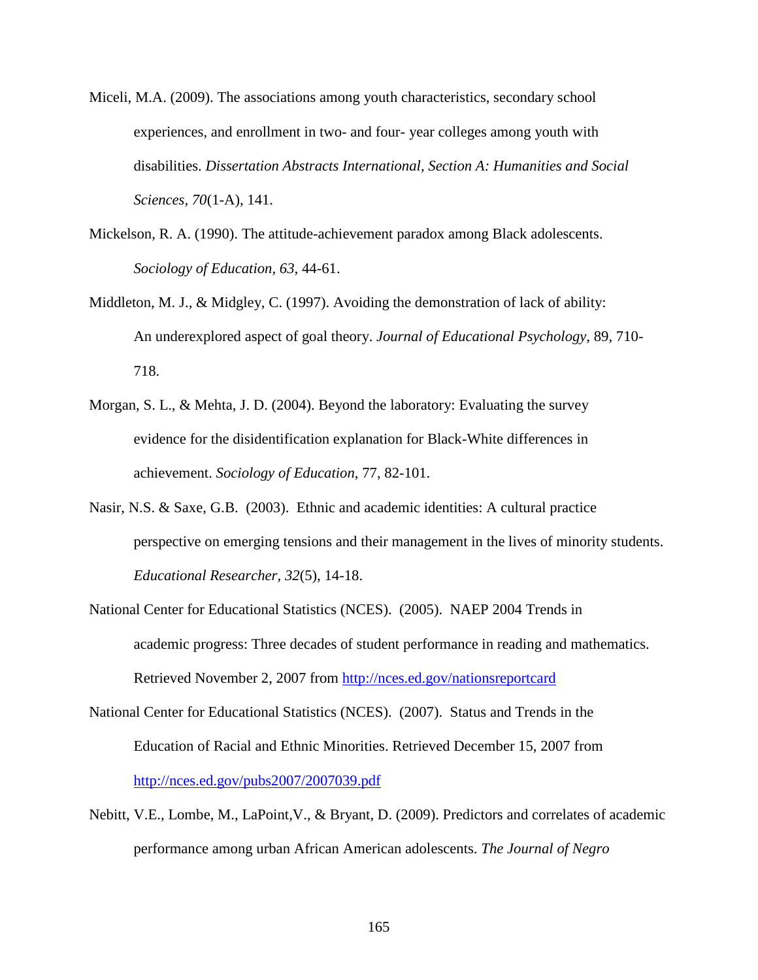- Miceli, M.A. (2009). The associations among youth characteristics, secondary school experiences, and enrollment in two- and four- year colleges among youth with disabilities. *Dissertation Abstracts International, Section A: Humanities and Social Sciences, 70*(1-A), 141.
- Mickelson, R. A. (1990). The attitude-achievement paradox among Black adolescents. *Sociology of Education, 63*, 44-61.
- Middleton, M. J., & Midgley, C. (1997). Avoiding the demonstration of lack of ability: An underexplored aspect of goal theory. *Journal of Educational Psychology,* 89, 710- 718.
- Morgan, S. L., & Mehta, J. D. (2004). Beyond the laboratory: Evaluating the survey evidence for the disidentification explanation for Black-White differences in achievement. *Sociology of Education*, 77, 82-101.
- Nasir, N.S. & Saxe, G.B. (2003). Ethnic and academic identities: A cultural practice perspective on emerging tensions and their management in the lives of minority students. *Educational Researcher, 32*(5), 14-18.
- National Center for Educational Statistics (NCES). (2005). NAEP 2004 Trends in academic progress: Three decades of student performance in reading and mathematics. Retrieved November 2, 2007 from http://nces.ed.gov/nationsreportcard
- National Center for Educational Statistics (NCES). (2007). Status and Trends in the Education of Racial and Ethnic Minorities. Retrieved December 15, 2007 from http://nces.ed.gov/pubs2007/2007039.pdf
- Nebitt, V.E., Lombe, M., LaPoint,V., & Bryant, D. (2009). Predictors and correlates of academic performance among urban African American adolescents. *The Journal of Negro*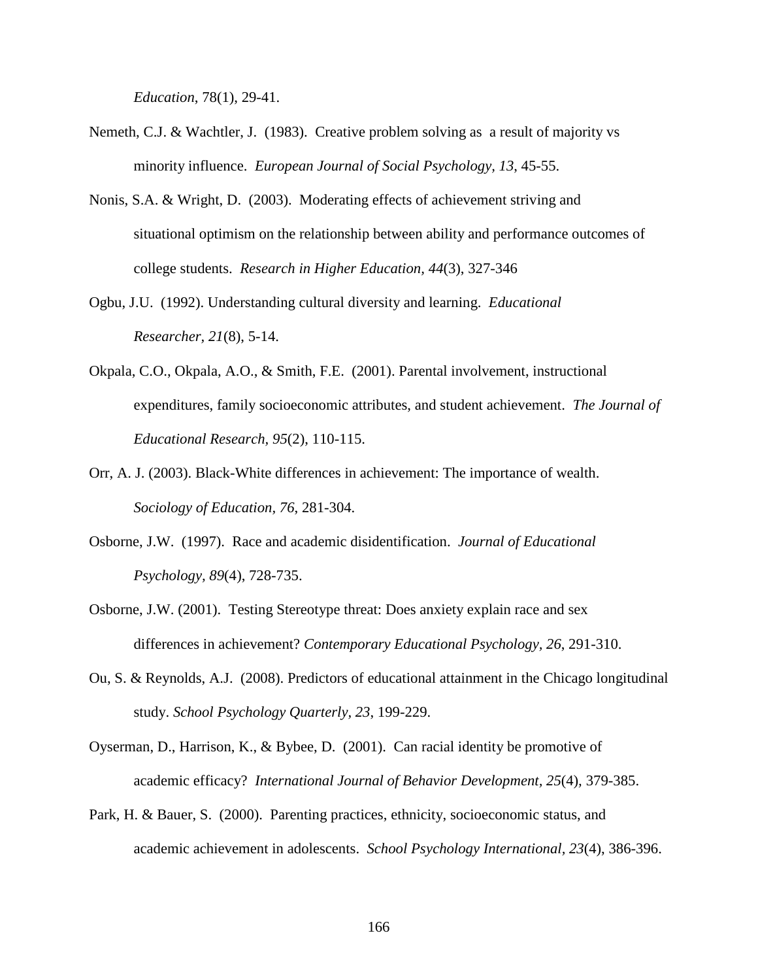*Education*, 78(1), 29-41.

- Nemeth, C.J. & Wachtler, J. (1983). Creative problem solving as a result of majority vs minority influence. *European Journal of Social Psychology, 13*, 45-55.
- Nonis, S.A. & Wright, D. (2003). Moderating effects of achievement striving and situational optimism on the relationship between ability and performance outcomes of college students. *Research in Higher Education, 44*(3), 327-346
- Ogbu, J.U. (1992). Understanding cultural diversity and learning. *Educational Researcher, 21*(8), 5-14.
- Okpala, C.O., Okpala, A.O., & Smith, F.E. (2001). Parental involvement, instructional expenditures, family socioeconomic attributes, and student achievement. *The Journal of Educational Research, 95*(2), 110-115.
- Orr, A. J. (2003). Black-White differences in achievement: The importance of wealth. *Sociology of Education, 76*, 281-304.
- Osborne, J.W. (1997). Race and academic disidentification. *Journal of Educational Psychology, 89*(4), 728-735.
- Osborne, J.W. (2001). Testing Stereotype threat: Does anxiety explain race and sex differences in achievement? *Contemporary Educational Psychology, 26*, 291-310.
- Ou, S. & Reynolds, A.J. (2008). Predictors of educational attainment in the Chicago longitudinal study. *School Psychology Quarterly, 23*, 199-229.
- Oyserman, D., Harrison, K., & Bybee, D. (2001). Can racial identity be promotive of academic efficacy? *International Journal of Behavior Development, 25*(4)*,* 379-385.
- Park, H. & Bauer, S. (2000). Parenting practices, ethnicity, socioeconomic status, and academic achievement in adolescents. *School Psychology International, 23*(4), 386-396.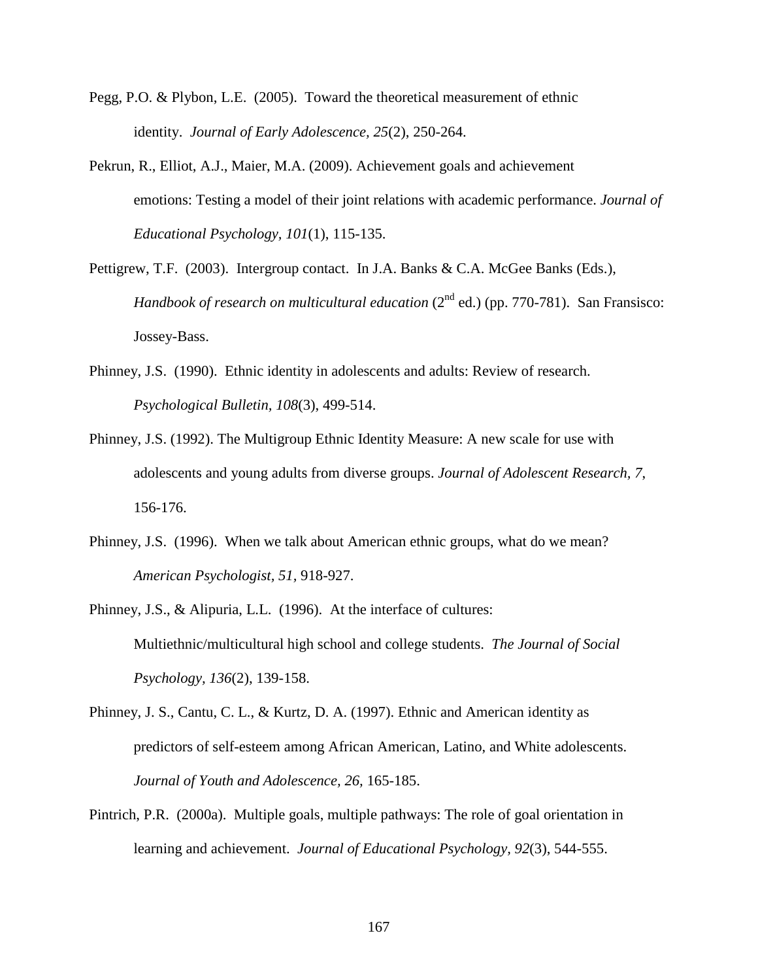- Pegg, P.O. & Plybon, L.E. (2005). Toward the theoretical measurement of ethnic identity. *Journal of Early Adolescence, 25*(2), 250-264.
- Pekrun, R., Elliot, A.J., Maier, M.A. (2009). Achievement goals and achievement emotions: Testing a model of their joint relations with academic performance. *Journal of Educational Psychology, 101*(1), 115-135.
- Pettigrew, T.F. (2003). Intergroup contact. In J.A. Banks & C.A. McGee Banks (Eds.), *Handbook of research on multicultural education* (2<sup>nd</sup> ed.) (pp. 770-781). San Fransisco: Jossey-Bass.
- Phinney, J.S. (1990). Ethnic identity in adolescents and adults: Review of research. *Psychological Bulletin, 108*(3), 499-514.
- Phinney, J.S. (1992). The Multigroup Ethnic Identity Measure: A new scale for use with adolescents and young adults from diverse groups. *Journal of Adolescent Research, 7*, 156-176.
- Phinney, J.S. (1996). When we talk about American ethnic groups, what do we mean? *American Psychologist, 51,* 918-927.
- Phinney, J.S., & Alipuria, L.L. (1996). At the interface of cultures: Multiethnic/multicultural high school and college students. *The Journal of Social Psychology, 136*(2), 139-158.
- Phinney, J. S., Cantu, C. L., & Kurtz, D. A. (1997). Ethnic and American identity as predictors of self-esteem among African American, Latino, and White adolescents. *Journal of Youth and Adolescence, 26,* 165-185.
- Pintrich, P.R. (2000a). Multiple goals, multiple pathways: The role of goal orientation in learning and achievement. *Journal of Educational Psychology, 92*(3), 544-555.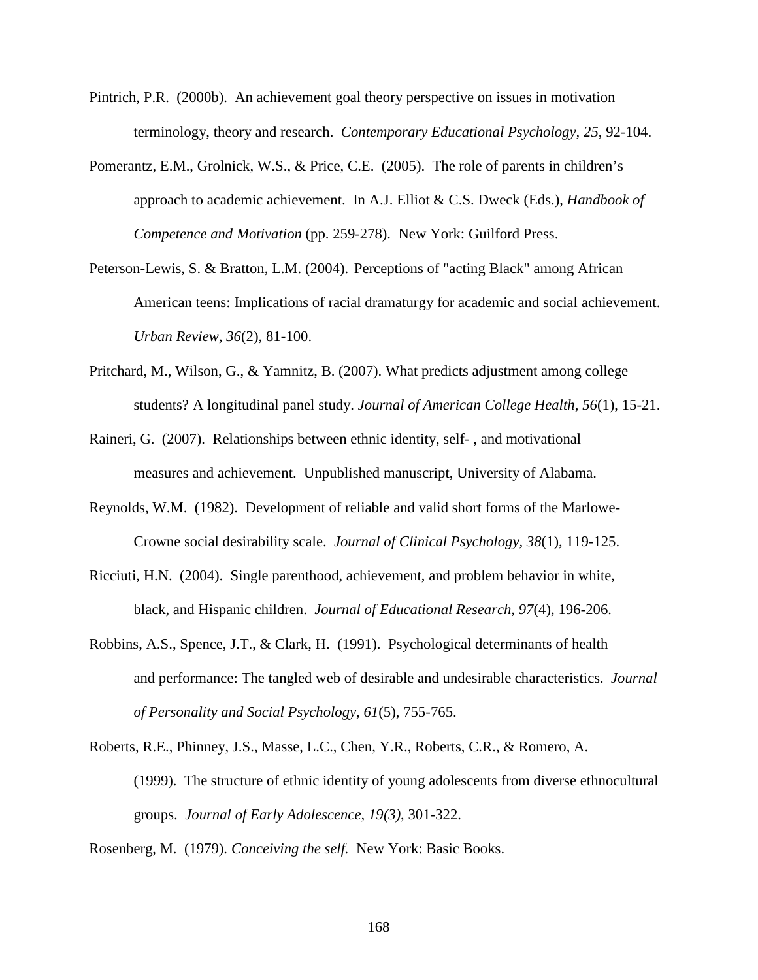- Pintrich, P.R. (2000b). An achievement goal theory perspective on issues in motivation terminology, theory and research. *Contemporary Educational Psychology, 25*, 92-104.
- Pomerantz, E.M., Grolnick, W.S., & Price, C.E. (2005). The role of parents in children's approach to academic achievement. In A.J. Elliot & C.S. Dweck (Eds.), *Handbook of Competence and Motivation* (pp. 259-278). New York: Guilford Press.
- Peterson-Lewis, S. & Bratton, L.M. (2004). Perceptions of "acting Black" among African American teens: Implications of racial dramaturgy for academic and social achievement. *Urban Review, 36*(2), 81-100.
- Pritchard, M., Wilson, G., & Yamnitz, B. (2007). What predicts adjustment among college students? A longitudinal panel study. *Journal of American College Health, 56*(1), 15-21.
- Raineri, G. (2007). Relationships between ethnic identity, self- , and motivational measures and achievement. Unpublished manuscript, University of Alabama.
- Reynolds, W.M. (1982). Development of reliable and valid short forms of the Marlowe-Crowne social desirability scale. *Journal of Clinical Psychology, 38*(1), 119-125.
- Ricciuti, H.N. (2004). Single parenthood, achievement, and problem behavior in white, black, and Hispanic children. *Journal of Educational Research, 97*(4), 196-206.
- Robbins, A.S., Spence, J.T., & Clark, H. (1991). Psychological determinants of health and performance: The tangled web of desirable and undesirable characteristics. *Journal of Personality and Social Psychology, 61*(5), 755-765.
- Roberts, R.E., Phinney, J.S., Masse, L.C., Chen, Y.R., Roberts, C.R., & Romero, A. (1999). The structure of ethnic identity of young adolescents from diverse ethnocultural groups. *Journal of Early Adolescence, 19(3)*, 301-322.

Rosenberg, M. (1979). *Conceiving the self.* New York: Basic Books.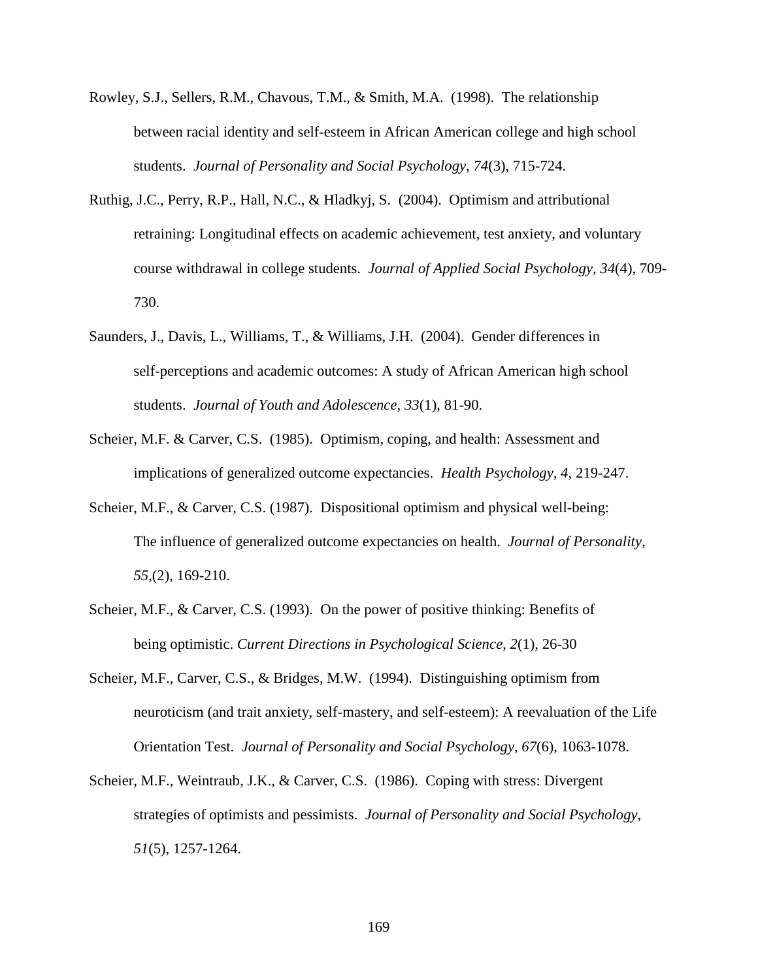- Rowley, S.J., Sellers, R.M., Chavous, T.M., & Smith, M.A. (1998). The relationship between racial identity and self-esteem in African American college and high school students. *Journal of Personality and Social Psychology, 74*(3), 715-724.
- Ruthig, J.C., Perry, R.P., Hall, N.C., & Hladkyj, S. (2004). Optimism and attributional retraining: Longitudinal effects on academic achievement, test anxiety, and voluntary course withdrawal in college students. *Journal of Applied Social Psychology, 34*(4), 709- 730.
- Saunders, J., Davis, L., Williams, T., & Williams, J.H. (2004). Gender differences in self-perceptions and academic outcomes: A study of African American high school students. *Journal of Youth and Adolescence, 33*(1), 81-90.
- Scheier, M.F. & Carver, C.S. (1985). Optimism, coping, and health: Assessment and implications of generalized outcome expectancies. *Health Psychology, 4*, 219-247.
- Scheier, M.F., & Carver, C.S. (1987). Dispositional optimism and physical well-being: The influence of generalized outcome expectancies on health. *Journal of Personality, 55,*(2), 169-210.
- Scheier, M.F., & Carver, C.S. (1993). On the power of positive thinking: Benefits of being optimistic. *Current Directions in Psychological Science, 2*(1), 26-30
- Scheier, M.F., Carver, C.S., & Bridges, M.W. (1994). Distinguishing optimism from neuroticism (and trait anxiety, self-mastery, and self-esteem): A reevaluation of the Life Orientation Test. *Journal of Personality and Social Psychology, 67*(6), 1063-1078.
- Scheier, M.F., Weintraub, J.K., & Carver, C.S. (1986). Coping with stress: Divergent strategies of optimists and pessimists. *Journal of Personality and Social Psychology, 51*(5), 1257-1264.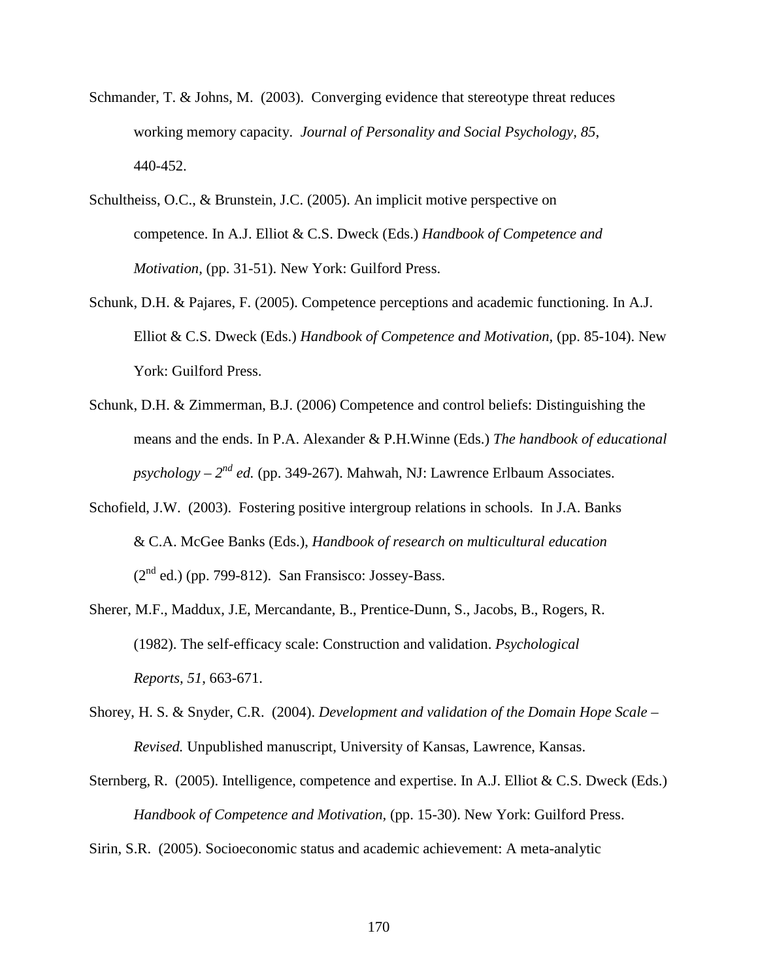- Schmander, T. & Johns, M. (2003). Converging evidence that stereotype threat reduces working memory capacity. *Journal of Personality and Social Psychology, 85*, 440-452.
- Schultheiss, O.C., & Brunstein, J.C. (2005). An implicit motive perspective on competence. In A.J. Elliot & C.S. Dweck (Eds.) *Handbook of Competence and Motivation,* (pp. 31-51). New York: Guilford Press.
- Schunk, D.H. & Pajares, F. (2005). Competence perceptions and academic functioning. In A.J. Elliot & C.S. Dweck (Eds.) *Handbook of Competence and Motivation,* (pp. 85-104). New York: Guilford Press.
- Schunk, D.H. & Zimmerman, B.J. (2006) Competence and control beliefs: Distinguishing the means and the ends. In P.A. Alexander & P.H.Winne (Eds.) *The handbook of educational*   $p$ *sychology –*  $2^{nd}$  *ed.* (pp. 349-267). Mahwah, NJ: Lawrence Erlbaum Associates.
- Schofield, J.W. (2003). Fostering positive intergroup relations in schools. In J.A. Banks & C.A. McGee Banks (Eds.), *Handbook of research on multicultural education*  $(2<sup>nd</sup>$  ed.) (pp. 799-812). San Fransisco: Jossey-Bass.
- Sherer, M.F., Maddux, J.E, Mercandante, B., Prentice-Dunn, S., Jacobs, B., Rogers, R. (1982). The self-efficacy scale: Construction and validation. *Psychological Reports, 51*, 663-671.
- Shorey, H. S. & Snyder, C.R. (2004). *Development and validation of the Domain Hope Scale Revised.* Unpublished manuscript, University of Kansas, Lawrence, Kansas.
- Sternberg, R. (2005). Intelligence, competence and expertise. In A.J. Elliot & C.S. Dweck (Eds.) *Handbook of Competence and Motivation,* (pp. 15-30). New York: Guilford Press.
- Sirin, S.R. (2005). Socioeconomic status and academic achievement: A meta-analytic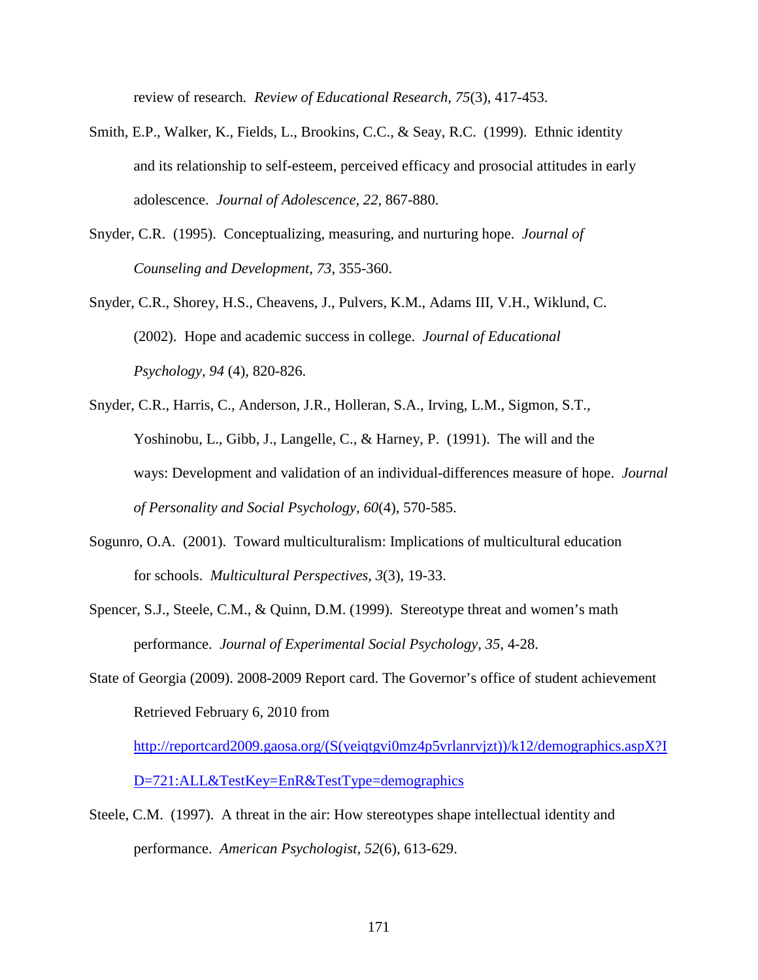review of research*. Review of Educational Research, 75*(3), 417-453.

- Smith, E.P., Walker, K., Fields, L., Brookins, C.C., & Seay, R.C. (1999). Ethnic identity and its relationship to self-esteem, perceived efficacy and prosocial attitudes in early adolescence. *Journal of Adolescence, 22*, 867-880.
- Snyder, C.R. (1995). Conceptualizing, measuring, and nurturing hope. *Journal of Counseling and Development, 73*, 355-360.
- Snyder, C.R., Shorey, H.S., Cheavens, J., Pulvers, K.M., Adams III, V.H., Wiklund, C. (2002). Hope and academic success in college. *Journal of Educational Psychology, 94* (4), 820-826.
- Snyder, C.R., Harris, C., Anderson, J.R., Holleran, S.A., Irving, L.M., Sigmon, S.T., Yoshinobu, L., Gibb, J., Langelle, C., & Harney, P. (1991). The will and the ways: Development and validation of an individual-differences measure of hope. *Journal of Personality and Social Psychology, 60*(4), 570-585.
- Sogunro, O.A. (2001). Toward multiculturalism: Implications of multicultural education for schools. *Multicultural Perspectives, 3*(3), 19-33.
- Spencer, S.J., Steele, C.M., & Quinn, D.M. (1999). Stereotype threat and women's math performance. *Journal of Experimental Social Psychology, 35*, 4-28.
- State of Georgia (2009). 2008-2009 Report card. The Governor's office of student achievement Retrieved February 6, 2010 from

http://reportcard2009.gaosa.org/(S(yeiqtgvi0mz4p5vrlanrvjzt))/k12/demographics.aspX?I D=721:ALL&TestKey=EnR&TestType=demographics

Steele, C.M. (1997). A threat in the air: How stereotypes shape intellectual identity and performance. *American Psychologist, 52*(6), 613-629.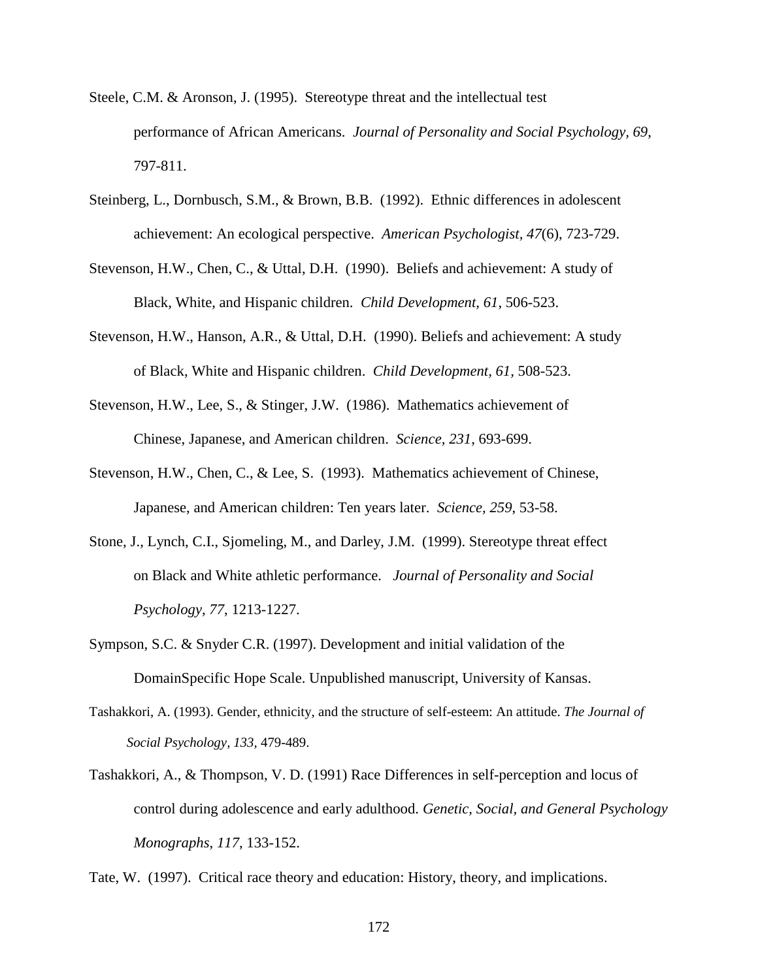- Steele, C.M. & Aronson, J. (1995). Stereotype threat and the intellectual test performance of African Americans. *Journal of Personality and Social Psychology, 69*, 797-811.
- Steinberg, L., Dornbusch, S.M., & Brown, B.B. (1992). Ethnic differences in adolescent achievement: An ecological perspective. *American Psychologist, 47*(6), 723-729.
- Stevenson, H.W., Chen, C., & Uttal, D.H. (1990). Beliefs and achievement: A study of Black, White, and Hispanic children. *Child Development, 61*, 506-523.
- Stevenson, H.W., Hanson, A.R., & Uttal, D.H. (1990). Beliefs and achievement: A study of Black, White and Hispanic children. *Child Development, 61,* 508-523.
- Stevenson, H.W., Lee, S., & Stinger, J.W. (1986). Mathematics achievement of Chinese, Japanese, and American children. *Science, 231*, 693-699.
- Stevenson, H.W., Chen, C., & Lee, S. (1993). Mathematics achievement of Chinese, Japanese, and American children: Ten years later. *Science, 259*, 53-58.
- Stone, J., Lynch, C.I., Sjomeling, M., and Darley, J.M. (1999). Stereotype threat effect on Black and White athletic performance. *Journal of Personality and Social Psychology, 77*, 1213-1227.
- Sympson, S.C. & Snyder C.R. (1997). Development and initial validation of the DomainSpecific Hope Scale. Unpublished manuscript, University of Kansas.
- Tashakkori, A. (1993). Gender, ethnicity, and the structure of self-esteem: An attitude. *The Journal of Social Psychology, 133,* 479-489.
- Tashakkori, A., & Thompson, V. D. (1991) Race Differences in self-perception and locus of control during adolescence and early adulthood. *Genetic, Social, and General Psychology Monographs*, *117*, 133-152.

Tate, W. (1997). Critical race theory and education: History, theory, and implications.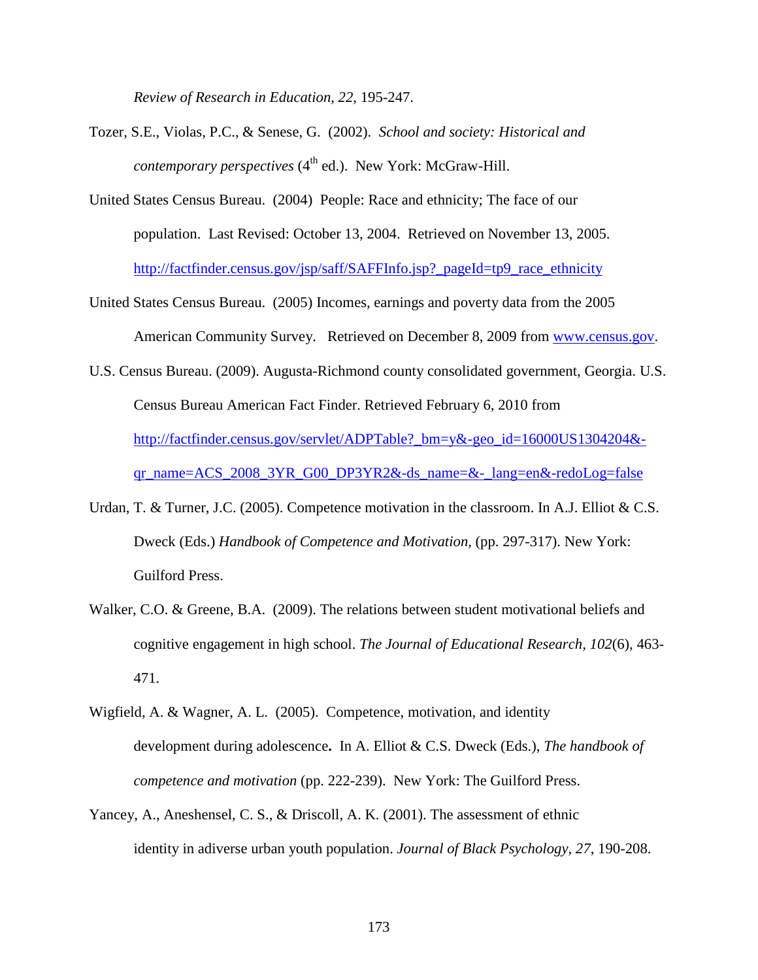*Review of Research in Education, 22*, 195-247.

- Tozer, S.E., Violas, P.C., & Senese, G. (2002). *School and society: Historical and contemporary perspectives* (4<sup>th</sup> ed.). New York: McGraw-Hill.
- United States Census Bureau. (2004) People: Race and ethnicity; The face of our population. Last Revised: October 13, 2004. Retrieved on November 13, 2005. http://factfinder.census.gov/jsp/saff/SAFFInfo.jsp?\_pageId=tp9\_race\_ethnicity
- United States Census Bureau. (2005) Incomes, earnings and poverty data from the 2005 American Community Survey. Retrieved on December 8, 2009 from www.census.gov.
- U.S. Census Bureau. (2009). Augusta-Richmond county consolidated government, Georgia. U.S. Census Bureau American Fact Finder. Retrieved February 6, 2010 from http://factfinder.census.gov/servlet/ADPTable?\_bm=y&-geo\_id=16000US1304204& qr\_name=ACS\_2008\_3YR\_G00\_DP3YR2&-ds\_name=&-\_lang=en&-redoLog=false
- Urdan, T. & Turner, J.C. (2005). Competence motivation in the classroom. In A.J. Elliot & C.S. Dweck (Eds.) *Handbook of Competence and Motivation,* (pp. 297-317). New York: Guilford Press.
- Walker, C.O. & Greene, B.A. (2009). The relations between student motivational beliefs and cognitive engagement in high school. *The Journal of Educational Research, 102*(6), 463- 471.
- Wigfield, A. & Wagner, A. L. (2005). Competence, motivation, and identity development during adolescence**.** In A. Elliot & C.S. Dweck (Eds.), *The handbook of competence and motivation* (pp. 222-239). New York: The Guilford Press.
- Yancey, A., Aneshensel, C. S., & Driscoll, A. K. (2001). The assessment of ethnic identity in adiverse urban youth population. *Journal of Black Psychology*, *27*, 190-208.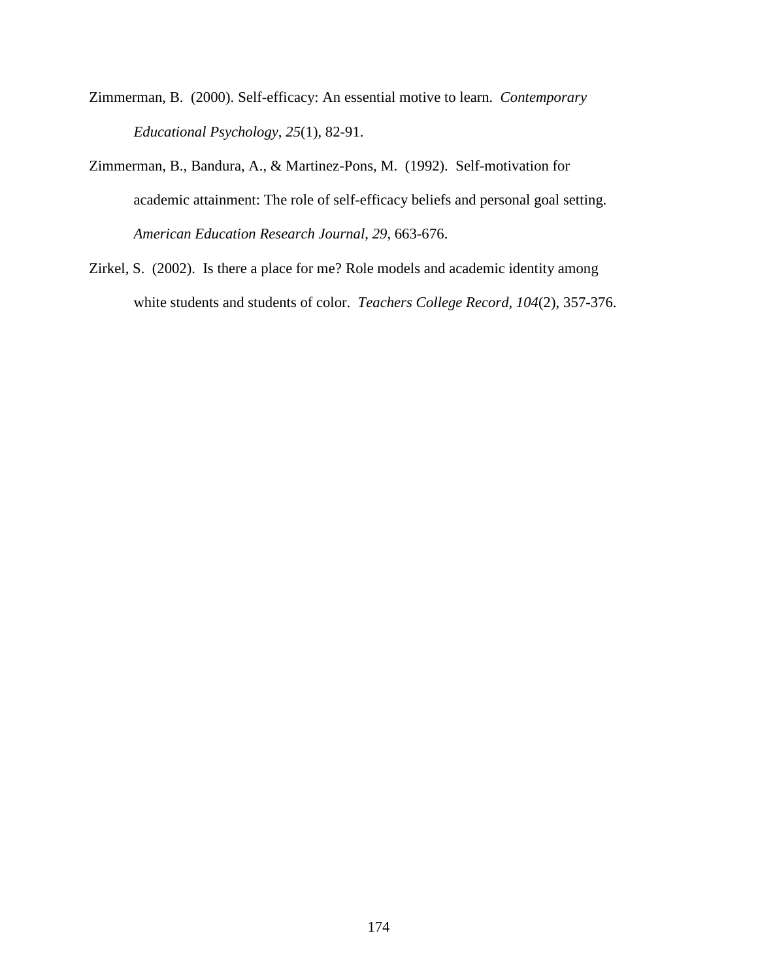- Zimmerman, B. (2000). Self-efficacy: An essential motive to learn. *Contemporary Educational Psychology, 25*(1), 82-91.
- Zimmerman, B., Bandura, A., & Martinez-Pons, M. (1992). Self-motivation for academic attainment: The role of self-efficacy beliefs and personal goal setting. *American Education Research Journal, 29*, 663-676.
- Zirkel, S. (2002). Is there a place for me? Role models and academic identity among white students and students of color. *Teachers College Record, 104*(2), 357-376.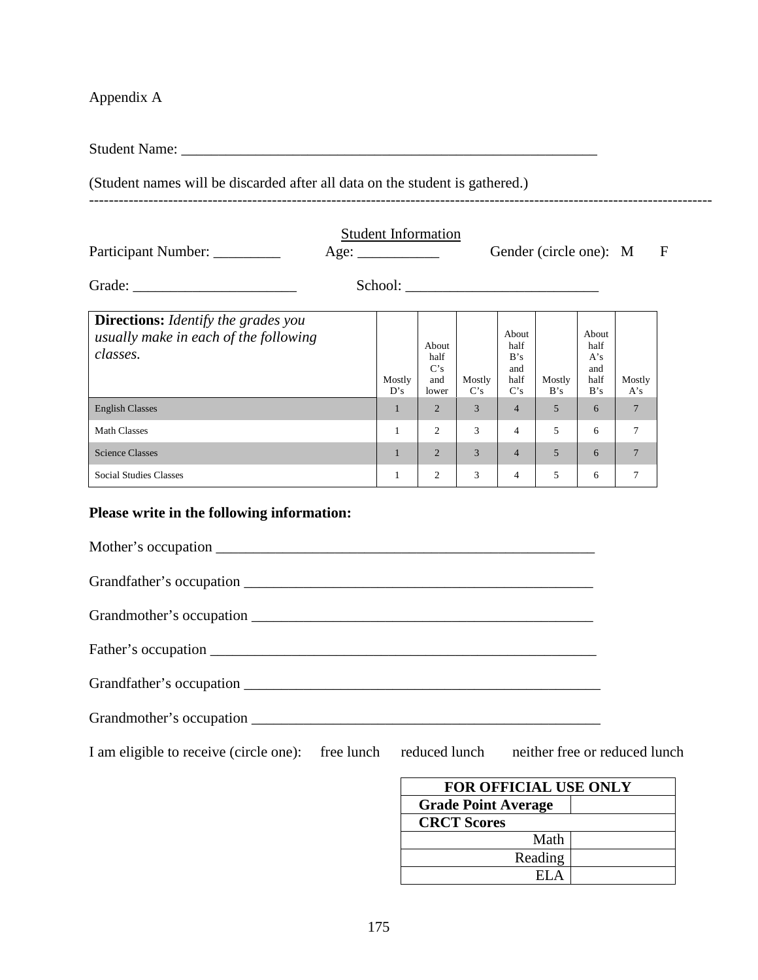Appendix A

Student Name: \_\_\_\_\_\_\_\_\_\_\_\_\_\_\_\_\_\_\_\_\_\_\_\_\_\_\_\_\_\_\_\_\_\_\_\_\_\_\_\_\_\_\_\_\_\_\_\_\_\_\_\_\_\_\_\_

(Student names will be discarded after all data on the student is gathered.) ------------------------------------------------------------------------------------------------------------------------------

| <b>Student Information</b><br>Participant Number:<br>Gender (circle one): M                            |  |               |                                      |               |                                            |               |                                            | F              |  |
|--------------------------------------------------------------------------------------------------------|--|---------------|--------------------------------------|---------------|--------------------------------------------|---------------|--------------------------------------------|----------------|--|
|                                                                                                        |  |               |                                      |               |                                            |               |                                            |                |  |
| <b>Directions:</b> <i>Identify the grades you</i><br>usually make in each of the following<br>classes. |  | Mostly<br>D's | About<br>half<br>C's<br>and<br>lower | Mostly<br>C's | About<br>half<br>B's<br>and<br>half<br>C's | Mostly<br>B's | About<br>half<br>A's<br>and<br>half<br>B's | Mostly<br>A's  |  |
| <b>English Classes</b>                                                                                 |  | 1             | 2                                    | 3             | $\overline{4}$                             | 5             | 6                                          | $\overline{7}$ |  |
| <b>Math Classes</b>                                                                                    |  | $\mathbf{1}$  | $\overline{c}$                       | 3             | $\overline{4}$                             | 5             | 6                                          | 7              |  |
| <b>Science Classes</b>                                                                                 |  | $\mathbf{1}$  | $\overline{2}$                       | 3             | $\overline{4}$                             | 5             | 6                                          | $\overline{7}$ |  |
| <b>Social Studies Classes</b>                                                                          |  | $\mathbf{1}$  | $\overline{2}$                       | 3             | $\overline{4}$                             | 5             | 6                                          | 7              |  |

# **Please write in the following information:**

| I am eligible to receive (circle one): free lunch reduced lunch neither free or reduced lunch |  |  |
|-----------------------------------------------------------------------------------------------|--|--|

| <b>FOR OFFICIAL USE ONLY</b> |  |  |  |  |  |  |
|------------------------------|--|--|--|--|--|--|
| <b>Grade Point Average</b>   |  |  |  |  |  |  |
| <b>CRCT Scores</b>           |  |  |  |  |  |  |
| Math                         |  |  |  |  |  |  |
| Reading                      |  |  |  |  |  |  |
|                              |  |  |  |  |  |  |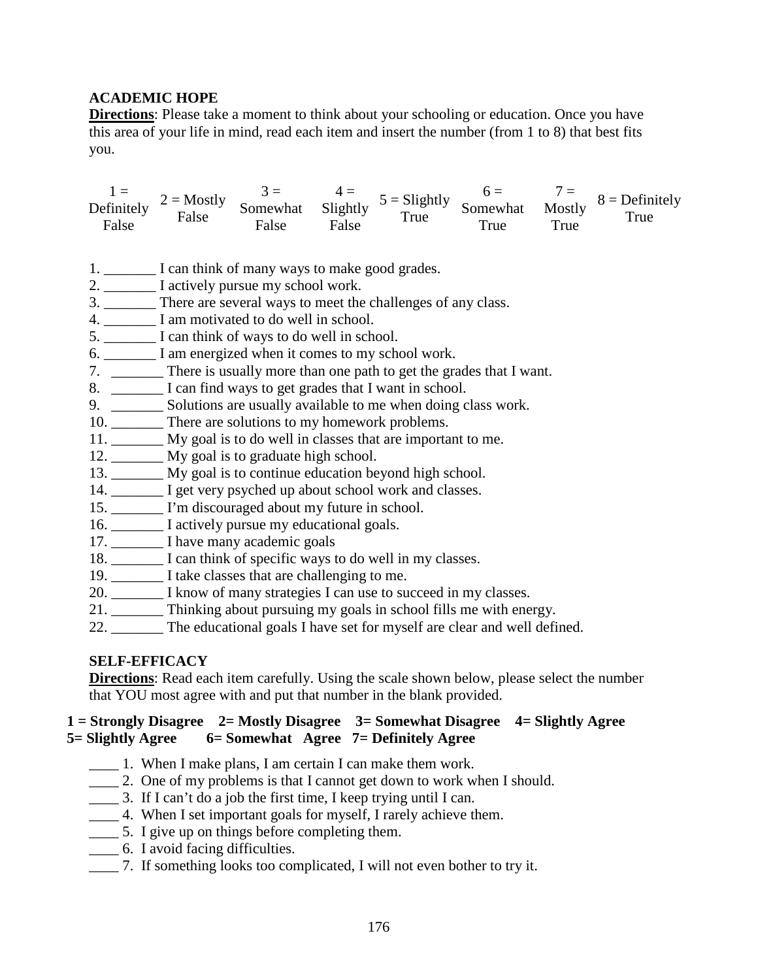# **ACADEMIC HOPE**

**Directions**: Please take a moment to think about your schooling or education. Once you have this area of your life in mind, read each item and insert the number (from 1 to 8) that best fits you.

 $1 =$ Definitely False  $2 =$ Mostly False  $3 =$ Somewhat False  $4 =$ Slightly False  $5 = S$ lightly True  $6 =$ Somewhat True  $7 =$ Mostly True  $8 =$ Definitely True

- 1.  $\Box$  I can think of many ways to make good grades.
- 2. \_\_\_\_\_\_\_\_\_ I actively pursue my school work.
- 3. \_\_\_\_\_\_\_ There are several ways to meet the challenges of any class.
- 4. \_\_\_\_\_\_\_ I am motivated to do well in school.
- 5. \_\_\_\_\_\_\_ I can think of ways to do well in school.
- 6. \_\_\_\_\_\_\_ I am energized when it comes to my school work.
- 7. \_\_\_\_\_\_\_ There is usually more than one path to get the grades that I want.
- 8. \_\_\_\_\_\_\_\_ I can find ways to get grades that I want in school.
- 9. \_\_\_\_\_\_\_\_\_ Solutions are usually available to me when doing class work.
- 10. \_\_\_\_\_\_\_\_ There are solutions to my homework problems.
- 11. \_\_\_\_\_\_\_ My goal is to do well in classes that are important to me.
- 12. \_\_\_\_\_\_\_ My goal is to graduate high school.
- 13. \_\_\_\_\_\_\_ My goal is to continue education beyond high school.
- 14. \_\_\_\_\_\_\_ I get very psyched up about school work and classes.
- 15. \_\_\_\_\_\_\_ I'm discouraged about my future in school.
- 16. \_\_\_\_\_\_\_ I actively pursue my educational goals.
- 17. \_\_\_\_\_\_\_\_\_ I have many academic goals
- 18. \_\_\_\_\_\_\_ I can think of specific ways to do well in my classes.
- 19. \_\_\_\_\_\_\_ I take classes that are challenging to me.
- 20. I know of many strategies I can use to succeed in my classes.
- 21. \_\_\_\_\_\_\_ Thinking about pursuing my goals in school fills me with energy.
- 22. The educational goals I have set for myself are clear and well defined.

### **SELF-EFFICACY**

**Directions**: Read each item carefully. Using the scale shown below, please select the number that YOU most agree with and put that number in the blank provided.

## **1 = Strongly Disagree 2= Mostly Disagree 3= Somewhat Disagree 4= Slightly Agree 5= Slightly Agree 6= Somewhat Agree 7= Definitely Agree**

- \_\_\_\_ 1. When I make plans, I am certain I can make them work.
- \_\_\_\_ 2. One of my problems is that I cannot get down to work when I should.
- \_\_\_\_ 3. If I can't do a job the first time, I keep trying until I can.
- \_\_\_\_ 4. When I set important goals for myself, I rarely achieve them.
- \_\_\_\_ 5. I give up on things before completing them.
- \_\_\_\_ 6. I avoid facing difficulties.
- \_\_\_\_ 7. If something looks too complicated, I will not even bother to try it.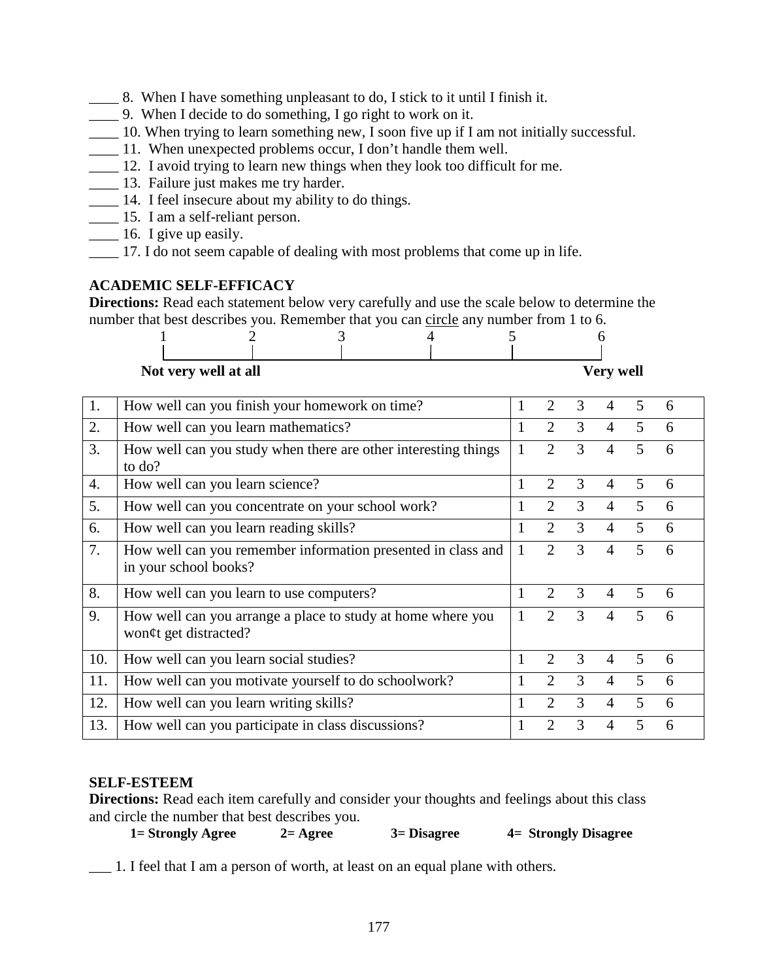- \_\_\_\_ 8. When I have something unpleasant to do, I stick to it until I finish it.
- \_\_\_\_ 9. When I decide to do something, I go right to work on it.
- $\frac{1}{\sqrt{1-\frac{1}{\sqrt{1-\frac{1}{\sqrt{1-\frac{1}{\sqrt{1-\frac{1}{\sqrt{1-\frac{1}{\sqrt{1-\frac{1}{\sqrt{1-\frac{1}{\sqrt{1-\frac{1}{\sqrt{1-\frac{1}{\sqrt{1-\frac{1}{\sqrt{1-\frac{1}{\sqrt{1-\frac{1}{\sqrt{1-\frac{1}{\sqrt{1-\frac{1}{\sqrt{1-\frac{1}{\sqrt{1-\frac{1}{\sqrt{1-\frac{1}{\sqrt{1-\frac{1}{\sqrt{1-\frac{1}{\sqrt{1-\frac{1}{\sqrt{1-\frac{1}{\sqrt{1-\frac{1}{\sqrt{1-\frac{1}{\sqrt{1-\frac{1$
- \_\_\_\_ 11. When unexpected problems occur, I don't handle them well.
- 12. I avoid trying to learn new things when they look too difficult for me.
- \_\_\_\_ 13. Failure just makes me try harder.
- \_\_\_\_ 14. I feel insecure about my ability to do things.
- \_\_\_\_ 15. I am a self-reliant person.
- **\_\_\_** 16. I give up easily.
- \_\_\_\_ 17. I do not seem capable of dealing with most problems that come up in life.

# **ACADEMIC SELF-EFFICACY**

**Directions:** Read each statement below very carefully and use the scale below to determine the number that best describes you. Remember that you can circle any number from 1 to 6.

| Not very well at all |  |  | <b>Very well</b> |
|----------------------|--|--|------------------|
|                      |  |  |                  |
|                      |  |  |                  |
|                      |  |  |                  |

| Not very well at all |  |  |
|----------------------|--|--|
|                      |  |  |

| 1.  | How well can you finish your homework on time?                                        |              | 2              | 3 | 4              | 5 | 6 |
|-----|---------------------------------------------------------------------------------------|--------------|----------------|---|----------------|---|---|
| 2.  | How well can you learn mathematics?                                                   | 1            | $\overline{2}$ | 3 | 4              | 5 | 6 |
| 3.  | How well can you study when there are other interesting things<br>to do?              |              | $\overline{2}$ | 3 | 4              | 5 | 6 |
| 4.  | How well can you learn science?                                                       | 1            | $\overline{2}$ | 3 | $\overline{4}$ | 5 | 6 |
| 5.  | How well can you concentrate on your school work?                                     |              | 2              | 3 | 4              | 5 | 6 |
| 6.  | How well can you learn reading skills?                                                |              | $\overline{2}$ | 3 | $\overline{4}$ | 5 | 6 |
| 7.  | How well can you remember information presented in class and<br>in your school books? | $\mathbf{1}$ | $\overline{2}$ | 3 | 4              | 5 | 6 |
| 8.  | How well can you learn to use computers?                                              | 1            | $\overline{2}$ | 3 | 4              | 5 | 6 |
| 9.  | How well can you arrange a place to study at home where you<br>won¢t get distracted?  |              | $\overline{2}$ | 3 | 4              | 5 | 6 |
| 10. | How well can you learn social studies?                                                | 1            | $\overline{2}$ | 3 | $\overline{A}$ | 5 | 6 |
| 11. | How well can you motivate yourself to do schoolwork?                                  |              | 2              | 3 | 4              | 5 | 6 |
| 12. | How well can you learn writing skills?                                                | 1            | $\overline{2}$ | 3 | 4              | 5 | 6 |
| 13. | How well can you participate in class discussions?                                    |              | $\overline{2}$ | 3 | 4              | 5 | 6 |

### **SELF-ESTEEM**

**Directions:** Read each item carefully and consider your thoughts and feelings about this class and circle the number that best describes you.

 **1= Strongly Agree 2= Agree 3= Disagree 4= Strongly Disagree** 

\_\_\_ 1. I feel that I am a person of worth, at least on an equal plane with others.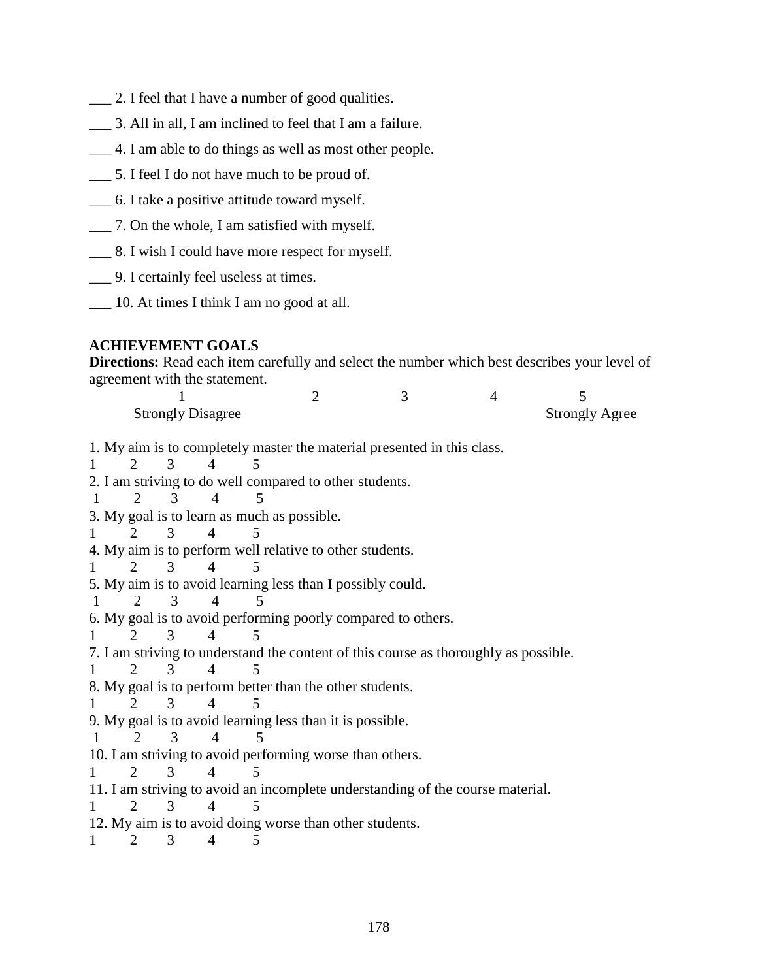- \_\_\_ 2. I feel that I have a number of good qualities.
- \_\_\_ 3. All in all, I am inclined to feel that I am a failure.
- \_\_\_ 4. I am able to do things as well as most other people.
- \_\_\_ 5. I feel I do not have much to be proud of.
- \_\_\_ 6. I take a positive attitude toward myself.
- \_\_\_ 7. On the whole, I am satisfied with myself.
- \_\_\_ 8. I wish I could have more respect for myself.
- \_\_\_ 9. I certainly feel useless at times.
- \_\_\_ 10. At times I think I am no good at all.

## **ACHIEVEMENT GOALS**

**Directions:** Read each item carefully and select the number which best describes your level of agreement with the statement.

| <b>Strongly Disagree</b> |  | <b>Strongly Agree</b> |
|--------------------------|--|-----------------------|

1. My aim is to completely master the material presented in this class.

1 2 3 4 5 2. I am striving to do well compared to other students. 1 2 3 4 5 3. My goal is to learn as much as possible. 1 2 3 4 5 4. My aim is to perform well relative to other students. 1 2 3 4 5 5. My aim is to avoid learning less than I possibly could. 1 2 3 4 5 6. My goal is to avoid performing poorly compared to others. 1 2 3 4 5 7. I am striving to understand the content of this course as thoroughly as possible. 1 2 3 4 5 8. My goal is to perform better than the other students. 1 2 3 4 5 9. My goal is to avoid learning less than it is possible. 1 2 3 4 5 10. I am striving to avoid performing worse than others. 1 2 3 4 5 11. I am striving to avoid an incomplete understanding of the course material. 1 2 3 4 5 12. My aim is to avoid doing worse than other students. 1 2 3 4 5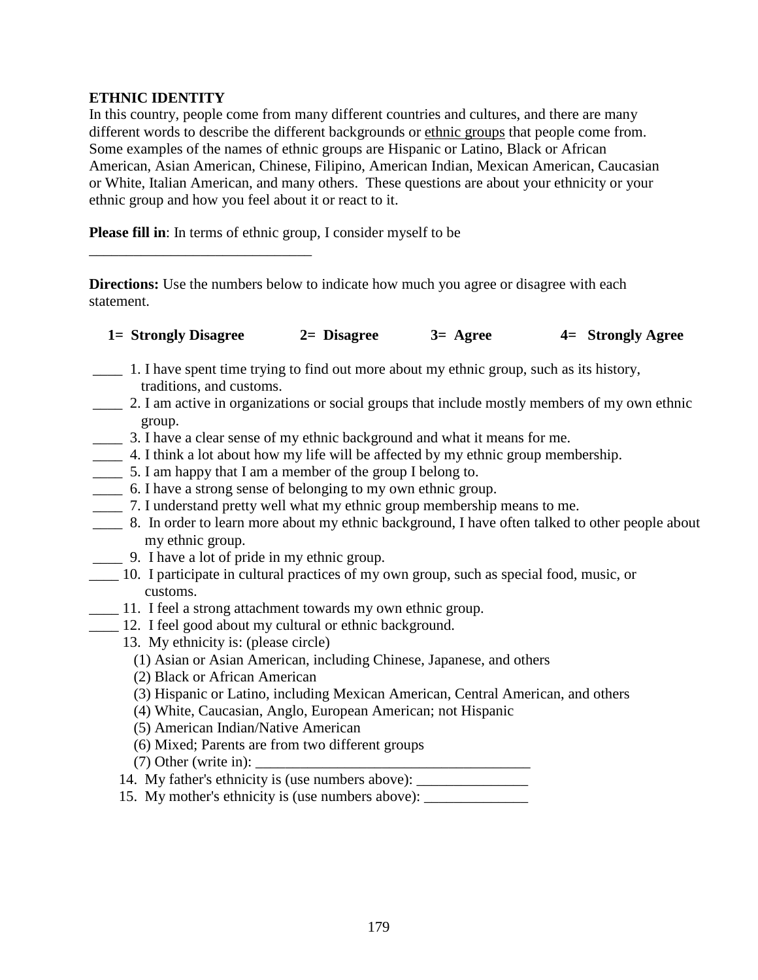## **ETHNIC IDENTITY**

\_\_\_\_\_\_\_\_\_\_\_\_\_\_\_\_\_\_\_\_\_\_\_\_\_\_\_\_\_\_

In this country, people come from many different countries and cultures, and there are many different words to describe the different backgrounds or ethnic groups that people come from. Some examples of the names of ethnic groups are Hispanic or Latino, Black or African American, Asian American, Chinese, Filipino, American Indian, Mexican American, Caucasian or White, Italian American, and many others. These questions are about your ethnicity or your ethnic group and how you feel about it or react to it.

**Please fill in:** In terms of ethnic group, I consider myself to be

**Directions:** Use the numbers below to indicate how much you agree or disagree with each statement.

| 1 = Strongly Disagree | $2=$ Disagree | $3=$ Agree | 4 Strongly Agree |  |
|-----------------------|---------------|------------|------------------|--|
|-----------------------|---------------|------------|------------------|--|

- \_\_\_\_ 1. I have spent time trying to find out more about my ethnic group, such as its history, traditions, and customs.
- \_\_\_\_ 2. I am active in organizations or social groups that include mostly members of my own ethnic group.
- \_\_\_\_ 3. I have a clear sense of my ethnic background and what it means for me.
- \_\_\_\_ 4. I think a lot about how my life will be affected by my ethnic group membership.
- \_\_\_\_ 5. I am happy that I am a member of the group I belong to.
- \_\_\_\_ 6. I have a strong sense of belonging to my own ethnic group.
- \_\_\_\_ 7. I understand pretty well what my ethnic group membership means to me.
- \_\_\_\_ 8. In order to learn more about my ethnic background, I have often talked to other people about my ethnic group.
	- \_\_\_\_ 9. I have a lot of pride in my ethnic group.
- \_\_\_\_ 10. I participate in cultural practices of my own group, such as special food, music, or customs.
- 11. I feel a strong attachment towards my own ethnic group.
- \_\_\_\_ 12. I feel good about my cultural or ethnic background.
	- 13. My ethnicity is: (please circle)
		- (1) Asian or Asian American, including Chinese, Japanese, and others
		- (2) Black or African American
		- (3) Hispanic or Latino, including Mexican American, Central American, and others
		- (4) White, Caucasian, Anglo, European American; not Hispanic
		- (5) American Indian/Native American
		- (6) Mixed; Parents are from two different groups
		- $(7)$  Other (write in):  $\Box$
	- 14. My father's ethnicity is (use numbers above):
	- 15. My mother's ethnicity is (use numbers above): \_\_\_\_\_\_\_\_\_\_\_\_\_\_\_\_\_\_\_\_\_\_\_\_\_\_\_\_\_\_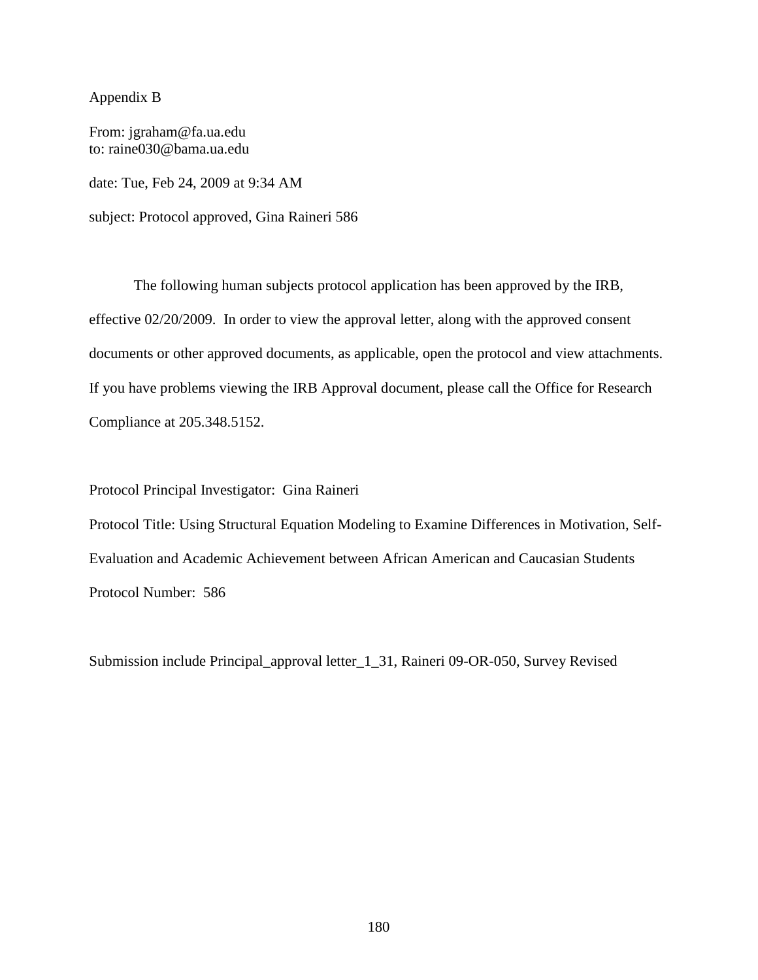#### Appendix B

From: jgraham@fa.ua.edu to: raine030@bama.ua.edu date: Tue, Feb 24, 2009 at 9:34 AM subject: Protocol approved, Gina Raineri 586

The following human subjects protocol application has been approved by the IRB, effective 02/20/2009. In order to view the approval letter, along with the approved consent documents or other approved documents, as applicable, open the protocol and view attachments. If you have problems viewing the IRB Approval document, please call the Office for Research Compliance at 205.348.5152.

Protocol Principal Investigator: Gina Raineri

Protocol Title: Using Structural Equation Modeling to Examine Differences in Motivation, Self-Evaluation and Academic Achievement between African American and Caucasian Students Protocol Number: 586

Submission include Principal\_approval letter\_1\_31, Raineri 09-OR-050, Survey Revised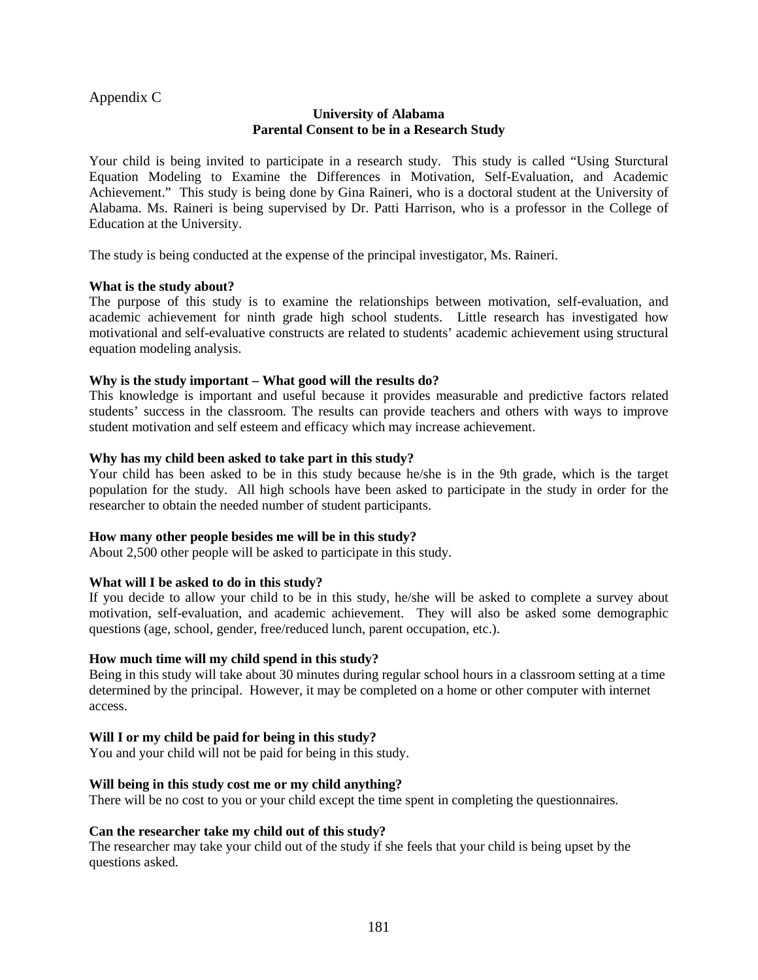Appendix C

### **University of Alabama Parental Consent to be in a Research Study**

Your child is being invited to participate in a research study. This study is called "Using Sturctural Equation Modeling to Examine the Differences in Motivation, Self-Evaluation, and Academic Achievement." This study is being done by Gina Raineri, who is a doctoral student at the University of Alabama. Ms. Raineri is being supervised by Dr. Patti Harrison, who is a professor in the College of Education at the University.

The study is being conducted at the expense of the principal investigator, Ms. Raineri.

#### **What is the study about?**

The purpose of this study is to examine the relationships between motivation, self-evaluation, and academic achievement for ninth grade high school students. Little research has investigated how motivational and self-evaluative constructs are related to students' academic achievement using structural equation modeling analysis.

#### **Why is the study important – What good will the results do?**

This knowledge is important and useful because it provides measurable and predictive factors related students' success in the classroom. The results can provide teachers and others with ways to improve student motivation and self esteem and efficacy which may increase achievement.

#### **Why has my child been asked to take part in this study?**

Your child has been asked to be in this study because he/she is in the 9th grade, which is the target population for the study. All high schools have been asked to participate in the study in order for the researcher to obtain the needed number of student participants.

#### **How many other people besides me will be in this study?**

About 2,500 other people will be asked to participate in this study.

#### **What will I be asked to do in this study?**

If you decide to allow your child to be in this study, he/she will be asked to complete a survey about motivation, self-evaluation, and academic achievement. They will also be asked some demographic questions (age, school, gender, free/reduced lunch, parent occupation, etc.).

#### **How much time will my child spend in this study?**

Being in this study will take about 30 minutes during regular school hours in a classroom setting at a time determined by the principal. However, it may be completed on a home or other computer with internet access.

#### **Will I or my child be paid for being in this study?**

You and your child will not be paid for being in this study.

#### **Will being in this study cost me or my child anything?**

There will be no cost to you or your child except the time spent in completing the questionnaires.

#### **Can the researcher take my child out of this study?**

The researcher may take your child out of the study if she feels that your child is being upset by the questions asked.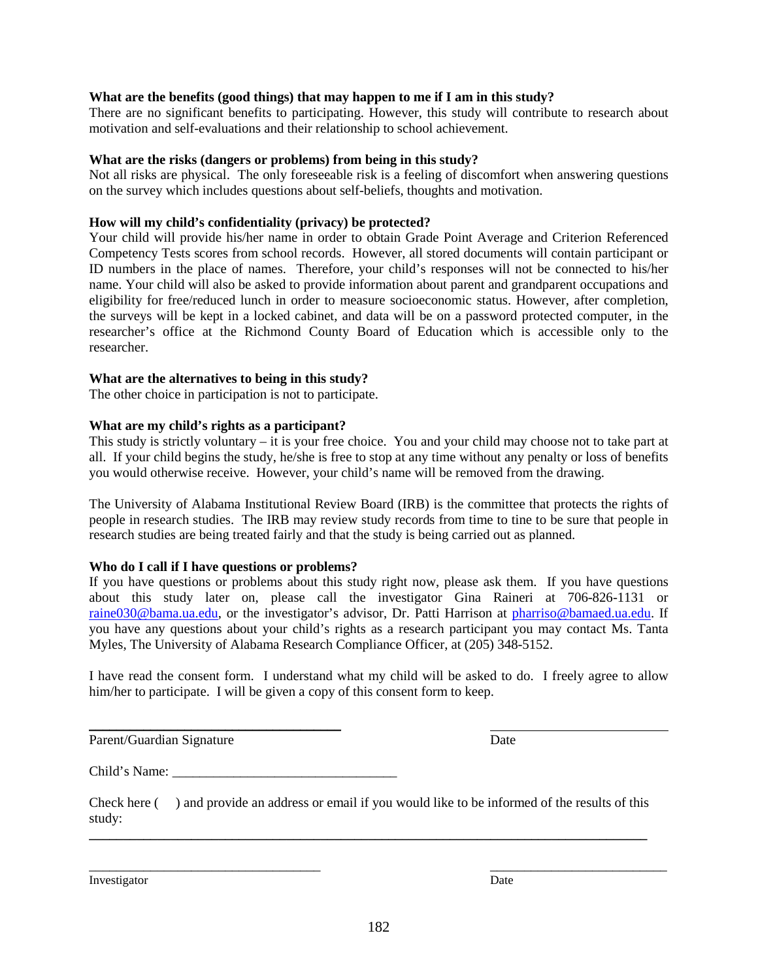## **What are the benefits (good things) that may happen to me if I am in this study?**

There are no significant benefits to participating. However, this study will contribute to research about motivation and self-evaluations and their relationship to school achievement.

## **What are the risks (dangers or problems) from being in this study?**

Not all risks are physical. The only foreseeable risk is a feeling of discomfort when answering questions on the survey which includes questions about self-beliefs, thoughts and motivation.

# **How will my child's confidentiality (privacy) be protected?**

Your child will provide his/her name in order to obtain Grade Point Average and Criterion Referenced Competency Tests scores from school records. However, all stored documents will contain participant or ID numbers in the place of names. Therefore, your child's responses will not be connected to his/her name. Your child will also be asked to provide information about parent and grandparent occupations and eligibility for free/reduced lunch in order to measure socioeconomic status. However, after completion, the surveys will be kept in a locked cabinet, and data will be on a password protected computer, in the researcher's office at the Richmond County Board of Education which is accessible only to the researcher.

# **What are the alternatives to being in this study?**

The other choice in participation is not to participate.

# **What are my child's rights as a participant?**

This study is strictly voluntary – it is your free choice. You and your child may choose not to take part at all. If your child begins the study, he/she is free to stop at any time without any penalty or loss of benefits you would otherwise receive. However, your child's name will be removed from the drawing.

The University of Alabama Institutional Review Board (IRB) is the committee that protects the rights of people in research studies. The IRB may review study records from time to tine to be sure that people in research studies are being treated fairly and that the study is being carried out as planned.

# **Who do I call if I have questions or problems?**

If you have questions or problems about this study right now, please ask them. If you have questions about this study later on, please call the investigator Gina Raineri at 706-826-1131 or raine030@bama.ua.edu, or the investigator's advisor, Dr. Patti Harrison at pharriso@bamaed.ua.edu. If you have any questions about your child's rights as a research participant you may contact Ms. Tanta Myles, The University of Alabama Research Compliance Officer, at (205) 348-5152.

I have read the consent form. I understand what my child will be asked to do. I freely agree to allow him/her to participate. I will be given a copy of this consent form to keep.

Parent/Guardian Signature Date

Child's Name:

 $\frac{1}{2}$  ,  $\frac{1}{2}$  ,  $\frac{1}{2}$  ,  $\frac{1}{2}$  ,  $\frac{1}{2}$  ,  $\frac{1}{2}$  ,  $\frac{1}{2}$  ,  $\frac{1}{2}$  ,  $\frac{1}{2}$  ,  $\frac{1}{2}$  ,  $\frac{1}{2}$  ,  $\frac{1}{2}$  ,  $\frac{1}{2}$  ,  $\frac{1}{2}$  ,  $\frac{1}{2}$  ,  $\frac{1}{2}$  ,  $\frac{1}{2}$  ,  $\frac{1}{2}$  ,  $\frac{1$ 

Check here ( ) and provide an address or email if you would like to be informed of the results of this study: **\_\_\_\_\_\_\_\_\_\_\_\_\_\_\_\_\_\_\_\_\_\_\_\_\_\_\_\_\_\_\_\_\_\_\_\_\_\_\_\_\_\_\_\_\_\_\_\_\_\_\_\_\_\_\_\_\_\_\_\_\_\_\_\_\_\_\_\_\_\_\_\_\_\_\_\_\_\_\_\_\_\_** 

Investigator Date

\_\_\_\_\_\_\_\_\_\_\_\_\_\_\_\_\_\_\_\_\_\_\_\_\_\_\_\_\_\_\_\_\_\_ \_\_\_\_\_\_\_\_\_\_\_\_\_\_\_\_\_\_\_\_\_\_\_\_\_\_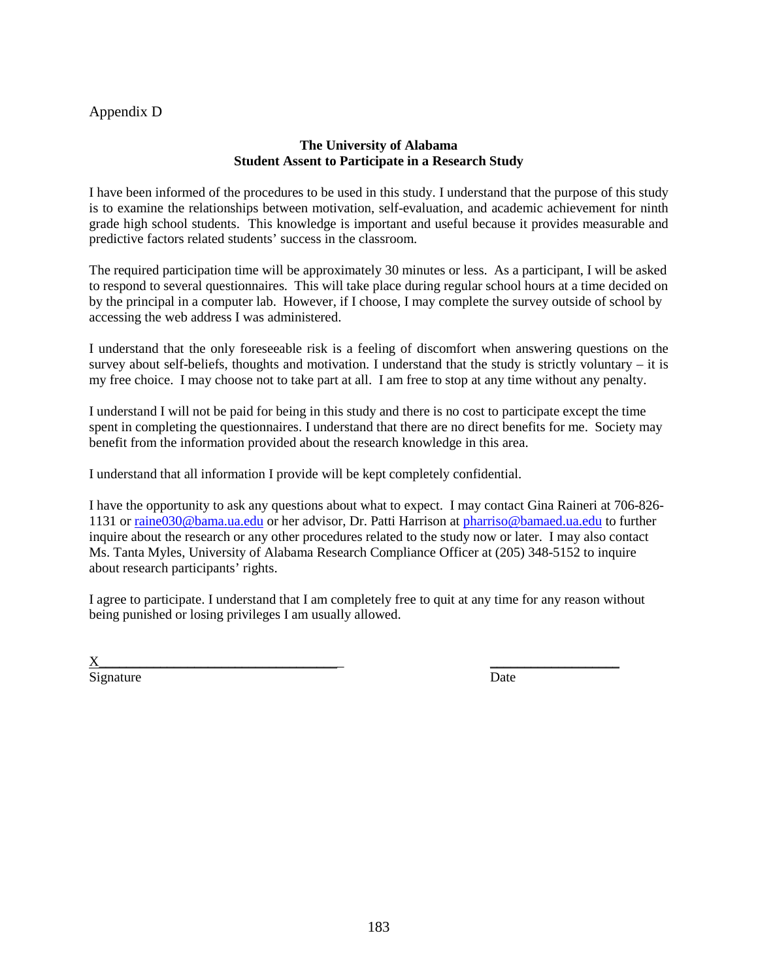## Appendix D

### **The University of Alabama Student Assent to Participate in a Research Study**

I have been informed of the procedures to be used in this study. I understand that the purpose of this study is to examine the relationships between motivation, self-evaluation, and academic achievement for ninth grade high school students. This knowledge is important and useful because it provides measurable and predictive factors related students' success in the classroom.

The required participation time will be approximately 30 minutes or less. As a participant, I will be asked to respond to several questionnaires. This will take place during regular school hours at a time decided on by the principal in a computer lab. However, if I choose, I may complete the survey outside of school by accessing the web address I was administered.

I understand that the only foreseeable risk is a feeling of discomfort when answering questions on the survey about self-beliefs, thoughts and motivation. I understand that the study is strictly voluntary – it is my free choice. I may choose not to take part at all. I am free to stop at any time without any penalty.

I understand I will not be paid for being in this study and there is no cost to participate except the time spent in completing the questionnaires. I understand that there are no direct benefits for me. Society may benefit from the information provided about the research knowledge in this area.

I understand that all information I provide will be kept completely confidential.

I have the opportunity to ask any questions about what to expect. I may contact Gina Raineri at 706-826- 1131 or raine030@bama.ua.edu or her advisor, Dr. Patti Harrison at pharriso@bamaed.ua.edu to further inquire about the research or any other procedures related to the study now or later. I may also contact Ms. Tanta Myles, University of Alabama Research Compliance Officer at (205) 348-5152 to inquire about research participants' rights.

I agree to participate. I understand that I am completely free to quit at any time for any reason without being punished or losing privileges I am usually allowed.

 $X_\_$ Signature Date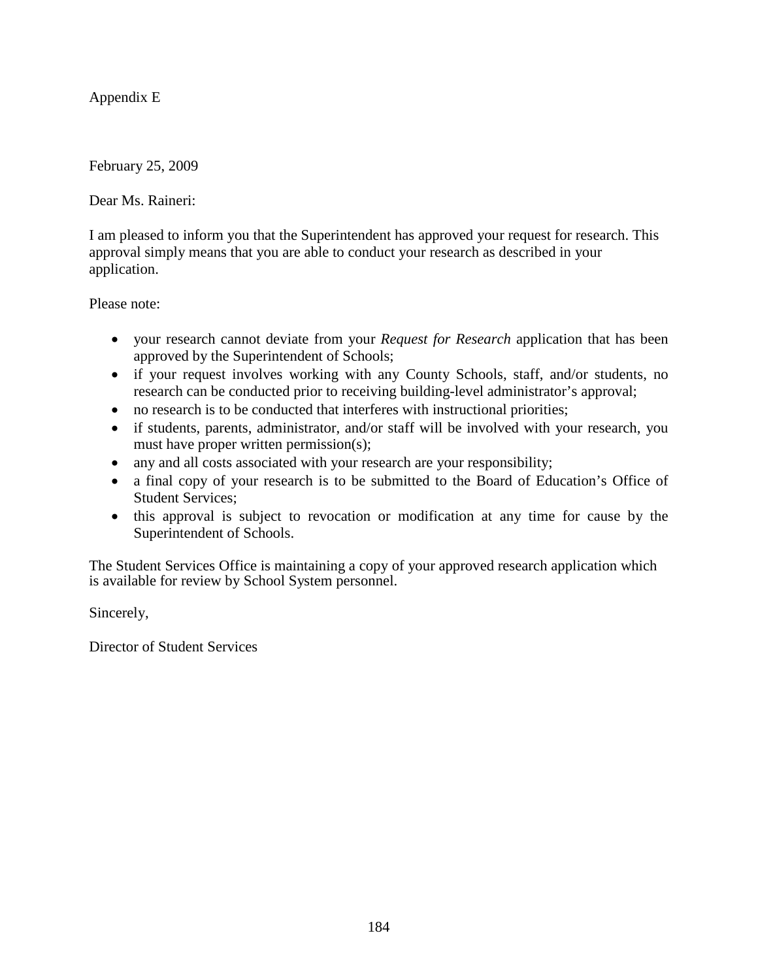Appendix E

February 25, 2009

Dear Ms. Raineri:

I am pleased to inform you that the Superintendent has approved your request for research. This approval simply means that you are able to conduct your research as described in your application.

Please note:

- your research cannot deviate from your *Request for Research* application that has been approved by the Superintendent of Schools;
- if your request involves working with any County Schools, staff, and/or students, no research can be conducted prior to receiving building-level administrator's approval;
- no research is to be conducted that interferes with instructional priorities;
- if students, parents, administrator, and/or staff will be involved with your research, you must have proper written permission(s);
- any and all costs associated with your research are your responsibility;
- a final copy of your research is to be submitted to the Board of Education's Office of Student Services;
- this approval is subject to revocation or modification at any time for cause by the Superintendent of Schools.

The Student Services Office is maintaining a copy of your approved research application which is available for review by School System personnel.

Sincerely,

Director of Student Services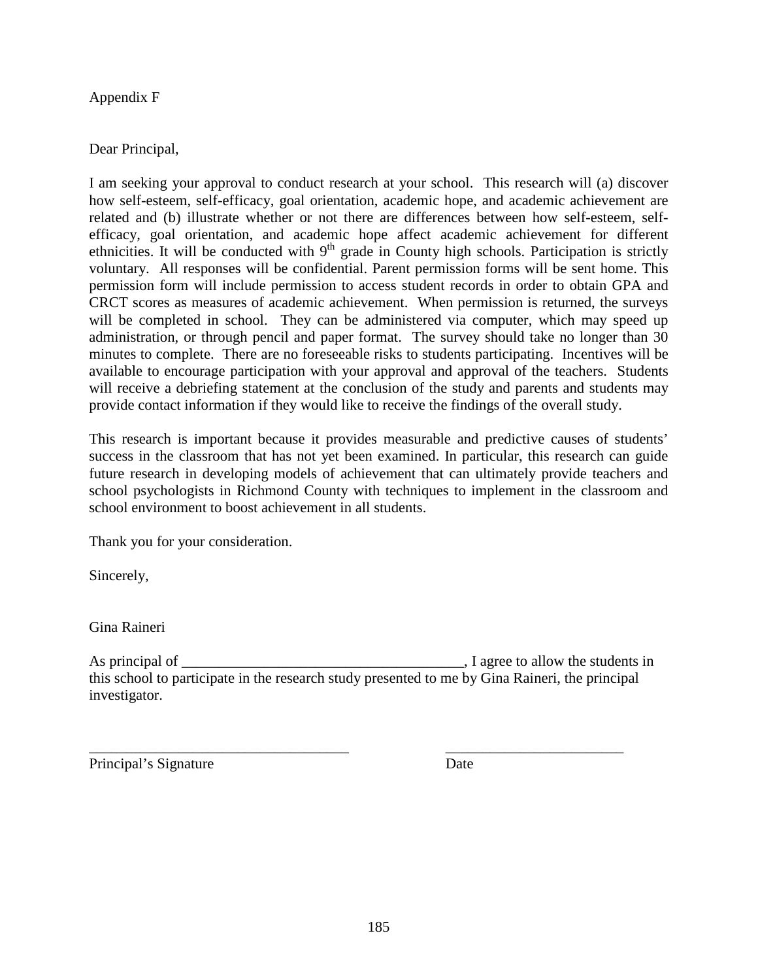Appendix F

# Dear Principal,

I am seeking your approval to conduct research at your school. This research will (a) discover how self-esteem, self-efficacy, goal orientation, academic hope, and academic achievement are related and (b) illustrate whether or not there are differences between how self-esteem, selfefficacy, goal orientation, and academic hope affect academic achievement for different ethnicities. It will be conducted with  $9<sup>th</sup>$  grade in County high schools. Participation is strictly voluntary. All responses will be confidential. Parent permission forms will be sent home. This permission form will include permission to access student records in order to obtain GPA and CRCT scores as measures of academic achievement. When permission is returned, the surveys will be completed in school. They can be administered via computer, which may speed up administration, or through pencil and paper format. The survey should take no longer than 30 minutes to complete. There are no foreseeable risks to students participating. Incentives will be available to encourage participation with your approval and approval of the teachers. Students will receive a debriefing statement at the conclusion of the study and parents and students may provide contact information if they would like to receive the findings of the overall study.

This research is important because it provides measurable and predictive causes of students' success in the classroom that has not yet been examined. In particular, this research can guide future research in developing models of achievement that can ultimately provide teachers and school psychologists in Richmond County with techniques to implement in the classroom and school environment to boost achievement in all students.

Thank you for your consideration.

Sincerely,

Gina Raineri

As principal of \_\_\_\_\_\_\_\_\_\_\_\_\_\_\_\_\_\_\_\_\_\_\_\_\_\_\_\_\_\_\_\_\_\_\_\_\_\_, I agree to allow the students in this school to participate in the research study presented to me by Gina Raineri, the principal investigator.

\_\_\_\_\_\_\_\_\_\_\_\_\_\_\_\_\_\_\_\_\_\_\_\_\_\_\_\_\_\_\_\_\_\_\_ \_\_\_\_\_\_\_\_\_\_\_\_\_\_\_\_\_\_\_\_\_\_\_\_ Principal's Signature Date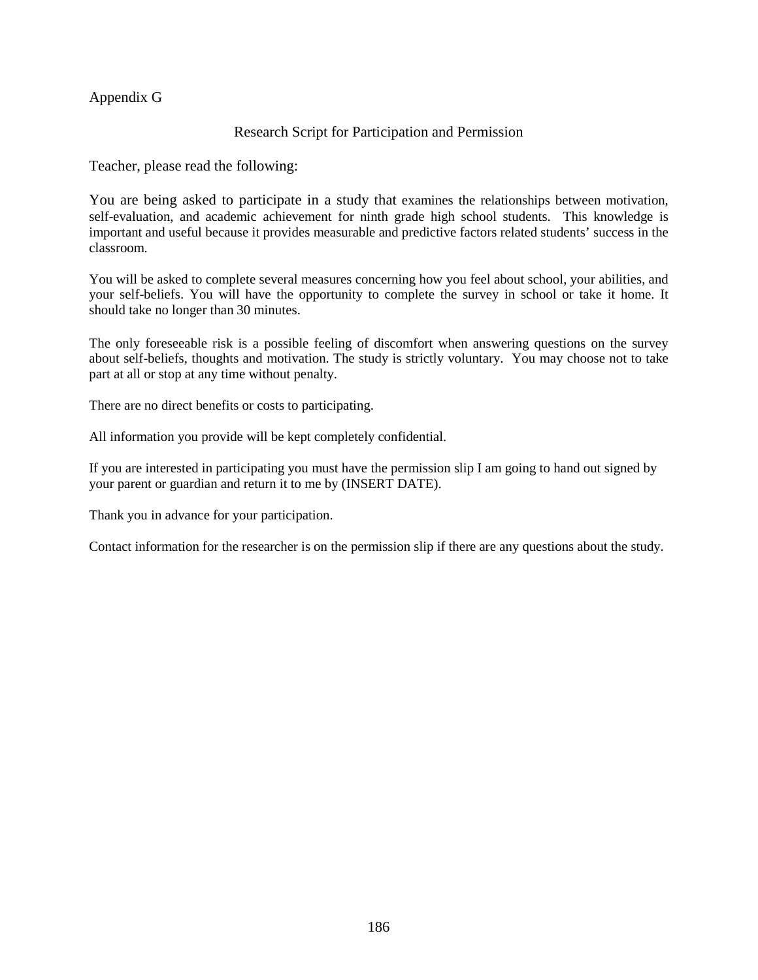### Appendix G

### Research Script for Participation and Permission

Teacher, please read the following:

You are being asked to participate in a study that examines the relationships between motivation, self-evaluation, and academic achievement for ninth grade high school students. This knowledge is important and useful because it provides measurable and predictive factors related students' success in the classroom.

You will be asked to complete several measures concerning how you feel about school, your abilities, and your self-beliefs. You will have the opportunity to complete the survey in school or take it home. It should take no longer than 30 minutes.

The only foreseeable risk is a possible feeling of discomfort when answering questions on the survey about self-beliefs, thoughts and motivation. The study is strictly voluntary. You may choose not to take part at all or stop at any time without penalty.

There are no direct benefits or costs to participating.

All information you provide will be kept completely confidential.

If you are interested in participating you must have the permission slip I am going to hand out signed by your parent or guardian and return it to me by (INSERT DATE).

Thank you in advance for your participation.

Contact information for the researcher is on the permission slip if there are any questions about the study.